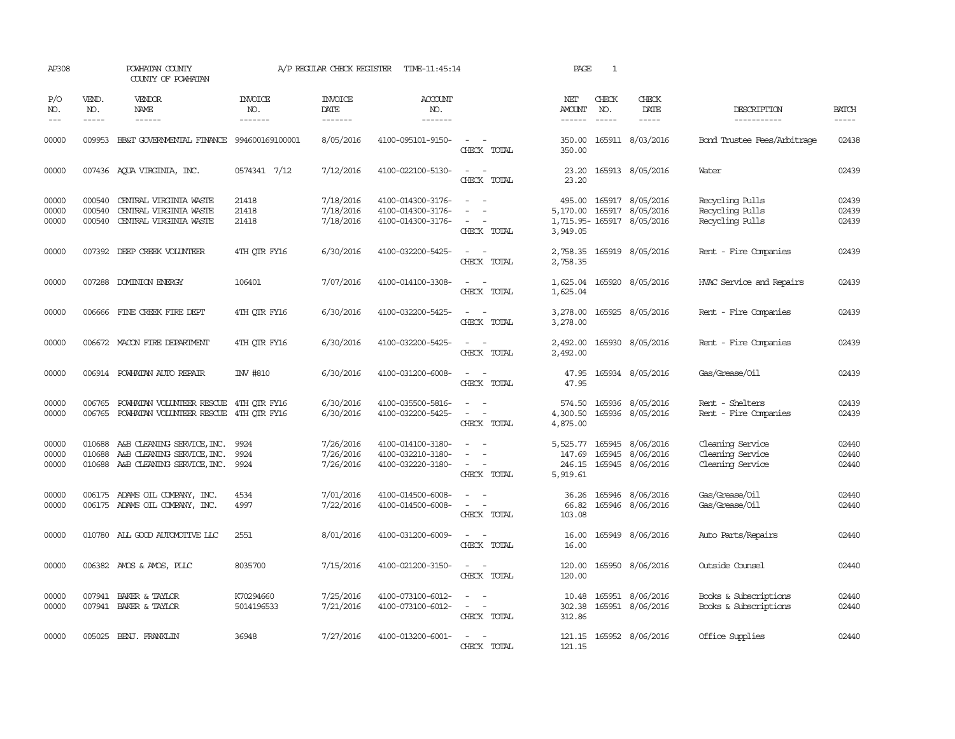| AP308                   |                             | POWHATAN COUNTY<br>COUNTY OF POWHATAN                                                                |                                  | A/P REGULAR CHECK REGISTER          | TIME-11:45:14                                               |                                                     | PAGE                                     | 1                             |                                                                   |                                                          |                         |
|-------------------------|-----------------------------|------------------------------------------------------------------------------------------------------|----------------------------------|-------------------------------------|-------------------------------------------------------------|-----------------------------------------------------|------------------------------------------|-------------------------------|-------------------------------------------------------------------|----------------------------------------------------------|-------------------------|
| P/O<br>NO.<br>$---$     | VEND.<br>NO.<br>$- - - - -$ | VENDOR<br>NAME<br>$- - - - - -$                                                                      | <b>INVOICE</b><br>NO.<br>------- | <b>INVOICE</b><br>DATE<br>-------   | <b>ACCOUNT</b><br>NO.<br>-------                            |                                                     | NET<br><b>AMOUNT</b><br>------           | CHECK<br>NO.<br>$\frac{1}{2}$ | CHECK<br>DATE<br>$- - - - -$                                      | DESCRIPTION<br>-----------                               | <b>BATCH</b><br>-----   |
| 00000                   | 009953                      | BB&T GOVERNMENTAL FINANCE                                                                            | 994600169100001                  | 8/05/2016                           | 4100-095101-9150-                                           | $\sim$<br>$\sim$<br>CHECK TOTAL                     | 350.00<br>350.00                         |                               | 165911 8/03/2016                                                  | Bond Trustee Fees/Arbitrage                              | 02438                   |
| 00000                   |                             | 007436 AQUA VIRGINIA, INC.                                                                           | 0574341 7/12                     | 7/12/2016                           | 4100-022100-5130-                                           | $\equiv$<br>$\sim$<br>CHECK TOTAL                   | 23.20<br>23.20                           |                               | 165913 8/05/2016                                                  | Water                                                    | 02439                   |
| 00000<br>00000<br>00000 | 000540<br>000540<br>000540  | CENTRAL VIRGINIA WASTE<br>CENTRAL VIRGINIA WASTE<br>CENTRAL VIRGINIA WASTE                           | 21418<br>21418<br>21418          | 7/18/2016<br>7/18/2016<br>7/18/2016 | 4100-014300-3176-<br>4100-014300-3176-<br>4100-014300-3176- | $\sim$<br>$\equiv$<br>$\sim$<br>CHECK TOTAL         | 495.00<br>5,170.00<br>3,949.05           |                               | 165917 8/05/2016<br>165917 8/05/2016<br>1,715.95-165917 8/05/2016 | Recycling Pulls<br>Recycling Pulls<br>Recycling Pulls    | 02439<br>02439<br>02439 |
| 00000                   |                             | 007392 DEEP CREEK VOLUNTEER                                                                          | 4TH QTR FY16                     | 6/30/2016                           | 4100-032200-5425-                                           | CHECK TOTAL                                         | 2,758.35<br>2,758.35                     |                               | 165919 8/05/2016                                                  | Rent - Fire Companies                                    | 02439                   |
| 00000                   |                             | 007288 DOMINION ENERGY                                                                               | 106401                           | 7/07/2016                           | 4100-014100-3308-                                           | $\equiv$<br>$\overline{\phantom{a}}$<br>CHECK TOTAL | 1,625.04<br>1,625.04                     |                               | 165920 8/05/2016                                                  | HVAC Service and Repairs                                 | 02439                   |
| 00000                   |                             | 006666 FINE CREEK FIRE DEPT                                                                          | 4TH OTR FY16                     | 6/30/2016                           | 4100-032200-5425-                                           | $\sim$<br>CHECK TOTAL                               | 3,278.00<br>3,278.00                     |                               | 165925 8/05/2016                                                  | Rent - Fire Companies                                    | 02439                   |
| 00000                   |                             | 006672 MACON FIRE DEPARTMENT                                                                         | 4TH QTR FY16                     | 6/30/2016                           | 4100-032200-5425-                                           | $\sim$<br>CHECK TOTAL                               | 2,492.00<br>2,492.00                     |                               | 165930 8/05/2016                                                  | Rent - Fire Companies                                    | 02439                   |
| 00000                   |                             | 006914 POWHATAN AUTO REPAIR                                                                          | <b>INV #810</b>                  | 6/30/2016                           | 4100-031200-6008-                                           | CHECK TOTAL                                         | 47.95<br>47.95                           |                               | 165934 8/05/2016                                                  | Gas/Grease/Oil                                           | 02439                   |
| 00000<br>00000          | 006765<br>006765            | POWHATAN VOLUNTEER RESCUE<br>POWHATAN VOLUNTEER RESCUE                                               | 4TH QTR FY16<br>4TH OTR FY16     | 6/30/2016<br>6/30/2016              | 4100-035500-5816-<br>4100-032200-5425-                      | $\sim$<br>CHECK TOTAL                               | 574.50<br>4,300.50<br>4,875.00           | 165936                        | 8/05/2016<br>165936 8/05/2016                                     | Rent - Shelters<br>Rent - Fire Companies                 | 02439<br>02439          |
| 00000<br>00000<br>00000 | 010688                      | 010688 A&B CLEANING SERVICE, INC.<br>A&B CLEANING SERVICE, INC.<br>010688 A&B CLEANING SERVICE, INC. | 9924<br>9924<br>9924             | 7/26/2016<br>7/26/2016<br>7/26/2016 | 4100-014100-3180-<br>4100-032210-3180-<br>4100-032220-3180- | $\sim$<br>CHECK TOTAL                               | 5,525.77<br>147.69<br>246.15<br>5,919.61 | 165945                        | 165945 8/06/2016<br>8/06/2016<br>165945 8/06/2016                 | Cleaning Service<br>Cleaning Service<br>Cleaning Service | 02440<br>02440<br>02440 |
| 00000<br>00000          |                             | 006175 ADAMS OIL COMPANY, INC.<br>006175 ADAMS OIL COMPANY, INC.                                     | 4534<br>4997                     | 7/01/2016<br>7/22/2016              | 4100-014500-6008-<br>4100-014500-6008-                      | $\equiv$<br>$\sim$<br>CHECK TOTAL                   | 36.26<br>66.82<br>103.08                 |                               | 165946 8/06/2016<br>165946 8/06/2016                              | Gas/Grease/Oil<br>Gas/Grease/Oil                         | 02440<br>02440          |
| 00000                   |                             | 010780 ALL GOOD AUTOMOTIVE LLC                                                                       | 2551                             | 8/01/2016                           | 4100-031200-6009-                                           | $\overline{\phantom{a}}$<br>CHECK TOTAL             | 16.00<br>16.00                           |                               | 165949 8/06/2016                                                  | Auto Parts/Repairs                                       | 02440                   |
| 00000                   |                             | 006382 AMOS & AMOS, PLLC                                                                             | 8035700                          | 7/15/2016                           | 4100-021200-3150-                                           | $\sim$<br>$\equiv$<br>CHECK TOTAL                   | 120.00<br>120.00                         |                               | 165950 8/06/2016                                                  | Outside Counsel                                          | 02440                   |
| 00000<br>00000          |                             | 007941 BAKER & TAYLOR<br>007941 BAKER & TAYLOR                                                       | K70294660<br>5014196533          | 7/25/2016<br>7/21/2016              | 4100-073100-6012-<br>4100-073100-6012-                      | $\sim$<br>$\overline{a}$<br>CHECK TOTAL             | 10.48<br>302.38<br>312.86                |                               | 165951 8/06/2016<br>165951 8/06/2016                              | Books & Subscriptions<br>Books & Subscriptions           | 02440<br>02440          |
| 00000                   | 005025                      | BENJ. FRANKLIN                                                                                       | 36948                            | 7/27/2016                           | 4100-013200-6001-                                           | CHECK TOTAL                                         | 121.15<br>121.15                         |                               | 165952 8/06/2016                                                  | Office Supplies                                          | 02440                   |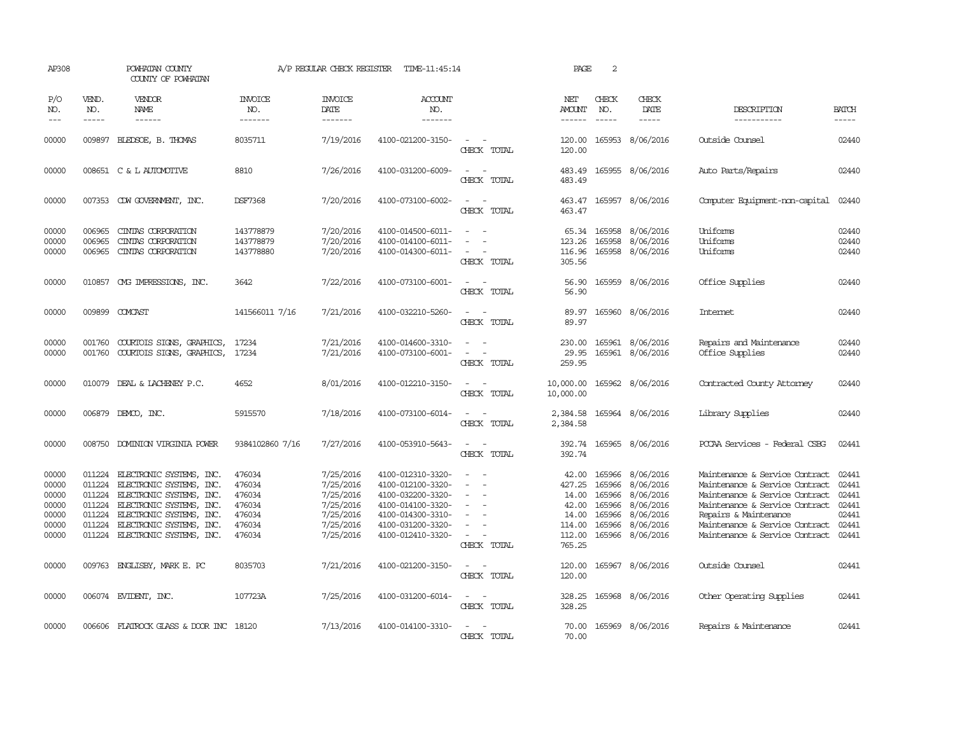| AP308                                                       |                                                | POWHATAN COUNTY<br>COUNTY OF POWHATAN                                                                                                                                                                          |                                                                    | A/P REGULAR CHECK REGISTER                                                              | TIME-11:45:14                                                                                                                                   |                                                           | PAGE                                                                     | 2                                                                  |                                                                                         |                                                                                                                                                                                                                                   |                                                             |
|-------------------------------------------------------------|------------------------------------------------|----------------------------------------------------------------------------------------------------------------------------------------------------------------------------------------------------------------|--------------------------------------------------------------------|-----------------------------------------------------------------------------------------|-------------------------------------------------------------------------------------------------------------------------------------------------|-----------------------------------------------------------|--------------------------------------------------------------------------|--------------------------------------------------------------------|-----------------------------------------------------------------------------------------|-----------------------------------------------------------------------------------------------------------------------------------------------------------------------------------------------------------------------------------|-------------------------------------------------------------|
| P/O<br>NO.<br>$- - -$                                       | VEND.<br>NO.<br>$\frac{1}{2}$                  | VENDOR<br>NAME<br>------                                                                                                                                                                                       | INVOICE<br>NO.<br>-------                                          | <b>INVOICE</b><br>DATE<br>-------                                                       | <b>ACCOUNT</b><br>NO.<br>-------                                                                                                                |                                                           | NET<br><b>AMOUNT</b><br>$- - - - - -$                                    | CHECK<br>NO.                                                       | CHECK<br>DATE<br>$- - - - -$                                                            | DESCRIPTION<br>-----------                                                                                                                                                                                                        | <b>BATCH</b><br>-----                                       |
| 00000                                                       | 009897                                         | BLEDSOE, B. THOMAS                                                                                                                                                                                             | 8035711                                                            | 7/19/2016                                                                               | 4100-021200-3150-                                                                                                                               | CHECK TOTAL                                               | 120.00<br>120.00                                                         |                                                                    | 165953 8/06/2016                                                                        | Outside Counsel                                                                                                                                                                                                                   | 02440                                                       |
| 00000                                                       |                                                | 008651 C & L AUTOMOTIVE                                                                                                                                                                                        | 8810                                                               | 7/26/2016                                                                               | 4100-031200-6009-                                                                                                                               | CHECK TOTAL                                               | 483.49<br>483.49                                                         |                                                                    | 165955 8/06/2016                                                                        | Auto Parts/Repairs                                                                                                                                                                                                                | 02440                                                       |
| 00000                                                       |                                                | 007353 CDW GOVERNMENT, INC.                                                                                                                                                                                    | DSF7368                                                            | 7/20/2016                                                                               | 4100-073100-6002-                                                                                                                               | $\sim$<br>CHECK TOTAL                                     | 463.47<br>463.47                                                         |                                                                    | 165957 8/06/2016                                                                        | Computer Equipment-non-capital                                                                                                                                                                                                    | 02440                                                       |
| 00000<br>00000<br>00000                                     | 006965<br>006965<br>006965                     | CINIAS CORPORATION<br>CINIAS CORPORATION<br>CINIAS CORPORATION                                                                                                                                                 | 143778879<br>143778879<br>143778880                                | 7/20/2016<br>7/20/2016<br>7/20/2016                                                     | 4100-014500-6011-<br>4100-014100-6011-<br>4100-014300-6011-                                                                                     | $\sim$<br>CHECK TOTAL                                     | 123.26<br>116.96<br>305.56                                               | 165958                                                             | 65.34 165958 8/06/2016<br>8/06/2016<br>165958 8/06/2016                                 | Uniforms<br>Uniforms<br>Uniforms                                                                                                                                                                                                  | 02440<br>02440<br>02440                                     |
| 00000                                                       | 010857                                         | OMG IMPRESSIONS, INC.                                                                                                                                                                                          | 3642                                                               | 7/22/2016                                                                               | 4100-073100-6001-                                                                                                                               | CHECK TOTAL                                               | 56.90<br>56.90                                                           |                                                                    | 165959 8/06/2016                                                                        | Office Supplies                                                                                                                                                                                                                   | 02440                                                       |
| 00000                                                       | 009899                                         | COMCAST                                                                                                                                                                                                        | 141566011 7/16                                                     | 7/21/2016                                                                               | 4100-032210-5260-                                                                                                                               | CHECK TOTAL                                               | 89.97<br>89.97                                                           |                                                                    | 165960 8/06/2016                                                                        | Internet                                                                                                                                                                                                                          | 02440                                                       |
| 00000<br>00000                                              | 001760<br>001760                               | COURTOIS SIGNS, GRAPHICS,<br>COURTOIS SIGNS, GRAPHICS,                                                                                                                                                         | 17234<br>17234                                                     | 7/21/2016<br>7/21/2016                                                                  | 4100-014600-3310-<br>4100-073100-6001-                                                                                                          | CHECK TOTAL                                               | 230.00<br>29.95<br>259.95                                                |                                                                    | 165961 8/06/2016<br>165961 8/06/2016                                                    | Repairs and Maintenance<br>Office Supplies                                                                                                                                                                                        | 02440<br>02440                                              |
| 00000                                                       | 010079                                         | DEAL & LACHENEY P.C.                                                                                                                                                                                           | 4652                                                               | 8/01/2016                                                                               | 4100-012210-3150-                                                                                                                               | $\sim$<br>$\overline{\phantom{a}}$<br>CHECK TOTAL         | 10,000.00<br>10,000.00                                                   |                                                                    | 165962 8/06/2016                                                                        | Contracted County Attomey                                                                                                                                                                                                         | 02440                                                       |
| 00000                                                       |                                                | 006879 DEMCO, INC.                                                                                                                                                                                             | 5915570                                                            | 7/18/2016                                                                               | 4100-073100-6014-                                                                                                                               | $\overline{a}$<br>$\overline{\phantom{a}}$<br>CHECK TOTAL | 2,384.58<br>2,384.58                                                     |                                                                    | 165964 8/06/2016                                                                        | Library Supplies                                                                                                                                                                                                                  | 02440                                                       |
| 00000                                                       |                                                | 008750 DOMINION VIRGINIA POWER                                                                                                                                                                                 | 9384102860 7/16                                                    | 7/27/2016                                                                               | 4100-053910-5643-                                                                                                                               | CHECK TOTAL                                               | 392.74<br>392.74                                                         |                                                                    | 165965 8/06/2016                                                                        | PCCAA Services - Federal CSBG                                                                                                                                                                                                     | 02441                                                       |
| 00000<br>00000<br>00000<br>00000<br>00000<br>00000<br>00000 | 011224<br>011224<br>011224<br>011224<br>011224 | ELECTRONIC SYSTEMS, INC.<br>ELECTRONIC SYSTEMS, INC.<br>011224 ELECTRONIC SYSTEMS, INC.<br>011224 ELECTRONIC SYSTEMS, INC.<br>ELECTRONIC SYSTEMS, INC.<br>ELECTRONIC SYSTEMS, INC.<br>ELECTRONIC SYSTEMS, INC. | 476034<br>476034<br>476034<br>476034<br>476034<br>476034<br>476034 | 7/25/2016<br>7/25/2016<br>7/25/2016<br>7/25/2016<br>7/25/2016<br>7/25/2016<br>7/25/2016 | 4100-012310-3320-<br>4100-012100-3320-<br>4100-032200-3320-<br>4100-014100-3320-<br>4100-014300-3310-<br>4100-031200-3320-<br>4100-012410-3320- | $\sim$<br>CHECK TOTAL                                     | 42.00<br>427.25<br>14.00<br>42.00<br>14.00<br>114.00<br>112.00<br>765.25 | 165966<br>165966<br>165966<br>165966<br>165966<br>165966<br>165966 | 8/06/2016<br>8/06/2016<br>8/06/2016<br>8/06/2016<br>8/06/2016<br>8/06/2016<br>8/06/2016 | Maintenance & Service Contract<br>Maintenance & Service Contract<br>Maintenance & Service Contract<br>Maintenance & Service Contract<br>Repairs & Maintenance<br>Maintenance & Service Contract<br>Maintenance & Service Contract | 02441<br>02441<br>02441<br>02441<br>02441<br>02441<br>02441 |
| 00000                                                       |                                                | 009763 ENGLISBY, MARK E. PC                                                                                                                                                                                    | 8035703                                                            | 7/21/2016                                                                               | 4100-021200-3150-                                                                                                                               | $\overline{\phantom{a}}$<br>CHECK TOTAL                   | 120.00<br>120.00                                                         |                                                                    | 165967 8/06/2016                                                                        | Outside Counsel                                                                                                                                                                                                                   | 02441                                                       |
| 00000                                                       |                                                | 006074 EVIDENT, INC.                                                                                                                                                                                           | 107723A                                                            | 7/25/2016                                                                               | 4100-031200-6014-                                                                                                                               | $\sim$<br>CHECK TOTAL                                     | 328.25<br>328.25                                                         |                                                                    | 165968 8/06/2016                                                                        | Other Operating Supplies                                                                                                                                                                                                          | 02441                                                       |
| 00000                                                       |                                                | 006606 FLATROCK GLASS & DOOR INC 18120                                                                                                                                                                         |                                                                    | 7/13/2016                                                                               | 4100-014100-3310-                                                                                                                               | CHECK TOTAL                                               | 70.00<br>70.00                                                           |                                                                    | 165969 8/06/2016                                                                        | Repairs & Maintenance                                                                                                                                                                                                             | 02441                                                       |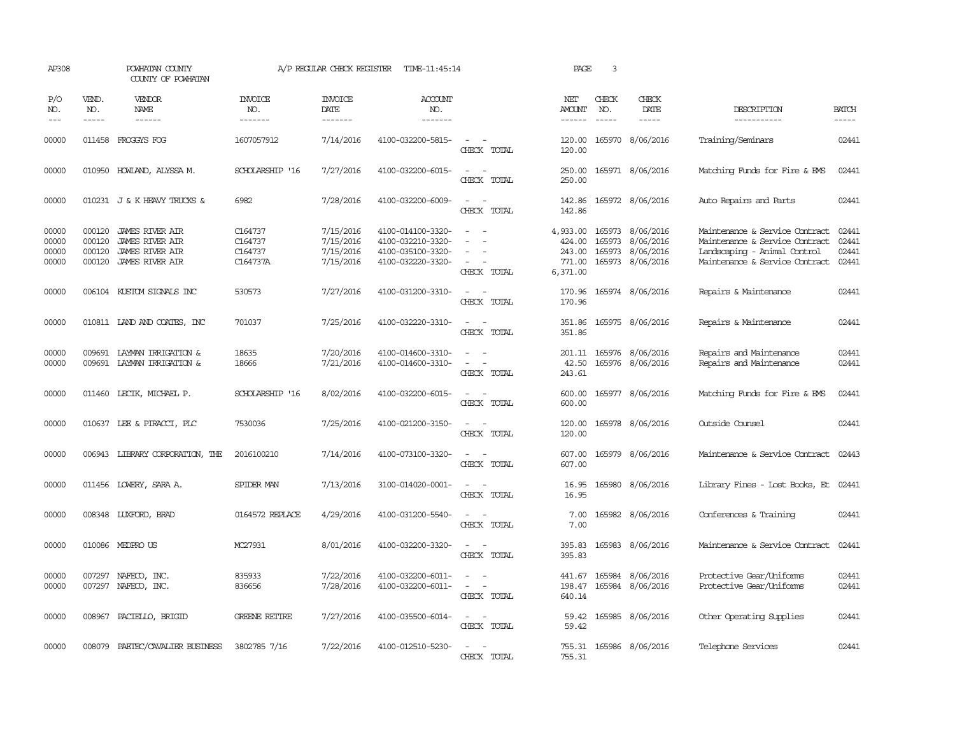| AP308                            |                                      | POWHATAN COUNTY<br>COUNTY OF POWHATAN                                                                |                                           | A/P REGULAR CHECK REGISTER                       | TIME-11:45:14                                                                    |                                                     | PAGE                                               | 3                             |                                                                              |                                                                                                                                    |                                  |
|----------------------------------|--------------------------------------|------------------------------------------------------------------------------------------------------|-------------------------------------------|--------------------------------------------------|----------------------------------------------------------------------------------|-----------------------------------------------------|----------------------------------------------------|-------------------------------|------------------------------------------------------------------------------|------------------------------------------------------------------------------------------------------------------------------------|----------------------------------|
| P/O<br>NO.<br>$- - -$            | VEND.<br>NO.<br>$\frac{1}{2}$        | VENDOR<br>NAME<br>------                                                                             | <b>INVOICE</b><br>NO.<br>-------          | <b>INVOICE</b><br>DATE<br>-------                | <b>ACCOUNT</b><br>NO.<br>-------                                                 |                                                     | NET<br>AMOUNT<br>$- - - - - -$                     | CHECK<br>NO.<br>$\frac{1}{2}$ | CHECK<br>DATE<br>$- - - - -$                                                 | DESCRIPTION<br>-----------                                                                                                         | <b>BATCH</b><br>-----            |
| 00000                            |                                      | 011458 FROGGYS FOG                                                                                   | 1607057912                                | 7/14/2016                                        | 4100-032200-5815-                                                                | $\overline{\phantom{a}}$<br>CHECK TOTAL             | 120.00<br>120.00                                   |                               | 165970 8/06/2016                                                             | Training/Seminars                                                                                                                  | 02441                            |
| 00000                            |                                      | 010950 HOWLAND, ALYSSA M.                                                                            | SCHOLARSHIP '16                           | 7/27/2016                                        | 4100-032200-6015-                                                                | $\equiv$<br>$\sim$<br>CHECK TOTAL                   | 250.00<br>250.00                                   |                               | 165971 8/06/2016                                                             | Matching Funds for Fire & EMS                                                                                                      | 02441                            |
| 00000                            |                                      | 010231 J & K HEAVY TRUCKS &                                                                          | 6982                                      | 7/28/2016                                        | 4100-032200-6009-                                                                | CHECK TOTAL                                         | 142.86<br>142.86                                   |                               | 165972 8/06/2016                                                             | Auto Repairs and Parts                                                                                                             | 02441                            |
| 00000<br>00000<br>00000<br>00000 | 000120<br>000120<br>000120<br>000120 | <b>JAMES RIVER AIR</b><br><b>JAMES RIVER AIR</b><br><b>JAMES RIVER AIR</b><br><b>JAMES RIVER AIR</b> | C164737<br>C164737<br>C164737<br>C164737A | 7/15/2016<br>7/15/2016<br>7/15/2016<br>7/15/2016 | 4100-014100-3320-<br>4100-032210-3320-<br>4100-035100-3320-<br>4100-032220-3320- | $\overline{\phantom{a}}$<br>CHECK TOTAL             | 4,933.00<br>424.00<br>243.00<br>771.00<br>6,371.00 |                               | 165973 8/06/2016<br>165973 8/06/2016<br>165973 8/06/2016<br>165973 8/06/2016 | Maintenance & Service Contract<br>Maintenance & Service Contract<br>Landscaping - Animal Control<br>Maintenance & Service Contract | 02441<br>02441<br>02441<br>02441 |
| 00000                            |                                      | 006104 KUSTOM SIGNALS INC                                                                            | 530573                                    | 7/27/2016                                        | 4100-031200-3310-                                                                | $\equiv$<br>CHECK TOTAL                             | 170.96<br>170.96                                   |                               | 165974 8/06/2016                                                             | Repairs & Maintenance                                                                                                              | 02441                            |
| 00000                            |                                      | 010811 IAND AND COATES, INC                                                                          | 701037                                    | 7/25/2016                                        | 4100-032220-3310-                                                                | CHECK TOTAL                                         | 351.86                                             |                               | 351.86 165975 8/06/2016                                                      | Repairs & Maintenance                                                                                                              | 02441                            |
| 00000<br>00000                   | 009691                               | LAYMAN IRRIGATION &<br>009691 LAYMAN IRRIGATION &                                                    | 18635<br>18666                            | 7/20/2016<br>7/21/2016                           | 4100-014600-3310-<br>4100-014600-3310-                                           | $\equiv$<br>CHECK TOTAL                             | 42.50<br>243.61                                    |                               | 201.11 165976 8/06/2016<br>165976 8/06/2016                                  | Repairs and Maintenance<br>Repairs and Maintenance                                                                                 | 02441<br>02441                   |
| 00000                            |                                      | 011460 LECIK, MICHAEL P.                                                                             | SCHOLARSHIP '16                           | 8/02/2016                                        | 4100-032200-6015-                                                                | $\equiv$<br>$\overline{\phantom{a}}$<br>CHECK TOTAL | 600.00<br>600.00                                   |                               | 165977 8/06/2016                                                             | Matching Funds for Fire & EMS                                                                                                      | 02441                            |
| 00000                            |                                      | 010637 LEE & PIRACCI, PLC                                                                            | 7530036                                   | 7/25/2016                                        | 4100-021200-3150-                                                                | $\equiv$<br>- 14<br>CHECK TOTAL                     | 120.00<br>120.00                                   |                               | 165978 8/06/2016                                                             | Outside Counsel                                                                                                                    | 02441                            |
| 00000                            |                                      | 006943 LIBRARY CORPORATION, THE                                                                      | 2016100210                                | 7/14/2016                                        | 4100-073100-3320-                                                                | CHECK TOTAL                                         | 607.00<br>607.00                                   |                               | 165979 8/06/2016                                                             | Maintenance & Service Contract                                                                                                     | 02443                            |
| 00000                            |                                      | 011456 LOWERY, SARA A.                                                                               | SPIDER MAN                                | 7/13/2016                                        | 3100-014020-0001-                                                                | $\equiv$<br>CHECK TOTAL                             | 16.95<br>16.95                                     | 165980                        | 8/06/2016                                                                    | Library Fines - Lost Books, Et                                                                                                     | 02441                            |
| 00000                            |                                      | 008348 LUXFORD, BRAD                                                                                 | 0164572 REPLACE                           | 4/29/2016                                        | 4100-031200-5540-                                                                | $\overline{\phantom{a}}$<br>CHECK TOTAL             | 7.00<br>7.00                                       |                               | 165982 8/06/2016                                                             | Conferences & Training                                                                                                             | 02441                            |
| 00000                            |                                      | 010086 MEDPRO US                                                                                     | MC27931                                   | 8/01/2016                                        | 4100-032200-3320-                                                                | CHECK TOTAL                                         | 395.83<br>395.83                                   |                               | 165983 8/06/2016                                                             | Maintenance & Service Contract                                                                                                     | 02441                            |
| 00000<br>00000                   | 007297                               | NAFECO, INC.<br>007297 NAFECO, INC.                                                                  | 835933<br>836656                          | 7/22/2016<br>7/28/2016                           | 4100-032200-6011-<br>4100-032200-6011-                                           | $\sim$<br>CHECK TOTAL                               | 441.67<br>198.47<br>640.14                         |                               | 165984 8/06/2016<br>165984 8/06/2016                                         | Protective Gear/Uniforms<br>Protective Gear/Uniforms                                                                               | 02441<br>02441                   |
| 00000                            |                                      | 008967 PACIELLO, BRIGID                                                                              | <b>GREENE RETIRE</b>                      | 7/27/2016                                        | 4100-035500-6014-                                                                | CHECK TOTAL                                         | 59.42<br>59.42                                     |                               | 165985 8/06/2016                                                             | Other Operating Supplies                                                                                                           | 02441                            |
| 00000                            | 008079                               | PAETEC/CAVALIER BUSINESS                                                                             | 3802785 7/16                              | 7/22/2016                                        | 4100-012510-5230-                                                                | CHECK TOTAL                                         | 755.31                                             |                               | 755.31 165986 8/06/2016                                                      | Telephone Services                                                                                                                 | 02441                            |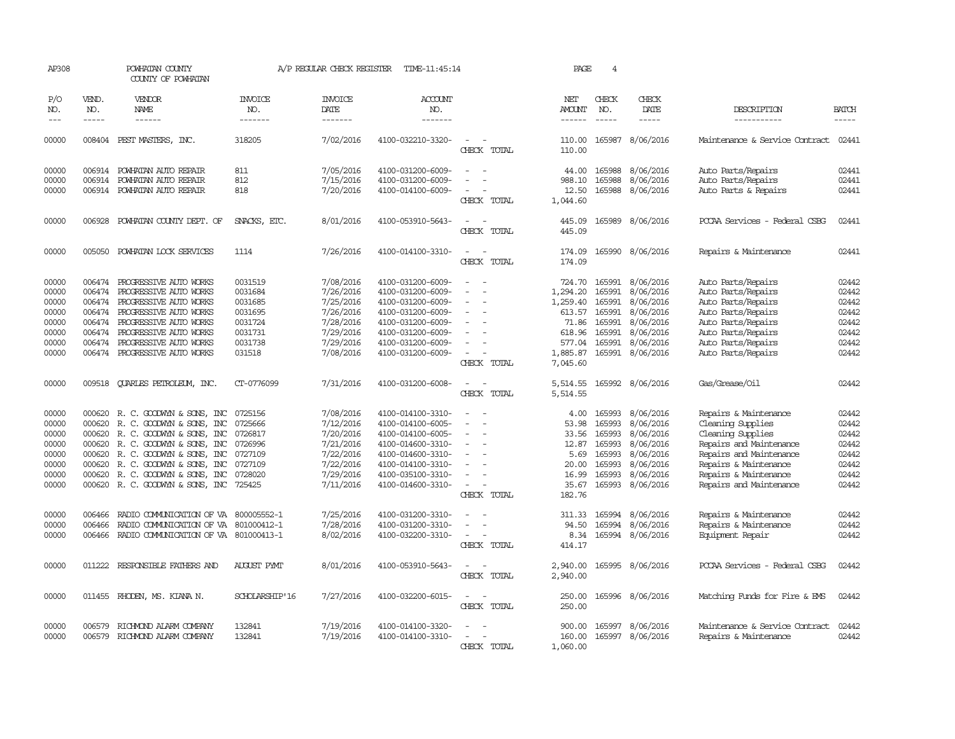| AP308               |                               | POWHATAN COUNTY<br>COUNTY OF POWHATAN   |                                   | A/P REGULAR CHECK REGISTER        | TIME-11:45:14             |                                   | PAGE                           | 4                             |                        |                                |                               |
|---------------------|-------------------------------|-----------------------------------------|-----------------------------------|-----------------------------------|---------------------------|-----------------------------------|--------------------------------|-------------------------------|------------------------|--------------------------------|-------------------------------|
| P/O<br>NO.<br>$---$ | VEND.<br>NO.<br>$\frac{1}{2}$ | VENDOR<br>NAME<br>$- - - - - -$         | <b>INVOICE</b><br>NO.<br>-------- | <b>INVOICE</b><br>DATE<br>------- | ACCOUNT<br>NO.<br>------- |                                   | NET<br>AMOUNT<br>$- - - - - -$ | CHECK<br>NO.<br>$\frac{1}{2}$ | CHECK<br>DATE<br>----- | DESCRIPTION<br>-----------     | <b>BATCH</b><br>$\frac{1}{2}$ |
|                     |                               |                                         |                                   |                                   |                           |                                   |                                |                               |                        |                                |                               |
| 00000               |                               | 008404 PEST MASTERS, INC.               | 318205                            | 7/02/2016                         | 4100-032210-3320-         | $\sim$<br>CHECK TOTAL             | 110.00<br>110.00               | 165987                        | 8/06/2016              | Maintenance & Service Contract | 02441                         |
| 00000               |                               | 006914 POWHATAN AUTO REPAIR             | 811                               | 7/05/2016                         | 4100-031200-6009-         |                                   | 44.00                          | 165988                        | 8/06/2016              | Auto Parts/Repairs             | 02441                         |
| 00000               |                               | 006914 POWHATAN AUTO REPAIR             | 812                               | 7/15/2016                         | 4100-031200-6009-         |                                   | 988.10                         | 165988                        | 8/06/2016              | Auto Parts/Repairs             | 02441                         |
| 00000               |                               | 006914 POWHATAN AUTO REPAIR             | 818                               | 7/20/2016                         | 4100-014100-6009-         | CHECK TOTAL                       | 12.50<br>1,044.60              | 165988                        | 8/06/2016              | Auto Parts & Repairs           | 02441                         |
| 00000               | 006928                        | POWHATAN COUNTY DEPT. OF                | SNACKS, ETC.                      | 8/01/2016                         | 4100-053910-5643-         |                                   | 445.09                         | 165989                        | 8/06/2016              | PCCAA Services - Federal CSBG  | 02441                         |
|                     |                               |                                         |                                   |                                   |                           | CHECK TOTAL                       | 445.09                         |                               |                        |                                |                               |
| 00000               | 005050                        | POWHATAN LOCK SERVICES                  | 1114                              | 7/26/2016                         | 4100-014100-3310-         | $\equiv$<br>CHECK TOTAL           | 174.09<br>174.09               | 165990                        | 8/06/2016              | Repairs & Maintenance          | 02441                         |
| 00000               |                               | 006474 PROGRESSIVE AUTO WORKS           | 0031519                           | 7/08/2016                         | 4100-031200-6009-         | $\overline{\phantom{a}}$          | 724.70                         | 165991                        | 8/06/2016              | Auto Parts/Repairs             | 02442                         |
| 00000               | 006474                        | PROGRESSIVE AUTO WORKS                  | 0031684                           | 7/26/2016                         | 4100-031200-6009-         |                                   | 1,294.20                       | 165991                        | 8/06/2016              | Auto Parts/Repairs             | 02442                         |
| 00000               | 006474                        | PROGRESSIVE AUTO WORKS                  | 0031685                           | 7/25/2016                         | 4100-031200-6009-         |                                   | 1,259.40                       | 165991                        | 8/06/2016              | Auto Parts/Repairs             | 02442                         |
| 00000               | 006474                        | PROGRESSIVE AUTO WORKS                  | 0031695                           | 7/26/2016                         | 4100-031200-6009-         |                                   | 613.57                         | 165991                        | 8/06/2016              | Auto Parts/Repairs             | 02442                         |
| 00000               |                               | 006474 PROGRESSIVE AUTO WORKS           | 0031724                           | 7/28/2016                         | 4100-031200-6009-         |                                   | 71.86                          | 165991                        | 8/06/2016              | Auto Parts/Repairs             | 02442                         |
| 00000               | 006474                        | PROGRESSIVE AUTO WORKS                  | 0031731                           | 7/29/2016                         | 4100-031200-6009-         |                                   | 618.96                         | 165991                        | 8/06/2016              | Auto Parts/Repairs             | 02442                         |
| 00000               | 006474                        | PROGRESSIVE AUTO WORKS                  | 0031738                           | 7/29/2016                         | 4100-031200-6009-         |                                   | 577.04                         | 165991                        | 8/06/2016              | Auto Parts/Repairs             | 02442                         |
| 00000               |                               | 006474 PROGRESSIVE AUTO WORKS           | 031518                            | 7/08/2016                         | 4100-031200-6009-         | $\equiv$<br>CHECK TOTAL           | 1,885.87<br>7,045.60           | 165991                        | 8/06/2016              | Auto Parts/Repairs             | 02442                         |
| 00000               |                               | 009518 QUARLES PETROLEUM, INC.          | CT-0776099                        | 7/31/2016                         | 4100-031200-6008-         |                                   | 5,514.55                       |                               | 165992 8/06/2016       | Gas/Grease/Oil                 | 02442                         |
|                     |                               |                                         |                                   |                                   |                           | CHECK TOTAL                       | 5,514.55                       |                               |                        |                                |                               |
| 00000               | 000620                        | R. C. GOODWYN & SONS, INC               | 0725156                           | 7/08/2016                         | 4100-014100-3310-         |                                   | 4.00                           | 165993                        | 8/06/2016              | Repairs & Maintenance          | 02442                         |
| 00000               | 000620                        | R. C. GOODWYN & SONS, INC               | 0725666                           | 7/12/2016                         | 4100-014100-6005-         | $\equiv$<br>$\sim$                | 53.98                          | 165993                        | 8/06/2016              | Cleaning Supplies              | 02442                         |
| 00000               | 000620                        | R. C. GOODWYN & SONS, INC               | 0726817                           | 7/20/2016                         | 4100-014100-6005-         |                                   | 33.56                          | 165993                        | 8/06/2016              | Cleaning Supplies              | 02442                         |
| 00000               | 000620                        | R. C. GOODWYN & SONS, INC               | 0726996                           | 7/21/2016                         | 4100-014600-3310-         |                                   | 12.87                          | 165993                        | 8/06/2016              | Repairs and Maintenance        | 02442                         |
| 00000               | 000620                        | R. C. GOODWYN & SONS, INC               | 0727109                           | 7/22/2016                         | 4100-014600-3310-         |                                   | 5.69                           | 165993                        | 8/06/2016              | Repairs and Maintenance        | 02442                         |
| 00000               | 000620                        | R. C. GOODWYN & SONS, INC               | 0727109                           | 7/22/2016                         | 4100-014100-3310-         |                                   | 20.00                          | 165993                        | 8/06/2016              | Repairs & Maintenance          | 02442                         |
| 00000               | 000620                        | R. C. GOODWYN & SONS, INC               | 0728020                           | 7/29/2016                         | 4100-035100-3310-         |                                   | 16.99                          | 165993                        | 8/06/2016              | Repairs & Maintenance          | 02442                         |
| 00000               |                               | 000620 R. C. GOODWYN & SONS, INC 725425 |                                   | 7/11/2016                         | 4100-014600-3310-         |                                   | 35.67                          |                               | 165993 8/06/2016       | Repairs and Maintenance        | 02442                         |
|                     |                               |                                         |                                   |                                   |                           | CHECK TOTAL                       | 182.76                         |                               |                        |                                |                               |
| 00000               | 006466                        | RADIO COMUNICATION OF VA                | 800005552-1                       | 7/25/2016                         | 4100-031200-3310-         |                                   | 311.33                         | 165994                        | 8/06/2016              | Repairs & Maintenance          | 02442                         |
| 00000               | 006466                        | RADIO COMUNICATION OF VA                | 801000412-1                       | 7/28/2016                         | 4100-031200-3310-         | $\equiv$                          | 94.50                          | 165994                        | 8/06/2016              | Repairs & Maintenance          | 02442                         |
| 00000               | 006466                        | RADIO COMMUNICATION OF VA 801000413-1   |                                   | 8/02/2016                         | 4100-032200-3310-         | $\sim$                            | 8.34                           | 165994                        | 8/06/2016              | Equipment Repair               | 02442                         |
|                     |                               |                                         |                                   |                                   |                           | CHECK TOTAL                       | 414.17                         |                               |                        |                                |                               |
| 00000               |                               | 011222 RESPONSIBLE FAIHERS AND          | <b>AUGUST PYMT</b>                | 8/01/2016                         | 4100-053910-5643-         | CHECK TOTAL                       | 2,940.00<br>2,940.00           |                               | 165995 8/06/2016       | PCCAA Services - Federal CSBG  | 02442                         |
| 00000               |                               | 011455 RHODEN, MS. KIANA N.             | SCHOLARSHIP'16                    | 7/27/2016                         | 4100-032200-6015-         | $\equiv$<br>$\sim$<br>CHECK TOTAL | 250.00<br>250.00               |                               | 165996 8/06/2016       | Matching Funds for Fire & EMS  | 02442                         |
|                     |                               |                                         |                                   |                                   |                           |                                   |                                |                               |                        |                                |                               |
| 00000               | 006579                        | RICHMOND ALARM COMPANY                  | 132841                            | 7/19/2016                         | 4100-014100-3320-         |                                   | 900.00                         | 165997                        | 8/06/2016              | Maintenance & Service Contract | 02442                         |
| 00000               |                               | 006579 RICHMOND ALARM COMPANY           | 132841                            | 7/19/2016                         | 4100-014100-3310-         |                                   | 160.00                         |                               | 165997 8/06/2016       | Repairs & Maintenance          | 02442                         |
|                     |                               |                                         |                                   |                                   |                           | CHECK TOTAL                       | 1,060.00                       |                               |                        |                                |                               |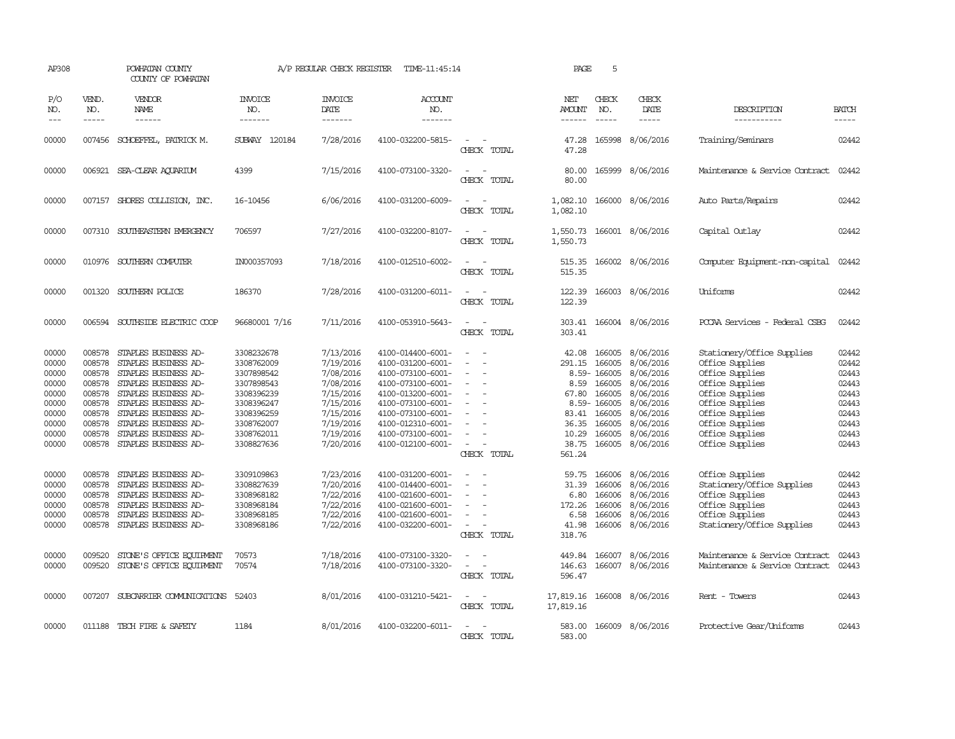| AP308                                                                                                                                                                                                                                                                                                                                                                                                      |                                                                                        | POWHATAN COUNTY<br>COUNTY OF POWHATAN                                                                                                                                                                                                               |                                                                                                                                          | A/P REGULAR CHECK REGISTER                                                                                                     | TIME-11:45:14                                                                                                                                                                                                  |                                                                                                     | PAGE                                                                            | 5                                                                                                |                                                                                                                                       |                                                                                                                                                                                                          |                                                                                        |
|------------------------------------------------------------------------------------------------------------------------------------------------------------------------------------------------------------------------------------------------------------------------------------------------------------------------------------------------------------------------------------------------------------|----------------------------------------------------------------------------------------|-----------------------------------------------------------------------------------------------------------------------------------------------------------------------------------------------------------------------------------------------------|------------------------------------------------------------------------------------------------------------------------------------------|--------------------------------------------------------------------------------------------------------------------------------|----------------------------------------------------------------------------------------------------------------------------------------------------------------------------------------------------------------|-----------------------------------------------------------------------------------------------------|---------------------------------------------------------------------------------|--------------------------------------------------------------------------------------------------|---------------------------------------------------------------------------------------------------------------------------------------|----------------------------------------------------------------------------------------------------------------------------------------------------------------------------------------------------------|----------------------------------------------------------------------------------------|
| P/O<br>NO.<br>$\frac{1}{2} \frac{1}{2} \frac{1}{2} \frac{1}{2} \frac{1}{2} \frac{1}{2} \frac{1}{2} \frac{1}{2} \frac{1}{2} \frac{1}{2} \frac{1}{2} \frac{1}{2} \frac{1}{2} \frac{1}{2} \frac{1}{2} \frac{1}{2} \frac{1}{2} \frac{1}{2} \frac{1}{2} \frac{1}{2} \frac{1}{2} \frac{1}{2} \frac{1}{2} \frac{1}{2} \frac{1}{2} \frac{1}{2} \frac{1}{2} \frac{1}{2} \frac{1}{2} \frac{1}{2} \frac{1}{2} \frac{$ | VEND.<br>NO.<br>$- - - - -$                                                            | VENDOR<br>NAME<br>------                                                                                                                                                                                                                            | <b>INVOICE</b><br>NO.<br>-------                                                                                                         | <b>INVOICE</b><br>DATE<br>-------                                                                                              | <b>ACCOUNT</b><br>NO.<br>-------                                                                                                                                                                               |                                                                                                     | NET<br><b>AMOUNT</b><br>------                                                  | CHECK<br>NO.<br>$\frac{1}{2}$                                                                    | CHECK<br>DATE<br>$- - - - -$                                                                                                          | DESCRIPTION<br>-----------                                                                                                                                                                               | <b>BATCH</b><br>-----                                                                  |
| 00000                                                                                                                                                                                                                                                                                                                                                                                                      |                                                                                        | 007456 SCHOEFFEL, PATRICK M.                                                                                                                                                                                                                        | <b>SUBWAY 120184</b>                                                                                                                     | 7/28/2016                                                                                                                      | 4100-032200-5815-                                                                                                                                                                                              | CHECK TOTAL                                                                                         | 47.28<br>47.28                                                                  | 165998                                                                                           | 8/06/2016                                                                                                                             | Training/Seminars                                                                                                                                                                                        | 02442                                                                                  |
| 00000                                                                                                                                                                                                                                                                                                                                                                                                      |                                                                                        | 006921 SEA-CLEAR AQUARIUM                                                                                                                                                                                                                           | 4399                                                                                                                                     | 7/15/2016                                                                                                                      | 4100-073100-3320-                                                                                                                                                                                              | $\sim$<br>CHECK TOTAL                                                                               | 80.00<br>80.00                                                                  |                                                                                                  | 165999 8/06/2016                                                                                                                      | Maintenance & Service Contract                                                                                                                                                                           | 02442                                                                                  |
| 00000                                                                                                                                                                                                                                                                                                                                                                                                      |                                                                                        | 007157 SHORES COLLISION, INC.                                                                                                                                                                                                                       | 16-10456                                                                                                                                 | 6/06/2016                                                                                                                      | 4100-031200-6009-                                                                                                                                                                                              | $\equiv$<br>CHECK TOTAL                                                                             | 1,082.10<br>1,082.10                                                            |                                                                                                  | 166000 8/06/2016                                                                                                                      | Auto Parts/Repairs                                                                                                                                                                                       | 02442                                                                                  |
| 00000                                                                                                                                                                                                                                                                                                                                                                                                      |                                                                                        | 007310 SOUTHEASTERN EMERGENCY                                                                                                                                                                                                                       | 706597                                                                                                                                   | 7/27/2016                                                                                                                      | 4100-032200-8107-                                                                                                                                                                                              | $\equiv$<br>CHECK TOTAL                                                                             | 1,550.73<br>1,550.73                                                            |                                                                                                  | 166001 8/06/2016                                                                                                                      | Capital Outlay                                                                                                                                                                                           | 02442                                                                                  |
| 00000                                                                                                                                                                                                                                                                                                                                                                                                      |                                                                                        | 010976 SOUTHERN COMPUTER                                                                                                                                                                                                                            | IN000357093                                                                                                                              | 7/18/2016                                                                                                                      | 4100-012510-6002-                                                                                                                                                                                              | $\equiv$<br>CHECK TOTAL                                                                             | 515.35<br>515.35                                                                |                                                                                                  | 166002 8/06/2016                                                                                                                      | Computer Equipment-non-capital                                                                                                                                                                           | 02442                                                                                  |
| 00000                                                                                                                                                                                                                                                                                                                                                                                                      |                                                                                        | 001320 SOUTHERN POLICE                                                                                                                                                                                                                              | 186370                                                                                                                                   | 7/28/2016                                                                                                                      | 4100-031200-6011-                                                                                                                                                                                              | $\sim$<br>CHECK TOTAL                                                                               | 122.39<br>122.39                                                                |                                                                                                  | 166003 8/06/2016                                                                                                                      | <b>Uniforms</b>                                                                                                                                                                                          | 02442                                                                                  |
| 00000                                                                                                                                                                                                                                                                                                                                                                                                      |                                                                                        | 006594 SOUTHSIDE ELECTRIC COOP                                                                                                                                                                                                                      | 96680001 7/16                                                                                                                            | 7/11/2016                                                                                                                      | 4100-053910-5643-                                                                                                                                                                                              | $\equiv$<br>CHECK TOTAL                                                                             | 303.41                                                                          |                                                                                                  | 303.41 166004 8/06/2016                                                                                                               | PCCAA Services - Federal CSBG                                                                                                                                                                            | 02442                                                                                  |
| 00000<br>00000<br>00000<br>00000<br>00000<br>00000<br>00000<br>00000<br>00000<br>00000                                                                                                                                                                                                                                                                                                                     | 008578<br>008578<br>008578<br>008578<br>008578<br>008578<br>008578<br>008578<br>008578 | STAPLES BUSINESS AD-<br>STAPLES BUSINESS AD-<br>STAPLES BUSINESS AD-<br>STAPLES BUSINESS AD-<br>STAPLES BUSINESS AD-<br>STAPLES BUSINESS AD-<br>STAPLES BUSINESS AD-<br>STAPLES BUSINESS AD-<br>STAPLES BUSINESS AD-<br>008578 STAPLES BUSINESS AD- | 3308232678<br>3308762009<br>3307898542<br>3307898543<br>3308396239<br>3308396247<br>3308396259<br>3308762007<br>3308762011<br>3308827636 | 7/13/2016<br>7/19/2016<br>7/08/2016<br>7/08/2016<br>7/15/2016<br>7/15/2016<br>7/15/2016<br>7/19/2016<br>7/19/2016<br>7/20/2016 | 4100-014400-6001-<br>4100-031200-6001-<br>4100-073100-6001-<br>4100-073100-6001-<br>4100-013200-6001-<br>4100-073100-6001-<br>4100-073100-6001-<br>4100-012310-6001-<br>4100-073100-6001-<br>4100-012100-6001- | $\sim$<br>$\equiv$<br>$\overline{\phantom{a}}$<br>$\overline{\phantom{a}}$<br>$\sim$<br>CHECK TOTAL | 42.08<br>291.15<br>8.59<br>67.80<br>83.41<br>36.35<br>10.29<br>38.75<br>561.24  | 166005<br>166005<br>8.59-166005<br>166005<br>166005<br>8.59-166005<br>166005<br>166005<br>166005 | 8/06/2016<br>8/06/2016<br>8/06/2016<br>8/06/2016<br>8/06/2016<br>8/06/2016<br>8/06/2016<br>8/06/2016<br>8/06/2016<br>166005 8/06/2016 | Stationery/Office Supplies<br>Office Supplies<br>Office Supplies<br>Office Supplies<br>Office Supplies<br>Office Supplies<br>Office Supplies<br>Office Supplies<br>Office Supplies<br>Office Supplies    | 02442<br>02442<br>02443<br>02443<br>02443<br>02443<br>02443<br>02443<br>02443<br>02443 |
| 00000<br>00000<br>00000<br>00000<br>00000<br>00000<br>00000<br>00000                                                                                                                                                                                                                                                                                                                                       | 008578<br>008578<br>008578<br>008578<br>008578<br>009520<br>009520                     | STAPLES BUSINESS AD-<br>STAPLES BUSINESS AD-<br>STAPLES BUSINESS AD-<br>STAPLES BUSINESS AD-<br>STAPLES BUSINESS AD-<br>008578 STAPLES BUSINESS AD-<br>STONE'S OFFICE EQUIPMENT<br>STONE'S OFFICE EQUIPMENT                                         | 3309109863<br>3308827639<br>3308968182<br>3308968184<br>3308968185<br>3308968186<br>70573<br>70574                                       | 7/23/2016<br>7/20/2016<br>7/22/2016<br>7/22/2016<br>7/22/2016<br>7/22/2016<br>7/18/2016<br>7/18/2016                           | 4100-031200-6001-<br>4100-014400-6001-<br>4100-021600-6001-<br>4100-021600-6001-<br>4100-021600-6001-<br>4100-032200-6001-<br>4100-073100-3320-<br>4100-073100-3320-                                           | $\equiv$<br>$\overline{\phantom{a}}$<br>CHECK TOTAL<br>$\equiv$                                     | 59.75<br>31.39<br>6.80<br>172.26<br>6.58<br>41.98<br>318.76<br>449.84<br>146.63 | 166006<br>166006<br>166006<br>166006                                                             | 166006 8/06/2016<br>8/06/2016<br>8/06/2016<br>8/06/2016<br>8/06/2016<br>166006 8/06/2016<br>166007 8/06/2016<br>166007 8/06/2016      | Office Supplies<br>Stationery/Office Supplies<br>Office Supplies<br>Office Supplies<br>Office Supplies<br>Stationery/Office Supplies<br>Maintenance & Service Contract<br>Maintenance & Service Contract | 02442<br>02443<br>02443<br>02443<br>02443<br>02443<br>02443<br>02443                   |
| 00000                                                                                                                                                                                                                                                                                                                                                                                                      | 007207                                                                                 | SUBCARRIER COMUNICATIONS                                                                                                                                                                                                                            | 52403                                                                                                                                    | 8/01/2016                                                                                                                      | 4100-031210-5421-                                                                                                                                                                                              | CHECK TOTAL<br>$\equiv$<br>CHECK TOTAL                                                              | 596.47<br>17,819.16<br>17,819.16                                                |                                                                                                  | 166008 8/06/2016                                                                                                                      | Rent - Towers                                                                                                                                                                                            | 02443                                                                                  |
| 00000                                                                                                                                                                                                                                                                                                                                                                                                      |                                                                                        | 011188 TECH FIRE & SAFETY                                                                                                                                                                                                                           | 1184                                                                                                                                     | 8/01/2016                                                                                                                      | 4100-032200-6011-                                                                                                                                                                                              | $\overline{\phantom{a}}$<br>CHECK TOTAL                                                             | 583.00<br>583.00                                                                |                                                                                                  | 166009 8/06/2016                                                                                                                      | Protective Gear/Uniforms                                                                                                                                                                                 | 02443                                                                                  |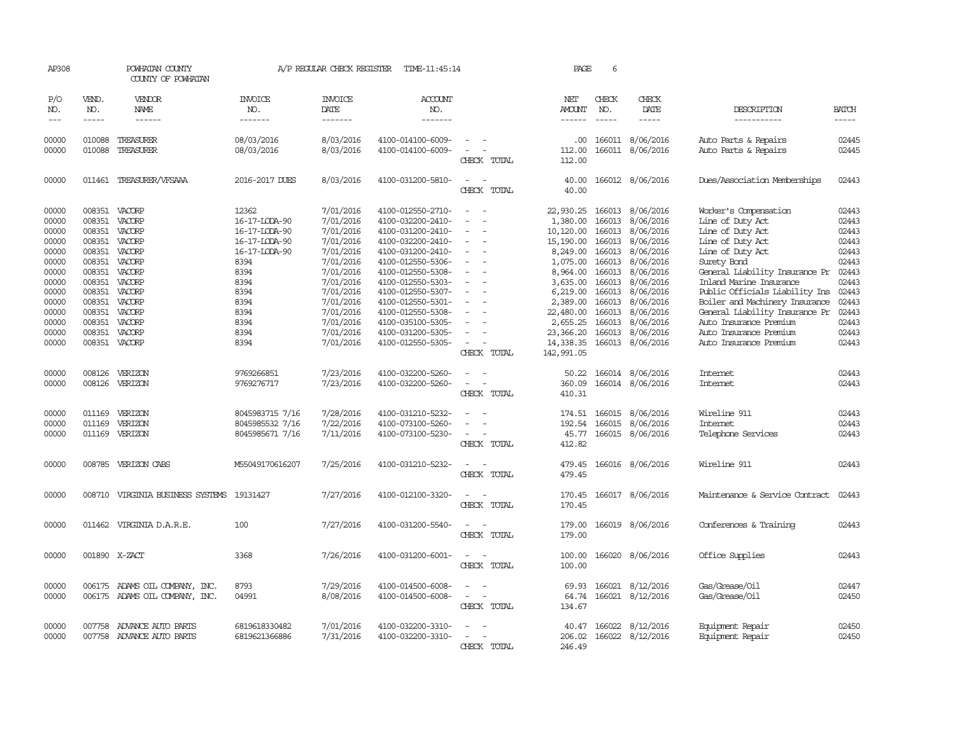| AP308                                                                                                                      |                                                                                                                                                 | POWHATAN COUNTY<br>COUNTY OF POWHATAN                                                                                          |                                                                                                                                                   | A/P REGULAR CHECK REGISTER                                                                                                                                                         | TIME-11:45:14                                                                                                                                                                                                                                                                                      |                                   | PAGE                                                                                                                                                                       | 6                                                                                                          |                                                                                                                                                                                                         |                                                                                                                                                                                                                                                                                                                                                                       |                                                                                                                            |
|----------------------------------------------------------------------------------------------------------------------------|-------------------------------------------------------------------------------------------------------------------------------------------------|--------------------------------------------------------------------------------------------------------------------------------|---------------------------------------------------------------------------------------------------------------------------------------------------|------------------------------------------------------------------------------------------------------------------------------------------------------------------------------------|----------------------------------------------------------------------------------------------------------------------------------------------------------------------------------------------------------------------------------------------------------------------------------------------------|-----------------------------------|----------------------------------------------------------------------------------------------------------------------------------------------------------------------------|------------------------------------------------------------------------------------------------------------|---------------------------------------------------------------------------------------------------------------------------------------------------------------------------------------------------------|-----------------------------------------------------------------------------------------------------------------------------------------------------------------------------------------------------------------------------------------------------------------------------------------------------------------------------------------------------------------------|----------------------------------------------------------------------------------------------------------------------------|
| P/O<br>NO.<br>$\frac{1}{2}$                                                                                                | VEND.<br>NO.<br>$- - - - -$                                                                                                                     | VENDOR<br><b>NAME</b><br>$- - - - - -$                                                                                         | <b>INVOICE</b><br>NO.<br>-------                                                                                                                  | <b>INVOICE</b><br>DATE<br>-------                                                                                                                                                  | ACCOUNT<br>NO.<br>-------                                                                                                                                                                                                                                                                          |                                   | NET<br>AMOUNT<br>------                                                                                                                                                    | CHECK<br>NO.<br>$\frac{1}{2}$                                                                              | CHECK<br>DATE<br>-----                                                                                                                                                                                  | DESCRIPTION<br>-----------                                                                                                                                                                                                                                                                                                                                            | <b>BATCH</b><br>-----                                                                                                      |
| 00000<br>00000                                                                                                             | 010088<br>010088                                                                                                                                | TREASURER<br>TREASURER                                                                                                         | 08/03/2016<br>08/03/2016                                                                                                                          | 8/03/2016<br>8/03/2016                                                                                                                                                             | 4100-014100-6009-<br>4100-014100-6009-                                                                                                                                                                                                                                                             | $\equiv$<br>CHECK TOTAL           | .00<br>112.00<br>112.00                                                                                                                                                    |                                                                                                            | 166011 8/06/2016<br>166011 8/06/2016                                                                                                                                                                    | Auto Parts & Repairs<br>Auto Parts & Repairs                                                                                                                                                                                                                                                                                                                          | 02445<br>02445                                                                                                             |
| 00000                                                                                                                      | 011461                                                                                                                                          | TREASURER/VFSAAA                                                                                                               | 2016-2017 DUES                                                                                                                                    | 8/03/2016                                                                                                                                                                          | 4100-031200-5810-                                                                                                                                                                                                                                                                                  | $\sim$<br>CHECK TOTAL             | 40.00<br>40.00                                                                                                                                                             |                                                                                                            | 166012 8/06/2016                                                                                                                                                                                        | Dues/Association Memberships                                                                                                                                                                                                                                                                                                                                          | 02443                                                                                                                      |
| 00000<br>00000<br>00000<br>00000<br>00000<br>00000<br>00000<br>00000<br>00000<br>00000<br>00000<br>00000<br>00000<br>00000 | 008351<br>008351<br>008351<br>008351<br>008351<br>008351<br>008351<br>008351<br>008351<br>008351<br>008351<br>008351<br>008351<br>008351 VACORP | VACORP<br>VACORP<br>VACORP<br>VACORP<br>VACORP<br>VACORP<br>VACORP<br>VACORP<br>VACORP<br>VACORP<br>VACORP<br>VACORP<br>VACORP | 12362<br>16-17-LODA-90<br>16-17-LODA-90<br>16-17-LODA-90<br>16-17-LODA-90<br>8394<br>8394<br>8394<br>8394<br>8394<br>8394<br>8394<br>8394<br>8394 | 7/01/2016<br>7/01/2016<br>7/01/2016<br>7/01/2016<br>7/01/2016<br>7/01/2016<br>7/01/2016<br>7/01/2016<br>7/01/2016<br>7/01/2016<br>7/01/2016<br>7/01/2016<br>7/01/2016<br>7/01/2016 | 4100-012550-2710-<br>4100-032200-2410-<br>4100-031200-2410-<br>4100-032200-2410-<br>4100-031200-2410-<br>4100-012550-5306-<br>4100-012550-5308-<br>4100-012550-5303-<br>4100-012550-5307-<br>4100-012550-5301-<br>4100-012550-5308-<br>4100-035100-5305-<br>4100-031200-5305-<br>4100-012550-5305- | $\equiv$<br>$\equiv$<br>$\equiv$  | 22,930.25<br>1,380.00<br>10,120.00<br>15,190.00<br>8,249.00<br>1,075.00<br>8,964.00<br>3,635.00<br>6,219.00<br>2,389.00<br>22,480.00<br>2,655.25<br>23,366.20<br>14,338.35 | 166013<br>166013<br>166013<br>166013<br>166013<br>166013<br>166013<br>166013<br>166013<br>166013<br>166013 | 166013 8/06/2016<br>8/06/2016<br>8/06/2016<br>8/06/2016<br>8/06/2016<br>8/06/2016<br>8/06/2016<br>166013 8/06/2016<br>8/06/2016<br>8/06/2016<br>8/06/2016<br>8/06/2016<br>8/06/2016<br>166013 8/06/2016 | Worker's Compensation<br>Line of Duty Act<br>Line of Duty Act<br>Line of Duty Act<br>Line of Duty Act<br>Surety Band<br>General Liability Insurance Pr<br>Inland Marine Insurance<br>Public Officials Liability Ins<br>Boiler and Machinery Insurance<br>General Liability Insurance Pr<br>Auto Insurance Premium<br>Auto Insurance Premium<br>Auto Insurance Premium | 02443<br>02443<br>02443<br>02443<br>02443<br>02443<br>02443<br>02443<br>02443<br>02443<br>02443<br>02443<br>02443<br>02443 |
| 00000<br>00000                                                                                                             | 008126<br>008126                                                                                                                                | VERIZON<br>VERIZON                                                                                                             | 9769266851<br>9769276717                                                                                                                          | 7/23/2016<br>7/23/2016                                                                                                                                                             | 4100-032200-5260-<br>4100-032200-5260-                                                                                                                                                                                                                                                             | CHECK TOTAL<br>CHECK TOTAL        | 142,991.05<br>50.22<br>360.09<br>410.31                                                                                                                                    |                                                                                                            | 166014 8/06/2016<br>166014 8/06/2016                                                                                                                                                                    | Internet<br>Internet                                                                                                                                                                                                                                                                                                                                                  | 02443<br>02443                                                                                                             |
| 00000<br>00000<br>00000                                                                                                    | 011169<br>011169<br>011169                                                                                                                      | VERIZON<br>VERIZON<br>VERIZON                                                                                                  | 8045983715 7/16<br>8045985532 7/16<br>8045985671 7/16                                                                                             | 7/28/2016<br>7/22/2016<br>7/11/2016                                                                                                                                                | 4100-031210-5232-<br>4100-073100-5260-<br>4100-073100-5230-                                                                                                                                                                                                                                        | $\sim$<br>$\equiv$<br>CHECK TOTAL | 174.51<br>192.54<br>45.77<br>412.82                                                                                                                                        |                                                                                                            | 166015 8/06/2016<br>166015 8/06/2016<br>166015 8/06/2016                                                                                                                                                | Wireline 911<br>Internet<br>Telephone Services                                                                                                                                                                                                                                                                                                                        | 02443<br>02443<br>02443                                                                                                    |
| 00000                                                                                                                      | 008785                                                                                                                                          | VERIZON CABS                                                                                                                   | M55049170616207                                                                                                                                   | 7/25/2016                                                                                                                                                                          | 4100-031210-5232-                                                                                                                                                                                                                                                                                  | $\sim$<br>CHECK TOTAL             | 479.45<br>479.45                                                                                                                                                           |                                                                                                            | 166016 8/06/2016                                                                                                                                                                                        | Wireline 911                                                                                                                                                                                                                                                                                                                                                          | 02443                                                                                                                      |
| 00000                                                                                                                      |                                                                                                                                                 | 008710 VIRGINIA BUSINESS SYSTEMS 19131427                                                                                      |                                                                                                                                                   | 7/27/2016                                                                                                                                                                          | 4100-012100-3320-                                                                                                                                                                                                                                                                                  | CHECK TOTAL                       | 170.45<br>170.45                                                                                                                                                           |                                                                                                            | 166017 8/06/2016                                                                                                                                                                                        | Maintenance & Service Contract                                                                                                                                                                                                                                                                                                                                        | 02443                                                                                                                      |
| 00000                                                                                                                      |                                                                                                                                                 | 011462 VIRGINIA D.A.R.E.                                                                                                       | 100                                                                                                                                               | 7/27/2016                                                                                                                                                                          | 4100-031200-5540-                                                                                                                                                                                                                                                                                  | CHECK TOTAL                       | 179.00<br>179.00                                                                                                                                                           |                                                                                                            | 166019 8/06/2016                                                                                                                                                                                        | Conferences & Training                                                                                                                                                                                                                                                                                                                                                | 02443                                                                                                                      |
| 00000                                                                                                                      | 001890 X-ZACT                                                                                                                                   |                                                                                                                                | 3368                                                                                                                                              | 7/26/2016                                                                                                                                                                          | 4100-031200-6001-                                                                                                                                                                                                                                                                                  | CHECK TOTAL                       | 100.00<br>100.00                                                                                                                                                           |                                                                                                            | 166020 8/06/2016                                                                                                                                                                                        | Office Supplies                                                                                                                                                                                                                                                                                                                                                       | 02443                                                                                                                      |
| 00000<br>00000                                                                                                             | 006175                                                                                                                                          | ADAMS OIL COMPANY, INC.<br>006175 ADAMS OIL COMPANY, INC.                                                                      | 8793<br>04991                                                                                                                                     | 7/29/2016<br>8/08/2016                                                                                                                                                             | 4100-014500-6008-<br>4100-014500-6008-                                                                                                                                                                                                                                                             | $\sim$ $-$<br>CHECK TOTAL         | 69.93<br>64.74<br>134.67                                                                                                                                                   | 166021                                                                                                     | 8/12/2016<br>166021 8/12/2016                                                                                                                                                                           | Gas/Grease/Oil<br>Gas/Grease/Oil                                                                                                                                                                                                                                                                                                                                      | 02447<br>02450                                                                                                             |
| 00000<br>00000                                                                                                             | 007758<br>007758                                                                                                                                | ADVANCE AUTO PARTS<br>ADVANCE AUTO PARTS                                                                                       | 6819618330482<br>6819621366886                                                                                                                    | 7/01/2016<br>7/31/2016                                                                                                                                                             | 4100-032200-3310-<br>4100-032200-3310-                                                                                                                                                                                                                                                             | CHECK TOTAL                       | 40.47<br>206.02<br>246.49                                                                                                                                                  |                                                                                                            | 166022 8/12/2016<br>166022 8/12/2016                                                                                                                                                                    | Equipment Repair<br>Equipment Repair                                                                                                                                                                                                                                                                                                                                  | 02450<br>02450                                                                                                             |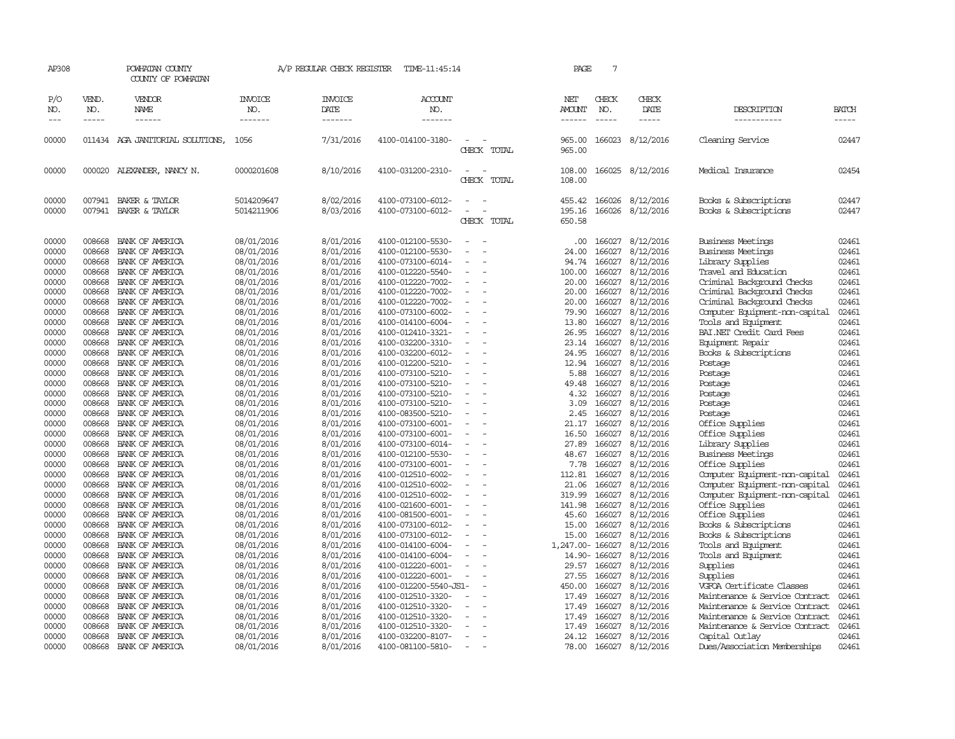| AP308               |                             | POWHATAN COUNTY<br>COUNTY OF POWHATAN |                           | A/P REGULAR CHECK REGISTER        | TIME-11:45:14                    |                                    | PAGE                    | 7                     |                        |                                |                             |
|---------------------|-----------------------------|---------------------------------------|---------------------------|-----------------------------------|----------------------------------|------------------------------------|-------------------------|-----------------------|------------------------|--------------------------------|-----------------------------|
| P/O<br>NO.<br>$---$ | VEND.<br>NO.<br>$- - - - -$ | VENDOR<br>NAME<br>------              | INVOICE<br>NO.<br>------- | <b>INVOICE</b><br>DATE<br>------- | <b>ACCOUNT</b><br>NO.<br>------- |                                    | NET<br>AMOUNT<br>------ | CHECK<br>NO.<br>----- | CHECK<br>DATE<br>----- | DESCRIPTION<br>__________      | <b>BATCH</b><br>$- - - - -$ |
|                     |                             |                                       |                           |                                   |                                  |                                    |                         |                       |                        |                                |                             |
| 00000               |                             | 011434 AGA JANITORIAL SOLUTIONS,      | 1056                      | 7/31/2016                         | 4100-014100-3180-                | CHECK TOTAL                        | 965.00<br>965.00        |                       | 166023 8/12/2016       | Cleaning Service               | 02447                       |
| 00000               |                             | 000020 ALEXANDER, NANCY N.            | 0000201608                | 8/10/2016                         | 4100-031200-2310-                | $\sim$<br>CHECK TOTAL              | 108.00<br>108.00        |                       | 166025 8/12/2016       | Medical Insurance              | 02454                       |
| 00000               |                             | 007941 BAKER & TAYLOR                 | 5014209647                | 8/02/2016                         | 4100-073100-6012-                |                                    | 455.42                  | 166026                | 8/12/2016              | Books & Subscriptions          | 02447                       |
| 00000               |                             | 007941 BAKER & TAYLOR                 | 5014211906                | 8/03/2016                         | 4100-073100-6012-                |                                    | 195.16                  | 166026                | 8/12/2016              | Books & Subscriptions          | 02447                       |
|                     |                             |                                       |                           |                                   |                                  | CHECK TOTAL                        | 650.58                  |                       |                        |                                |                             |
| 00000               | 008668                      | BANK OF AMERICA                       | 08/01/2016                | 8/01/2016                         | 4100-012100-5530-                |                                    | .00.                    | 166027                | 8/12/2016              | Business Meetings              | 02461                       |
| 00000               | 008668                      | BANK OF AMERICA                       | 08/01/2016                | 8/01/2016                         | 4100-012100-5530-                |                                    | 24.00                   | 166027                | 8/12/2016              | <b>Business Meetings</b>       | 02461                       |
| 00000               | 008668                      | BANK OF AMERICA                       | 08/01/2016                | 8/01/2016                         | 4100-073100-6014-                |                                    | 94.74                   | 166027                | 8/12/2016              | Library Supplies               | 02461                       |
| 00000               | 008668                      | BANK OF AMERICA                       | 08/01/2016                | 8/01/2016                         | 4100-012220-5540-                |                                    | 100.00                  | 166027                | 8/12/2016              | Travel and Education           | 02461                       |
| 00000               | 008668                      | BANK OF AMERICA                       | 08/01/2016                | 8/01/2016                         | 4100-012220-7002-                | $\equiv$                           | 20.00                   | 166027                | 8/12/2016              | Criminal Background Checks     | 02461                       |
| 00000               | 008668                      | BANK OF AMERICA                       | 08/01/2016                | 8/01/2016                         | 4100-012220-7002-                |                                    | 20.00                   | 166027                | 8/12/2016              | Criminal Background Checks     | 02461                       |
| 00000               | 008668                      | BANK OF AMERICA                       | 08/01/2016                | 8/01/2016                         | 4100-012220-7002-                |                                    | 20.00                   | 166027                | 8/12/2016              | Criminal Background Checks     | 02461                       |
| 00000               | 008668                      | BANK OF AMERICA                       | 08/01/2016                | 8/01/2016                         | 4100-073100-6002-                | $\sim$                             | 79.90                   | 166027                | 8/12/2016              | Computer Equipment-non-capital | 02461                       |
| 00000               | 008668                      | BANK OF AMERICA                       | 08/01/2016                | 8/01/2016                         | 4100-014100-6004-                |                                    | 13.80                   | 166027                | 8/12/2016              | Tools and Equipment            | 02461                       |
| 00000               | 008668                      | BANK OF AMERICA                       | 08/01/2016                | 8/01/2016                         | 4100-012410-3321-                |                                    | 26.95                   | 166027                | 8/12/2016              | BAI.NET Credit Card Fees       | 02461                       |
| 00000               | 008668                      | BANK OF AMERICA                       | 08/01/2016                | 8/01/2016                         | 4100-032200-3310-                | $\equiv$                           | 23.14                   | 166027                | 8/12/2016              | Equipment Repair               | 02461                       |
| 00000               | 008668                      | BANK OF AMERICA                       | 08/01/2016                | 8/01/2016                         | 4100-032200-6012-                |                                    | 24.95                   | 166027                | 8/12/2016              | Books & Subscriptions          | 02461                       |
| 00000               | 008668                      | BANK OF AMERICA                       | 08/01/2016                | 8/01/2016                         | 4100-012200-5210-                |                                    | 12.94                   | 166027                | 8/12/2016              | Postage                        | 02461                       |
| 00000               | 008668                      | BANK OF AMERICA                       | 08/01/2016                | 8/01/2016                         | 4100-073100-5210-                |                                    | 5.88                    | 166027                | 8/12/2016              | Postage                        | 02461                       |
| 00000               | 008668                      | BANK OF AMERICA                       | 08/01/2016                | 8/01/2016                         | 4100-073100-5210-                | $\sim$                             | 49.48                   | 166027                | 8/12/2016              | Postage                        | 02461                       |
| 00000               | 008668                      | BANK OF AMERICA                       | 08/01/2016                | 8/01/2016                         | 4100-073100-5210-                |                                    | 4.32                    | 166027                | 8/12/2016              | Postage                        | 02461                       |
| 00000               | 008668                      | BANK OF AMERICA                       | 08/01/2016                | 8/01/2016                         | 4100-073100-5210-                |                                    | 3.09                    | 166027                | 8/12/2016              | Postage                        | 02461                       |
| 00000               | 008668                      | BANK OF AMERICA                       | 08/01/2016                | 8/01/2016                         | 4100-083500-5210-                | $\overline{\phantom{a}}$<br>$\sim$ | 2.45                    | 166027                | 8/12/2016              | Postage                        | 02461                       |
| 00000               | 008668                      | BANK OF AMERICA                       | 08/01/2016                | 8/01/2016                         | 4100-073100-6001-                |                                    | 21.17                   | 166027                | 8/12/2016              | Office Supplies                | 02461                       |
| 00000               | 008668                      | BANK OF AMERICA                       | 08/01/2016                | 8/01/2016                         | 4100-073100-6001-                |                                    | 16.50                   | 166027                | 8/12/2016              | Office Supplies                | 02461                       |
| 00000               | 008668                      | BANK OF AMERICA                       | 08/01/2016                | 8/01/2016                         | 4100-073100-6014-                | $\equiv$                           | 27.89                   | 166027                | 8/12/2016              | Library Supplies               | 02461                       |
| 00000               | 008668                      | BANK OF AMERICA                       | 08/01/2016                | 8/01/2016                         | 4100-012100-5530-                | $\overline{\phantom{a}}$           | 48.67                   | 166027                | 8/12/2016              | Business Meetings              | 02461                       |
| 00000               | 008668                      | BANK OF AMERICA                       | 08/01/2016                | 8/01/2016                         | 4100-073100-6001-                | $\equiv$                           | 7.78                    | 166027                | 8/12/2016              | Office Supplies                | 02461                       |
| 00000               | 008668                      | BANK OF AMERICA                       | 08/01/2016                | 8/01/2016                         | 4100-012510-6002-                |                                    | 112.81                  | 166027                | 8/12/2016              | Computer Equipment-non-capital | 02461                       |
| 00000               | 008668                      | BANK OF AMERICA                       | 08/01/2016                | 8/01/2016                         | 4100-012510-6002-                | $\equiv$                           | 21.06                   | 166027                | 8/12/2016              | Computer Equipment-non-capital | 02461                       |
| 00000               | 008668                      | BANK OF AMERICA                       | 08/01/2016                | 8/01/2016                         | 4100-012510-6002-                |                                    | 319.99                  | 166027                | 8/12/2016              | Computer Equipment-non-capital | 02461                       |
| 00000               | 008668                      | BANK OF AMERICA                       | 08/01/2016                | 8/01/2016                         | 4100-021600-6001-                |                                    | 141.98                  | 166027                | 8/12/2016              | Office Supplies                | 02461                       |
| 00000               | 008668                      | BANK OF AMERICA                       | 08/01/2016                | 8/01/2016                         | 4100-081500-6001-                | $\overline{\phantom{a}}$           | 45.60                   | 166027                | 8/12/2016              | Office Supplies                | 02461                       |
| 00000               | 008668                      | BANK OF AMERICA                       | 08/01/2016                | 8/01/2016                         | 4100-073100-6012-                |                                    | 15.00                   | 166027                | 8/12/2016              | Books & Subscriptions          | 02461                       |
| 00000               | 008668                      | BANK OF AMERICA                       | 08/01/2016                | 8/01/2016                         | 4100-073100-6012-                |                                    | 15.00                   | 166027                | 8/12/2016              | Books & Subscriptions          | 02461                       |
| 00000               | 008668                      | BANK OF AMERICA                       | 08/01/2016                | 8/01/2016                         | 4100-014100-6004-                |                                    | 1,247.00- 166027        |                       | 8/12/2016              | Tools and Equipment            | 02461                       |
| 00000               | 008668                      | BANK OF AMERICA                       | 08/01/2016                | 8/01/2016                         | 4100-014100-6004-                | $\overline{\phantom{a}}$           |                         | 14.90-166027          | 8/12/2016              | Tools and Equipment            | 02461                       |
| 00000               | 008668                      | BANK OF AMERICA                       | 08/01/2016                | 8/01/2016                         | 4100-012220-6001-                |                                    | 29.57                   | 166027                | 8/12/2016              | Supplies                       | 02461                       |
| 00000               | 008668                      | BANK OF AMERICA                       | 08/01/2016                | 8/01/2016                         | 4100-012220-6001-                |                                    | 27.55                   | 166027                | 8/12/2016              | Supplies                       | 02461                       |
| 00000               | 008668                      | BANK OF AMERICA                       | 08/01/2016                | 8/01/2016                         | 4100-012200-5540-JS1-            |                                    | 450.00                  | 166027                | 8/12/2016              | VGFOA Certificate Classes      | 02461                       |
| 00000               | 008668                      | BANK OF AMERICA                       | 08/01/2016                | 8/01/2016                         | 4100-012510-3320-                |                                    | 17.49                   | 166027                | 8/12/2016              | Maintenance & Service Contract | 02461                       |
| 00000               | 008668                      | BANK OF AMERICA                       | 08/01/2016                | 8/01/2016                         | 4100-012510-3320-                |                                    | 17.49                   | 166027                | 8/12/2016              | Maintenance & Service Contract | 02461                       |
| 00000               | 008668                      | BANK OF AMERICA                       | 08/01/2016                | 8/01/2016                         | 4100-012510-3320-                |                                    | 17.49                   | 166027                | 8/12/2016              | Maintenance & Service Contract | 02461                       |
| 00000               | 008668                      | BANK OF AMERICA                       | 08/01/2016                | 8/01/2016                         | 4100-012510-3320-                |                                    | 17.49                   | 166027                | 8/12/2016              | Maintenance & Service Contract | 02461                       |
| 00000               | 008668                      | BANK OF AMERICA                       | 08/01/2016                | 8/01/2016                         | 4100-032200-8107-                | $\sim$                             | 24.12                   | 166027                | 8/12/2016              | Capital Outlay                 | 02461                       |
| 00000               | 008668                      | BANK OF AMERICA                       | 08/01/2016                | 8/01/2016                         | 4100-081100-5810-                | $\sim$                             | 78.00                   |                       | 166027 8/12/2016       | Dues/Association Memberships   | 02461                       |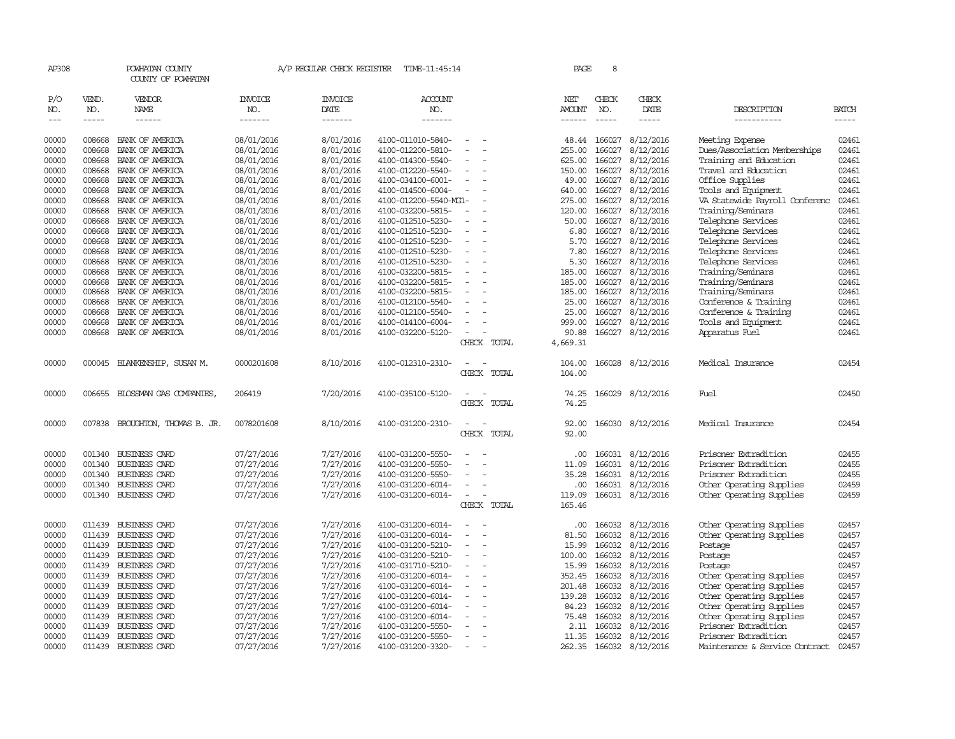| AP308      |                                                                                                                                                                                                                                                                                                                                                                                                                                                                                     | POWHATAN COUNTY<br>COUNTY OF POWHATAN |                       | A/P REGULAR CHECK REGISTER | TIME-11:45:14         |                | PAGE             | 8            |                  |                                |              |
|------------|-------------------------------------------------------------------------------------------------------------------------------------------------------------------------------------------------------------------------------------------------------------------------------------------------------------------------------------------------------------------------------------------------------------------------------------------------------------------------------------|---------------------------------------|-----------------------|----------------------------|-----------------------|----------------|------------------|--------------|------------------|--------------------------------|--------------|
| P/O<br>NO. | VEND.<br>NO.                                                                                                                                                                                                                                                                                                                                                                                                                                                                        | VENDOR<br><b>NAME</b>                 | <b>INVOICE</b><br>NO. | <b>INVOICE</b><br>DATE     | <b>ACCOUNT</b><br>NO. |                | NET<br>AMOUNT    | CHECK<br>NO. | CHECK<br>DATE    | DESCRIPTION                    | <b>BATCH</b> |
| $---$      | $\begin{tabular}{ccccc} \multicolumn{2}{c}{} & \multicolumn{2}{c}{} & \multicolumn{2}{c}{} & \multicolumn{2}{c}{} & \multicolumn{2}{c}{} & \multicolumn{2}{c}{} & \multicolumn{2}{c}{} & \multicolumn{2}{c}{} & \multicolumn{2}{c}{} & \multicolumn{2}{c}{} & \multicolumn{2}{c}{} & \multicolumn{2}{c}{} & \multicolumn{2}{c}{} & \multicolumn{2}{c}{} & \multicolumn{2}{c}{} & \multicolumn{2}{c}{} & \multicolumn{2}{c}{} & \multicolumn{2}{c}{} & \multicolumn{2}{c}{} & \mult$ | $- - - - - -$                         | -------               | -------                    | -------               |                | ------           | -----        | -----            | -----------                    | -----        |
| 00000      | 008668                                                                                                                                                                                                                                                                                                                                                                                                                                                                              | BANK OF AMERICA                       | 08/01/2016            | 8/01/2016                  | 4100-011010-5840-     |                | 48.44            | 166027       | 8/12/2016        | Meeting Expense                | 02461        |
| 00000      | 008668                                                                                                                                                                                                                                                                                                                                                                                                                                                                              | BANK OF AMERICA                       | 08/01/2016            | 8/01/2016                  | 4100-012200-5810-     |                | 255.00           | 166027       | 8/12/2016        | Dues/Association Memberships   | 02461        |
| 00000      | 008668                                                                                                                                                                                                                                                                                                                                                                                                                                                                              | BANK OF AMERICA                       | 08/01/2016            | 8/01/2016                  | 4100-014300-5540-     |                | 625.00           | 166027       | 8/12/2016        | Training and Education         | 02461        |
| 00000      | 008668                                                                                                                                                                                                                                                                                                                                                                                                                                                                              | BANK OF AMERICA                       | 08/01/2016            | 8/01/2016                  | 4100-012220-5540-     |                | 150.00           | 166027       | 8/12/2016        | Travel and Education           | 02461        |
| 00000      | 008668                                                                                                                                                                                                                                                                                                                                                                                                                                                                              | BANK OF AMERICA                       | 08/01/2016            | 8/01/2016                  | 4100-034100-6001-     |                | 49.00            | 166027       | 8/12/2016        | Office Supplies                | 02461        |
| 00000      | 008668                                                                                                                                                                                                                                                                                                                                                                                                                                                                              | BANK OF AMERICA                       | 08/01/2016            | 8/01/2016                  | 4100-014500-6004-     | $\sim$         | 640.00           | 166027       | 8/12/2016        | Tools and Equipment            | 02461        |
| 00000      | 008668                                                                                                                                                                                                                                                                                                                                                                                                                                                                              | BANK OF AMERICA                       | 08/01/2016            | 8/01/2016                  | 4100-012200-5540-MG1- |                | 275.00           | 166027       | 8/12/2016        | VA Statewide Payroll Conferenc | 02461        |
| 00000      | 008668                                                                                                                                                                                                                                                                                                                                                                                                                                                                              | BANK OF AMERICA                       | 08/01/2016            | 8/01/2016                  | 4100-032200-5815-     |                | 120.00           | 166027       | 8/12/2016        | Training/Seminars              | 02461        |
| 00000      | 008668                                                                                                                                                                                                                                                                                                                                                                                                                                                                              | BANK OF AMERICA                       | 08/01/2016            | 8/01/2016                  | 4100-012510-5230-     |                | 50.00            | 166027       | 8/12/2016        | Telephone Services             | 02461        |
| 00000      | 008668                                                                                                                                                                                                                                                                                                                                                                                                                                                                              | BANK OF AMERICA                       | 08/01/2016            | 8/01/2016                  | 4100-012510-5230-     |                | 6.80             | 166027       | 8/12/2016        | Telephone Services             | 02461        |
| 00000      | 008668                                                                                                                                                                                                                                                                                                                                                                                                                                                                              | BANK OF AMERICA                       | 08/01/2016            | 8/01/2016                  | 4100-012510-5230-     |                | 5.70             | 166027       | 8/12/2016        | Telephone Services             | 02461        |
| 00000      | 008668                                                                                                                                                                                                                                                                                                                                                                                                                                                                              | BANK OF AMERICA                       | 08/01/2016            | 8/01/2016                  | 4100-012510-5230-     |                | 7.80             | 166027       | 8/12/2016        | Telephone Services             | 02461        |
| 00000      | 008668                                                                                                                                                                                                                                                                                                                                                                                                                                                                              | BANK OF AMERICA                       | 08/01/2016            | 8/01/2016                  | 4100-012510-5230-     |                | 5.30             | 166027       | 8/12/2016        | Telephone Services             | 02461        |
| 00000      | 008668                                                                                                                                                                                                                                                                                                                                                                                                                                                                              | BANK OF AMERICA                       | 08/01/2016            | 8/01/2016                  | 4100-032200-5815-     |                | 185.00           | 166027       | 8/12/2016        | Training/Seminars              | 02461        |
| 00000      | 008668                                                                                                                                                                                                                                                                                                                                                                                                                                                                              | BANK OF AMERICA                       | 08/01/2016            | 8/01/2016                  | 4100-032200-5815-     |                | 185.00           | 166027       | 8/12/2016        | Training/Seminars              | 02461        |
| 00000      | 008668                                                                                                                                                                                                                                                                                                                                                                                                                                                                              | BANK OF AMERICA                       | 08/01/2016            | 8/01/2016                  | 4100-032200-5815-     |                | 185.00           | 166027       | 8/12/2016        | Training/Seminars              | 02461        |
| 00000      | 008668                                                                                                                                                                                                                                                                                                                                                                                                                                                                              | BANK OF AMERICA                       | 08/01/2016            | 8/01/2016                  | 4100-012100-5540-     |                | 25.00            | 166027       | 8/12/2016        | Conference & Training          | 02461        |
| 00000      | 008668                                                                                                                                                                                                                                                                                                                                                                                                                                                                              | BANK OF AMERICA                       | 08/01/2016            | 8/01/2016                  | 4100-012100-5540-     | $\equiv$       | 25.00            | 166027       | 8/12/2016        | Conference & Training          | 02461        |
| 00000      | 008668                                                                                                                                                                                                                                                                                                                                                                                                                                                                              | BANK OF AMERICA                       | 08/01/2016            | 8/01/2016                  | 4100-014100-6004-     |                | 999.00           | 166027       | 8/12/2016        | Tools and Equipment            | 02461        |
| 00000      | 008668                                                                                                                                                                                                                                                                                                                                                                                                                                                                              | BANK OF AMERICA                       | 08/01/2016            | 8/01/2016                  | 4100-032200-5120-     |                | 90.88            | 166027       | 8/12/2016        | Apparatus Fuel                 | 02461        |
|            |                                                                                                                                                                                                                                                                                                                                                                                                                                                                                     |                                       |                       |                            |                       | CHECK TOTAL    | 4,669.31         |              |                  |                                |              |
|            |                                                                                                                                                                                                                                                                                                                                                                                                                                                                                     |                                       |                       |                            |                       |                |                  |              |                  |                                |              |
| 00000      | 000045                                                                                                                                                                                                                                                                                                                                                                                                                                                                              | BLANKENSHIP, SUSAN M.                 | 0000201608            | 8/10/2016                  | 4100-012310-2310-     | CHECK TOTAL    | 104.00<br>104.00 | 166028       | 8/12/2016        | Medical Insurance              | 02454        |
| 00000      | 006655                                                                                                                                                                                                                                                                                                                                                                                                                                                                              | BLOSSMAN GAS COMPANIES                | 206419                | 7/20/2016                  | 4100-035100-5120-     | CHECK TOTAL    | 74.25<br>74.25   | 166029       | 8/12/2016        | Fuel                           | 02450        |
| 00000      | 007838                                                                                                                                                                                                                                                                                                                                                                                                                                                                              | BROUGHTON, THOMAS B. JR.              | 0078201608            | 8/10/2016                  | 4100-031200-2310-     | CHECK TOTAL    | 92.00<br>92.00   | 166030       | 8/12/2016        | Medical Insurance              | 02454        |
| 00000      |                                                                                                                                                                                                                                                                                                                                                                                                                                                                                     | 001340 BUSINESS CARD                  | 07/27/2016            | 7/27/2016                  | 4100-031200-5550-     |                | $.00 \,$         | 166031       | 8/12/2016        | Prisoner Extradition           | 02455        |
| 00000      | 001340                                                                                                                                                                                                                                                                                                                                                                                                                                                                              | <b>BUSINESS CARD</b>                  | 07/27/2016            | 7/27/2016                  | 4100-031200-5550-     |                | 11.09            | 166031       | 8/12/2016        | Prisoner Extradition           | 02455        |
| 00000      | 001340                                                                                                                                                                                                                                                                                                                                                                                                                                                                              | <b>BUSINESS CARD</b>                  | 07/27/2016            | 7/27/2016                  | 4100-031200-5550-     |                | 35.28            | 166031       | 8/12/2016        | Prisoner Extradition           | 02455        |
| 00000      |                                                                                                                                                                                                                                                                                                                                                                                                                                                                                     | 001340 BUSINESS CARD                  | 07/27/2016            | 7/27/2016                  | 4100-031200-6014-     |                | .00.             | 166031       | 8/12/2016        | Other Operating Supplies       | 02459        |
| 00000      |                                                                                                                                                                                                                                                                                                                                                                                                                                                                                     | 001340 BUSINESS CARD                  | 07/27/2016            | 7/27/2016                  | 4100-031200-6014-     | $\overline{a}$ | 119.09           | 166031       | 8/12/2016        | Other Operating Supplies       | 02459        |
|            |                                                                                                                                                                                                                                                                                                                                                                                                                                                                                     |                                       |                       |                            |                       | CHECK TOTAL    | 165.46           |              |                  |                                |              |
| 00000      | 011439                                                                                                                                                                                                                                                                                                                                                                                                                                                                              | BUSINESS CARD                         | 07/27/2016            | 7/27/2016                  | 4100-031200-6014-     |                | $.00 \,$         | 166032       | 8/12/2016        | Other Operating Supplies       | 02457        |
| 00000      | 011439                                                                                                                                                                                                                                                                                                                                                                                                                                                                              | <b>BUSINESS CARD</b>                  | 07/27/2016            | 7/27/2016                  | 4100-031200-6014-     |                | 81.50            | 166032       | 8/12/2016        | Other Operating Supplies       | 02457        |
| 00000      |                                                                                                                                                                                                                                                                                                                                                                                                                                                                                     | 011439 BUSINESS CARD                  | 07/27/2016            | 7/27/2016                  | 4100-031200-5210-     |                | 15.99            | 166032       | 8/12/2016        | Postage                        | 02457        |
| 00000      |                                                                                                                                                                                                                                                                                                                                                                                                                                                                                     | 011439 BUSINESS CARD                  | 07/27/2016            | 7/27/2016                  | 4100-031200-5210-     |                | 100.00           | 166032       | 8/12/2016        | Postage                        | 02457        |
| 00000      | 011439                                                                                                                                                                                                                                                                                                                                                                                                                                                                              | <b>BUSINESS CARD</b>                  | 07/27/2016            | 7/27/2016                  | 4100-031710-5210-     |                | 15.99            | 166032       | 8/12/2016        | Postage                        | 02457        |
| 00000      |                                                                                                                                                                                                                                                                                                                                                                                                                                                                                     | 011439 BUSINESS CARD                  | 07/27/2016            | 7/27/2016                  | 4100-031200-6014-     |                | 352.45           | 166032       | 8/12/2016        | Other Operating Supplies       | 02457        |
| 00000      |                                                                                                                                                                                                                                                                                                                                                                                                                                                                                     | 011439 BUSINESS CARD                  | 07/27/2016            | 7/27/2016                  | 4100-031200-6014-     |                | 201.48           | 166032       | 8/12/2016        | Other Operating Supplies       | 02457        |
| 00000      |                                                                                                                                                                                                                                                                                                                                                                                                                                                                                     | 011439 BUSINESS CARD                  | 07/27/2016            | 7/27/2016                  | 4100-031200-6014-     |                | 139.28           | 166032       | 8/12/2016        | Other Operating Supplies       | 02457        |
| 00000      |                                                                                                                                                                                                                                                                                                                                                                                                                                                                                     | 011439 BUSINESS CARD                  | 07/27/2016            | 7/27/2016                  | 4100-031200-6014-     |                | 84.23            | 166032       | 8/12/2016        | Other Operating Supplies       | 02457        |
| 00000      | 011439                                                                                                                                                                                                                                                                                                                                                                                                                                                                              | <b>BUSINESS CARD</b>                  | 07/27/2016            | 7/27/2016                  | 4100-031200-6014-     |                | 75.48            | 166032       | 8/12/2016        | Other Operating Supplies       | 02457        |
| 00000      |                                                                                                                                                                                                                                                                                                                                                                                                                                                                                     | 011439 BUSINESS CARD                  | 07/27/2016            | 7/27/2016                  | 4100-031200-5550-     |                | 2.11             | 166032       | 8/12/2016        | Prisoner Extradition           | 02457        |
| 00000      | 011439                                                                                                                                                                                                                                                                                                                                                                                                                                                                              | <b>BUSINESS CARD</b>                  | 07/27/2016            | 7/27/2016                  | 4100-031200-5550-     |                | 11.35            | 166032       | 8/12/2016        | Prisoner Extradition           | 02457        |
| 00000      |                                                                                                                                                                                                                                                                                                                                                                                                                                                                                     | 011439 BUSINESS CARD                  | 07/27/2016            | 7/27/2016                  | 4100-031200-3320-     |                | 262.35           |              | 166032 8/12/2016 | Maintenance & Service Contract | 02457        |
|            |                                                                                                                                                                                                                                                                                                                                                                                                                                                                                     |                                       |                       |                            |                       |                |                  |              |                  |                                |              |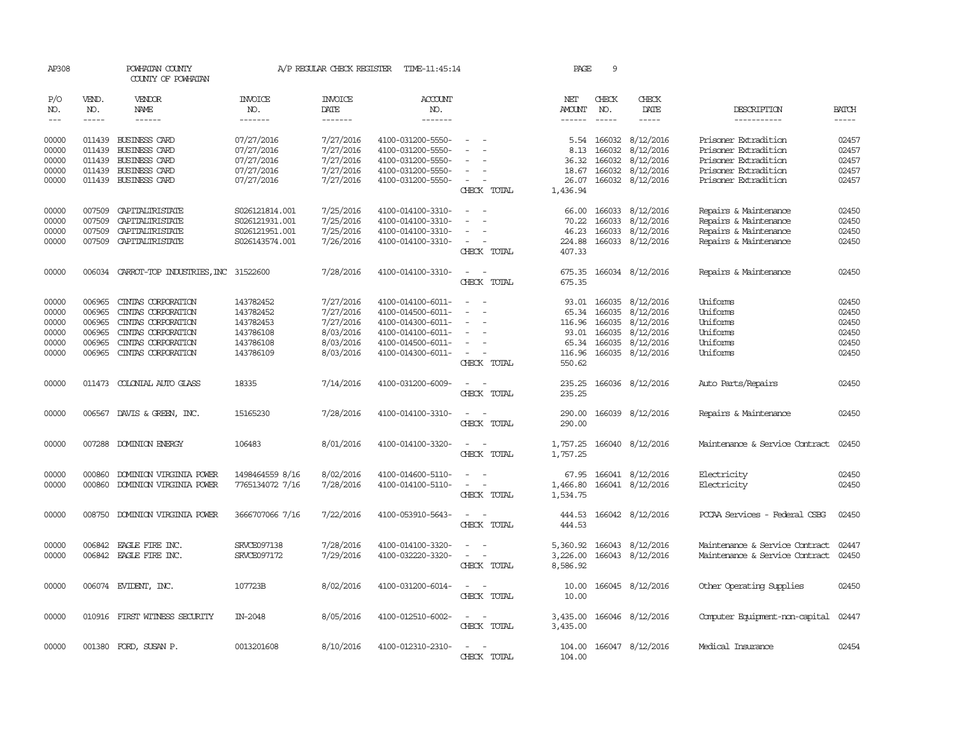| AP308                                              |                                                          | POWHATAN COUNTY<br>COUNTY OF POWHATAN                                                                                            |                                                                            | A/P REGULAR CHECK REGISTER                                                 | TIME-11:45:14                                                                                                              |                                                      | PAGE                                                  | 9                                              |                                                                                                |                                                                                                                      |                                                    |
|----------------------------------------------------|----------------------------------------------------------|----------------------------------------------------------------------------------------------------------------------------------|----------------------------------------------------------------------------|----------------------------------------------------------------------------|----------------------------------------------------------------------------------------------------------------------------|------------------------------------------------------|-------------------------------------------------------|------------------------------------------------|------------------------------------------------------------------------------------------------|----------------------------------------------------------------------------------------------------------------------|----------------------------------------------------|
| P/O<br>NO.                                         | VEND.<br>NO.                                             | VENDOR<br>NAME                                                                                                                   | <b>INVOICE</b><br>NO.                                                      | <b>INVOICE</b><br>DATE                                                     | <b>ACCOUNT</b><br>NO.                                                                                                      |                                                      | NET<br><b>AMOUNT</b>                                  | CHECK<br>NO.                                   | CHECK<br>DATE                                                                                  | DESCRIPTION                                                                                                          | <b>BATCH</b>                                       |
| $---$                                              | $- - - - -$                                              | $- - - - - -$                                                                                                                    | --------                                                                   | --------                                                                   | -------                                                                                                                    |                                                      | $- - - - - -$                                         | $- - - - -$                                    | -----                                                                                          | -----------                                                                                                          | $- - - - -$                                        |
| 00000<br>00000<br>00000<br>00000<br>00000          | 011439<br>011439<br>011439<br>011439                     | BUSINESS CARD<br><b>BUSINESS CARD</b><br><b>BUSINESS CARD</b><br>BUSINESS CARD<br>011439 BUSINESS CARD                           | 07/27/2016<br>07/27/2016<br>07/27/2016<br>07/27/2016<br>07/27/2016         | 7/27/2016<br>7/27/2016<br>7/27/2016<br>7/27/2016<br>7/27/2016              | 4100-031200-5550-<br>4100-031200-5550-<br>4100-031200-5550-<br>4100-031200-5550-<br>4100-031200-5550-                      | $\overline{\phantom{a}}$<br>$\overline{\phantom{a}}$ | 5.54<br>8.13<br>36.32<br>18.67<br>26.07               | 166032<br>166032<br>166032<br>166032<br>166032 | 8/12/2016<br>8/12/2016<br>8/12/2016<br>8/12/2016<br>8/12/2016                                  | Prisoner Extradition<br>Prisoner Extradition<br>Prisoner Extradition<br>Prisoner Extradition<br>Prisoner Extradition | 02457<br>02457<br>02457<br>02457<br>02457          |
|                                                    |                                                          |                                                                                                                                  |                                                                            |                                                                            |                                                                                                                            | CHECK TOTAL                                          | 1,436.94                                              |                                                |                                                                                                |                                                                                                                      |                                                    |
| 00000<br>00000<br>00000<br>00000                   | 007509<br>007509<br>007509<br>007509                     | CAPITALIRISTATE<br>CAPITALIRISTATE<br>CAPITALIRISTATE<br>CAPITALIRISTATE                                                         | S026121814.001<br>S026121931.001<br>S026121951.001<br>S026143574.001       | 7/25/2016<br>7/25/2016<br>7/25/2016<br>7/26/2016                           | 4100-014100-3310-<br>4100-014100-3310-<br>4100-014100-3310-<br>4100-014100-3310-                                           | CHECK TOTAL                                          | 66.00<br>70.22<br>46.23<br>224.88<br>407.33           | 166033<br>166033<br>166033                     | 8/12/2016<br>8/12/2016<br>8/12/2016<br>166033 8/12/2016                                        | Repairs & Maintenance<br>Repairs & Maintenance<br>Repairs & Maintenance<br>Repairs & Maintenance                     | 02450<br>02450<br>02450<br>02450                   |
| 00000                                              | 006034                                                   | CARROT-TOP INDUSTRIES, INC 31522600                                                                                              |                                                                            | 7/28/2016                                                                  | 4100-014100-3310-                                                                                                          | $\sim$<br>$\sim$<br>CHECK TOTAL                      | 675.35<br>675.35                                      |                                                | 166034 8/12/2016                                                                               | Repairs & Maintenance                                                                                                | 02450                                              |
| 00000<br>00000<br>00000<br>00000<br>00000<br>00000 | 006965<br>006965<br>006965<br>006965<br>006965<br>006965 | CINIAS CORPORATION<br>CINIAS CORPORATION<br>CINIAS CORPORATION<br>CINIAS CORPORATION<br>CINIAS CORPORATION<br>CINIAS CORPORATION | 143782452<br>143782452<br>143782453<br>143786108<br>143786108<br>143786109 | 7/27/2016<br>7/27/2016<br>7/27/2016<br>8/03/2016<br>8/03/2016<br>8/03/2016 | 4100-014100-6011-<br>4100-014500-6011-<br>4100-014300-6011-<br>4100-014100-6011-<br>4100-014500-6011-<br>4100-014300-6011- | $\overline{\phantom{a}}$<br>CHECK TOTAL              | 65.34<br>116.96<br>93.01<br>65.34<br>116.96<br>550.62 | 166035<br>166035<br>166035<br>166035           | 93.01 166035 8/12/2016<br>8/12/2016<br>8/12/2016<br>8/12/2016<br>8/12/2016<br>166035 8/12/2016 | Uniforms<br>Uniforms<br>Uniforms<br>Uniforms<br>Uniforms<br>Uniforms                                                 | 02450<br>02450<br>02450<br>02450<br>02450<br>02450 |
| 00000                                              | 011473                                                   | COLONIAL AUTO GLASS                                                                                                              | 18335                                                                      | 7/14/2016                                                                  | 4100-031200-6009-                                                                                                          | CHECK TOTAL                                          | 235.25<br>235.25                                      |                                                | 166036 8/12/2016                                                                               | Auto Parts/Repairs                                                                                                   | 02450                                              |
| 00000                                              |                                                          | 006567 DAVIS & GREEN, INC.                                                                                                       | 15165230                                                                   | 7/28/2016                                                                  | 4100-014100-3310-                                                                                                          | CHECK TOTAL                                          | 290.00<br>290.00                                      |                                                | 166039 8/12/2016                                                                               | Repairs & Maintenance                                                                                                | 02450                                              |
| 00000                                              |                                                          | 007288 DOMINION ENERGY                                                                                                           | 106483                                                                     | 8/01/2016                                                                  | 4100-014100-3320-                                                                                                          | CHECK TOTAL                                          | 1,757.25<br>1,757.25                                  |                                                | 166040 8/12/2016                                                                               | Maintenance & Service Contract                                                                                       | 02450                                              |
| 00000<br>00000                                     | 000860<br>000860                                         | DOMINION VIRGINIA POWER<br>DOMINION VIRGINIA POWER                                                                               | 1498464559 8/16<br>7765134072 7/16                                         | 8/02/2016<br>7/28/2016                                                     | 4100-014600-5110-<br>4100-014100-5110-                                                                                     | $\equiv$<br>CHECK TOTAL                              | 67.95<br>1,466.80<br>1,534.75                         |                                                | 166041 8/12/2016<br>166041 8/12/2016                                                           | Electricity<br>Electricity                                                                                           | 02450<br>02450                                     |
| 00000                                              |                                                          | 008750 DOMINION VIRGINIA POWER                                                                                                   | 3666707066 7/16                                                            | 7/22/2016                                                                  | 4100-053910-5643-                                                                                                          | $\equiv$<br>$\sim$<br>CHECK TOTAL                    | 444.53<br>444.53                                      |                                                | 166042 8/12/2016                                                                               | PCCAA Services - Federal CSBG                                                                                        | 02450                                              |
| 00000<br>00000                                     |                                                          | 006842 EAGLE FIRE INC.<br>006842 EAGLE FIRE INC.                                                                                 | SRVCE097138<br>SRVCE097172                                                 | 7/28/2016<br>7/29/2016                                                     | 4100-014100-3320-<br>4100-032220-3320-                                                                                     | CHECK TOTAL                                          | 5,360.92<br>3,226.00<br>8,586.92                      | 166043                                         | 166043 8/12/2016<br>8/12/2016                                                                  | Maintenance & Service Contract<br>Maintenance & Service Contract                                                     | 02447<br>02450                                     |
| 00000                                              |                                                          | 006074 EVIDENT, INC.                                                                                                             | 107723B                                                                    | 8/02/2016                                                                  | 4100-031200-6014-                                                                                                          | $\sim$<br>CHECK TOTAL                                | 10.00<br>10.00                                        |                                                | 166045 8/12/2016                                                                               | Other Operating Supplies                                                                                             | 02450                                              |
| 00000                                              |                                                          | 010916 FIRST WITNESS SECURITY                                                                                                    | IN-2048                                                                    | 8/05/2016                                                                  | 4100-012510-6002-                                                                                                          | $\overline{\phantom{a}}$<br>CHECK TOTAL              | 3,435.00<br>3,435.00                                  |                                                | 166046 8/12/2016                                                                               | Computer Equipment-non-capital                                                                                       | 02447                                              |
| 00000                                              |                                                          | 001380 FORD, SUSAN P.                                                                                                            | 0013201608                                                                 | 8/10/2016                                                                  | 4100-012310-2310-                                                                                                          | CHECK TOTAL                                          | 104.00<br>104.00                                      |                                                | 166047 8/12/2016                                                                               | Medical Insurance                                                                                                    | 02454                                              |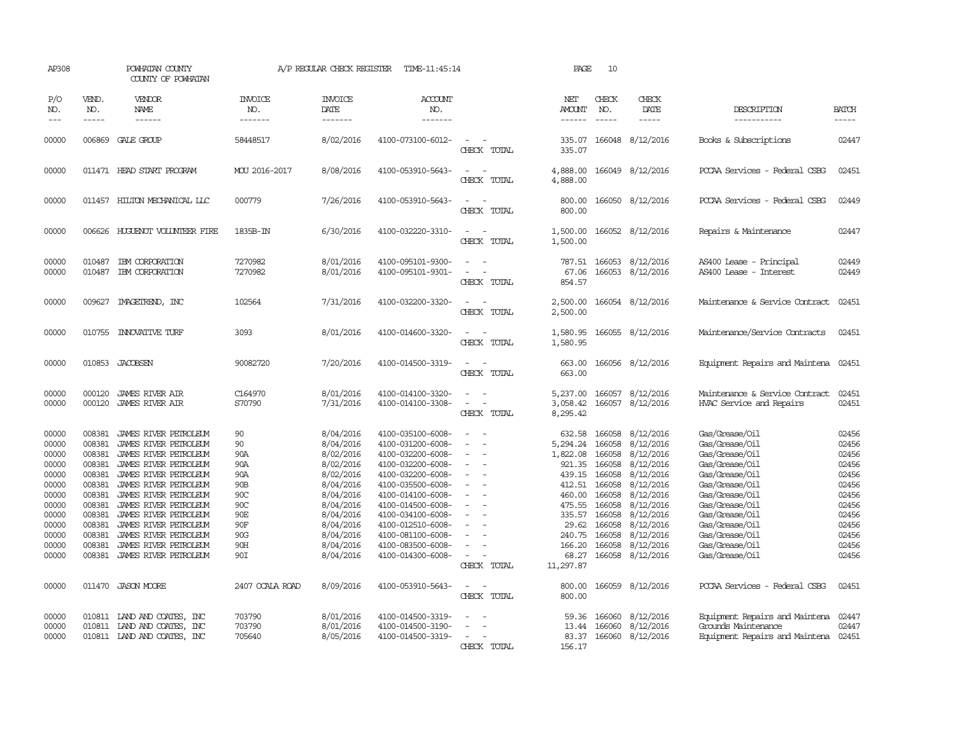| AP308                                                                                                                      |                                                                                                                                | POWHATAN COUNTY<br>COUNTY OF POWHATAN                                                                                                                                                                                                                                                                                                                   |                                                                                                          | A/P REGULAR CHECK REGISTER                                                                                                                                                         | TIME-11:45:14                                                                                                                                                                                                                                                                                      |                                                                                                                                                                    | PAGE                                                                                                                                                    | 10                                                                                                                                    |                                                                                                                                                                                           |                                                                                                                                                                                                                                                                         |                                                                                                                            |
|----------------------------------------------------------------------------------------------------------------------------|--------------------------------------------------------------------------------------------------------------------------------|---------------------------------------------------------------------------------------------------------------------------------------------------------------------------------------------------------------------------------------------------------------------------------------------------------------------------------------------------------|----------------------------------------------------------------------------------------------------------|------------------------------------------------------------------------------------------------------------------------------------------------------------------------------------|----------------------------------------------------------------------------------------------------------------------------------------------------------------------------------------------------------------------------------------------------------------------------------------------------|--------------------------------------------------------------------------------------------------------------------------------------------------------------------|---------------------------------------------------------------------------------------------------------------------------------------------------------|---------------------------------------------------------------------------------------------------------------------------------------|-------------------------------------------------------------------------------------------------------------------------------------------------------------------------------------------|-------------------------------------------------------------------------------------------------------------------------------------------------------------------------------------------------------------------------------------------------------------------------|----------------------------------------------------------------------------------------------------------------------------|
| P/O<br>NO.<br>$---$                                                                                                        | VEND.<br>NO.<br>$- - - - -$                                                                                                    | VENDOR<br>NAME<br>$- - - - - -$                                                                                                                                                                                                                                                                                                                         | <b>INVOICE</b><br>NO.<br>-------                                                                         | <b>INVOICE</b><br>DATE<br>-------                                                                                                                                                  | <b>ACCOUNT</b><br>NO.<br>-------                                                                                                                                                                                                                                                                   |                                                                                                                                                                    | NET<br>AMOUNT<br>------                                                                                                                                 | CHECK<br>NO.<br>$\frac{1}{2}$                                                                                                         | CHECK<br>DATE<br>$- - - - -$                                                                                                                                                              | DESCRIPTION<br>-----------                                                                                                                                                                                                                                              | <b>BATCH</b><br>-----                                                                                                      |
| 00000                                                                                                                      |                                                                                                                                | 006869 GALE GROUP                                                                                                                                                                                                                                                                                                                                       | 58448517                                                                                                 | 8/02/2016                                                                                                                                                                          | 4100-073100-6012-                                                                                                                                                                                                                                                                                  | $\overline{\phantom{a}}$<br>CHECK TOTAL                                                                                                                            | 335.07<br>335.07                                                                                                                                        |                                                                                                                                       | 166048 8/12/2016                                                                                                                                                                          | Books & Subscriptions                                                                                                                                                                                                                                                   | 02447                                                                                                                      |
| 00000                                                                                                                      |                                                                                                                                | 011471 HEAD START PROGRAM                                                                                                                                                                                                                                                                                                                               | MOU 2016-2017                                                                                            | 8/08/2016                                                                                                                                                                          | 4100-053910-5643-                                                                                                                                                                                                                                                                                  | CHECK TOTAL                                                                                                                                                        | 4,888.00<br>4,888.00                                                                                                                                    |                                                                                                                                       | 166049 8/12/2016                                                                                                                                                                          | PCCAA Services - Federal CSBG                                                                                                                                                                                                                                           | 02451                                                                                                                      |
| 00000                                                                                                                      |                                                                                                                                | 011457 HILTON MECHANICAL LLC                                                                                                                                                                                                                                                                                                                            | 000779                                                                                                   | 7/26/2016                                                                                                                                                                          | 4100-053910-5643-                                                                                                                                                                                                                                                                                  | CHECK TOTAL                                                                                                                                                        | 800.00<br>800.00                                                                                                                                        |                                                                                                                                       | 166050 8/12/2016                                                                                                                                                                          | PCCAA Services - Federal CSBG                                                                                                                                                                                                                                           | 02449                                                                                                                      |
| 00000                                                                                                                      |                                                                                                                                | 006626 HUGUENOT VOLUNTEER FIRE                                                                                                                                                                                                                                                                                                                          | 1835B-IN                                                                                                 | 6/30/2016                                                                                                                                                                          | 4100-032220-3310-                                                                                                                                                                                                                                                                                  | $\sim$ $\sim$<br>CHECK TOTAL                                                                                                                                       | 1,500.00<br>1,500.00                                                                                                                                    |                                                                                                                                       | 166052 8/12/2016                                                                                                                                                                          | Repairs & Maintenance                                                                                                                                                                                                                                                   | 02447                                                                                                                      |
| 00000<br>00000                                                                                                             | 010487                                                                                                                         | IBM CORPORATION<br>010487 IBM CORPORATION                                                                                                                                                                                                                                                                                                               | 7270982<br>7270982                                                                                       | 8/01/2016<br>8/01/2016                                                                                                                                                             | 4100-095101-9300-<br>4100-095101-9301-                                                                                                                                                                                                                                                             | $\equiv$<br>CHECK TOTAL                                                                                                                                            | 787.51<br>67.06<br>854.57                                                                                                                               |                                                                                                                                       | 166053 8/12/2016<br>166053 8/12/2016                                                                                                                                                      | AS400 Lease - Principal<br>AS400 Lease - Interest                                                                                                                                                                                                                       | 02449<br>02449                                                                                                             |
| 00000                                                                                                                      | 009627                                                                                                                         | IMAGETREND, INC                                                                                                                                                                                                                                                                                                                                         | 102564                                                                                                   | 7/31/2016                                                                                                                                                                          | 4100-032200-3320-                                                                                                                                                                                                                                                                                  | CHECK TOTAL                                                                                                                                                        | 2,500.00<br>2,500.00                                                                                                                                    |                                                                                                                                       | 166054 8/12/2016                                                                                                                                                                          | Maintenance & Service Contract                                                                                                                                                                                                                                          | 02451                                                                                                                      |
| 00000                                                                                                                      |                                                                                                                                | 010755 INNOVATIVE TURF                                                                                                                                                                                                                                                                                                                                  | 3093                                                                                                     | 8/01/2016                                                                                                                                                                          | 4100-014600-3320-                                                                                                                                                                                                                                                                                  | CHECK TOTAL                                                                                                                                                        | 1,580.95<br>1,580.95                                                                                                                                    |                                                                                                                                       | 166055 8/12/2016                                                                                                                                                                          | Maintenance/Service Contracts                                                                                                                                                                                                                                           | 02451                                                                                                                      |
| 00000                                                                                                                      |                                                                                                                                | 010853 JACOBSEN                                                                                                                                                                                                                                                                                                                                         | 90082720                                                                                                 | 7/20/2016                                                                                                                                                                          | 4100-014500-3319-                                                                                                                                                                                                                                                                                  | CHECK TOTAL                                                                                                                                                        | 663.00<br>663.00                                                                                                                                        |                                                                                                                                       | 166056 8/12/2016                                                                                                                                                                          | Equipment Repairs and Maintena 02451                                                                                                                                                                                                                                    |                                                                                                                            |
| 00000<br>00000                                                                                                             | 000120<br>000120                                                                                                               | <b>JAMES RIVER AIR</b><br><b>JAMES RIVER AIR</b>                                                                                                                                                                                                                                                                                                        | C164970<br>S70790                                                                                        | 8/01/2016<br>7/31/2016                                                                                                                                                             | 4100-014100-3320-<br>4100-014100-3308-                                                                                                                                                                                                                                                             | $\equiv$<br>CHECK TOTAL                                                                                                                                            | 5,237.00<br>3,058.42<br>8,295.42                                                                                                                        |                                                                                                                                       | 166057 8/12/2016<br>166057 8/12/2016                                                                                                                                                      | Maintenance & Service Contract<br>HVAC Service and Repairs                                                                                                                                                                                                              | 02451<br>02451                                                                                                             |
| 00000<br>00000<br>00000<br>00000<br>00000<br>00000<br>00000<br>00000<br>00000<br>00000<br>00000<br>00000<br>00000<br>00000 | 008381<br>008381<br>008381<br>008381<br>008381<br>008381<br>008381<br>008381<br>008381<br>008381<br>008381<br>008381<br>008381 | JAMES RIVER PEIROLEUM<br>JAMES RIVER PETROLEUM<br>JAMES RIVER PEIROLEUM<br>JAMES RIVER PETROLEUM<br>JAMES RIVER PEIROLEUM<br>JAMES RIVER PETROLEUM<br>JAMES RIVER PETROLEUM<br>JAMES RIVER PETROLEUM<br>JAMES RIVER PETROLEUM<br>JAMES RIVER PETROLEUM<br>JAMES RIVER PETROLEUM<br>JAMES RIVER PETROLEUM<br>JAMES RIVER PETROLEUM<br>011470 JASON MOORE | 90<br>90<br>90A<br>90A<br>90A<br>90B<br>90C<br>90C<br>90E<br>90F<br>90G<br>90H<br>90I<br>2407 OCALA ROAD | 8/04/2016<br>8/04/2016<br>8/02/2016<br>8/02/2016<br>8/02/2016<br>8/04/2016<br>8/04/2016<br>8/04/2016<br>8/04/2016<br>8/04/2016<br>8/04/2016<br>8/04/2016<br>8/04/2016<br>8/09/2016 | 4100-035100-6008-<br>4100-031200-6008-<br>4100-032200-6008-<br>4100-032200-6008-<br>4100-032200-6008-<br>4100-035500-6008-<br>4100-014100-6008-<br>4100-014500-6008-<br>4100-034100-6008-<br>4100-012510-6008-<br>4100-081100-6008-<br>4100-083500-6008-<br>4100-014300-6008-<br>4100-053910-5643- | $\equiv$<br>$\overline{a}$<br>$\overline{\phantom{a}}$<br>$\overline{\phantom{a}}$<br>$\overline{\phantom{a}}$<br>$\sim$<br>CHECK TOTAL<br>$\equiv$<br>CHECK TOTAL | 632.58<br>5,294.24<br>1,822.08<br>921.35<br>439.15<br>412.51<br>460.00<br>475.55<br>29.62<br>240.75<br>166.20<br>68.27<br>11,297.87<br>800.00<br>800.00 | 166058<br>166058<br>166058<br>166058<br>166058<br>166058<br>166058<br>166058<br>335.57 166058<br>166058<br>166058<br>166058<br>166058 | 8/12/2016<br>8/12/2016<br>8/12/2016<br>8/12/2016<br>8/12/2016<br>8/12/2016<br>8/12/2016<br>8/12/2016<br>8/12/2016<br>8/12/2016<br>8/12/2016<br>8/12/2016<br>8/12/2016<br>166059 8/12/2016 | Gas/Grease/Oil<br>Gas/Grease/Oil<br>Gas/Grease/Oil<br>Gas/Grease/Oil<br>Gas/Grease/Oil<br>Gas/Grease/Oil<br>Gas/Grease/Oil<br>Gas/Grease/Oil<br>Gas/Grease/Oil<br>Gas/Grease/Oil<br>Gas/Grease/Oil<br>Gas/Grease/Oil<br>Gas/Grease/Oil<br>PCCAA Services - Federal CSBG | 02456<br>02456<br>02456<br>02456<br>02456<br>02456<br>02456<br>02456<br>02456<br>02456<br>02456<br>02456<br>02456<br>02451 |
| 00000<br>00000<br>00000                                                                                                    |                                                                                                                                | 010811 IAND AND COATES, INC<br>010811 LAND AND COATES, INC<br>010811 LAND AND COATES, INC                                                                                                                                                                                                                                                               | 703790<br>703790<br>705640                                                                               | 8/01/2016<br>8/01/2016<br>8/05/2016                                                                                                                                                | 4100-014500-3319-<br>4100-014500-3190-<br>4100-014500-3319-                                                                                                                                                                                                                                        | $\overline{\phantom{a}}$<br>$\sim$<br>CHECK TOTAL                                                                                                                  | 59.36<br>13.44<br>156.17                                                                                                                                | 166060<br>166060                                                                                                                      | 8/12/2016<br>8/12/2016<br>83.37 166060 8/12/2016                                                                                                                                          | Equipment Repairs and Maintena 02447<br>Grounds Maintenance<br>Equipment Repairs and Maintena 02451                                                                                                                                                                     | 02447                                                                                                                      |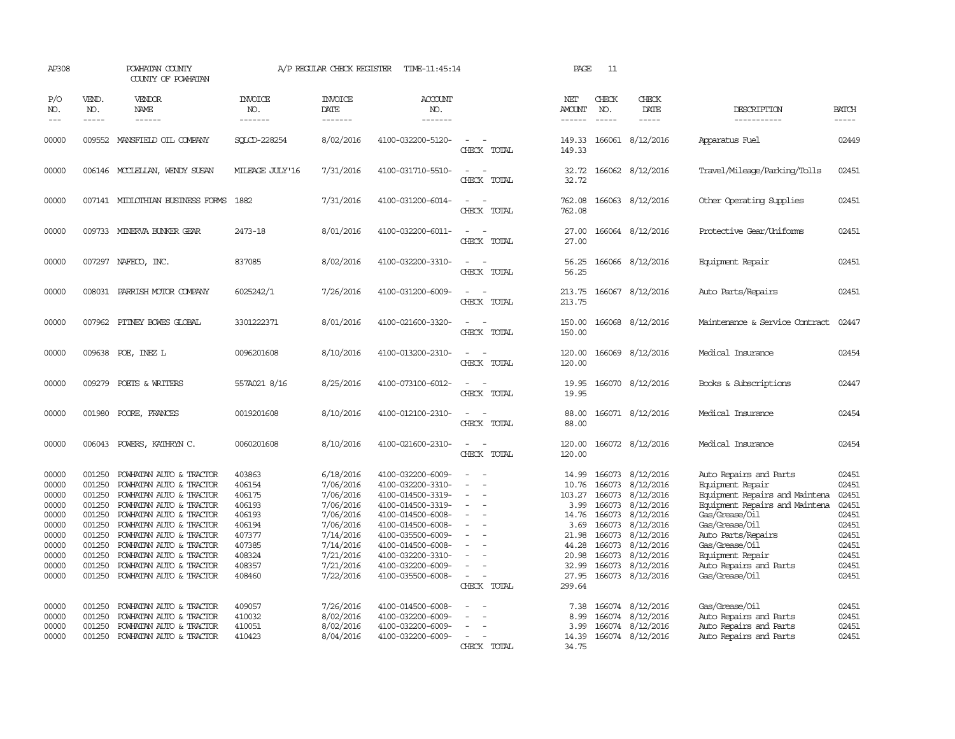| AP308                                                                                           |                                                                                                            | POWHATAN COUNTY<br>COUNTY OF POWHATAN                                                                                                                                                                                                                                                                 |                                                                                                            | A/P REGULAR CHECK REGISTER                                                                                                                  | TIME-11:45:14                                                                                                                                                                                                                       |                                         | PAGE                                                                                                     | 11                                                       |                                                                                                                                                                                |                                                                                                                                                                                                                                                            |                                                                                                 |
|-------------------------------------------------------------------------------------------------|------------------------------------------------------------------------------------------------------------|-------------------------------------------------------------------------------------------------------------------------------------------------------------------------------------------------------------------------------------------------------------------------------------------------------|------------------------------------------------------------------------------------------------------------|---------------------------------------------------------------------------------------------------------------------------------------------|-------------------------------------------------------------------------------------------------------------------------------------------------------------------------------------------------------------------------------------|-----------------------------------------|----------------------------------------------------------------------------------------------------------|----------------------------------------------------------|--------------------------------------------------------------------------------------------------------------------------------------------------------------------------------|------------------------------------------------------------------------------------------------------------------------------------------------------------------------------------------------------------------------------------------------------------|-------------------------------------------------------------------------------------------------|
| P/O<br>NO.<br>$---$                                                                             | VEND.<br>NO.<br>$\frac{1}{2}$                                                                              | VENDOR<br>NAME                                                                                                                                                                                                                                                                                        | <b>INVOICE</b><br>NO.<br>-------                                                                           | <b>INVOICE</b><br>DATE<br>-------                                                                                                           | <b>ACCOUNT</b><br>NO.<br>-------                                                                                                                                                                                                    |                                         | NET<br>AMOUNT<br>$- - - - - -$                                                                           | CHECK<br>NO.<br>$\frac{1}{2}$                            | CHECK<br>DATE<br>$- - - - -$                                                                                                                                                   | DESCRIPTION<br>-----------                                                                                                                                                                                                                                 | <b>BATCH</b><br>-----                                                                           |
| 00000                                                                                           |                                                                                                            | 009552 MANSFIELD OIL COMPANY                                                                                                                                                                                                                                                                          | SOLCD-228254                                                                                               | 8/02/2016                                                                                                                                   | 4100-032200-5120-                                                                                                                                                                                                                   | CHECK TOTAL                             | 149.33<br>149.33                                                                                         |                                                          | 166061 8/12/2016                                                                                                                                                               | Apparatus Fuel                                                                                                                                                                                                                                             | 02449                                                                                           |
| 00000                                                                                           |                                                                                                            | 006146 MCCLELLAN, WENDY SUSAN                                                                                                                                                                                                                                                                         | MILEAGE JULY'16                                                                                            | 7/31/2016                                                                                                                                   | 4100-031710-5510-                                                                                                                                                                                                                   | CHECK TOTAL                             | 32.72<br>32.72                                                                                           |                                                          | 166062 8/12/2016                                                                                                                                                               | Travel/Mileage/Parking/Tolls                                                                                                                                                                                                                               | 02451                                                                                           |
| 00000                                                                                           |                                                                                                            | 007141 MIDLOTHIAN BUSINESS FORMS                                                                                                                                                                                                                                                                      | 1882                                                                                                       | 7/31/2016                                                                                                                                   | 4100-031200-6014-                                                                                                                                                                                                                   | CHECK TOTAL                             | 762.08<br>762.08                                                                                         |                                                          | 166063 8/12/2016                                                                                                                                                               | Other Operating Supplies                                                                                                                                                                                                                                   | 02451                                                                                           |
| 00000                                                                                           |                                                                                                            | 009733 MINERVA BUNKER GEAR                                                                                                                                                                                                                                                                            | 2473-18                                                                                                    | 8/01/2016                                                                                                                                   | 4100-032200-6011-                                                                                                                                                                                                                   | $\sim$<br>CHECK TOTAL                   | 27.00<br>27.00                                                                                           |                                                          | 166064 8/12/2016                                                                                                                                                               | Protective Gear/Uniforms                                                                                                                                                                                                                                   | 02451                                                                                           |
| 00000                                                                                           |                                                                                                            | 007297 NAFECO, INC.                                                                                                                                                                                                                                                                                   | 837085                                                                                                     | 8/02/2016                                                                                                                                   | 4100-032200-3310-                                                                                                                                                                                                                   | $\sim$ $\sim$<br>CHECK TOTAL            | 56.25<br>56.25                                                                                           |                                                          | 166066 8/12/2016                                                                                                                                                               | Equipment Repair                                                                                                                                                                                                                                           | 02451                                                                                           |
| 00000                                                                                           |                                                                                                            | 008031 PARRISH MOTOR COMPANY                                                                                                                                                                                                                                                                          | 6025242/1                                                                                                  | 7/26/2016                                                                                                                                   | 4100-031200-6009-                                                                                                                                                                                                                   | $\sim$<br>CHECK TOTAL                   | 213.75<br>213.75                                                                                         |                                                          | 166067 8/12/2016                                                                                                                                                               | Auto Parts/Repairs                                                                                                                                                                                                                                         | 02451                                                                                           |
| 00000                                                                                           |                                                                                                            | 007962 PITNEY BOWES GLOBAL                                                                                                                                                                                                                                                                            | 3301222371                                                                                                 | 8/01/2016                                                                                                                                   | 4100-021600-3320-                                                                                                                                                                                                                   | CHECK TOTAL                             | 150.00<br>150.00                                                                                         |                                                          | 166068 8/12/2016                                                                                                                                                               | Maintenance & Service Contract                                                                                                                                                                                                                             | 02447                                                                                           |
| 00000                                                                                           |                                                                                                            | 009638 POE, INEZ L                                                                                                                                                                                                                                                                                    | 0096201608                                                                                                 | 8/10/2016                                                                                                                                   | 4100-013200-2310-                                                                                                                                                                                                                   | CHECK TOTAL                             | 120.00<br>120.00                                                                                         | 166069                                                   | 8/12/2016                                                                                                                                                                      | Medical Insurance                                                                                                                                                                                                                                          | 02454                                                                                           |
| 00000                                                                                           | 009279                                                                                                     | POETS & WRITERS                                                                                                                                                                                                                                                                                       | 557A021 8/16                                                                                               | 8/25/2016                                                                                                                                   | 4100-073100-6012-                                                                                                                                                                                                                   | CHECK TOTAL                             | 19.95<br>19.95                                                                                           |                                                          | 166070 8/12/2016                                                                                                                                                               | Books & Subscriptions                                                                                                                                                                                                                                      | 02447                                                                                           |
| 00000                                                                                           | 001980                                                                                                     | POORE, FRANCES                                                                                                                                                                                                                                                                                        | 0019201608                                                                                                 | 8/10/2016                                                                                                                                   | 4100-012100-2310-                                                                                                                                                                                                                   | CHRCK TOTAL                             | 88.00<br>88.00                                                                                           |                                                          | 166071 8/12/2016                                                                                                                                                               | Medical Insurance                                                                                                                                                                                                                                          | 02454                                                                                           |
| 00000                                                                                           |                                                                                                            | 006043 POWERS, KATHRYN C.                                                                                                                                                                                                                                                                             | 0060201608                                                                                                 | 8/10/2016                                                                                                                                   | 4100-021600-2310-                                                                                                                                                                                                                   | CHECK TOTAL                             | 120.00<br>120.00                                                                                         |                                                          | 166072 8/12/2016                                                                                                                                                               | Medical Insurance                                                                                                                                                                                                                                          | 02454                                                                                           |
| 00000<br>00000<br>00000<br>00000<br>00000<br>00000<br>00000<br>00000<br>00000<br>00000<br>00000 | 001250<br>001250<br>001250<br>001250<br>001250<br>001250<br>001250<br>001250<br>001250<br>001250<br>001250 | POWHATAN AUTO & TRACTOR<br>POWHATAN AUTO & TRACTOR<br>POWHATAN AUTO & TRACTOR<br>POWHATAN AUTO & TRACTOR<br>POWHATAN AUTO & TRACTOR<br>POWHATAN AUTO & TRACTOR<br>POWHATAN AUTO & TRACTOR<br>POWHATAN AUTO & TRACTOR<br>POWHATAN AUTO & TRACTOR<br>POWHATAN AUTO & TRACTOR<br>POWHATAN AUTO & TRACTOR | 403863<br>406154<br>406175<br>406193<br>406193<br>406194<br>407377<br>407385<br>408324<br>408357<br>408460 | 6/18/2016<br>7/06/2016<br>7/06/2016<br>7/06/2016<br>7/06/2016<br>7/06/2016<br>7/14/2016<br>7/14/2016<br>7/21/2016<br>7/21/2016<br>7/22/2016 | 4100-032200-6009-<br>4100-032200-3310-<br>4100-014500-3319-<br>4100-014500-3319-<br>4100-014500-6008-<br>4100-014500-6008-<br>4100-035500-6009-<br>4100-014500-6008-<br>4100-032200-3310-<br>4100-032200-6009-<br>4100-035500-6008- | $\overline{\phantom{a}}$<br>CHECK TOTAL | 14.99<br>10.76<br>103.27<br>3.99<br>14.76<br>3.69<br>21.98<br>44.28<br>20.98<br>32.99<br>27.95<br>299.64 | 166073<br>166073<br>166073<br>166073<br>166073<br>166073 | 166073 8/12/2016<br>8/12/2016<br>166073 8/12/2016<br>8/12/2016<br>8/12/2016<br>8/12/2016<br>166073 8/12/2016<br>166073 8/12/2016<br>8/12/2016<br>8/12/2016<br>166073 8/12/2016 | Auto Repairs and Parts<br>Equipment Repair<br>Equipment Repairs and Maintena<br>Equipment Repairs and Maintena<br>Gas/Grease/Oil<br>Gas/Grease/Oil<br>Auto Parts/Repairs<br>Gas/Grease/Oil<br>Equipment Repair<br>Auto Repairs and Parts<br>Gas/Grease/Oil | 02451<br>02451<br>02451<br>02451<br>02451<br>02451<br>02451<br>02451<br>02451<br>02451<br>02451 |
| 00000<br>00000<br>00000<br>00000                                                                | 001250<br>001250<br>001250<br>001250                                                                       | POWHATAN AUTO & TRACTOR<br>POWHATAN AUTO & TRACTOR<br>POWHATAN AUTO & TRACTOR<br>POWHATAN AUTO & TRACTOR                                                                                                                                                                                              | 409057<br>410032<br>410051<br>410423                                                                       | 7/26/2016<br>8/02/2016<br>8/02/2016<br>8/04/2016                                                                                            | 4100-014500-6008-<br>4100-032200-6009-<br>4100-032200-6009-<br>4100-032200-6009-                                                                                                                                                    | CHECK TOTAL                             | 7.38<br>8.99<br>3.99<br>14.39<br>34.75                                                                   |                                                          | 166074 8/12/2016<br>166074 8/12/2016<br>166074 8/12/2016<br>166074 8/12/2016                                                                                                   | Gas/Grease/Oil<br>Auto Repairs and Parts<br>Auto Repairs and Parts<br>Auto Repairs and Parts                                                                                                                                                               | 02451<br>02451<br>02451<br>02451                                                                |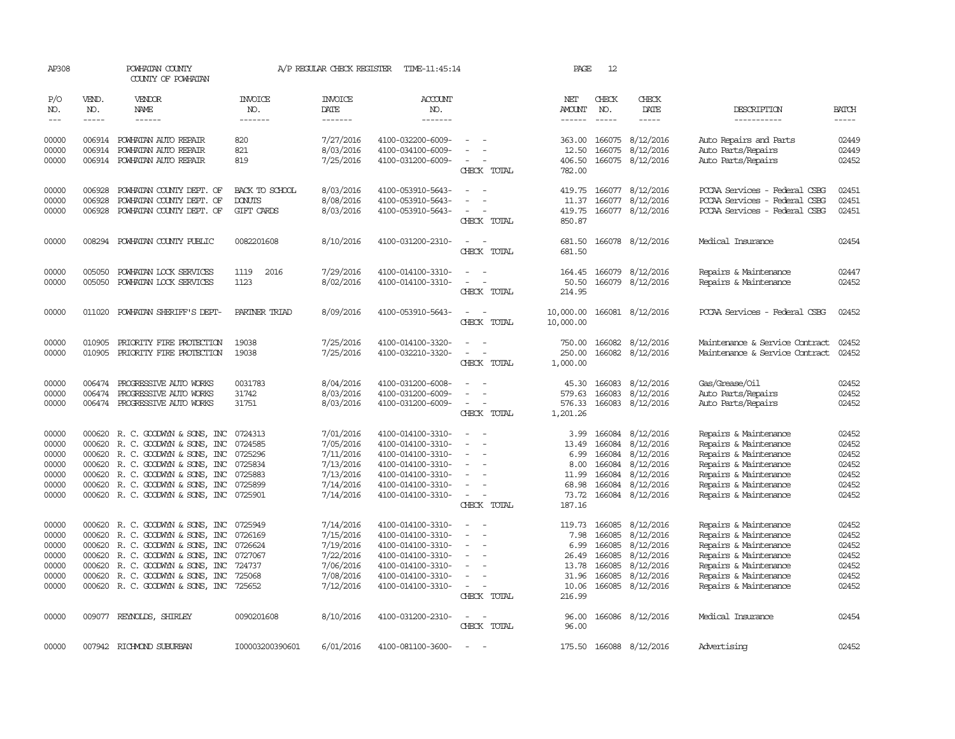| AP308                                                       |                                                          | POWHATAN COUNTY<br>COUNTY OF POWHATAN                                                                                                                                                                                                       |                                                                | A/P REGULAR CHECK REGISTER                                                              | TIME-11:45:14                                                                                                                                   |                                                                                                                             | PAGE                                                                 | 12                                                                 |                                                                                                |                                                                                                                                                                             |                                                             |
|-------------------------------------------------------------|----------------------------------------------------------|---------------------------------------------------------------------------------------------------------------------------------------------------------------------------------------------------------------------------------------------|----------------------------------------------------------------|-----------------------------------------------------------------------------------------|-------------------------------------------------------------------------------------------------------------------------------------------------|-----------------------------------------------------------------------------------------------------------------------------|----------------------------------------------------------------------|--------------------------------------------------------------------|------------------------------------------------------------------------------------------------|-----------------------------------------------------------------------------------------------------------------------------------------------------------------------------|-------------------------------------------------------------|
| P/O<br>NO.<br>$---$                                         | VEND.<br>NO.<br>$- - - - -$                              | VENDOR<br>NAME<br>$- - - - - -$                                                                                                                                                                                                             | <b>INVOICE</b><br>NO.<br>-------                               | <b>INVOICE</b><br>DATE<br>-------                                                       | <b>ACCOUNT</b><br>NO.<br>-------                                                                                                                |                                                                                                                             | NET<br>AMOUNT<br>$- - - - - -$                                       | CHECK<br>NO.<br>$- - - - -$                                        | CHECK<br>DATE<br>-----                                                                         | DESCRIPTION<br>-----------                                                                                                                                                  | <b>BATCH</b><br>$- - - - -$                                 |
|                                                             |                                                          |                                                                                                                                                                                                                                             |                                                                |                                                                                         |                                                                                                                                                 |                                                                                                                             |                                                                      |                                                                    |                                                                                                |                                                                                                                                                                             |                                                             |
| 00000<br>00000<br>00000                                     | 006914                                                   | 006914 POWHATAN AUTO REPAIR<br>POWHATAN AUTO REPAIR<br>006914 POWHATAN AUTO REPAIR                                                                                                                                                          | 820<br>821<br>819                                              | 7/27/2016<br>8/03/2016<br>7/25/2016                                                     | 4100-032200-6009-<br>4100-034100-6009-<br>4100-031200-6009-                                                                                     | CHECK TOTAL                                                                                                                 | 363.00<br>12.50<br>406.50<br>782.00                                  | 166075<br>166075                                                   | 8/12/2016<br>8/12/2016<br>166075 8/12/2016                                                     | Auto Repairs and Parts<br>Auto Parts/Repairs<br>Auto Parts/Repairs                                                                                                          | 02449<br>02449<br>02452                                     |
| 00000<br>00000<br>00000                                     | 006928<br>006928<br>006928                               | POWHATAN COUNTY DEPT. OF<br>POWHATAN COUNTY DEPT. OF<br>POWHATAN COUNTY DEPT. OF                                                                                                                                                            | BACK TO SCHOOL<br><b>DONUTS</b><br>GIFT CARDS                  | 8/03/2016<br>8/08/2016<br>8/03/2016                                                     | 4100-053910-5643-<br>4100-053910-5643-<br>4100-053910-5643-                                                                                     | $\equiv$<br>CHECK TOTAL                                                                                                     | 419.75<br>11.37<br>419.75<br>850.87                                  | 166077                                                             | 166077 8/12/2016<br>8/12/2016<br>166077 8/12/2016                                              | PCCAA Services - Federal CSBG<br>PCCAA Services - Federal CSBG<br>PCCAA Services - Federal CSBG                                                                             | 02451<br>02451<br>02451                                     |
| 00000                                                       |                                                          | 008294 POWHATAN COUNTY PUBLIC                                                                                                                                                                                                               | 0082201608                                                     | 8/10/2016                                                                               | 4100-031200-2310-                                                                                                                               | $\equiv$<br>CHECK TOTAL                                                                                                     | 681.50<br>681.50                                                     |                                                                    | 166078 8/12/2016                                                                               | Medical Insurance                                                                                                                                                           | 02454                                                       |
| 00000<br>00000                                              | 005050<br>005050                                         | POWHATAN LOCK SERVICES<br>POWHATAN LOCK SERVICES                                                                                                                                                                                            | 1119<br>2016<br>1123                                           | 7/29/2016<br>8/02/2016                                                                  | 4100-014100-3310-<br>4100-014100-3310-                                                                                                          | $\equiv$<br>$\overline{\phantom{a}}$<br>CHECK TOTAL                                                                         | 164.45<br>50.50<br>214.95                                            |                                                                    | 166079 8/12/2016<br>166079 8/12/2016                                                           | Repairs & Maintenance<br>Repairs & Maintenance                                                                                                                              | 02447<br>02452                                              |
| 00000                                                       |                                                          | 011020 POWHATAN SHERIFF'S DEPT-                                                                                                                                                                                                             | PARINER TRIAD                                                  | 8/09/2016                                                                               | 4100-053910-5643-                                                                                                                               | $\frac{1}{2} \left( \frac{1}{2} \right) \left( \frac{1}{2} \right) = \frac{1}{2} \left( \frac{1}{2} \right)$<br>CHECK TOTAL | 10,000.00<br>10,000.00                                               |                                                                    | 166081 8/12/2016                                                                               | PCCAA Services - Federal CSBG                                                                                                                                               | 02452                                                       |
| 00000<br>00000                                              | 010905                                                   | PRIORITY FIRE PROTECTION<br>010905 PRIORITY FIRE PROTECTION                                                                                                                                                                                 | 19038<br>19038                                                 | 7/25/2016<br>7/25/2016                                                                  | 4100-014100-3320-<br>4100-032210-3320-                                                                                                          | CHECK TOTAL                                                                                                                 | 750.00<br>250.00<br>1,000.00                                         | 166082                                                             | 8/12/2016<br>166082 8/12/2016                                                                  | Maintenance & Service Contract<br>Maintenance & Service Contract                                                                                                            | 02452<br>02452                                              |
| 00000<br>00000<br>00000                                     | 006474<br>006474                                         | PROGRESSIVE AUTO WORKS<br>PROGRESSIVE AUTO WORKS<br>006474 PROGRESSIVE AUTO WORKS                                                                                                                                                           | 0031783<br>31742<br>31751                                      | 8/04/2016<br>8/03/2016<br>8/03/2016                                                     | 4100-031200-6008-<br>4100-031200-6009-<br>4100-031200-6009-                                                                                     | CHECK TOTAL                                                                                                                 | 45.30<br>579.63<br>576.33<br>1,201.26                                | 166083<br>166083<br>166083                                         | 8/12/2016<br>8/12/2016<br>8/12/2016                                                            | Gas/Grease/Oil<br>Auto Parts/Repairs<br>Auto Parts/Repairs                                                                                                                  | 02452<br>02452<br>02452                                     |
| 00000<br>00000<br>00000<br>00000<br>00000<br>00000<br>00000 | 000620<br>000620<br>000620                               | 000620 R. C. GOODWYN & SONS, INC<br>R. C. GOODWYN & SONS, INC<br>R. C. GOODWIN & SONS, INC<br>R. C. GOODWYN & SONS, INC<br>000620 R. C. GOODWYN & SONS, INC<br>000620 R. C. GOODWYN & SONS, INC<br>000620 R. C. GOODWYN & SONS, INC 0725901 | 0724313<br>0724585<br>0725296<br>0725834<br>0725883<br>0725899 | 7/01/2016<br>7/05/2016<br>7/11/2016<br>7/13/2016<br>7/13/2016<br>7/14/2016<br>7/14/2016 | 4100-014100-3310-<br>4100-014100-3310-<br>4100-014100-3310-<br>4100-014100-3310-<br>4100-014100-3310-<br>4100-014100-3310-<br>4100-014100-3310- | $\equiv$<br>$\equiv$<br>CHECK TOTAL                                                                                         | 3.99<br>13.49<br>6.99<br>8.00<br>11.99<br>68.98<br>73.72<br>187.16   | 166084<br>166084<br>166084<br>166084<br>166084<br>166084<br>166084 | 8/12/2016<br>8/12/2016<br>8/12/2016<br>8/12/2016<br>8/12/2016<br>8/12/2016<br>8/12/2016        | Repairs & Maintenance<br>Repairs & Maintenance<br>Repairs & Maintenance<br>Repairs & Maintenance<br>Repairs & Maintenance<br>Repairs & Maintenance<br>Repairs & Maintenance | 02452<br>02452<br>02452<br>02452<br>02452<br>02452<br>02452 |
| 00000<br>00000<br>00000<br>00000<br>00000<br>00000<br>00000 | 000620<br>000620<br>000620<br>000620<br>000620<br>000620 | R. C. GOODWYN & SONS, INC<br>R. C. GOODWYN & SONS, INC<br>R. C. GOODWYN & SONS, INC<br>R. C. GOODWYN & SONS, INC<br>R. C. GOODWYN & SONS, INC<br>R. C. GOODWYN & SONS, INC<br>000620 R. C. GOODWYN & SONS, INC 725652                       | 0725949<br>0726169<br>0726624<br>0727067<br>724737<br>725068   | 7/14/2016<br>7/15/2016<br>7/19/2016<br>7/22/2016<br>7/06/2016<br>7/08/2016<br>7/12/2016 | 4100-014100-3310-<br>4100-014100-3310-<br>4100-014100-3310-<br>4100-014100-3310-<br>4100-014100-3310-<br>4100-014100-3310-<br>4100-014100-3310- | $\sim$<br>$\sim$<br>CHECK TOTAL                                                                                             | 119.73<br>7.98<br>6.99<br>26.49<br>13.78<br>31.96<br>10.06<br>216.99 | 166085<br>166085<br>166085<br>166085<br>166085<br>166085           | 8/12/2016<br>8/12/2016<br>8/12/2016<br>8/12/2016<br>8/12/2016<br>8/12/2016<br>166085 8/12/2016 | Repairs & Maintenance<br>Repairs & Maintenance<br>Repairs & Maintenance<br>Repairs & Maintenance<br>Repairs & Maintenance<br>Repairs & Maintenance<br>Repairs & Maintenance | 02452<br>02452<br>02452<br>02452<br>02452<br>02452<br>02452 |
| 00000                                                       |                                                          | 009077 REYNOLDS, SHIRLEY                                                                                                                                                                                                                    | 0090201608                                                     | 8/10/2016                                                                               | 4100-031200-2310-                                                                                                                               | $\frac{1}{2} \left( \frac{1}{2} \right) \left( \frac{1}{2} \right) = \frac{1}{2} \left( \frac{1}{2} \right)$<br>CHECK TOTAL | 96.00<br>96.00                                                       |                                                                    | 166086 8/12/2016                                                                               | Medical Insurance                                                                                                                                                           | 02454                                                       |
| 00000                                                       |                                                          | 007942 RICHMOND SUBURBAN                                                                                                                                                                                                                    | 100003200390601                                                | 6/01/2016                                                                               | 4100-081100-3600-                                                                                                                               |                                                                                                                             |                                                                      |                                                                    | 175.50 166088 8/12/2016                                                                        | Advertising                                                                                                                                                                 | 02452                                                       |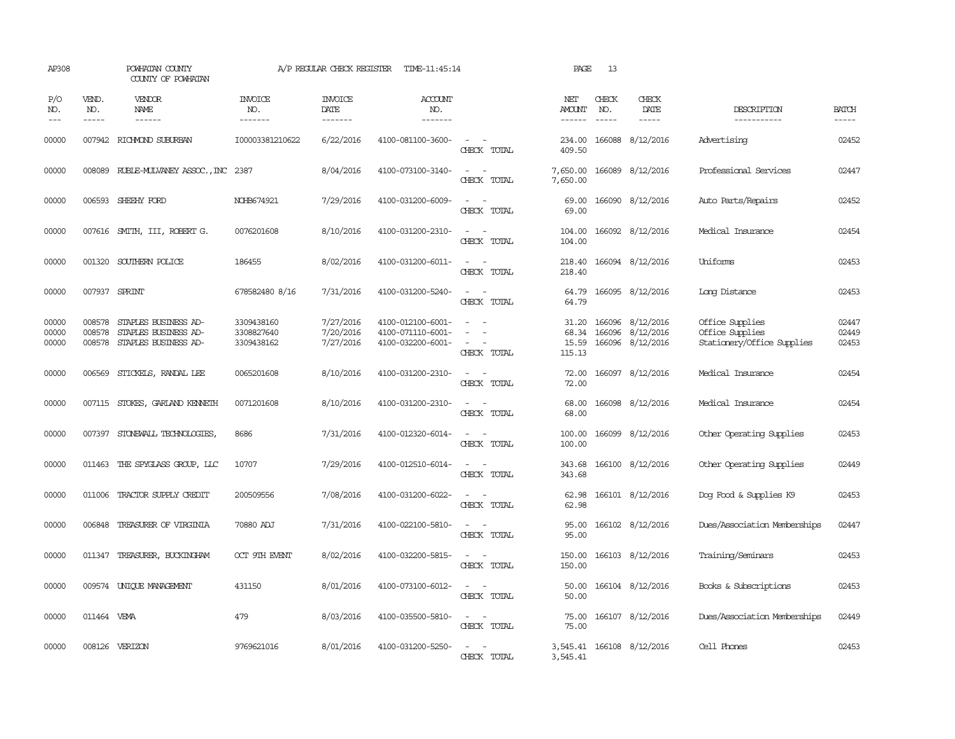| AP308                   |                             | POWHATAN COUNTY<br>COUNTY OF POWHATAN                                |                                        | A/P REGULAR CHECK REGISTER          | TIME-11:45:14                                               |                                                                                                                                          | PAGE                              | 13           |                                                   |                                                                  |                         |
|-------------------------|-----------------------------|----------------------------------------------------------------------|----------------------------------------|-------------------------------------|-------------------------------------------------------------|------------------------------------------------------------------------------------------------------------------------------------------|-----------------------------------|--------------|---------------------------------------------------|------------------------------------------------------------------|-------------------------|
| P/O<br>NO.<br>$---$     | VEND.<br>NO.<br>$- - - - -$ | <b>VENDOR</b><br>NAME<br>$- - - - - -$                               | <b>INVOICE</b><br>NO.<br>-------       | <b>INVOICE</b><br>DATE<br>-------   | <b>ACCOUNT</b><br>NO.<br>-------                            |                                                                                                                                          | NET<br><b>AMOUNT</b><br>------    | CHECK<br>NO. | CHECK<br>DATE<br>$- - - - -$                      | DESCRIPTION<br>-----------                                       | <b>BATCH</b><br>-----   |
| 00000                   |                             | 007942 RICHMOND SUBURBAN                                             | I00003381210622                        | 6/22/2016                           | 4100-081100-3600-                                           | $\omega_{\rm{max}}$<br>CHECK TOTAL                                                                                                       | 234.00<br>409.50                  |              | 166088 8/12/2016                                  | Advertising                                                      | 02452                   |
| 00000                   |                             | 008089 RUBLE-MULVANEY ASSOC., INC                                    | 2387                                   | 8/04/2016                           | 4100-073100-3140-                                           | $\frac{1}{2} \left( \frac{1}{2} \right) \left( \frac{1}{2} \right) = \frac{1}{2} \left( \frac{1}{2} \right)$<br>CHECK TOTAL              | 7,650.00<br>7,650.00              |              | 166089 8/12/2016                                  | Professional Services                                            | 02447                   |
| 00000                   |                             | 006593 SHEEHY FORD                                                   | NOHB674921                             | 7/29/2016                           | 4100-031200-6009-                                           | $\sim$<br>$\sim$<br>CHECK TOTAL                                                                                                          | 69.00<br>69.00                    |              | 166090 8/12/2016                                  | Auto Parts/Repairs                                               | 02452                   |
| 00000                   |                             | 007616 SMITH, III, ROBERT G.                                         | 0076201608                             | 8/10/2016                           | 4100-031200-2310-                                           | $\sim$<br>$\sim$<br>CHECK TOTAL                                                                                                          | 104.00<br>104.00                  |              | 166092 8/12/2016                                  | Medical Insurance                                                | 02454                   |
| 00000                   |                             | 001320 SOUTHERN POLICE                                               | 186455                                 | 8/02/2016                           | 4100-031200-6011-                                           | $\frac{1}{2} \left( \frac{1}{2} \right) \left( \frac{1}{2} \right) \left( \frac{1}{2} \right) \left( \frac{1}{2} \right)$<br>CHECK TOTAL | 218.40<br>218.40                  |              | 166094 8/12/2016                                  | Uniforms                                                         | 02453                   |
| 00000                   | 007937 SPRINT               |                                                                      | 678582480 8/16                         | 7/31/2016                           | 4100-031200-5240-                                           | $\frac{1}{2} \left( \frac{1}{2} \right) \left( \frac{1}{2} \right) = \frac{1}{2} \left( \frac{1}{2} \right)$<br>CHECK TOTAL              | 64.79<br>64.79                    |              | 166095 8/12/2016                                  | Long Distance                                                    | 02453                   |
| 00000<br>00000<br>00000 | 008578<br>008578<br>008578  | STAPLES BUSINESS AD-<br>STAPLES BUSINESS AD-<br>STAPLES BUSINESS AD- | 3309438160<br>3308827640<br>3309438162 | 7/27/2016<br>7/20/2016<br>7/27/2016 | 4100-012100-6001-<br>4100-071110-6001-<br>4100-032200-6001- | $\overline{\phantom{a}}$<br>$\overline{\phantom{a}}$<br>CHECK TOTAL                                                                      | 31.20<br>68.34<br>15.59<br>115.13 | 166096       | 166096 8/12/2016<br>8/12/2016<br>166096 8/12/2016 | Office Supplies<br>Office Supplies<br>Stationery/Office Supplies | 02447<br>02449<br>02453 |
| 00000                   | 006569                      | STICKELS, RANDAL LEE                                                 | 0065201608                             | 8/10/2016                           | 4100-031200-2310-                                           | $\equiv$<br>CHECK TOTAL                                                                                                                  | 72.00<br>72.00                    |              | 166097 8/12/2016                                  | Medical Insurance                                                | 02454                   |
| 00000                   |                             | 007115 STOKES, GARLAND KENNETH                                       | 0071201608                             | 8/10/2016                           | 4100-031200-2310-                                           | $\sim$<br>$\sim$<br>CHECK TOTAL                                                                                                          | 68.00<br>68.00                    |              | 166098 8/12/2016                                  | Medical Insurance                                                | 02454                   |
| 00000                   | 007397                      | STONEWALL TECHNOLOGIES,                                              | 8686                                   | 7/31/2016                           | 4100-012320-6014-                                           | CHECK TOTAL                                                                                                                              | 100.00<br>100.00                  |              | 166099 8/12/2016                                  | Other Operating Supplies                                         | 02453                   |
| 00000                   |                             | 011463 THE SPYGLASS GROUP, LLC                                       | 10707                                  | 7/29/2016                           | 4100-012510-6014-                                           | $\sim$<br>CHECK TOTAL                                                                                                                    | 343.68<br>343.68                  |              | 166100 8/12/2016                                  | Other Operating Supplies                                         | 02449                   |
| 00000                   |                             | 011006 TRACTOR SUPPLY CREDIT                                         | 200509556                              | 7/08/2016                           | 4100-031200-6022-                                           | $\sim$ $-$<br>$\sim$<br>CHECK TOTAL                                                                                                      | 62.98<br>62.98                    |              | 166101 8/12/2016                                  | Dog Food & Supplies K9                                           | 02453                   |
| 00000                   |                             | 006848 TREASURER OF VIRGINIA                                         | 70880 ADJ                              | 7/31/2016                           | 4100-022100-5810-                                           | $\frac{1}{2} \left( \frac{1}{2} \right) \left( \frac{1}{2} \right) = \frac{1}{2} \left( \frac{1}{2} \right)$<br>CHECK TOTAL              | 95.00<br>95.00                    |              | 166102 8/12/2016                                  | Dues/Association Memberships                                     | 02447                   |
| 00000                   |                             | 011347 TREASURER, BUCKINGHAM                                         | OCT 9TH EVENT                          | 8/02/2016                           | 4100-032200-5815-                                           | $\omega_{\rm{max}}$ and $\omega_{\rm{max}}$<br>CHECK TOTAL                                                                               | 150.00<br>150.00                  |              | 166103 8/12/2016                                  | Training/Seminars                                                | 02453                   |
| 00000                   |                             | 009574 UNIQUE MANAGEMENT                                             | 431150                                 | 8/01/2016                           | 4100-073100-6012-                                           | $\sim$<br>$\sim$<br>CHECK TOTAL                                                                                                          | 50.00<br>50.00                    |              | 166104 8/12/2016                                  | Books & Subscriptions                                            | 02453                   |
| 00000                   | 011464 VEMA                 |                                                                      | 479                                    | 8/03/2016                           | 4100-035500-5810-                                           | $\frac{1}{2} \left( \frac{1}{2} \right) \left( \frac{1}{2} \right) = \frac{1}{2} \left( \frac{1}{2} \right)$<br>CHECK TOTAL              | 75.00<br>75.00                    |              | 166107 8/12/2016                                  | Dues/Association Memberships                                     | 02449                   |
| 00000                   |                             | 008126 VERIZON                                                       | 9769621016                             | 8/01/2016                           | 4100-031200-5250-                                           | $ -$<br>CHECK TOTAL                                                                                                                      | 3,545.41                          |              | 3,545.41 166108 8/12/2016                         | Cell Phones                                                      | 02453                   |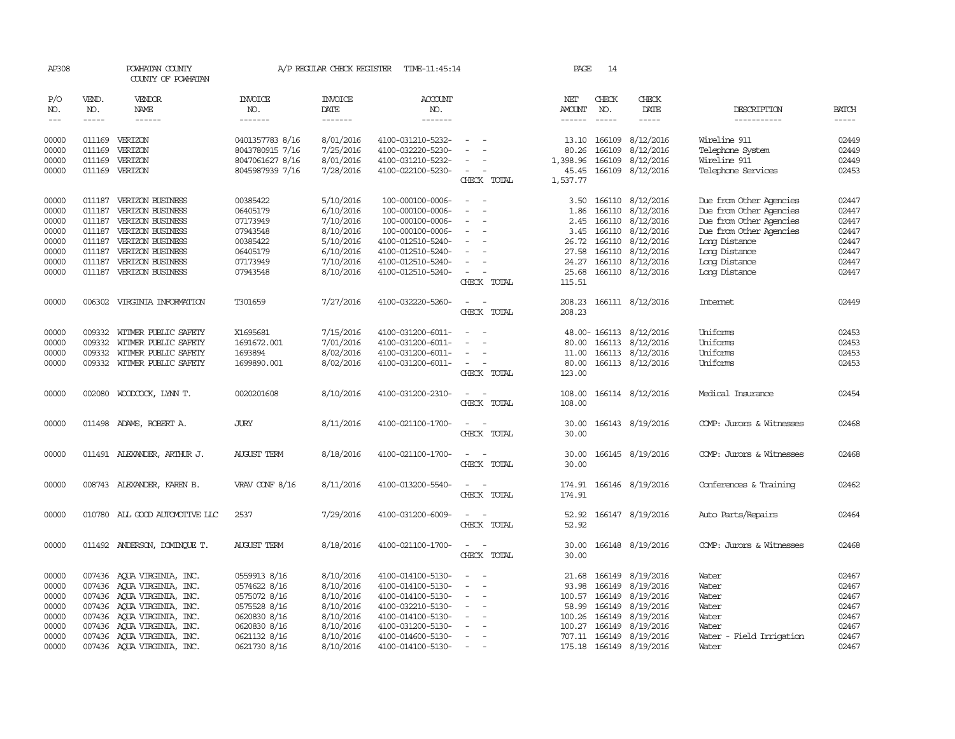| AP308               |              | POWHATAN COUNTY<br>COUNTY OF POWHATAN |                       | A/P REGULAR CHECK REGISTER    | TIME-11:45:14         |                                                      | PAGE                 | 14                                                                                                                                                                                                                                                                                                                                                                                                                                                                                  |                         |                          |                                                                                                                                                                                                                                                                                                                                                                                                                                                         |
|---------------------|--------------|---------------------------------------|-----------------------|-------------------------------|-----------------------|------------------------------------------------------|----------------------|-------------------------------------------------------------------------------------------------------------------------------------------------------------------------------------------------------------------------------------------------------------------------------------------------------------------------------------------------------------------------------------------------------------------------------------------------------------------------------------|-------------------------|--------------------------|---------------------------------------------------------------------------------------------------------------------------------------------------------------------------------------------------------------------------------------------------------------------------------------------------------------------------------------------------------------------------------------------------------------------------------------------------------|
| P/O<br>NO.          | VEND.<br>NO. | VENDOR<br>NAME                        | <b>INVOICE</b><br>NO. | <b>INVOICE</b><br><b>DATE</b> | <b>ACCOUNT</b><br>NO. |                                                      | NET<br><b>AMOUNT</b> | CHECK<br>NO.                                                                                                                                                                                                                                                                                                                                                                                                                                                                        | CHECK<br>DATE           | DESCRIPTION              | <b>BATCH</b>                                                                                                                                                                                                                                                                                                                                                                                                                                            |
| $\qquad \qquad - -$ | $- - - - -$  | ------                                | -------               |                               | -------               |                                                      | ------               | $\begin{tabular}{ccccc} \multicolumn{2}{c}{} & \multicolumn{2}{c}{} & \multicolumn{2}{c}{} & \multicolumn{2}{c}{} & \multicolumn{2}{c}{} & \multicolumn{2}{c}{} & \multicolumn{2}{c}{} & \multicolumn{2}{c}{} & \multicolumn{2}{c}{} & \multicolumn{2}{c}{} & \multicolumn{2}{c}{} & \multicolumn{2}{c}{} & \multicolumn{2}{c}{} & \multicolumn{2}{c}{} & \multicolumn{2}{c}{} & \multicolumn{2}{c}{} & \multicolumn{2}{c}{} & \multicolumn{2}{c}{} & \multicolumn{2}{c}{} & \mult$ | -----                   | -----------              | $\begin{tabular}{ccccc} \multicolumn{2}{c }{\multicolumn{2}{c }{\multicolumn{2}{c }{\multicolumn{2}{c}}{\hspace{-2.2cm}}}} \multicolumn{2}{c }{\multicolumn{2}{c }{\hspace{-2.2cm}}\hline} \multicolumn{2}{c }{\hspace{-2.2cm}}\hline \multicolumn{2}{c }{\hspace{-2.2cm}}\hline \multicolumn{2}{c }{\hspace{-2.2cm}}\hline \multicolumn{2}{c }{\hspace{-2.2cm}}\hline \multicolumn{2}{c }{\hspace{-2.2cm}}\hline \multicolumn{2}{c }{\hspace{-2.2cm}}$ |
| 00000               |              | 011169 VERIZON                        | 0401357783 8/16       | 8/01/2016                     | 4100-031210-5232-     |                                                      | 13.10                | 166109                                                                                                                                                                                                                                                                                                                                                                                                                                                                              | 8/12/2016               | Wireline 911             | 02449                                                                                                                                                                                                                                                                                                                                                                                                                                                   |
| 00000               | 011169       | VERIZON                               | 8043780915 7/16       | 7/25/2016                     | 4100-032220-5230-     | $\sim$                                               | 80.26                | 166109                                                                                                                                                                                                                                                                                                                                                                                                                                                                              | 8/12/2016               | Telephone System         | 02449                                                                                                                                                                                                                                                                                                                                                                                                                                                   |
| 00000               | 011169       | VERIZON                               | 8047061627 8/16       | 8/01/2016                     | 4100-031210-5232-     | $\equiv$                                             | 1,398.96             | 166109                                                                                                                                                                                                                                                                                                                                                                                                                                                                              | 8/12/2016               | Wireline 911             | 02449                                                                                                                                                                                                                                                                                                                                                                                                                                                   |
| 00000               |              | 011169 VERIZON                        | 8045987939 7/16       | 7/28/2016                     | 4100-022100-5230-     | $\sim$                                               | 45.45                |                                                                                                                                                                                                                                                                                                                                                                                                                                                                                     | 166109 8/12/2016        | Telephone Services       | 02453                                                                                                                                                                                                                                                                                                                                                                                                                                                   |
|                     |              |                                       |                       |                               |                       | CHECK TOTAL                                          | 1,537.77             |                                                                                                                                                                                                                                                                                                                                                                                                                                                                                     |                         |                          |                                                                                                                                                                                                                                                                                                                                                                                                                                                         |
| 00000               |              | 011187 VERIZON BUSINESS               | 00385422              | 5/10/2016                     | 100-000100-0006-      | $\sim$<br>$\overline{\phantom{a}}$                   | 3.50                 |                                                                                                                                                                                                                                                                                                                                                                                                                                                                                     | 166110 8/12/2016        | Due from Other Agencies  | 02447                                                                                                                                                                                                                                                                                                                                                                                                                                                   |
| 00000               | 011187       | VERIZON BUSINESS                      | 06405179              | 6/10/2016                     | 100-000100-0006-      | $\sim$<br>$\sim$                                     | 1.86                 | 166110                                                                                                                                                                                                                                                                                                                                                                                                                                                                              | 8/12/2016               | Due from Other Agencies  | 02447                                                                                                                                                                                                                                                                                                                                                                                                                                                   |
| 00000               | 011187       | VERIZON BUSINESS                      | 07173949              | 7/10/2016                     | 100-000100-0006-      | $\equiv$                                             | 2.45                 |                                                                                                                                                                                                                                                                                                                                                                                                                                                                                     | 166110 8/12/2016        | Due from Other Agencies  | 02447                                                                                                                                                                                                                                                                                                                                                                                                                                                   |
| 00000               | 011187       | VERIZON BUSINESS                      | 07943548              | 8/10/2016                     | 100-000100-0006-      | $\equiv$                                             | 3.45                 | 166110                                                                                                                                                                                                                                                                                                                                                                                                                                                                              | 8/12/2016               | Due from Other Agencies  | 02447                                                                                                                                                                                                                                                                                                                                                                                                                                                   |
| 00000               |              | 011187 VERIZON BUSINESS               | 00385422              | 5/10/2016                     | 4100-012510-5240-     | $\overline{\phantom{a}}$                             | 26.72                | 166110                                                                                                                                                                                                                                                                                                                                                                                                                                                                              | 8/12/2016               | Long Distance            | 02447                                                                                                                                                                                                                                                                                                                                                                                                                                                   |
| 00000               | 011187       | VERIZON BUSINESS                      | 06405179              | 6/10/2016                     | 4100-012510-5240-     | $\overline{\phantom{a}}$                             | 27.58                | 166110                                                                                                                                                                                                                                                                                                                                                                                                                                                                              | 8/12/2016               | Long Distance            | 02447                                                                                                                                                                                                                                                                                                                                                                                                                                                   |
| 00000               | 011187       | VERIZON BUSINESS                      | 07173949              |                               | 4100-012510-5240-     |                                                      | 24.27                |                                                                                                                                                                                                                                                                                                                                                                                                                                                                                     | 166110 8/12/2016        | Long Distance            | 02447                                                                                                                                                                                                                                                                                                                                                                                                                                                   |
| 00000               |              | 011187 VERIZON BUSINESS               | 07943548              | 7/10/2016<br>8/10/2016        | 4100-012510-5240-     | $\overline{\phantom{a}}$                             | 25.68                |                                                                                                                                                                                                                                                                                                                                                                                                                                                                                     | 166110 8/12/2016        | Long Distance            | 02447                                                                                                                                                                                                                                                                                                                                                                                                                                                   |
|                     |              |                                       |                       |                               |                       | CHECK TOTAL                                          | 115.51               |                                                                                                                                                                                                                                                                                                                                                                                                                                                                                     |                         |                          |                                                                                                                                                                                                                                                                                                                                                                                                                                                         |
|                     |              |                                       |                       |                               |                       |                                                      |                      |                                                                                                                                                                                                                                                                                                                                                                                                                                                                                     |                         |                          |                                                                                                                                                                                                                                                                                                                                                                                                                                                         |
| 00000               |              | 006302 VIRGINIA INFORMATION           | T301659               | 7/27/2016                     | 4100-032220-5260-     |                                                      | 208.23               |                                                                                                                                                                                                                                                                                                                                                                                                                                                                                     | 166111 8/12/2016        | <b>Internet</b>          | 02449                                                                                                                                                                                                                                                                                                                                                                                                                                                   |
|                     |              |                                       |                       |                               |                       | CHECK TOTAL                                          | 208.23               |                                                                                                                                                                                                                                                                                                                                                                                                                                                                                     |                         |                          |                                                                                                                                                                                                                                                                                                                                                                                                                                                         |
| 00000               | 009332       | WITMER PUBLIC SAFETY                  | X1695681              | 7/15/2016                     | 4100-031200-6011-     |                                                      |                      |                                                                                                                                                                                                                                                                                                                                                                                                                                                                                     | 48.00-166113 8/12/2016  | Uniforms                 | 02453                                                                                                                                                                                                                                                                                                                                                                                                                                                   |
| 00000               | 009332       | WITMER PUBLIC SAFETY                  | 1691672.001           | 7/01/2016                     | 4100-031200-6011-     | $\sim$<br>$\sim$                                     | 80.00                |                                                                                                                                                                                                                                                                                                                                                                                                                                                                                     | 166113 8/12/2016        | Uniforms                 | 02453                                                                                                                                                                                                                                                                                                                                                                                                                                                   |
| 00000               |              | 009332 WITMER PUBLIC SAFETY           | 1693894               | 8/02/2016                     | 4100-031200-6011-     | $\equiv$                                             | 11.00                |                                                                                                                                                                                                                                                                                                                                                                                                                                                                                     | 166113 8/12/2016        | Uniforms                 | 02453                                                                                                                                                                                                                                                                                                                                                                                                                                                   |
| 00000               |              | 009332 WITMER PUBLIC SAFETY           | 1699890.001           | 8/02/2016                     | 4100-031200-6011-     | $\sim$                                               | 80.00                |                                                                                                                                                                                                                                                                                                                                                                                                                                                                                     | 166113 8/12/2016        | Uniforms                 | 02453                                                                                                                                                                                                                                                                                                                                                                                                                                                   |
|                     |              |                                       |                       |                               |                       | CHECK TOTAL                                          | 123.00               |                                                                                                                                                                                                                                                                                                                                                                                                                                                                                     |                         |                          |                                                                                                                                                                                                                                                                                                                                                                                                                                                         |
| 00000               | 002080       | WOODCOCK, LYNN T.                     | 0020201608            | 8/10/2016                     | 4100-031200-2310-     |                                                      | 108.00               |                                                                                                                                                                                                                                                                                                                                                                                                                                                                                     | 166114 8/12/2016        | Medical Insurance        | 02454                                                                                                                                                                                                                                                                                                                                                                                                                                                   |
|                     |              |                                       |                       |                               |                       | CHECK TOTAL                                          | 108.00               |                                                                                                                                                                                                                                                                                                                                                                                                                                                                                     |                         |                          |                                                                                                                                                                                                                                                                                                                                                                                                                                                         |
|                     |              |                                       |                       |                               |                       |                                                      |                      |                                                                                                                                                                                                                                                                                                                                                                                                                                                                                     |                         |                          |                                                                                                                                                                                                                                                                                                                                                                                                                                                         |
| 00000               |              | 011498 ADAMS, ROBERT A.               | <b>JURY</b>           | 8/11/2016                     | 4100-021100-1700-     |                                                      | 30.00                |                                                                                                                                                                                                                                                                                                                                                                                                                                                                                     | 166143 8/19/2016        | COMP: Jurors & Witnesses | 02468                                                                                                                                                                                                                                                                                                                                                                                                                                                   |
|                     |              |                                       |                       |                               |                       | CHECK TOTAL                                          | 30.00                |                                                                                                                                                                                                                                                                                                                                                                                                                                                                                     |                         |                          |                                                                                                                                                                                                                                                                                                                                                                                                                                                         |
| 00000               |              | 011491 ALEXANDER, ARTHUR J.           | <b>AUGUST TERM</b>    | 8/18/2016                     | 4100-021100-1700-     |                                                      | 30.00                |                                                                                                                                                                                                                                                                                                                                                                                                                                                                                     | 166145 8/19/2016        | COMP: Jurors & Witnesses | 02468                                                                                                                                                                                                                                                                                                                                                                                                                                                   |
|                     |              |                                       |                       |                               |                       | CHECK TOTAL                                          | 30.00                |                                                                                                                                                                                                                                                                                                                                                                                                                                                                                     |                         |                          |                                                                                                                                                                                                                                                                                                                                                                                                                                                         |
| 00000               |              | 008743 ALEXANDER, KAREN B.            | VRAV CONF 8/16        | 8/11/2016                     | 4100-013200-5540-     |                                                      |                      |                                                                                                                                                                                                                                                                                                                                                                                                                                                                                     | 174.91 166146 8/19/2016 | Conferences & Training   | 02462                                                                                                                                                                                                                                                                                                                                                                                                                                                   |
|                     |              |                                       |                       |                               |                       | CHECK TOTAL                                          | 174.91               |                                                                                                                                                                                                                                                                                                                                                                                                                                                                                     |                         |                          |                                                                                                                                                                                                                                                                                                                                                                                                                                                         |
| 00000               |              | 010780 ALL GOOD AUTOMOTIVE LLC        | 2537                  | 7/29/2016                     | 4100-031200-6009-     |                                                      |                      |                                                                                                                                                                                                                                                                                                                                                                                                                                                                                     | 52.92 166147 8/19/2016  |                          | 02464                                                                                                                                                                                                                                                                                                                                                                                                                                                   |
|                     |              |                                       |                       |                               |                       | CHECK TOTAL                                          | 52.92                |                                                                                                                                                                                                                                                                                                                                                                                                                                                                                     |                         | Auto Parts/Repairs       |                                                                                                                                                                                                                                                                                                                                                                                                                                                         |
|                     |              |                                       |                       |                               |                       |                                                      |                      |                                                                                                                                                                                                                                                                                                                                                                                                                                                                                     |                         |                          |                                                                                                                                                                                                                                                                                                                                                                                                                                                         |
| 00000               |              | 011492 ANDERSON, DOMINQUE T.          | <b>AUGUST TERM</b>    | 8/18/2016                     | 4100-021100-1700-     | $\sim$<br>$\sim$<br>CHECK TOTAL                      | 30.00<br>30.00       |                                                                                                                                                                                                                                                                                                                                                                                                                                                                                     | 166148 8/19/2016        | COMP: Jurors & Witnesses | 02468                                                                                                                                                                                                                                                                                                                                                                                                                                                   |
|                     |              |                                       |                       |                               |                       |                                                      |                      |                                                                                                                                                                                                                                                                                                                                                                                                                                                                                     |                         |                          |                                                                                                                                                                                                                                                                                                                                                                                                                                                         |
| 00000               |              | 007436 AQUA VIRGINIA, INC.            | 0559913 8/16          | 8/10/2016                     | 4100-014100-5130-     | $\overline{\phantom{a}}$                             | 21.68                | 166149                                                                                                                                                                                                                                                                                                                                                                                                                                                                              | 8/19/2016               | Water                    | 02467                                                                                                                                                                                                                                                                                                                                                                                                                                                   |
| 00000               |              | 007436 AQUA VIRGINIA, INC.            | 0574622 8/16          | 8/10/2016                     | 4100-014100-5130-     | $\overline{\phantom{a}}$<br>$\overline{\phantom{a}}$ | 93.98                | 166149                                                                                                                                                                                                                                                                                                                                                                                                                                                                              | 8/19/2016               | Water                    | 02467                                                                                                                                                                                                                                                                                                                                                                                                                                                   |
| 00000               |              | 007436 AQUA VIRGINIA, INC.            | 0575072 8/16          | 8/10/2016                     | 4100-014100-5130-     | $\sim$                                               | 100.57               | 166149                                                                                                                                                                                                                                                                                                                                                                                                                                                                              | 8/19/2016               | Water                    | 02467                                                                                                                                                                                                                                                                                                                                                                                                                                                   |
| 00000               |              | 007436 AQUA VIRGINIA, INC.            | 0575528 8/16          | 8/10/2016                     | 4100-032210-5130-     | $\sim$                                               | 58.99                | 166149                                                                                                                                                                                                                                                                                                                                                                                                                                                                              | 8/19/2016               | Water                    | 02467                                                                                                                                                                                                                                                                                                                                                                                                                                                   |
| 00000               |              | 007436 AQUA VIRGINIA, INC.            | 0620830 8/16          | 8/10/2016                     | 4100-014100-5130-     | $\overline{\phantom{a}}$<br>$\overline{\phantom{a}}$ | 100.26               | 166149                                                                                                                                                                                                                                                                                                                                                                                                                                                                              | 8/19/2016               | Water                    | 02467                                                                                                                                                                                                                                                                                                                                                                                                                                                   |
| 00000               |              | 007436 AQUA VIRGINIA, INC.            | 0620830 8/16          | 8/10/2016                     | 4100-031200-5130-     | $\sim$                                               | 100.27               | 166149                                                                                                                                                                                                                                                                                                                                                                                                                                                                              | 8/19/2016               | Water                    | 02467                                                                                                                                                                                                                                                                                                                                                                                                                                                   |
| 00000               |              | 007436 AQUA VIRGINIA, INC.            | 0621132 8/16          | 8/10/2016                     | 4100-014600-5130-     | $\overline{\phantom{a}}$                             |                      |                                                                                                                                                                                                                                                                                                                                                                                                                                                                                     | 707.11 166149 8/19/2016 | Water - Field Irrigation | 02467                                                                                                                                                                                                                                                                                                                                                                                                                                                   |
| 00000               |              | 007436 AQUA VIRGINIA, INC.            | 0621730 8/16          | 8/10/2016                     | 4100-014100-5130-     | $\sim$                                               |                      |                                                                                                                                                                                                                                                                                                                                                                                                                                                                                     | 175.18 166149 8/19/2016 | Water                    | 02467                                                                                                                                                                                                                                                                                                                                                                                                                                                   |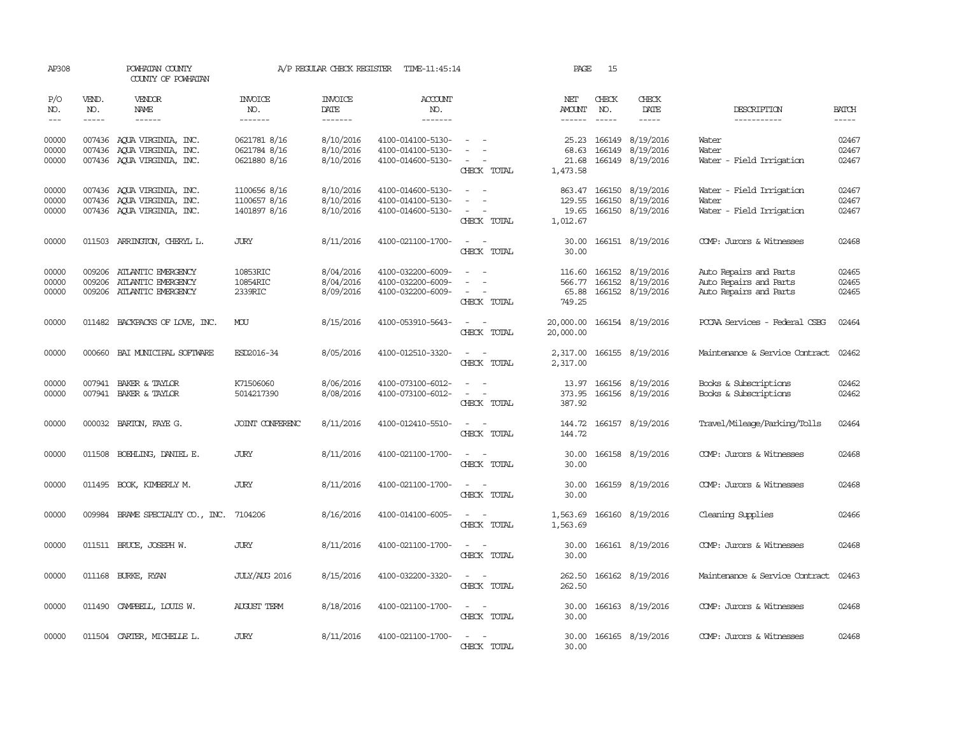| AP308                   |                  | POWHATAN COUNTY<br>COUNTY OF POWHATAN                                                  |                                              | A/P REGULAR CHECK REGISTER          | TIME-11:45:14                                               |                                                               | PAGE                                  | 15               |                                                          |                                                                            |                         |
|-------------------------|------------------|----------------------------------------------------------------------------------------|----------------------------------------------|-------------------------------------|-------------------------------------------------------------|---------------------------------------------------------------|---------------------------------------|------------------|----------------------------------------------------------|----------------------------------------------------------------------------|-------------------------|
| P/O<br>NO.              | VEND.<br>NO.     | <b>VENDOR</b><br>NAME                                                                  | <b>INVOICE</b><br>NO.                        | <b>INVOICE</b><br><b>DATE</b>       | <b>ACCOUNT</b><br>NO.                                       |                                                               | NET<br><b>AMOUNT</b>                  | CHECK<br>NO.     | CHECK<br>DATE                                            | DESCRIPTION                                                                | <b>BATCH</b>            |
| $---$                   | $- - - - -$      | $- - - - - -$                                                                          | -------                                      | -------                             | -------                                                     |                                                               | $- - - - - -$                         | $\frac{1}{2}$    | $- - - - -$                                              | -----------                                                                | $- - - - -$             |
| 00000<br>00000<br>00000 |                  | 007436 AOUA VIRGINIA, INC.<br>007436 AQUA VIRGINIA, INC.<br>007436 AQUA VIRGINIA, INC. | 0621781 8/16<br>0621784 8/16<br>0621880 8/16 | 8/10/2016<br>8/10/2016<br>8/10/2016 | 4100-014100-5130-<br>4100-014100-5130-<br>4100-014600-5130- | CHECK TOTAL                                                   | 25.23<br>68.63<br>21.68<br>1,473.58   | 166149<br>166149 | 8/19/2016<br>8/19/2016<br>166149 8/19/2016               | Water<br>Water<br>Water - Field Irrigation                                 | 02467<br>02467<br>02467 |
| 00000<br>00000<br>00000 |                  | 007436 AQUA VIRGINIA, INC.<br>007436 AQUA VIRGINIA, INC.<br>007436 AQUA VIRGINIA, INC. | 1100656 8/16<br>1100657 8/16<br>1401897 8/16 | 8/10/2016<br>8/10/2016<br>8/10/2016 | 4100-014600-5130-<br>4100-014100-5130-<br>4100-014600-5130- | $\equiv$<br>$\sim$<br>CHECK TOTAL                             | 863.47<br>129.55<br>19.65<br>1,012.67 | 166150           | 166150 8/19/2016<br>8/19/2016<br>166150 8/19/2016        | Water - Field Irrigation<br>Water<br>Water - Field Irrigation              | 02467<br>02467<br>02467 |
| 00000                   |                  | 011503 ARRINGTON, CHERYL L.                                                            | <b>JURY</b>                                  | 8/11/2016                           | 4100-021100-1700-                                           | $\sim$ 100 $\sim$<br>CHECK TOTAL                              | 30.00<br>30.00                        |                  | 166151 8/19/2016                                         | COMP: Jurors & Witnesses                                                   | 02468                   |
| 00000<br>00000<br>00000 | 009206<br>009206 | ATLANTIC EMERGENCY<br>ATLANTIC EMERGENCY<br>009206 ATLANTIC EMERGENCY                  | 10853RIC<br>10854RIC<br>2339RIC              | 8/04/2016<br>8/04/2016<br>8/09/2016 | 4100-032200-6009-<br>4100-032200-6009-<br>4100-032200-6009- | $\equiv$<br>$\overline{\phantom{a}}$<br>$\sim$<br>CHECK TOTAL | 116.60<br>566.77<br>65.88<br>749.25   |                  | 166152 8/19/2016<br>166152 8/19/2016<br>166152 8/19/2016 | Auto Repairs and Parts<br>Auto Repairs and Parts<br>Auto Repairs and Parts | 02465<br>02465<br>02465 |
| 00000                   |                  | 011482 BACKPACKS OF LOVE, INC.                                                         | MOU                                          | 8/15/2016                           | 4100-053910-5643-                                           | $\overline{\phantom{a}}$<br>$\sim$<br>CHECK TOTAL             | 20,000.00<br>20,000.00                |                  | 166154 8/19/2016                                         | PCCAA Services - Federal CSBG                                              | 02464                   |
| 00000                   | 000660           | BAI MUNICIPAL SOFTWARE                                                                 | ESD2016-34                                   | 8/05/2016                           | 4100-012510-3320-                                           | $\overline{\phantom{a}}$<br>CHECK TOTAL                       | 2,317.00<br>2,317.00                  |                  | 166155 8/19/2016                                         | Maintenance & Service Contract                                             | 02462                   |
| 00000<br>00000          | 007941           | BAKER & TAYLOR<br>007941 BAKER & TAYLOR                                                | K71506060<br>5014217390                      | 8/06/2016<br>8/08/2016              | 4100-073100-6012-<br>4100-073100-6012-                      | CHECK TOTAL                                                   | 13.97<br>373.95<br>387.92             |                  | 166156 8/19/2016<br>166156 8/19/2016                     | Books & Subscriptions<br>Books & Subscriptions                             | 02462<br>02462          |
| 00000                   |                  | 000032 BARTON, FAYE G.                                                                 | JOINT CONFERENC                              | 8/11/2016                           | 4100-012410-5510-                                           | CHECK TOTAL                                                   | 144.72<br>144.72                      |                  | 166157 8/19/2016                                         | Travel/Mileage/Parking/Tolls                                               | 02464                   |
| 00000                   |                  | 011508 BOEHLING, DANIEL E.                                                             | <b>JURY</b>                                  | 8/11/2016                           | 4100-021100-1700-                                           | $\sim$ $ \sim$<br>CHECK TOTAL                                 | 30.00<br>30.00                        |                  | 166158 8/19/2016                                         | COMP: Jurors & Witnesses                                                   | 02468                   |
| 00000                   |                  | 011495 BOOK, KIMBERLY M.                                                               | <b>JURY</b>                                  | 8/11/2016                           | 4100-021100-1700-                                           | $\sim$<br>CHECK TOTAL                                         | 30.00<br>30.00                        |                  | 166159 8/19/2016                                         | COMP: Jurors & Witnesses                                                   | 02468                   |
| 00000                   |                  | 009984 BRAME SPECIALITY CO., INC. 7104206                                              |                                              | 8/16/2016                           | 4100-014100-6005-                                           | $\omega_{\rm{max}}$ and $\omega_{\rm{max}}$<br>CHECK TOTAL    | 1,563.69<br>1,563.69                  |                  | 166160 8/19/2016                                         | Cleaning Supplies                                                          | 02466                   |
| 00000                   |                  | 011511 BRUCE, JOSEPH W.                                                                | <b>JURY</b>                                  | 8/11/2016                           | 4100-021100-1700-                                           | $\sim$ 10 $\sim$ 10 $\sim$<br>CHECK TOTAL                     | 30.00<br>30.00                        |                  | 166161 8/19/2016                                         | COMP: Jurors & Witnesses                                                   | 02468                   |
| 00000                   |                  | 011168 BURKE, RYAN                                                                     | <b>JULY/AUG 2016</b>                         | 8/15/2016                           | 4100-032200-3320-                                           | CHECK TOTAL                                                   | 262.50<br>262.50                      |                  | 166162 8/19/2016                                         | Maintenance & Service Contract                                             | 02463                   |
| 00000                   |                  | 011490 CAMPBELL, LOUIS W.                                                              | <b>AUGUST TERM</b>                           | 8/18/2016                           | 4100-021100-1700-                                           | $\sim$<br>$\sim$<br>CHECK TOTAL                               | 30.00<br>30.00                        |                  | 166163 8/19/2016                                         | COMP: Jurors & Witnesses                                                   | 02468                   |
| 00000                   |                  | 011504 CARTER, MICHELLE L.                                                             | <b>JURY</b>                                  | 8/11/2016                           | 4100-021100-1700-                                           | CHECK TOTAL                                                   | 30.00<br>30.00                        |                  | 166165 8/19/2016                                         | COMP: Jurors & Witnesses                                                   | 02468                   |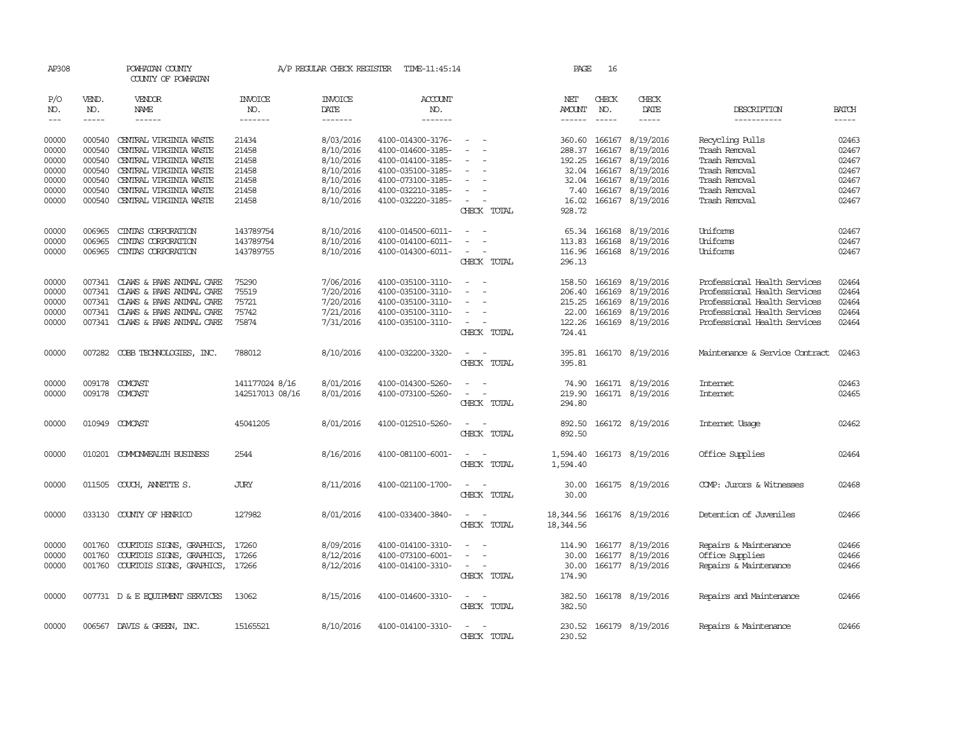| AP308                       |                             | POWHATAN COUNTY<br>COUNTY OF POWHATAN            |                                  | A/P REGULAR CHECK REGISTER         | TIME-11:45:14                          |                                                      | PAGE                           | 16                            |                         |                                  |                             |
|-----------------------------|-----------------------------|--------------------------------------------------|----------------------------------|------------------------------------|----------------------------------------|------------------------------------------------------|--------------------------------|-------------------------------|-------------------------|----------------------------------|-----------------------------|
| P/O<br>NO.<br>$\frac{1}{2}$ | VEND.<br>NO.<br>$- - - - -$ | <b>VENDOR</b><br>NAME<br>$- - - - - -$           | <b>INVOICE</b><br>NO.<br>------- | <b>INVOICE</b><br>DATE<br>-------- | ACCOUNT<br>NO.<br>-------              |                                                      | NET<br>AMOUNT<br>$- - - - - -$ | CHECK<br>NO.<br>$\frac{1}{2}$ | CHECK<br>DATE<br>-----  | DESCRIPTION<br>-----------       | <b>BATCH</b><br>$- - - - -$ |
| 00000<br>00000              | 000540                      | CENTRAL VIRGINIA WASTE                           | 21434                            | 8/03/2016                          | 4100-014300-3176-                      | $\overline{\phantom{a}}$                             | 360.60                         | 166167                        | 8/19/2016               | Recycling Pulls<br>Trash Removal | 02463                       |
| 00000                       | 000540<br>000540            | CENTRAL VIRGINIA WASTE<br>CENIRAL VIRGINIA WASTE | 21458<br>21458                   | 8/10/2016<br>8/10/2016             | 4100-014600-3185-<br>4100-014100-3185- | $\sim$                                               | 288.37                         | 166167<br>192.25 166167       | 8/19/2016<br>8/19/2016  | Trash Removal                    | 02467<br>02467              |
| 00000                       | 000540                      | CENTRAL VIRGINIA WASTE                           | 21458                            | 8/10/2016                          | 4100-035100-3185-                      | $\equiv$                                             | 32.04                          | 166167                        | 8/19/2016               | Trash Removal                    | 02467                       |
| 00000                       | 000540                      | CENTRAL VIRGINIA WASTE                           | 21458                            | 8/10/2016                          | 4100-073100-3185-                      | $\overline{\phantom{a}}$                             |                                |                               | 32.04 166167 8/19/2016  | Trash Removal                    | 02467                       |
| 00000                       | 000540                      | CENTRAL VIRGINIA WASTE                           | 21458                            | 8/10/2016                          | 4100-032210-3185-                      |                                                      | 7.40                           | 166167                        | 8/19/2016               | Trash Removal                    | 02467                       |
| 00000                       | 000540                      | CENTRAL VIRGINIA WASTE                           | 21458                            | 8/10/2016                          | 4100-032220-3185-                      | $\overline{\phantom{a}}$                             | 16.02                          |                               | 166167 8/19/2016        | Trash Removal                    | 02467                       |
|                             |                             |                                                  |                                  |                                    |                                        | CHECK TOTAL                                          | 928.72                         |                               |                         |                                  |                             |
| 00000                       | 006965                      | CINIAS CORPORATION                               | 143789754                        | 8/10/2016                          | 4100-014500-6011-                      |                                                      |                                | 65.34 166168                  | 8/19/2016               | Uniforms                         | 02467                       |
| 00000                       | 006965                      | CINIAS CORPORATION                               | 143789754                        | 8/10/2016                          | 4100-014100-6011-                      |                                                      | 113.83                         | 166168                        | 8/19/2016               | Uniforms                         | 02467                       |
| 00000                       | 006965                      | CINIAS CORPORATION                               | 143789755                        | 8/10/2016                          | 4100-014300-6011-                      | $\overline{\phantom{a}}$                             | 116.96                         |                               | 166168 8/19/2016        | Uniforms                         | 02467                       |
|                             |                             |                                                  |                                  |                                    |                                        | CHECK TOTAL                                          | 296.13                         |                               |                         |                                  |                             |
| 00000                       | 007341                      | CLAWS & PAWS ANIMAL CARE                         | 75290                            | 7/06/2016                          | 4100-035100-3110-                      | $\equiv$<br>$\overline{\phantom{a}}$                 | 158.50                         | 166169                        | 8/19/2016               | Professional Health Services     | 02464                       |
| 00000                       | 007341                      | CLAWS & PAWS ANIMAL CARE                         | 75519                            | 7/20/2016                          | 4100-035100-3110-                      | $\sim$                                               | 206.40                         | 166169                        | 8/19/2016               | Professional Health Services     | 02464                       |
| 00000                       | 007341                      | CLAWS & PAWS ANIMAL CARE                         | 75721                            | 7/20/2016                          | 4100-035100-3110-                      |                                                      | 215.25                         | 166169                        | 8/19/2016               | Professional Health Services     | 02464                       |
| 00000                       | 007341                      | CLAWS & PAWS ANIMAL CARE                         | 75742                            | 7/21/2016                          | 4100-035100-3110-                      | $\overline{\phantom{a}}$                             | 22.00                          | 166169                        | 8/19/2016               | Professional Health Services     | 02464                       |
| 00000                       | 007341                      | CLAWS & PAWS ANIMAL CARE                         | 75874                            | 7/31/2016                          | 4100-035100-3110-                      | $\overline{\phantom{a}}$<br>CHECK TOTAL              | 122.26<br>724.41               |                               | 166169 8/19/2016        | Professional Health Services     | 02464                       |
| 00000                       |                             | 007282 COBB TECHNOLOGIES, INC.                   | 788012                           | 8/10/2016                          | 4100-032200-3320-                      | $\equiv$<br>$\overline{\phantom{a}}$<br>CHECK TOTAL  | 395.81                         |                               | 395.81 166170 8/19/2016 | Maintenance & Service Contract   | 02463                       |
| 00000                       |                             | 009178 COMCAST                                   | 141177024 8/16                   | 8/01/2016                          | 4100-014300-5260-                      | $\sim$                                               | 74.90                          |                               | 166171 8/19/2016        | <b>Internet</b>                  | 02463                       |
| 00000                       | 009178                      | COMCAST                                          | 142517013 08/16                  | 8/01/2016                          | 4100-073100-5260-                      |                                                      | 219.90                         |                               | 166171 8/19/2016        | Internet                         | 02465                       |
|                             |                             |                                                  |                                  |                                    |                                        | CHECK TOTAL                                          | 294.80                         |                               |                         |                                  |                             |
| 00000                       |                             | 010949 COMCAST                                   | 45041205                         | 8/01/2016                          | 4100-012510-5260-                      | $\sim$<br>CHECK TOTAL                                | 892.50<br>892.50               |                               | 166172 8/19/2016        | Internet Usage                   | 02462                       |
| 00000                       |                             | 010201 COMONWEALTH BUSINESS                      | 2544                             | 8/16/2016                          | 4100-081100-6001-                      | $\sim$<br>CHECK TOTAL                                | 1,594.40<br>1,594.40           |                               | 166173 8/19/2016        | Office Supplies                  | 02464                       |
|                             |                             |                                                  |                                  |                                    |                                        |                                                      |                                |                               |                         |                                  |                             |
| 00000                       |                             | 011505 COUCH, ANNETTE S.                         | <b>JURY</b>                      | 8/11/2016                          | 4100-021100-1700-                      | CHECK TOTAL                                          | 30.00<br>30.00                 |                               | 166175 8/19/2016        | COMP: Jurors & Witnesses         | 02468                       |
| 00000                       |                             | 033130 COUNTY OF HENRICO                         | 127982                           | 8/01/2016                          | 4100-033400-3840-                      | CHECK TOTAL                                          | 18,344.56<br>18, 344.56        |                               | 166176 8/19/2016        | Detention of Juveniles           | 02466                       |
| 00000                       | 001760                      | COURTOIS SIGNS, GRAPHICS,                        | 17260                            | 8/09/2016                          | 4100-014100-3310-                      |                                                      | 114.90                         |                               | 166177 8/19/2016        | Repairs & Maintenance            | 02466                       |
| 00000                       | 001760                      | COURTOIS SIGNS, GRAPHICS,                        | 17266                            | 8/12/2016                          | 4100-073100-6001-                      | $\overline{\phantom{a}}$<br>$\sim$                   | 30.00                          |                               | 166177 8/19/2016        | Office Supplies                  | 02466                       |
| 00000                       | 001760                      | COURTOIS SIGNS, GRAPHICS,                        | 17266                            | 8/12/2016                          | 4100-014100-3310-                      | $\overline{\phantom{a}}$                             | 30.00                          |                               | 166177 8/19/2016        | Repairs & Maintenance            | 02466                       |
|                             |                             |                                                  |                                  |                                    |                                        | CHECK TOTAL                                          | 174.90                         |                               |                         |                                  |                             |
| 00000                       |                             | 007731 D & E EQUIPMENT SERVICES                  | 13062                            | 8/15/2016                          | 4100-014600-3310-                      | $\overline{\phantom{a}}$<br>$\overline{\phantom{a}}$ | 382.50                         |                               | 166178 8/19/2016        | Repairs and Maintenance          | 02466                       |
|                             |                             |                                                  |                                  |                                    |                                        | CHECK TOTAL                                          | 382.50                         |                               |                         |                                  |                             |
| 00000                       |                             | 006567 DAVIS & GREEN, INC.                       | 15165521                         | 8/10/2016                          | 4100-014100-3310-                      |                                                      |                                |                               | 230.52 166179 8/19/2016 | Repairs & Maintenance            | 02466                       |
|                             |                             |                                                  |                                  |                                    |                                        | CHECK TOTAL                                          | 230.52                         |                               |                         |                                  |                             |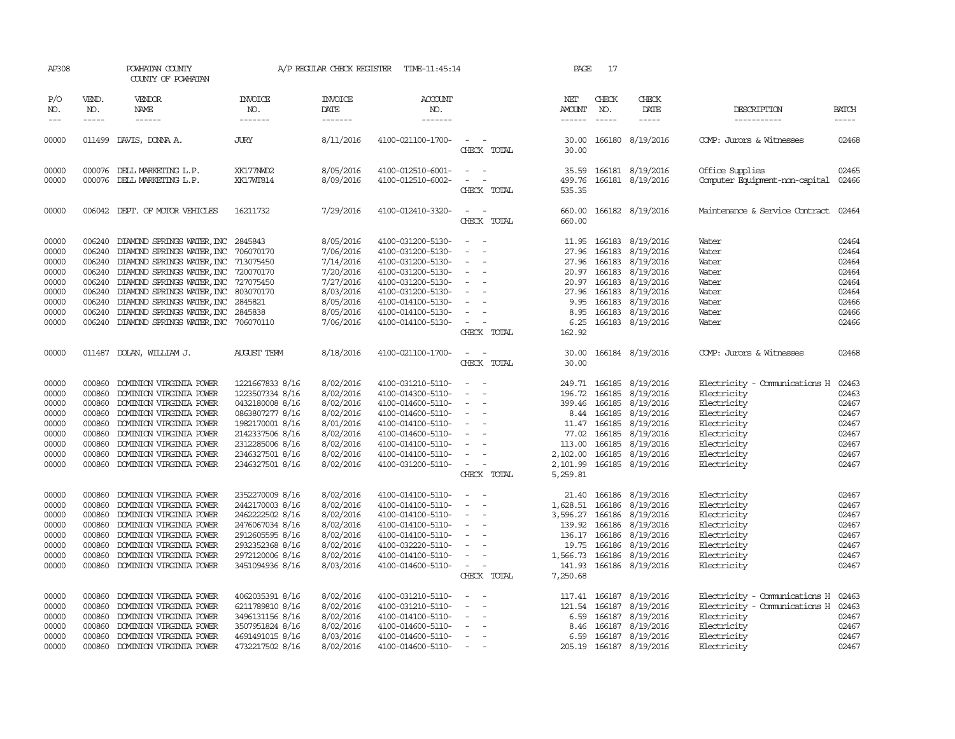| AP308                                                                         |                                                                              | POWHATAN COUNTY<br>COUNTY OF POWHATAN                                                                                                                                                                                                                                                                                                        |                                                                                                                                                                         |                                                                                                                   | A/P REGULAR CHECK REGISTER TIME-11:45:14                                                                                                                                                  |                                                                                                                                                                            | PAGE                                                                                       | 17                                                                                      |                                                                                                                                            |                                                                                                                                                       |                                                                               |
|-------------------------------------------------------------------------------|------------------------------------------------------------------------------|----------------------------------------------------------------------------------------------------------------------------------------------------------------------------------------------------------------------------------------------------------------------------------------------------------------------------------------------|-------------------------------------------------------------------------------------------------------------------------------------------------------------------------|-------------------------------------------------------------------------------------------------------------------|-------------------------------------------------------------------------------------------------------------------------------------------------------------------------------------------|----------------------------------------------------------------------------------------------------------------------------------------------------------------------------|--------------------------------------------------------------------------------------------|-----------------------------------------------------------------------------------------|--------------------------------------------------------------------------------------------------------------------------------------------|-------------------------------------------------------------------------------------------------------------------------------------------------------|-------------------------------------------------------------------------------|
| P/O<br>NO.<br>$---$                                                           | VEND.<br>NO.<br>$\frac{1}{2}$                                                | VENDOR<br>NAME<br>$- - - - - -$                                                                                                                                                                                                                                                                                                              | <b>INVOICE</b><br>NO.<br>--------                                                                                                                                       | INVOICE<br>DATE<br>-------                                                                                        | <b>ACCOUNT</b><br>NO.<br>$- - - - - - -$                                                                                                                                                  |                                                                                                                                                                            | NET<br>AMOUNT<br>$- - - - - -$                                                             | CHECK<br>NO.<br>$\frac{1}{2}$                                                           | CHECK<br>DATE<br>$- - - - -$                                                                                                               | DESCRIPTION<br>-----------                                                                                                                            | <b>BATCH</b><br>$- - - - -$                                                   |
| 00000                                                                         |                                                                              | 011499 DAVIS, DONNA A.                                                                                                                                                                                                                                                                                                                       | <b>JURY</b>                                                                                                                                                             | 8/11/2016                                                                                                         | 4100-021100-1700-                                                                                                                                                                         | CHECK TOTAL                                                                                                                                                                | 30.00<br>30.00                                                                             |                                                                                         | 166180 8/19/2016                                                                                                                           | COMP: Jurors & Witnesses                                                                                                                              | 02468                                                                         |
| 00000<br>00000                                                                |                                                                              | 000076 DELL MARKETING L.P.<br>000076 DELL MARKETING L.P.                                                                                                                                                                                                                                                                                     | XK177NWD2<br>XK17WT814                                                                                                                                                  | 8/05/2016<br>8/09/2016                                                                                            | 4100-012510-6001-<br>4100-012510-6002-                                                                                                                                                    | $\sim$<br>$\sim$<br>$\overline{\phantom{a}}$<br>CHECK TOTAL                                                                                                                | 535.35                                                                                     |                                                                                         | 35.59 166181 8/19/2016<br>499.76 166181 8/19/2016                                                                                          | Office Supplies<br>Computer Equipment-non-capital 02466                                                                                               | 02465                                                                         |
| 00000                                                                         |                                                                              | 006042 DEPT. OF MOTOR VEHICLES                                                                                                                                                                                                                                                                                                               | 16211732                                                                                                                                                                | 7/29/2016                                                                                                         | 4100-012410-3320-                                                                                                                                                                         | CHECK TOTAL                                                                                                                                                                | 660.00<br>660.00                                                                           |                                                                                         | 166182 8/19/2016                                                                                                                           | Maintenance & Service Contract                                                                                                                        | 02464                                                                         |
| 00000<br>00000<br>00000<br>00000<br>00000<br>00000<br>00000<br>00000<br>00000 | 006240<br>006240<br>006240<br>006240<br>006240                               | DIAMOND SPRINGS WATER, INC<br>006240 DIAMOND SPRINGS WATER, INC 706070170<br>DIAMOND SPRINGS WATER, INC 713075450<br>006240 DIAMOND SPRINGS WATER, INC<br>DIAMOND SPRINGS WATER, INC<br>DIAMOND SPRINGS WATER, INC<br>006240 DIAMOND SPRINGS WATER, INC 2845821<br>DIAMOND SPRINGS WATER, INC<br>006240 DIAMOND SPRINGS WATER, INC 706070110 | 2845843<br>720070170<br>727075450<br>803070170<br>2845838                                                                                                               | 8/05/2016<br>7/06/2016<br>7/14/2016<br>7/20/2016<br>7/27/2016<br>8/03/2016<br>8/05/2016<br>8/05/2016<br>7/06/2016 | 4100-031200-5130-<br>4100-031200-5130-<br>4100-031200-5130-<br>4100-031200-5130-<br>4100-031200-5130-<br>4100-031200-5130-<br>4100-014100-5130-<br>4100-014100-5130-<br>4100-014100-5130- | $\sim$<br>$\overline{\phantom{a}}$<br>$\overline{\phantom{a}}$<br>$\overline{\phantom{a}}$<br>$\sim$<br>$\overline{\phantom{a}}$<br>$\sim$<br>$\sim$ $\sim$<br>CHECK TOTAL | 11.95<br>27.96<br>20.97<br>27.96<br>9.95<br>8.95<br>162.92                                 | 166183<br>166183<br>20.97 166183<br>166183<br>166183<br>166183<br>166183                | 8/19/2016<br>27.96 166183 8/19/2016<br>8/19/2016<br>8/19/2016<br>8/19/2016<br>8/19/2016<br>8/19/2016<br>8/19/2016<br>6.25 166183 8/19/2016 | Water<br>Water<br>Water<br>Water<br>Water<br>Water<br>Water<br>Water<br>Water                                                                         | 02464<br>02464<br>02464<br>02464<br>02464<br>02464<br>02466<br>02466<br>02466 |
| 00000                                                                         |                                                                              | 011487 DOLAN, WILLIAM J.                                                                                                                                                                                                                                                                                                                     | <b>AUGUST TERM</b>                                                                                                                                                      | 8/18/2016                                                                                                         | 4100-021100-1700-                                                                                                                                                                         | CHECK TOTAL                                                                                                                                                                | 30.00<br>30.00                                                                             |                                                                                         | 166184 8/19/2016                                                                                                                           | COMP: Jurors & Witnesses                                                                                                                              | 02468                                                                         |
| 00000<br>00000<br>00000<br>00000<br>00000<br>00000<br>00000<br>00000<br>00000 | 000860<br>000860<br>000860<br>000860<br>000860<br>000860<br>000860<br>000860 | DOMINION VIRGINIA POWER<br>DOMINION VIRGINIA POWER<br>DOMINION VIRGINIA POWER<br>DOMINION VIRGINIA POWER<br>DOMINION VIRGINIA POWER<br>DOMINION VIRGINIA POWER<br>DOMINION VIRGINIA POWER<br>DOMINION VIRGINIA POWER<br>000860 DOMINION VIRGINIA POWER                                                                                       | 1221667833 8/16<br>1223507334 8/16<br>0432180008 8/16<br>0863807277 8/16<br>1982170001 8/16<br>2142337506 8/16<br>2312285006 8/16<br>2346327501 8/16<br>2346327501 8/16 | 8/02/2016<br>8/02/2016<br>8/02/2016<br>8/02/2016<br>8/01/2016<br>8/02/2016<br>8/02/2016<br>8/02/2016<br>8/02/2016 | 4100-031210-5110-<br>4100-014300-5110-<br>4100-014600-5110-<br>4100-014600-5110-<br>4100-014100-5110-<br>4100-014600-5110-<br>4100-014100-5110-<br>4100-014100-5110-<br>4100-031200-5110- | $\overline{\phantom{a}}$<br>$\sim$<br>$\sim$<br>$\overline{\phantom{a}}$<br>$\sim$ $ -$<br>CHECK TOTAL                                                                     | 249.71<br>196.72<br>399.46<br>11.47<br>113.00<br>2,102.00<br>5,259.81                      | 166185<br>166185<br>166185<br>8.44 166185<br>166185<br>77.02 166185<br>166185<br>166185 | 8/19/2016<br>8/19/2016<br>8/19/2016<br>8/19/2016<br>8/19/2016<br>8/19/2016<br>8/19/2016<br>8/19/2016<br>2,101.99 166185 8/19/2016          | Electricity - Comunications H<br>Electricity<br>Electricity<br>Electricity<br>Electricity<br>Electricity<br>Electricity<br>Electricity<br>Electricity | 02463<br>02463<br>02467<br>02467<br>02467<br>02467<br>02467<br>02467<br>02467 |
| 00000<br>00000<br>00000<br>00000<br>00000<br>00000<br>00000<br>00000          | 000860<br>000860<br>000860<br>000860<br>000860<br>000860<br>000860<br>000860 | DOMINION VIRGINIA POWER<br>DOMINION VIRGINIA POWER<br>DOMINION VIRGINIA POWER<br>DOMINION VIRGINIA POWER<br>DOMINION VIRGINIA POWER<br>DOMINION VIRGINIA POWER<br>DOMINION VIRGINIA POWER<br>DOMINION VIRGINIA POWER                                                                                                                         | 2352270009 8/16<br>2442170003 8/16<br>2462222502 8/16<br>2476067034 8/16<br>2912605595 8/16<br>2932352368 8/16<br>2972120006 8/16<br>3451094936 8/16                    | 8/02/2016<br>8/02/2016<br>8/02/2016<br>8/02/2016<br>8/02/2016<br>8/02/2016<br>8/02/2016<br>8/03/2016              | 4100-014100-5110-<br>4100-014100-5110-<br>4100-014100-5110-<br>4100-014100-5110-<br>4100-014100-5110-<br>4100-032220-5110-<br>4100-014100-5110-<br>4100-014600-5110-                      | $\sim$<br>$\overline{\phantom{a}}$<br>$\overline{\phantom{a}}$<br>$\overline{\phantom{a}}$<br>$\overline{\phantom{a}}$<br>$\sim$ 100 $\sim$<br>CHECK TOTAL                 | 1,628.51<br>3,596.27 166186<br>139.92<br>136.17<br>19.75<br>1,566.73<br>141.93<br>7,250.68 | 166186<br>166186<br>166186                                                              | 21.40 166186 8/19/2016<br>8/19/2016<br>8/19/2016<br>8/19/2016<br>8/19/2016<br>166186 8/19/2016<br>166186 8/19/2016<br>166186 8/19/2016     | Electricity<br>Electricity<br>Electricity<br>Electricity<br>Electricity<br>Electricity<br>Electricity<br>Electricity                                  | 02467<br>02467<br>02467<br>02467<br>02467<br>02467<br>02467<br>02467          |
| 00000<br>00000<br>00000<br>00000<br>00000<br>00000                            | 000860<br>000860<br>000860<br>000860<br>000860<br>000860                     | DOMINION VIRGINIA POWER<br>DOMINION VIRGINIA POWER<br>DOMINION VIRGINIA POWER<br>DOMINION VIRGINIA POWER<br>DOMINION VIRGINIA POWER<br>DOMINION VIRGINIA POWER                                                                                                                                                                               | 4062035391 8/16<br>6211789810 8/16<br>3496131156 8/16<br>3507951824 8/16<br>4691491015 8/16<br>4732217502 8/16                                                          | 8/02/2016<br>8/02/2016<br>8/02/2016<br>8/02/2016<br>8/03/2016<br>8/02/2016                                        | 4100-031210-5110-<br>4100-031210-5110-<br>4100-014100-5110-<br>4100-014600-5110-<br>4100-014600-5110-<br>4100-014600-5110-                                                                | $\overline{\phantom{a}}$<br>$\sim$<br>$\sim$                                                                                                                               | 117.41<br>121.54<br>6.59<br>8.46<br>6.59                                                   | 166187<br>166187<br>166187<br>166187<br>166187                                          | 8/19/2016<br>8/19/2016<br>8/19/2016<br>8/19/2016<br>8/19/2016<br>205.19 166187 8/19/2016                                                   | Electricity - Comunications H<br>Electricity - Comunications H<br>Electricity<br>Electricity<br>Electricity<br>Electricity                            | 02463<br>02463<br>02467<br>02467<br>02467<br>02467                            |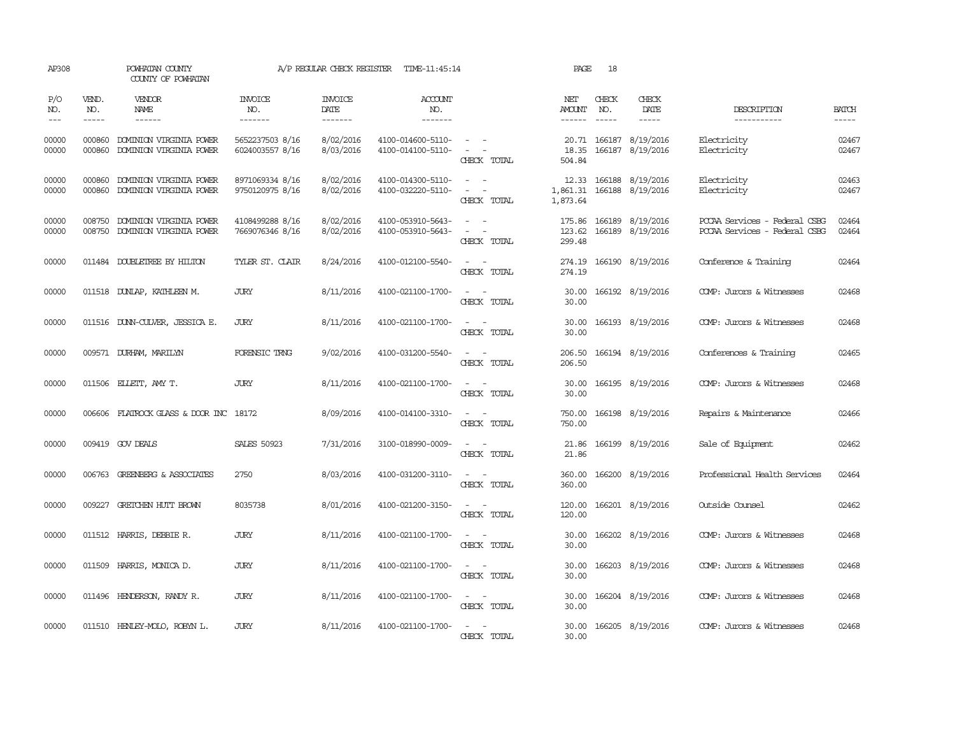| AP308                                                                                                                                                                                                                                                                                                                                                                                                      |                             | POWHATAN COUNTY<br>COUNTY OF POWHATAN              |                                    | A/P REGULAR CHECK REGISTER        | TIME-11:45:14                          |                                                                                                                                       | PAGE                          | 18                            |                                      |                                                                |                       |
|------------------------------------------------------------------------------------------------------------------------------------------------------------------------------------------------------------------------------------------------------------------------------------------------------------------------------------------------------------------------------------------------------------|-----------------------------|----------------------------------------------------|------------------------------------|-----------------------------------|----------------------------------------|---------------------------------------------------------------------------------------------------------------------------------------|-------------------------------|-------------------------------|--------------------------------------|----------------------------------------------------------------|-----------------------|
| P/O<br>NO.<br>$\frac{1}{2} \frac{1}{2} \frac{1}{2} \frac{1}{2} \frac{1}{2} \frac{1}{2} \frac{1}{2} \frac{1}{2} \frac{1}{2} \frac{1}{2} \frac{1}{2} \frac{1}{2} \frac{1}{2} \frac{1}{2} \frac{1}{2} \frac{1}{2} \frac{1}{2} \frac{1}{2} \frac{1}{2} \frac{1}{2} \frac{1}{2} \frac{1}{2} \frac{1}{2} \frac{1}{2} \frac{1}{2} \frac{1}{2} \frac{1}{2} \frac{1}{2} \frac{1}{2} \frac{1}{2} \frac{1}{2} \frac{$ | VEND.<br>NO.<br>$- - - - -$ | <b>VENDOR</b><br>NAME<br>$- - - - - -$             | <b>INVOICE</b><br>NO.<br>-------   | <b>INVOICE</b><br>DATE<br>------- | <b>ACCOUNT</b><br>NO.<br>-------       |                                                                                                                                       | NET<br>AMOUNT<br>------       | CHECK<br>NO.<br>$\frac{1}{2}$ | CHECK<br>DATE<br>-----               | DESCRIPTION<br>-----------                                     | <b>BATCH</b><br>----- |
| 00000<br>00000                                                                                                                                                                                                                                                                                                                                                                                             | 000860<br>000860            | DOMINION VIRGINIA POWER<br>DOMINION VIRGINIA POWER | 5652237503 8/16<br>6024003557 8/16 | 8/02/2016<br>8/03/2016            | 4100-014600-5110-<br>4100-014100-5110- | $\frac{1}{2} \left( \frac{1}{2} \right) \left( \frac{1}{2} \right) = \frac{1}{2} \left( \frac{1}{2} \right)$<br>$\sim$<br>CHECK TOTAL | 20.71<br>18.35<br>504.84      | 166187                        | 8/19/2016<br>166187 8/19/2016        | Electricity<br>Electricity                                     | 02467<br>02467        |
| 00000<br>00000                                                                                                                                                                                                                                                                                                                                                                                             | 000860<br>000860            | DOMINION VIRGINIA POWER<br>DOMINION VIRGINIA POWER | 8971069334 8/16<br>9750120975 8/16 | 8/02/2016<br>8/02/2016            | 4100-014300-5110-<br>4100-032220-5110- | CHECK TOTAL                                                                                                                           | 12.33<br>1,861.31<br>1,873.64 |                               | 166188 8/19/2016<br>166188 8/19/2016 | Electricity<br>Electricity                                     | 02463<br>02467        |
| 00000<br>00000                                                                                                                                                                                                                                                                                                                                                                                             | 008750<br>008750            | DOMINION VIRGINIA POWER<br>DOMINION VIRGINIA POWER | 4108499288 8/16<br>7669076346 8/16 | 8/02/2016<br>8/02/2016            | 4100-053910-5643-<br>4100-053910-5643- | $\sim$<br>$\sim$<br>$\overline{\phantom{a}}$<br>CHECK TOTAL                                                                           | 175.86<br>123.62<br>299.48    |                               | 166189 8/19/2016<br>166189 8/19/2016 | POCAA Services - Federal CSBG<br>PCCAA Services - Federal CSBG | 02464<br>02464        |
| 00000                                                                                                                                                                                                                                                                                                                                                                                                      |                             | 011484 DOUBLETREE BY HILTON                        | TYLER ST. CLAIR                    | 8/24/2016                         | 4100-012100-5540-                      | $\sim$<br>CHECK TOTAL                                                                                                                 | 274.19<br>274.19              |                               | 166190 8/19/2016                     | Conference & Training                                          | 02464                 |
| 00000                                                                                                                                                                                                                                                                                                                                                                                                      |                             | 011518 DUNLAP, KATHLEEN M.                         | <b>JURY</b>                        | 8/11/2016                         | 4100-021100-1700-                      | $\sim$ $\sim$<br>CHECK TOTAL                                                                                                          | 30.00<br>30.00                |                               | 166192 8/19/2016                     | COMP: Jurors & Witnesses                                       | 02468                 |
| 00000                                                                                                                                                                                                                                                                                                                                                                                                      |                             | 011516 DUNN-CULVER, JESSICA E.                     | JURY                               | 8/11/2016                         | 4100-021100-1700-                      | $\sim$ $\sim$<br>CHECK TOTAL                                                                                                          | 30.00<br>30.00                |                               | 166193 8/19/2016                     | COMP: Jurors & Witnesses                                       | 02468                 |
| 00000                                                                                                                                                                                                                                                                                                                                                                                                      |                             | 009571 DURHAM, MARILYN                             | FORENSIC TRNG                      | 9/02/2016                         | 4100-031200-5540-                      | $\sim$ $-$<br>$\sim$<br>CHECK TOTAL                                                                                                   | 206.50<br>206.50              |                               | 166194 8/19/2016                     | Conferences & Training                                         | 02465                 |
| 00000                                                                                                                                                                                                                                                                                                                                                                                                      |                             | 011506 ELLETT, AMY T.                              | JURY                               | 8/11/2016                         | 4100-021100-1700-                      | $\sim$ $\sim$<br>CHECK TOTAL                                                                                                          | 30.00<br>30.00                |                               | 166195 8/19/2016                     | COMP: Jurors & Witnesses                                       | 02468                 |
| 00000                                                                                                                                                                                                                                                                                                                                                                                                      |                             | 006606 FLATROCK GLASS & DOOR INC 18172             |                                    | 8/09/2016                         | 4100-014100-3310-                      | $\sim$ $\sim$<br>CHECK TOTAL                                                                                                          | 750.00<br>750.00              |                               | 166198 8/19/2016                     | Repairs & Maintenance                                          | 02466                 |
| 00000                                                                                                                                                                                                                                                                                                                                                                                                      |                             | 009419 GOV DEALS                                   | <b>SALES 50923</b>                 | 7/31/2016                         | 3100-018990-0009-                      | CHECK TOTAL                                                                                                                           | 21.86<br>21.86                |                               | 166199 8/19/2016                     | Sale of Equipment                                              | 02462                 |
| 00000                                                                                                                                                                                                                                                                                                                                                                                                      |                             | 006763 GREENBERG & ASSOCIATES                      | 2750                               | 8/03/2016                         | 4100-031200-3110-                      | $\overline{\phantom{a}}$<br>$\sim$<br>CHECK TOTAL                                                                                     | 360.00<br>360.00              |                               | 166200 8/19/2016                     | Professional Health Services                                   | 02464                 |
| 00000                                                                                                                                                                                                                                                                                                                                                                                                      |                             | 009227 GRETCHEN HUTT BROWN                         | 8035738                            | 8/01/2016                         | 4100-021200-3150-                      | $\sim$<br>CHECK TOTAL                                                                                                                 | 120.00<br>120.00              |                               | 166201 8/19/2016                     | Outside Counsel                                                | 02462                 |
| 00000                                                                                                                                                                                                                                                                                                                                                                                                      |                             | 011512 HARRIS, DEBBIE R.                           | <b>JURY</b>                        | 8/11/2016                         | 4100-021100-1700-                      | $\sim$<br>- -<br>CHECK TOTAL                                                                                                          | 30.00<br>30.00                |                               | 166202 8/19/2016                     | COMP: Jurors & Witnesses                                       | 02468                 |
| 00000                                                                                                                                                                                                                                                                                                                                                                                                      |                             | 011509 HARRIS, MONICA D.                           | <b>JURY</b>                        | 8/11/2016                         | 4100-021100-1700-                      | $\sim$ $ \sim$<br>CHECK TOTAL                                                                                                         | 30.00<br>30.00                |                               | 166203 8/19/2016                     | COMP: Jurors & Witnesses                                       | 02468                 |
| 00000                                                                                                                                                                                                                                                                                                                                                                                                      |                             | 011496 HENDERSON, RANDY R.                         | JURY                               | 8/11/2016                         | 4100-021100-1700-                      | $\sim$ $  -$<br>CHECK TOTAL                                                                                                           | 30.00<br>30.00                |                               | 166204 8/19/2016                     | COMP: Jurors & Witnesses                                       | 02468                 |
| 00000                                                                                                                                                                                                                                                                                                                                                                                                      |                             | 011510 HENLEY-MOLO, ROBYN L.                       | <b>JURY</b>                        | 8/11/2016                         | 4100-021100-1700-                      | CHECK TOTAL                                                                                                                           | 30.00<br>30.00                |                               | 166205 8/19/2016                     | COMP: Jurors & Witnesses                                       | 02468                 |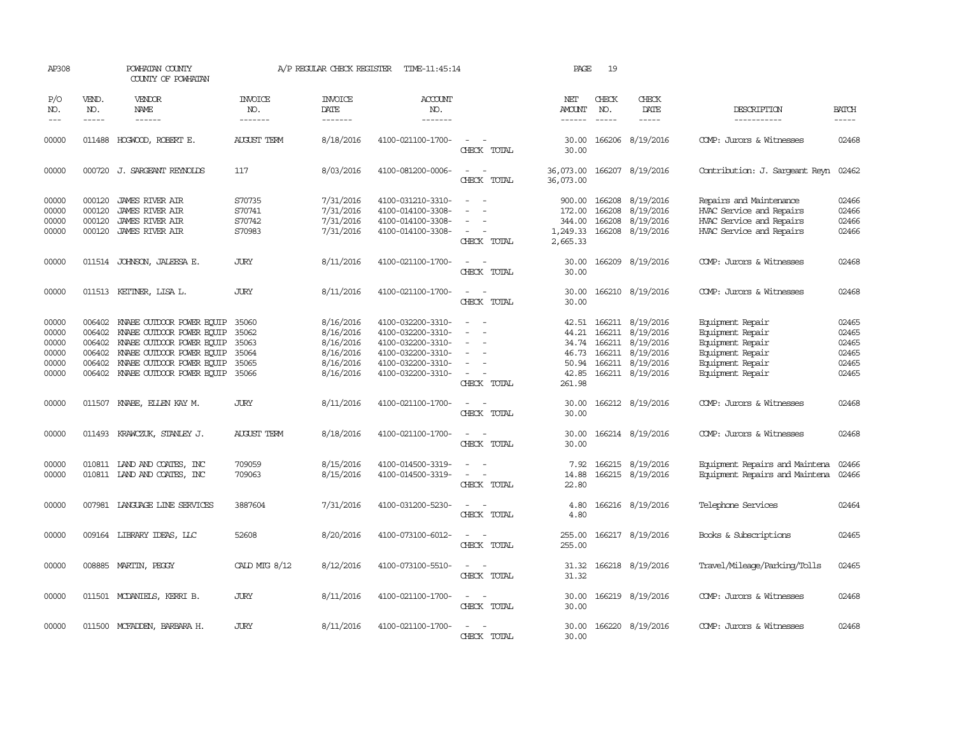| AP308                                              |                                                | POWHATAN COUNTY<br>COUNTY OF POWHATAN                                                                                                                                             |                                                    | A/P REGULAR CHECK REGISTER                                                 | TIME-11:45:14                                                                                                              |                                                                                           | PAGE                                                         | 19                          |                                                                                                                      |                                                                                                                      |                                                    |
|----------------------------------------------------|------------------------------------------------|-----------------------------------------------------------------------------------------------------------------------------------------------------------------------------------|----------------------------------------------------|----------------------------------------------------------------------------|----------------------------------------------------------------------------------------------------------------------------|-------------------------------------------------------------------------------------------|--------------------------------------------------------------|-----------------------------|----------------------------------------------------------------------------------------------------------------------|----------------------------------------------------------------------------------------------------------------------|----------------------------------------------------|
| P/O<br>NO.<br>$---$                                | VEND.<br>NO.<br>$\frac{1}{2}$                  | VENDOR<br><b>NAME</b><br>$\frac{1}{2}$                                                                                                                                            | INVOICE<br>NO.<br>-------                          | <b>INVOICE</b><br>DATE<br>-------                                          | <b>ACCOUNT</b><br>NO.<br>-------                                                                                           |                                                                                           | NET<br>AMOUNT<br>$- - - - - -$                               | CHECK<br>NO.<br>$- - - - -$ | CHECK<br>DATE<br>$- - - - -$                                                                                         | DESCRIPTION<br>------------                                                                                          | <b>BATCH</b><br>-----                              |
| 00000                                              | 011488                                         | HOGWOOD, ROBERT E.                                                                                                                                                                | <b>AUGUST TERM</b>                                 | 8/18/2016                                                                  | 4100-021100-1700-                                                                                                          | CHECK TOTAL                                                                               | 30.00<br>30.00                                               |                             | 166206 8/19/2016                                                                                                     | COMP: Jurors & Witnesses                                                                                             | 02468                                              |
| 00000                                              |                                                | 000720 J. SARGEANT REYNOLDS                                                                                                                                                       | 117                                                | 8/03/2016                                                                  | 4100-081200-0006-                                                                                                          | $\overline{\phantom{a}}$<br>$\overline{\phantom{a}}$<br>CHECK TOTAL                       | 36,073.00<br>36,073.00                                       |                             | 166207 8/19/2016                                                                                                     | Contribution: J. Sargeant Reyn                                                                                       | 02462                                              |
| 00000<br>00000<br>00000<br>00000                   | 000120<br>000120                               | 000120 JAMES RIVER AIR<br><b>JAMES RIVER AIR</b><br><b>JAMES RIVER AIR</b><br>000120 JAMES RIVER AIR                                                                              | S70735<br>S70741<br>S70742<br>S70983               | 7/31/2016<br>7/31/2016<br>7/31/2016<br>7/31/2016                           | 4100-031210-3310-<br>4100-014100-3308-<br>4100-014100-3308-<br>4100-014100-3308-                                           | $\overline{\phantom{a}}$<br>$\sim$<br>$\sim$<br>CHECK TOTAL                               | 900.00<br>172.00<br>344.00<br>1,249.33<br>2,665.33           | 166208<br>166208            | 166208 8/19/2016<br>8/19/2016<br>8/19/2016<br>166208 8/19/2016                                                       | Repairs and Maintenance<br>HVAC Service and Repairs<br>HVAC Service and Repairs<br>HVAC Service and Repairs          | 02466<br>02466<br>02466<br>02466                   |
| 00000                                              |                                                | 011514 JOHNSON, JALEESA E.                                                                                                                                                        | <b>JURY</b>                                        | 8/11/2016                                                                  | 4100-021100-1700-                                                                                                          | $\sim$<br>CHECK TOTAL                                                                     | 30.00<br>30.00                                               |                             | 166209 8/19/2016                                                                                                     | COMP: Jurors & Witnesses                                                                                             | 02468                                              |
| 00000                                              |                                                | 011513 KETINER, LISA L.                                                                                                                                                           | <b>JURY</b>                                        | 8/11/2016                                                                  | 4100-021100-1700-                                                                                                          | $\equiv$<br>$\sim$<br>CHECK TOTAL                                                         | 30.00<br>30.00                                               |                             | 166210 8/19/2016                                                                                                     | COMP: Jurors & Witnesses                                                                                             | 02468                                              |
| 00000<br>00000<br>00000<br>00000<br>00000<br>00000 | 006402<br>006402<br>006402<br>006402<br>006402 | KNABE OUTDOOR POWER EQUIP<br>KNABE OUIDOOR POWER EQUIP<br>006402 KNABE OUIDOOR POWER EQUIP<br>KNABE OUTDOOR POWER EQUIP<br>KNABE OUIDOOR POWER EQUIP<br>KNABE OUTDOOR POWER EQUIP | 35060<br>35062<br>35063<br>35064<br>35065<br>35066 | 8/16/2016<br>8/16/2016<br>8/16/2016<br>8/16/2016<br>8/16/2016<br>8/16/2016 | 4100-032200-3310-<br>4100-032200-3310-<br>4100-032200-3310-<br>4100-032200-3310-<br>4100-032200-3310-<br>4100-032200-3310- | $\equiv$<br>$\overline{\phantom{a}}$<br>$\sim$<br>$\overline{\phantom{a}}$<br>CHECK TOTAL | 42.51<br>44.21<br>34.74<br>46.73<br>50.94<br>42.85<br>261.98 |                             | 166211 8/19/2016<br>166211 8/19/2016<br>166211 8/19/2016<br>166211 8/19/2016<br>166211 8/19/2016<br>166211 8/19/2016 | Equipment Repair<br>Equipment Repair<br>Equipment Repair<br>Equipment Repair<br>Equipment Repair<br>Equipment Repair | 02465<br>02465<br>02465<br>02465<br>02465<br>02465 |
| 00000                                              | 011507                                         | KNABE, EILEN KAY M.                                                                                                                                                               | <b>JURY</b>                                        | 8/11/2016                                                                  | 4100-021100-1700-                                                                                                          | $\equiv$<br>CHECK TOTAL                                                                   | 30.00<br>30.00                                               |                             | 166212 8/19/2016                                                                                                     | COMP: Jurors & Witnesses                                                                                             | 02468                                              |
| 00000                                              | 011493                                         | KRAWCZUK, STANLEY J.                                                                                                                                                              | <b>AUGUST TERM</b>                                 | 8/18/2016                                                                  | 4100-021100-1700-                                                                                                          | $\equiv$<br>CHECK TOTAL                                                                   | 30.00<br>30.00                                               |                             | 166214 8/19/2016                                                                                                     | COMP: Jurors & Witnesses                                                                                             | 02468                                              |
| 00000<br>00000                                     |                                                | 010811 LAND AND COATES, INC<br>010811 LAND AND COATES, INC                                                                                                                        | 709059<br>709063                                   | 8/15/2016<br>8/15/2016                                                     | 4100-014500-3319-<br>4100-014500-3319-                                                                                     | $\sim$<br>$\equiv$<br>$\overline{\phantom{a}}$<br>CHECK TOTAL                             | 7.92<br>14.88<br>22.80                                       |                             | 166215 8/19/2016<br>166215 8/19/2016                                                                                 | Equipment Repairs and Maintena<br>Equipment Repairs and Maintena                                                     | 02466<br>02466                                     |
| 00000                                              |                                                | 007981 LANGUAGE LINE SERVICES                                                                                                                                                     | 3887604                                            | 7/31/2016                                                                  | 4100-031200-5230-                                                                                                          | $\equiv$<br>CHECK TOTAL                                                                   | 4.80<br>4.80                                                 |                             | 166216 8/19/2016                                                                                                     | Telephone Services                                                                                                   | 02464                                              |
| 00000                                              |                                                | 009164 LIBRARY IDEAS, LLC                                                                                                                                                         | 52608                                              | 8/20/2016                                                                  | 4100-073100-6012-                                                                                                          | $\equiv$<br>- -<br>CHECK TOTAL                                                            | 255.00<br>255.00                                             |                             | 166217 8/19/2016                                                                                                     | Books & Subscriptions                                                                                                | 02465                                              |
| 00000                                              |                                                | 008885 MARTIN, PEGGY                                                                                                                                                              | CALD MTG 8/12                                      | 8/12/2016                                                                  | 4100-073100-5510-                                                                                                          | $\overline{\phantom{a}}$<br>$\sim$<br>CHECK TOTAL                                         | 31.32<br>31.32                                               |                             | 166218 8/19/2016                                                                                                     | Travel/Mileage/Parking/Tolls                                                                                         | 02465                                              |
| 00000                                              |                                                | 011501 MCDANIELS, KERRI B.                                                                                                                                                        | <b>JURY</b>                                        | 8/11/2016                                                                  | 4100-021100-1700-                                                                                                          | $\sim$<br>CHECK TOTAL                                                                     | 30.00<br>30.00                                               |                             | 166219 8/19/2016                                                                                                     | COMP: Jurors & Witnesses                                                                                             | 02468                                              |
| 00000                                              |                                                | 011500 MCFADDEN, BARBARA H.                                                                                                                                                       | <b>JURY</b>                                        | 8/11/2016                                                                  | 4100-021100-1700-                                                                                                          | CHECK TOTAL                                                                               | 30.00<br>30.00                                               |                             | 166220 8/19/2016                                                                                                     | COMP: Jurors & Witnesses                                                                                             | 02468                                              |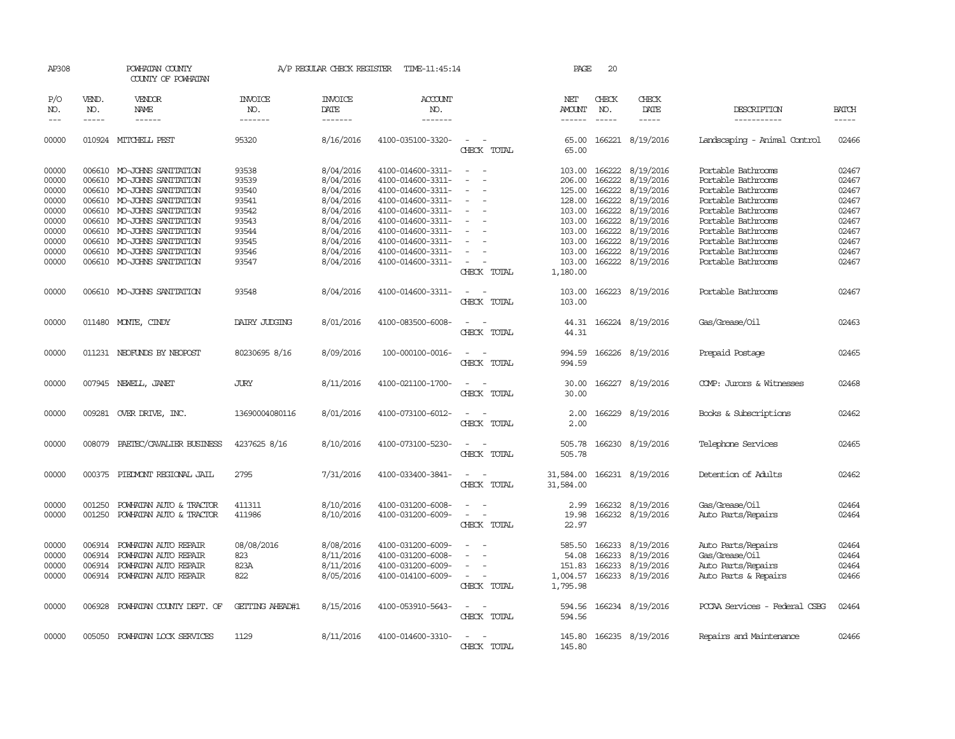| AP308                            |                             | POWHATAN COUNTY<br>COUNTY OF POWHATAN                                                                         |                                  |                                                  | A/P REGULAR CHECK REGISTER TIME-11:45:14                                         |                                                                     | PAGE                                              | 20                                   |                                                  |                                                                                      |                                  |
|----------------------------------|-----------------------------|---------------------------------------------------------------------------------------------------------------|----------------------------------|--------------------------------------------------|----------------------------------------------------------------------------------|---------------------------------------------------------------------|---------------------------------------------------|--------------------------------------|--------------------------------------------------|--------------------------------------------------------------------------------------|----------------------------------|
| P/O<br>NO.<br>$---$              | VEND.<br>NO.<br>$- - - - -$ | <b>VENDOR</b><br>NAME<br>$- - - - - -$                                                                        | <b>INVOICE</b><br>NO.<br>------- | <b>INVOICE</b><br>DATE<br>-------                | ACCOUNT<br>NO.<br>-------                                                        |                                                                     | NET<br>AMOUNT<br>------                           | CHECK<br>NO.<br>-----                | CHECK<br>DATE                                    | DESCRIPTION<br>-----------                                                           | <b>BATCH</b><br>$- - - - -$      |
| 00000                            |                             | 010924 MITCHELL PEST                                                                                          | 95320                            | 8/16/2016                                        | 4100-035100-3320-                                                                | $\equiv$<br>CHECK TOTAL                                             | 65.00<br>65.00                                    |                                      | 166221 8/19/2016                                 | Landscaping - Animal Control                                                         | 02466                            |
| 00000<br>00000<br>00000<br>00000 | 006610                      | 006610 MO-JOHNS SANITATION<br>006610 MO-JOHNS SANITATION<br>MO-JOHNS SANITATION<br>006610 MO-JOHNS SANITATION | 93538<br>93539<br>93540<br>93541 | 8/04/2016<br>8/04/2016<br>8/04/2016<br>8/04/2016 | 4100-014600-3311-<br>4100-014600-3311-<br>4100-014600-3311-<br>4100-014600-3311- | $\sim$<br>$\sim$<br>$\sim$<br>$\overline{\phantom{a}}$<br>$\equiv$  | 103.00<br>206.00<br>125.00<br>128.00              | 166222<br>166222<br>166222<br>166222 | 8/19/2016<br>8/19/2016<br>8/19/2016<br>8/19/2016 | Portable Bathrooms<br>Portable Bathrooms<br>Portable Bathrooms<br>Portable Bathrooms | 02467<br>02467<br>02467<br>02467 |
| 00000<br>00000<br>00000<br>00000 | 006610                      | 006610 MO-JOHNS SANITATION<br>MO-JOHNS SANITATION<br>006610 MO-JOHNS SANITATION<br>006610 MO-JOHNS SANITATION | 93542<br>93543<br>93544<br>93545 | 8/04/2016<br>8/04/2016<br>8/04/2016<br>8/04/2016 | 4100-014600-3311-<br>4100-014600-3311-<br>4100-014600-3311-<br>4100-014600-3311- |                                                                     | 103.00<br>103.00<br>103.00<br>103.00              | 166222<br>166222<br>166222<br>166222 | 8/19/2016<br>8/19/2016<br>8/19/2016<br>8/19/2016 | Portable Bathrooms<br>Portable Bathrooms<br>Portable Bathrooms<br>Portable Bathrooms | 02467<br>02467<br>02467<br>02467 |
| 00000<br>00000                   |                             | 006610 MO-JOHNS SANITATION<br>006610 MO-JOHNS SANITATION                                                      | 93546<br>93547                   | 8/04/2016<br>8/04/2016                           | 4100-014600-3311-<br>4100-014600-3311-                                           | $\equiv$<br>$\overline{\phantom{a}}$<br>CHECK TOTAL                 | 103.00<br>103.00<br>1,180.00                      | 166222<br>166222                     | 8/19/2016<br>8/19/2016                           | Portable Bathrooms<br>Portable Bathrooms                                             | 02467<br>02467                   |
| 00000                            |                             | 006610 MO-JOHNS SANITATION                                                                                    | 93548                            | 8/04/2016                                        | 4100-014600-3311-                                                                | CHECK TOTAL                                                         | 103.00<br>103.00                                  |                                      | 166223 8/19/2016                                 | Portable Bathrooms                                                                   | 02467                            |
| 00000                            |                             | 011480 MONTE, CINDY                                                                                           | DAIRY JUDGING                    | 8/01/2016                                        | 4100-083500-6008-                                                                | CHECK TOTAL                                                         | 44.31<br>44.31                                    |                                      | 166224 8/19/2016                                 | Gas/Grease/Oil                                                                       | 02463                            |
| 00000                            |                             | 011231 NEOFUNDS BY NEOPOST                                                                                    | 80230695 8/16                    | 8/09/2016                                        | 100-000100-0016-                                                                 | $\overline{\phantom{a}}$<br>$\overline{\phantom{a}}$<br>CHECK TOTAL | 994.59<br>994.59                                  |                                      | 166226 8/19/2016                                 | Prepaid Postage                                                                      | 02465                            |
| 00000                            |                             | 007945 NEWELL, JANET                                                                                          | <b>JURY</b>                      | 8/11/2016                                        | 4100-021100-1700-                                                                | CHECK TOTAL                                                         | 30.00<br>30.00                                    |                                      | 166227 8/19/2016                                 | COMP: Jurors & Witnesses                                                             | 02468                            |
| 00000                            |                             | 009281 OVER DRIVE, INC.                                                                                       | 13690004080116                   | 8/01/2016                                        | 4100-073100-6012-                                                                | CHECK TOTAL                                                         | 2.00<br>2.00                                      |                                      | 166229 8/19/2016                                 | Books & Subscriptions                                                                | 02462                            |
| 00000                            | 008079                      | PAETEC/CAVALIER BUSINESS                                                                                      | 4237625 8/16                     | 8/10/2016                                        | 4100-073100-5230-                                                                | CHECK TOTAL                                                         | 505.78<br>505.78                                  |                                      | 166230 8/19/2016                                 | Telephone Services                                                                   | 02465                            |
| 00000                            | 000375                      | PIEDMONT REGIONAL JAIL                                                                                        | 2795                             | 7/31/2016                                        | 4100-033400-3841-                                                                | CHECK TOTAL                                                         | 31,584.00<br>31,584.00                            |                                      | 166231 8/19/2016                                 | Detention of Adults                                                                  | 02462                            |
| 00000<br>00000                   | 001250<br>001250            | POWHATAN AUTO & TRACTOR<br>POWHATAN AUTO & TRACTOR                                                            | 411311<br>411986                 | 8/10/2016<br>8/10/2016                           | 4100-031200-6008-<br>4100-031200-6009-                                           | $\equiv$<br>CHECK TOTAL                                             | 2.99<br>19.98<br>22.97                            |                                      | 166232 8/19/2016<br>166232 8/19/2016             | Gas/Grease/Oil<br>Auto Parts/Repairs                                                 | 02464<br>02464                   |
| 00000<br>00000<br>00000<br>00000 | 006914<br>006914<br>006914  | POWHATAN AUTO REPAIR<br>POWHATAN AUTO REPAIR<br>POWHATAN AUTO REPAIR<br>006914 POWHATAN AUTO REPAIR           | 08/08/2016<br>823<br>823A<br>822 | 8/08/2016<br>8/11/2016<br>8/11/2016<br>8/05/2016 | 4100-031200-6009-<br>4100-031200-6008-<br>4100-031200-6009-<br>4100-014100-6009- | $\equiv$<br>$\overline{\phantom{a}}$<br>CHECK TOTAL                 | 585.50<br>54.08<br>151.83<br>1,004.57<br>1,795.98 | 166233<br>166233<br>166233<br>166233 | 8/19/2016<br>8/19/2016<br>8/19/2016<br>8/19/2016 | Auto Parts/Repairs<br>Gas/Grease/Oil<br>Auto Parts/Repairs<br>Auto Parts & Repairs   | 02464<br>02464<br>02464<br>02466 |
| 00000                            |                             | 006928 POWHATAN COUNTY DEPT. OF                                                                               | GETTING AHEAD#1                  | 8/15/2016                                        | 4100-053910-5643-                                                                | $\sim$<br>CHECK TOTAL                                               | 594.56<br>594.56                                  |                                      | 166234 8/19/2016                                 | PCCAA Services - Federal CSBG                                                        | 02464                            |
| 00000                            | 005050                      | POWHATAN LOCK SERVICES                                                                                        | 1129                             | 8/11/2016                                        | 4100-014600-3310-                                                                | $\sim$<br>CHECK TOTAL                                               | 145.80<br>145.80                                  |                                      | 166235 8/19/2016                                 | Repairs and Maintenance                                                              | 02466                            |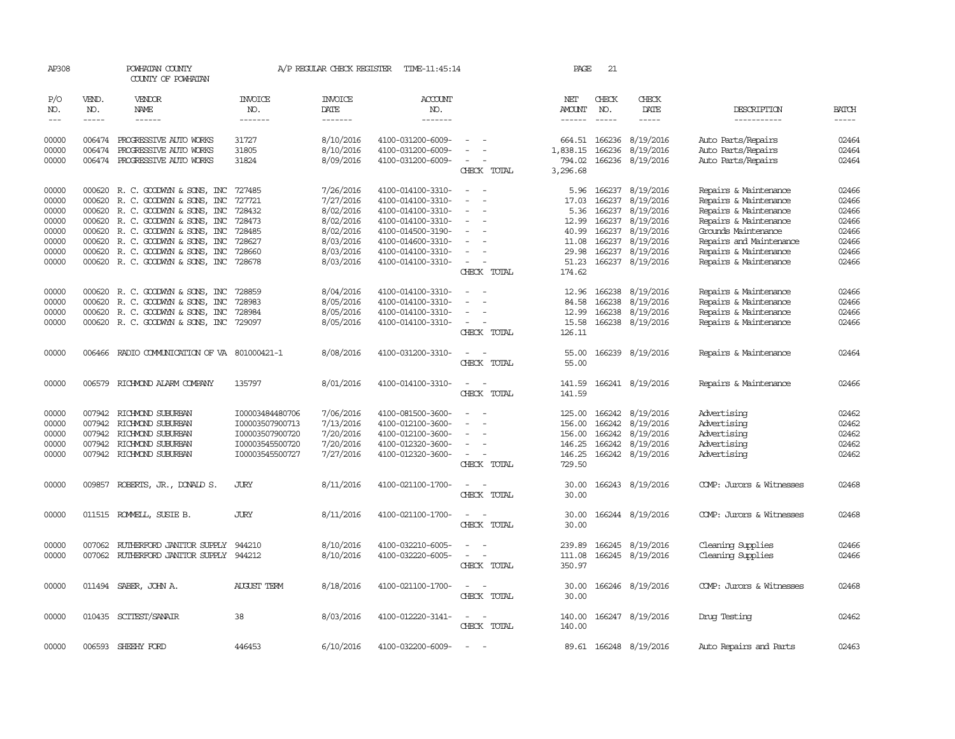| AP308         |              | POWHATAN COUNTY<br>COUNTY OF POWHATAN   |                       | A/P REGULAR CHECK REGISTER | TIME-11:45:14         |                                      | PAGE               | 21            |                        |                          |              |
|---------------|--------------|-----------------------------------------|-----------------------|----------------------------|-----------------------|--------------------------------------|--------------------|---------------|------------------------|--------------------------|--------------|
| P/O<br>NO.    | VEND.<br>NO. | VENDOR<br>NAME                          | <b>INVOICE</b><br>NO. | <b>INVOICE</b><br>DATE     | <b>ACCOUNT</b><br>NO. |                                      | NET<br>AMOUNT      | CHECK<br>NO.  | CHECK<br>DATE          | DESCRIPTION              | <b>BATCH</b> |
| $\frac{1}{2}$ | $- - - - -$  | ------                                  | -------               | -------                    | -------               |                                      |                    | $\frac{1}{2}$ | -----                  | -----------              | $- - - - -$  |
| 00000         | 006474       | PROGRESSIVE AUTO WORKS                  | 31727                 | 8/10/2016                  | 4100-031200-6009-     |                                      | 664.51             | 166236        | 8/19/2016              | Auto Parts/Repairs       | 02464        |
| 00000         | 006474       | PROGRESSIVE AUTO WORKS                  | 31805                 | 8/10/2016                  | 4100-031200-6009-     |                                      | 1,838.15           | 166236        | 8/19/2016              | Auto Parts/Repairs       | 02464        |
| 00000         |              | 006474 PROGRESSIVE AUTO WORKS           | 31824                 | 8/09/2016                  | 4100-031200-6009-     | CHECK TOTAL                          | 794.02<br>3,296.68 |               | 166236 8/19/2016       | Auto Parts/Repairs       | 02464        |
|               |              |                                         |                       |                            |                       |                                      |                    |               |                        |                          |              |
| 00000         |              | 000620 R. C. GOODWYN & SONS, INC        | 727485                | 7/26/2016                  | 4100-014100-3310-     |                                      | 5.96               |               | 166237 8/19/2016       | Repairs & Maintenance    | 02466        |
| 00000         | 000620       | R. C. GOODWYN & SONS, INC               | 727721                | 7/27/2016                  | 4100-014100-3310-     |                                      | 17.03              | 166237        | 8/19/2016              | Repairs & Maintenance    | 02466        |
| 00000         | 000620       | R. C. GOODWYN & SONS, INC               | 728432                | 8/02/2016                  | 4100-014100-3310-     | $\equiv$                             | 5.36               | 166237        | 8/19/2016              | Repairs & Maintenance    | 02466        |
| 00000         | 000620       | R. C. GOODWYN & SONS, INC               | 728473                | 8/02/2016                  | 4100-014100-3310-     |                                      | 12.99              | 166237        | 8/19/2016              | Repairs & Maintenance    | 02466        |
| 00000         |              | 000620 R. C. GOODWYN & SONS, INC        | 728485                | 8/02/2016                  | 4100-014500-3190-     |                                      | 40.99              | 166237        | 8/19/2016              | Grounds Maintenance      | 02466        |
| 00000         |              | 000620 R. C. GOODWYN & SONS, INC        | 728627                | 8/03/2016                  | 4100-014600-3310-     | $\equiv$                             | 11.08              | 166237        | 8/19/2016              | Repairs and Maintenance  | 02466        |
| 00000         | 000620       | R. C. GOODWYN & SONS, INC               | 728660                | 8/03/2016                  | 4100-014100-3310-     |                                      | 29.98              | 166237        | 8/19/2016              | Repairs & Maintenance    | 02466        |
| 00000         |              | 000620 R. C. GOODWYN & SONS, INC        | 728678                | 8/03/2016                  | 4100-014100-3310-     | $\equiv$                             | 51.23              |               | 166237 8/19/2016       | Repairs & Maintenance    | 02466        |
|               |              |                                         |                       |                            |                       | CHECK TOTAL                          | 174.62             |               |                        |                          |              |
| 00000         |              | 000620 R. C. GOODWYN & SONS, INC        | 728859                | 8/04/2016                  | 4100-014100-3310-     |                                      | 12.96              | 166238        | 8/19/2016              | Repairs & Maintenance    | 02466        |
| 00000         | 000620       | R. C. GOODWYN & SONS, INC               | 728983                | 8/05/2016                  | 4100-014100-3310-     |                                      | 84.58              | 166238        | 8/19/2016              | Repairs & Maintenance    | 02466        |
| 00000         | 000620       | R. C. GOODWIN & SONS, INC               | 728984                | 8/05/2016                  | 4100-014100-3310-     | $\equiv$                             | 12.99              | 166238        | 8/19/2016              | Repairs & Maintenance    | 02466        |
| 00000         |              | 000620 R. C. GOODWYN & SONS, INC        | 729097                | 8/05/2016                  | 4100-014100-3310-     | $\equiv$                             | 15.58              | 166238        | 8/19/2016              | Repairs & Maintenance    | 02466        |
|               |              |                                         |                       |                            |                       | CHECK TOTAL                          | 126.11             |               |                        |                          |              |
| 00000         | 006466       | RADIO COMMUNICATION OF VA 801000421-1   |                       | 8/08/2016                  | 4100-031200-3310-     |                                      | 55.00              |               | 166239 8/19/2016       | Repairs & Maintenance    | 02464        |
|               |              |                                         |                       |                            |                       | CHECK TOTAL                          | 55.00              |               |                        |                          |              |
|               |              |                                         |                       |                            |                       |                                      |                    |               |                        |                          |              |
| 00000         |              | 006579 RICHMOND ALARM COMPANY           | 135797                | 8/01/2016                  | 4100-014100-3310-     | $\equiv$<br>$\overline{\phantom{a}}$ | 141.59             |               | 166241 8/19/2016       | Repairs & Maintenance    | 02466        |
|               |              |                                         |                       |                            |                       | CHECK TOTAL                          | 141.59             |               |                        |                          |              |
| 00000         | 007942       | RICHMOND SUBURBAN                       | I00003484480706       | 7/06/2016                  | 4100-081500-3600-     | $\equiv$                             | 125.00             | 166242        | 8/19/2016              | Advertising              | 02462        |
| 00000         | 007942       | RICHMOND SUBURBAN                       | I00003507900713       | 7/13/2016                  | 4100-012100-3600-     | $\equiv$                             | 156.00             | 166242        | 8/19/2016              | Advertising              | 02462        |
| 00000         |              | 007942 RICHMOND SUBURBAN                | I00003507900720       | 7/20/2016                  | 4100-012100-3600-     |                                      | 156.00             | 166242        | 8/19/2016              | Advertising              | 02462        |
| 00000         |              | 007942 RICHMOND SUBURBAN                | I00003545500720       | 7/20/2016                  | 4100-012320-3600-     | $\equiv$                             | 146.25             | 166242        | 8/19/2016              | Advertising              | 02462        |
| 00000         |              | 007942 RICHMOND SUBURBAN                | I00003545500727       | 7/27/2016                  | 4100-012320-3600-     | $\equiv$                             | 146.25             |               | 166242 8/19/2016       | Advertising              | 02462        |
|               |              |                                         |                       |                            |                       | CHECK TOTAL                          | 729.50             |               |                        |                          |              |
| 00000         |              | 009857 ROBERTS, JR., DONALD S.          | <b>JURY</b>           | 8/11/2016                  | 4100-021100-1700-     | $\equiv$                             | 30.00              |               | 166243 8/19/2016       | COMP: Jurors & Witnesses | 02468        |
|               |              |                                         |                       |                            |                       | CHECK TOTAL                          | 30.00              |               |                        |                          |              |
|               |              |                                         |                       |                            |                       |                                      |                    |               |                        |                          |              |
| 00000         |              | 011515 ROMELL, SUSIE B.                 | <b>JURY</b>           | 8/11/2016                  | 4100-021100-1700-     | CHECK TOTAL                          | 30.00<br>30.00     |               | 166244 8/19/2016       | COMP: Jurors & Witnesses | 02468        |
|               |              |                                         |                       |                            |                       |                                      |                    |               |                        |                          |              |
| 00000         | 007062       | RUTHERFORD JANITOR SUPPLY               | 944210                | 8/10/2016                  | 4100-032210-6005-     |                                      | 239.89             |               | 166245 8/19/2016       | Cleaning Supplies        | 02466        |
| 00000         |              | 007062 RUIHERFORD JANITOR SUPPLY 944212 |                       | 8/10/2016                  | 4100-032220-6005-     | $\sim$                               | 111.08             |               | 166245 8/19/2016       | Cleaning Supplies        | 02466        |
|               |              |                                         |                       |                            |                       | CHECK TOTAL                          | 350.97             |               |                        |                          |              |
| 00000         |              | 011494 SABER, JOHN A.                   | <b>AUGUST TERM</b>    | 8/18/2016                  | 4100-021100-1700-     |                                      | 30.00              |               | 166246 8/19/2016       | COMP: Jurors & Witnesses | 02468        |
|               |              |                                         |                       |                            |                       | CHECK TOTAL                          | 30.00              |               |                        |                          |              |
| 00000         |              | 010435 SCITEST/SANAIR                   | 38                    | 8/03/2016                  | 4100-012220-3141-     | $\overline{\phantom{a}}$<br>$\sim$   | 140.00             |               | 166247 8/19/2016       | Drug Testing             | 02462        |
|               |              |                                         |                       |                            |                       | CHECK TOTAL                          | 140.00             |               |                        |                          |              |
|               |              |                                         |                       |                            |                       |                                      |                    |               |                        |                          |              |
| 00000         | 006593       | SHEEHY FORD                             | 446453                | 6/10/2016                  | 4100-032200-6009-     |                                      |                    |               | 89.61 166248 8/19/2016 | Auto Repairs and Parts   | 02463        |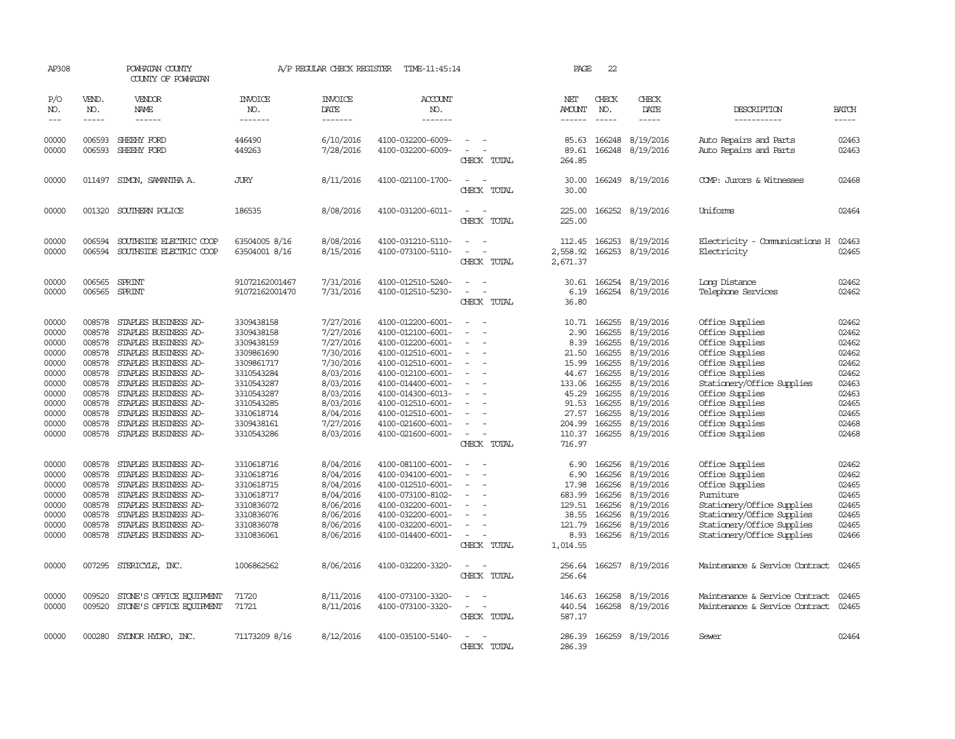| AP308                                                                                                                                                                            |                                                                                                                                                                                                      | POWHATAN COUNTY<br>COUNTY OF POWHATAN                                                                                                                                                                                                                                                                                                                                                                                                                                                        |                                                                                                                                                                                                                                                                                      | A/P REGULAR CHECK REGISTER                                                                                                                                                                                                                                       | TIME-11:45:14                                                                                                                                                                                                                                                                                                                                                                                                                    |                                                                                                           | PAGE                                                                                                                                                                     | 22                                                                                                                                                           |                                                                                                                                                                                                                                                                                                           |                                                                                                                                                                                                                                                                                                                                                                                                                                           |                                                                                                                                                                                  |
|----------------------------------------------------------------------------------------------------------------------------------------------------------------------------------|------------------------------------------------------------------------------------------------------------------------------------------------------------------------------------------------------|----------------------------------------------------------------------------------------------------------------------------------------------------------------------------------------------------------------------------------------------------------------------------------------------------------------------------------------------------------------------------------------------------------------------------------------------------------------------------------------------|--------------------------------------------------------------------------------------------------------------------------------------------------------------------------------------------------------------------------------------------------------------------------------------|------------------------------------------------------------------------------------------------------------------------------------------------------------------------------------------------------------------------------------------------------------------|----------------------------------------------------------------------------------------------------------------------------------------------------------------------------------------------------------------------------------------------------------------------------------------------------------------------------------------------------------------------------------------------------------------------------------|-----------------------------------------------------------------------------------------------------------|--------------------------------------------------------------------------------------------------------------------------------------------------------------------------|--------------------------------------------------------------------------------------------------------------------------------------------------------------|-----------------------------------------------------------------------------------------------------------------------------------------------------------------------------------------------------------------------------------------------------------------------------------------------------------|-------------------------------------------------------------------------------------------------------------------------------------------------------------------------------------------------------------------------------------------------------------------------------------------------------------------------------------------------------------------------------------------------------------------------------------------|----------------------------------------------------------------------------------------------------------------------------------------------------------------------------------|
| P/O<br>NO.<br>$---$                                                                                                                                                              | VEND.<br>NO.<br>$- - - - -$                                                                                                                                                                          | VENDOR<br>NAME<br>$- - - - - -$                                                                                                                                                                                                                                                                                                                                                                                                                                                              | INVOICE<br>NO.<br>-------                                                                                                                                                                                                                                                            | <b>INVOICE</b><br>DATE<br>-------                                                                                                                                                                                                                                | <b>ACCOUNT</b><br>NO.<br>-------                                                                                                                                                                                                                                                                                                                                                                                                 |                                                                                                           | NET<br>AMOUNT<br>------                                                                                                                                                  | CHECK<br>NO.<br>$\frac{1}{2}$                                                                                                                                | CHECK<br>DATE<br>$- - - - -$                                                                                                                                                                                                                                                                              | DESCRIPTION<br>-----------                                                                                                                                                                                                                                                                                                                                                                                                                | <b>BATCH</b><br>-----                                                                                                                                                            |
| 00000<br>00000                                                                                                                                                                   | 006593<br>006593                                                                                                                                                                                     | SHEEHY FORD<br>SHEEHY FORD                                                                                                                                                                                                                                                                                                                                                                                                                                                                   | 446490<br>449263                                                                                                                                                                                                                                                                     | 6/10/2016<br>7/28/2016                                                                                                                                                                                                                                           | 4100-032200-6009-<br>4100-032200-6009-                                                                                                                                                                                                                                                                                                                                                                                           | CHECK TOTAL                                                                                               | 85.63<br>89.61<br>264.85                                                                                                                                                 | 166248                                                                                                                                                       | 166248 8/19/2016<br>8/19/2016                                                                                                                                                                                                                                                                             | Auto Repairs and Parts<br>Auto Repairs and Parts                                                                                                                                                                                                                                                                                                                                                                                          | 02463<br>02463                                                                                                                                                                   |
| 00000                                                                                                                                                                            | 011497                                                                                                                                                                                               | SIMON, SAMANTHA A.                                                                                                                                                                                                                                                                                                                                                                                                                                                                           | <b>JURY</b>                                                                                                                                                                                                                                                                          | 8/11/2016                                                                                                                                                                                                                                                        | 4100-021100-1700-                                                                                                                                                                                                                                                                                                                                                                                                                | CHECK TOTAL                                                                                               | 30.00<br>30.00                                                                                                                                                           |                                                                                                                                                              | 166249 8/19/2016                                                                                                                                                                                                                                                                                          | COMP: Jurors & Witnesses                                                                                                                                                                                                                                                                                                                                                                                                                  | 02468                                                                                                                                                                            |
| 00000                                                                                                                                                                            | 001320                                                                                                                                                                                               | SOUTHERN POLICE                                                                                                                                                                                                                                                                                                                                                                                                                                                                              | 186535                                                                                                                                                                                                                                                                               | 8/08/2016                                                                                                                                                                                                                                                        | 4100-031200-6011-                                                                                                                                                                                                                                                                                                                                                                                                                | CHECK TOTAL                                                                                               | 225.00<br>225.00                                                                                                                                                         |                                                                                                                                                              | 166252 8/19/2016                                                                                                                                                                                                                                                                                          | Uniforms                                                                                                                                                                                                                                                                                                                                                                                                                                  | 02464                                                                                                                                                                            |
| 00000<br>00000                                                                                                                                                                   | 006594<br>006594                                                                                                                                                                                     | SOUTHSIDE ELECTRIC COOP<br>SOUTHSIDE ELECTRIC COOP                                                                                                                                                                                                                                                                                                                                                                                                                                           | 63504005 8/16<br>63504001 8/16                                                                                                                                                                                                                                                       | 8/08/2016<br>8/15/2016                                                                                                                                                                                                                                           | 4100-031210-5110-<br>4100-073100-5110-                                                                                                                                                                                                                                                                                                                                                                                           | $\equiv$<br>$\overline{\phantom{a}}$<br>CHECK TOTAL                                                       | 112.45<br>2,558.92<br>2,671.37                                                                                                                                           | 166253                                                                                                                                                       | 166253 8/19/2016<br>8/19/2016                                                                                                                                                                                                                                                                             | Electricity - Comunications H<br>Electricity                                                                                                                                                                                                                                                                                                                                                                                              | 02463<br>02465                                                                                                                                                                   |
| 00000<br>00000                                                                                                                                                                   |                                                                                                                                                                                                      | 006565 SPRINT<br>006565 SPRINT                                                                                                                                                                                                                                                                                                                                                                                                                                                               | 91072162001467<br>91072162001470                                                                                                                                                                                                                                                     | 7/31/2016<br>7/31/2016                                                                                                                                                                                                                                           | 4100-012510-5240-<br>4100-012510-5230-                                                                                                                                                                                                                                                                                                                                                                                           | $\sim$ 10 $\sim$<br>CHECK TOTAL                                                                           | 30.61<br>36.80                                                                                                                                                           |                                                                                                                                                              | 166254 8/19/2016<br>6.19 166254 8/19/2016                                                                                                                                                                                                                                                                 | Long Distance<br>Telephone Services                                                                                                                                                                                                                                                                                                                                                                                                       | 02462<br>02462                                                                                                                                                                   |
| 00000<br>00000<br>00000<br>00000<br>00000<br>00000<br>00000<br>00000<br>00000<br>00000<br>00000<br>00000<br>00000<br>00000<br>00000<br>00000<br>00000<br>00000<br>00000<br>00000 | 008578<br>008578<br>008578<br>008578<br>008578<br>008578<br>008578<br>008578<br>008578<br>008578<br>008578<br>008578<br>008578<br>008578<br>008578<br>008578<br>008578<br>008578<br>008578<br>008578 | STAPLES BUSINESS AD-<br>STAPLES BUSINESS AD-<br>STAPLES BUSINESS AD-<br>STAPLES BUSINESS AD-<br>STAPLES BUSINESS AD-<br>STAPLES BUSINESS AD-<br>STAPLES BUSINESS AD-<br>STAPLES BUSINESS AD-<br>STAPLES BUSINESS AD-<br>STAPLES BUSINESS AD-<br>STAPLES BUSINESS AD-<br>STAPLES BUSINESS AD-<br>STAPLES BUSINESS AD-<br>STAPLES BUSINESS AD-<br>STAPLES BUSINESS AD-<br>STAPLES BUSINESS AD-<br>STAPLES BUSINESS AD-<br>STAPLES BUSINESS AD-<br>STAPLES BUSINESS AD-<br>STAPLES BUSINESS AD- | 3309438158<br>3309438158<br>3309438159<br>3309861690<br>3309861717<br>3310543284<br>3310543287<br>3310543287<br>3310543285<br>3310618714<br>3309438161<br>3310543286<br>3310618716<br>3310618716<br>3310618715<br>3310618717<br>3310836072<br>3310836076<br>3310836078<br>3310836061 | 7/27/2016<br>7/27/2016<br>7/27/2016<br>7/30/2016<br>7/30/2016<br>8/03/2016<br>8/03/2016<br>8/03/2016<br>8/03/2016<br>8/04/2016<br>7/27/2016<br>8/03/2016<br>8/04/2016<br>8/04/2016<br>8/04/2016<br>8/04/2016<br>8/06/2016<br>8/06/2016<br>8/06/2016<br>8/06/2016 | 4100-012200-6001-<br>4100-012100-6001-<br>4100-012200-6001-<br>4100-012510-6001-<br>4100-012510-6001-<br>4100-012100-6001-<br>4100-014400-6001-<br>4100-014300-6013-<br>4100-012510-6001-<br>4100-012510-6001-<br>4100-021600-6001-<br>4100-021600-6001-<br>4100-081100-6001-<br>4100-034100-6001-<br>4100-012510-6001-<br>4100-073100-8102-<br>4100-032200-6001-<br>4100-032200-6001-<br>4100-032200-6001-<br>4100-014400-6001- | $\overline{\phantom{a}}$<br>$\sim$<br>CHECK TOTAL<br>$\overline{\phantom{a}}$<br>$\overline{\phantom{a}}$ | 10.71<br>2.90<br>8.39<br>21.50<br>15.99<br>44.67<br>133.06<br>45.29<br>91.53<br>27.57<br>204.99<br>716.97<br>6.90<br>6.90<br>17.98<br>683.99<br>129.51<br>121.79<br>8.93 | 166255<br>166255<br>166255<br>166255<br>166255<br>166255<br>166255<br>166255<br>166255<br>166255<br>166255<br>166256<br>166256<br>166256<br>166256<br>166256 | 8/19/2016<br>8/19/2016<br>8/19/2016<br>8/19/2016<br>8/19/2016<br>8/19/2016<br>8/19/2016<br>8/19/2016<br>8/19/2016<br>8/19/2016<br>8/19/2016<br>110.37 166255 8/19/2016<br>166256 8/19/2016<br>8/19/2016<br>8/19/2016<br>8/19/2016<br>8/19/2016<br>38.55 166256 8/19/2016<br>8/19/2016<br>166256 8/19/2016 | Office Supplies<br>Office Supplies<br>Office Supplies<br>Office Supplies<br>Office Supplies<br>Office Supplies<br>Stationery/Office Supplies<br>Office Supplies<br>Office Supplies<br>Office Supplies<br>Office Supplies<br>Office Supplies<br>Office Supplies<br>Office Supplies<br>Office Supplies<br>Furniture<br>Stationery/Office Supplies<br>Stationery/Office Supplies<br>Stationery/Office Supplies<br>Stationery/Office Supplies | 02462<br>02462<br>02462<br>02462<br>02462<br>02462<br>02463<br>02463<br>02465<br>02465<br>02468<br>02468<br>02462<br>02462<br>02465<br>02465<br>02465<br>02465<br>02465<br>02466 |
| 00000                                                                                                                                                                            | 007295                                                                                                                                                                                               | STERICYLE, INC.                                                                                                                                                                                                                                                                                                                                                                                                                                                                              | 1006862562                                                                                                                                                                                                                                                                           | 8/06/2016                                                                                                                                                                                                                                                        | 4100-032200-3320-                                                                                                                                                                                                                                                                                                                                                                                                                | CHECK TOTAL<br>CHECK TOTAL                                                                                | 1,014.55<br>256.64<br>256.64                                                                                                                                             |                                                                                                                                                              | 166257 8/19/2016                                                                                                                                                                                                                                                                                          | Maintenance & Service Contract                                                                                                                                                                                                                                                                                                                                                                                                            | 02465                                                                                                                                                                            |
| 00000<br>00000                                                                                                                                                                   | 009520<br>009520                                                                                                                                                                                     | STONE'S OFFICE EQUIPMENT<br>STONE'S OFFICE EQUIPMENT                                                                                                                                                                                                                                                                                                                                                                                                                                         | 71720<br>71721                                                                                                                                                                                                                                                                       | 8/11/2016<br>8/11/2016                                                                                                                                                                                                                                           | 4100-073100-3320-<br>4100-073100-3320-                                                                                                                                                                                                                                                                                                                                                                                           | $\overline{\phantom{a}}$<br>CHECK TOTAL                                                                   | 146.63<br>440.54<br>587.17                                                                                                                                               | 166258                                                                                                                                                       | 8/19/2016<br>166258 8/19/2016                                                                                                                                                                                                                                                                             | Maintenance & Service Contract<br>Maintenance & Service Contract                                                                                                                                                                                                                                                                                                                                                                          | 02465<br>02465                                                                                                                                                                   |
| 00000                                                                                                                                                                            |                                                                                                                                                                                                      | 000280 SYDNOR HYDRO, INC.                                                                                                                                                                                                                                                                                                                                                                                                                                                                    | 71173209 8/16                                                                                                                                                                                                                                                                        | 8/12/2016                                                                                                                                                                                                                                                        | 4100-035100-5140-                                                                                                                                                                                                                                                                                                                                                                                                                | CHECK TOTAL                                                                                               | 286.39                                                                                                                                                                   |                                                                                                                                                              | 286.39 166259 8/19/2016                                                                                                                                                                                                                                                                                   | Sewer                                                                                                                                                                                                                                                                                                                                                                                                                                     | 02464                                                                                                                                                                            |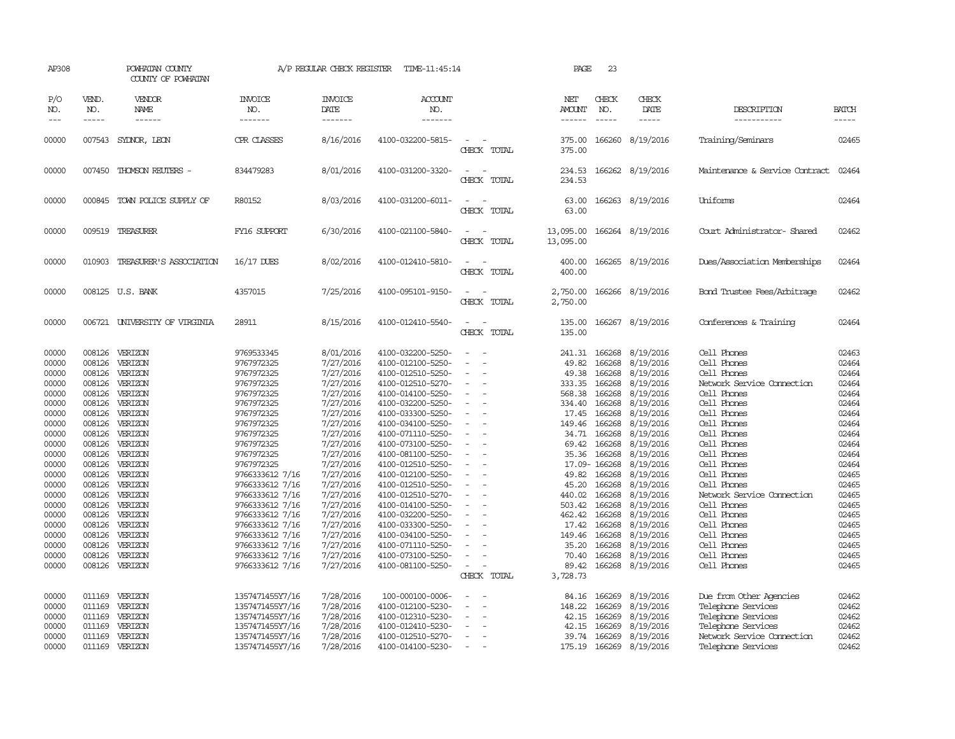| AP308                                                                                                                                                                                              |                                                                                                                                                                                  | POWHATAN COUNTY<br>COUNTY OF POWHATAN                                                                                                                                                                                                                                      |                                                                                                                                                                                                                                                                                                                                                                    | A/P REGULAR CHECK REGISTER                                                                                                                                                                                                                                                                 | TIME-11:45:14                                                                                                                                                                                                                                                                                                                                                                                                                                                              |                                                                       | PAGE                                                                                                                                                                                                           | 23                                                                                                                                                                                                                             |                                                                                                                                                                                                                                                                                            |                                                                                                                                                                                                                                                                                                                                                                      |                                                                                                                                                                                                    |
|----------------------------------------------------------------------------------------------------------------------------------------------------------------------------------------------------|----------------------------------------------------------------------------------------------------------------------------------------------------------------------------------|----------------------------------------------------------------------------------------------------------------------------------------------------------------------------------------------------------------------------------------------------------------------------|--------------------------------------------------------------------------------------------------------------------------------------------------------------------------------------------------------------------------------------------------------------------------------------------------------------------------------------------------------------------|--------------------------------------------------------------------------------------------------------------------------------------------------------------------------------------------------------------------------------------------------------------------------------------------|----------------------------------------------------------------------------------------------------------------------------------------------------------------------------------------------------------------------------------------------------------------------------------------------------------------------------------------------------------------------------------------------------------------------------------------------------------------------------|-----------------------------------------------------------------------|----------------------------------------------------------------------------------------------------------------------------------------------------------------------------------------------------------------|--------------------------------------------------------------------------------------------------------------------------------------------------------------------------------------------------------------------------------|--------------------------------------------------------------------------------------------------------------------------------------------------------------------------------------------------------------------------------------------------------------------------------------------|----------------------------------------------------------------------------------------------------------------------------------------------------------------------------------------------------------------------------------------------------------------------------------------------------------------------------------------------------------------------|----------------------------------------------------------------------------------------------------------------------------------------------------------------------------------------------------|
| P/O<br>NO.<br>$---$                                                                                                                                                                                | VEND.<br>NO.<br>$- - - - -$                                                                                                                                                      | VENDOR<br>NAME<br>------                                                                                                                                                                                                                                                   | <b>INVOICE</b><br>NO.<br>-------                                                                                                                                                                                                                                                                                                                                   | <b>INVOICE</b><br><b>DATE</b><br>-------                                                                                                                                                                                                                                                   | <b>ACCOUNT</b><br>NO.<br>-------                                                                                                                                                                                                                                                                                                                                                                                                                                           |                                                                       | NET<br><b>AMOUNT</b><br>------                                                                                                                                                                                 | CHECK<br>NO.<br>$- - - - -$                                                                                                                                                                                                    | CHECK<br>DATE<br>-----                                                                                                                                                                                                                                                                     | DESCRIPTION<br>-----------                                                                                                                                                                                                                                                                                                                                           | <b>BATCH</b><br>-----                                                                                                                                                                              |
| 00000                                                                                                                                                                                              | 007543                                                                                                                                                                           | SYDNOR, LEON                                                                                                                                                                                                                                                               | CPR CLASSES                                                                                                                                                                                                                                                                                                                                                        | 8/16/2016                                                                                                                                                                                                                                                                                  | 4100-032200-5815-                                                                                                                                                                                                                                                                                                                                                                                                                                                          | $\sim$<br>CHECK TOTAL                                                 | 375.00<br>375.00                                                                                                                                                                                               |                                                                                                                                                                                                                                | 166260 8/19/2016                                                                                                                                                                                                                                                                           | Training/Seminars                                                                                                                                                                                                                                                                                                                                                    | 02465                                                                                                                                                                                              |
| 00000                                                                                                                                                                                              |                                                                                                                                                                                  | 007450 THOMSON REUTERS -                                                                                                                                                                                                                                                   | 834479283                                                                                                                                                                                                                                                                                                                                                          | 8/01/2016                                                                                                                                                                                                                                                                                  | 4100-031200-3320-                                                                                                                                                                                                                                                                                                                                                                                                                                                          | $\equiv$<br>CHECK TOTAL                                               | 234.53<br>234.53                                                                                                                                                                                               |                                                                                                                                                                                                                                | 166262 8/19/2016                                                                                                                                                                                                                                                                           | Maintenance & Service Contract                                                                                                                                                                                                                                                                                                                                       | 02464                                                                                                                                                                                              |
| 00000                                                                                                                                                                                              |                                                                                                                                                                                  | 000845 TOWN POLICE SUPPLY OF                                                                                                                                                                                                                                               | R80152                                                                                                                                                                                                                                                                                                                                                             | 8/03/2016                                                                                                                                                                                                                                                                                  | 4100-031200-6011-                                                                                                                                                                                                                                                                                                                                                                                                                                                          | $\equiv$<br>CHECK TOTAL                                               | 63.00<br>63.00                                                                                                                                                                                                 |                                                                                                                                                                                                                                | 166263 8/19/2016                                                                                                                                                                                                                                                                           | Uniforms                                                                                                                                                                                                                                                                                                                                                             | 02464                                                                                                                                                                                              |
| 00000                                                                                                                                                                                              |                                                                                                                                                                                  | 009519 TREASURER                                                                                                                                                                                                                                                           | FY16 SUPPORT                                                                                                                                                                                                                                                                                                                                                       | 6/30/2016                                                                                                                                                                                                                                                                                  | 4100-021100-5840-                                                                                                                                                                                                                                                                                                                                                                                                                                                          | CHECK TOTAL                                                           | 13,095.00<br>13,095.00                                                                                                                                                                                         |                                                                                                                                                                                                                                | 166264 8/19/2016                                                                                                                                                                                                                                                                           | Court Administrator- Shared                                                                                                                                                                                                                                                                                                                                          | 02462                                                                                                                                                                                              |
| 00000                                                                                                                                                                                              |                                                                                                                                                                                  | 010903 TREASURER'S ASSOCIATION                                                                                                                                                                                                                                             | 16/17 DUES                                                                                                                                                                                                                                                                                                                                                         | 8/02/2016                                                                                                                                                                                                                                                                                  | 4100-012410-5810-                                                                                                                                                                                                                                                                                                                                                                                                                                                          | CHECK TOTAL                                                           | 400.00<br>400.00                                                                                                                                                                                               |                                                                                                                                                                                                                                | 166265 8/19/2016                                                                                                                                                                                                                                                                           | Dues/Association Memberships                                                                                                                                                                                                                                                                                                                                         | 02464                                                                                                                                                                                              |
| 00000                                                                                                                                                                                              |                                                                                                                                                                                  | 008125 U.S. BANK                                                                                                                                                                                                                                                           | 4357015                                                                                                                                                                                                                                                                                                                                                            | 7/25/2016                                                                                                                                                                                                                                                                                  | 4100-095101-9150-                                                                                                                                                                                                                                                                                                                                                                                                                                                          | $\sim$<br>CHECK TOTAL                                                 | 2,750.00<br>2,750.00                                                                                                                                                                                           |                                                                                                                                                                                                                                | 166266 8/19/2016                                                                                                                                                                                                                                                                           | Bond Trustee Fees/Arbitrage                                                                                                                                                                                                                                                                                                                                          | 02462                                                                                                                                                                                              |
| 00000                                                                                                                                                                                              |                                                                                                                                                                                  | 006721 UNIVERSITY OF VIRGINIA                                                                                                                                                                                                                                              | 28911                                                                                                                                                                                                                                                                                                                                                              | 8/15/2016                                                                                                                                                                                                                                                                                  | 4100-012410-5540-                                                                                                                                                                                                                                                                                                                                                                                                                                                          | CHECK TOTAL                                                           | 135.00<br>135.00                                                                                                                                                                                               |                                                                                                                                                                                                                                | 166267 8/19/2016                                                                                                                                                                                                                                                                           | Conferences & Training                                                                                                                                                                                                                                                                                                                                               | 02464                                                                                                                                                                                              |
| 00000<br>00000<br>00000<br>00000<br>00000<br>00000<br>00000<br>00000<br>00000<br>00000<br>00000<br>00000<br>00000<br>00000<br>00000<br>00000<br>00000<br>00000<br>00000<br>00000<br>00000<br>00000 | 008126<br>008126<br>008126<br>008126<br>008126<br>008126<br>008126<br>008126<br>008126<br>008126<br>008126<br>008126<br>008126<br>008126<br>008126<br>008126<br>008126<br>008126 | VERIZON<br>VERIZON<br>VERIZON<br>VERIZON<br>VERIZON<br>VERIZON<br>008126 VERIZON<br>VERIZON<br>VERIZON<br>VERIZON<br>VERIZON<br>008126 VERIZON<br>VERIZON<br>008126 VERIZON<br>VERIZON<br>VERIZON<br>008126 VERIZON<br>VERIZON<br>VERIZON<br>VERIZON<br>VERIZON<br>VERIZON | 9769533345<br>9767972325<br>9767972325<br>9767972325<br>9767972325<br>9767972325<br>9767972325<br>9767972325<br>9767972325<br>9767972325<br>9767972325<br>9767972325<br>9766333612 7/16<br>9766333612 7/16<br>9766333612 7/16<br>9766333612 7/16<br>9766333612 7/16<br>9766333612 7/16<br>9766333612 7/16<br>9766333612 7/16<br>9766333612 7/16<br>9766333612 7/16 | 8/01/2016<br>7/27/2016<br>7/27/2016<br>7/27/2016<br>7/27/2016<br>7/27/2016<br>7/27/2016<br>7/27/2016<br>7/27/2016<br>7/27/2016<br>7/27/2016<br>7/27/2016<br>7/27/2016<br>7/27/2016<br>7/27/2016<br>7/27/2016<br>7/27/2016<br>7/27/2016<br>7/27/2016<br>7/27/2016<br>7/27/2016<br>7/27/2016 | 4100-032200-5250-<br>4100-012100-5250-<br>4100-012510-5250-<br>4100-012510-5270-<br>4100-014100-5250-<br>4100-032200-5250-<br>4100-033300-5250-<br>4100-034100-5250-<br>4100-071110-5250-<br>4100-073100-5250-<br>4100-081100-5250-<br>4100-012510-5250-<br>4100-012100-5250-<br>4100-012510-5250-<br>4100-012510-5270-<br>4100-014100-5250-<br>4100-032200-5250-<br>4100-033300-5250-<br>4100-034100-5250-<br>4100-071110-5250-<br>4100-073100-5250-<br>4100-081100-5250- | $\equiv$<br>$\equiv$<br>$\equiv$<br>$\sim$<br>$\equiv$<br>CHECK TOTAL | 241.31<br>49.82<br>49.38<br>333.35<br>568.38<br>334.40<br>17.45<br>149.46<br>34.71<br>69.42<br>35.36<br>49.82<br>45.20<br>440.02<br>503.42<br>462.42<br>17.42<br>149.46<br>35.20<br>70.40<br>89.42<br>3,728.73 | 166268<br>166268<br>166268<br>166268<br>166268<br>166268<br>166268<br>166268<br>166268<br>166268<br>166268<br>17.09-166268<br>166268<br>166268<br>166268<br>166268<br>166268<br>166268<br>166268<br>166268<br>166268<br>166268 | 8/19/2016<br>8/19/2016<br>8/19/2016<br>8/19/2016<br>8/19/2016<br>8/19/2016<br>8/19/2016<br>8/19/2016<br>8/19/2016<br>8/19/2016<br>8/19/2016<br>8/19/2016<br>8/19/2016<br>8/19/2016<br>8/19/2016<br>8/19/2016<br>8/19/2016<br>8/19/2016<br>8/19/2016<br>8/19/2016<br>8/19/2016<br>8/19/2016 | Cell Phones<br>Cell Phones<br>Cell Phones<br>Network Service Connection<br>Cell Phones<br>Cell Phones<br>Cell Phones<br>Cell Phones<br>Cell Phones<br>Cell Phones<br>Cell Phones<br>Cell Phones<br>Cell Phones<br>Cell Phones<br>Network Service Connection<br>Cell Phones<br>Cell Phones<br>Cell Phones<br>Cell Phones<br>Cell Phones<br>Cell Phones<br>Cell Phones | 02463<br>02464<br>02464<br>02464<br>02464<br>02464<br>02464<br>02464<br>02464<br>02464<br>02464<br>02464<br>02465<br>02465<br>02465<br>02465<br>02465<br>02465<br>02465<br>02465<br>02465<br>02465 |
| 00000<br>00000<br>00000<br>00000<br>00000<br>00000                                                                                                                                                 | 011169<br>011169<br>011169<br>011169<br>011169                                                                                                                                   | 011169 VERIZON<br>VERIZON<br>VERIZON<br>VERIZON<br>VERIZON<br>VERIZON                                                                                                                                                                                                      | 1357471455Y7/16<br>1357471455Y7/16<br>1357471455Y7/16<br>1357471455Y7/16<br>1357471455Y7/16<br>1357471455Y7/16                                                                                                                                                                                                                                                     | 7/28/2016<br>7/28/2016<br>7/28/2016<br>7/28/2016<br>7/28/2016<br>7/28/2016                                                                                                                                                                                                                 | 100-000100-0006-<br>4100-012100-5230-<br>4100-012310-5230-<br>4100-012410-5230-<br>4100-012510-5270-<br>4100-014100-5230-                                                                                                                                                                                                                                                                                                                                                  | $\overline{\phantom{a}}$                                              | 84.16<br>148.22<br>42.15<br>42.15<br>39.74<br>175.19                                                                                                                                                           | 166269<br>166269<br>166269<br>166269<br>166269                                                                                                                                                                                 | 8/19/2016<br>8/19/2016<br>8/19/2016<br>8/19/2016<br>8/19/2016<br>166269 8/19/2016                                                                                                                                                                                                          | Due from Other Agencies<br>Telephone Services<br>Telephone Services<br>Telephone Services<br>Network Service Connection<br>Telephone Services                                                                                                                                                                                                                        | 02462<br>02462<br>02462<br>02462<br>02462<br>02462                                                                                                                                                 |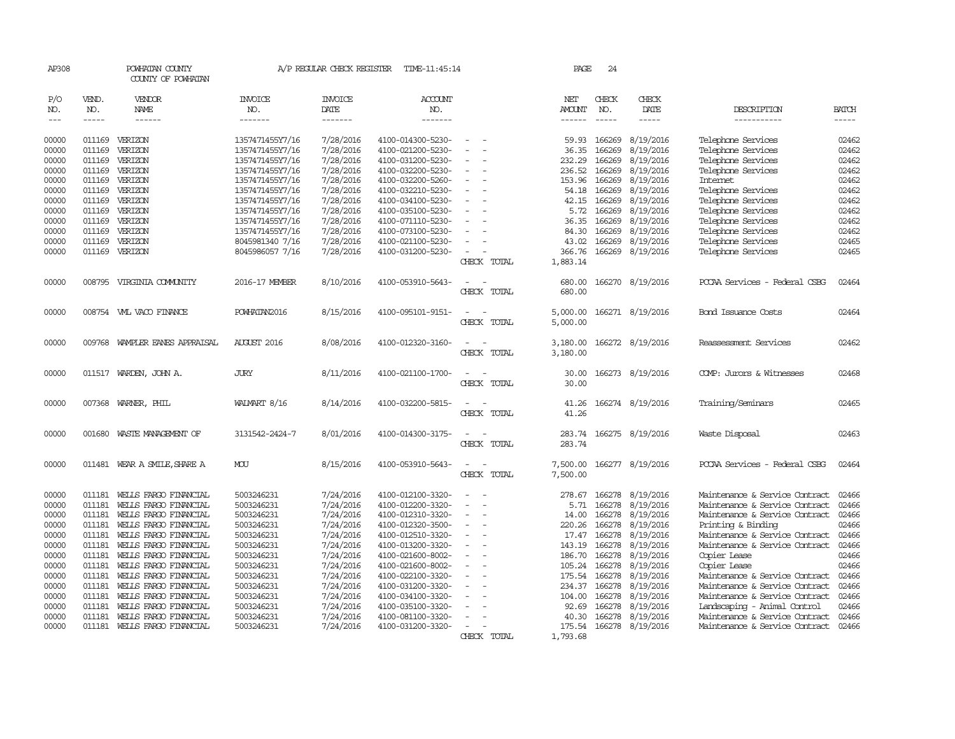| AP308               |                       | POWHATAN COUNTY<br>COUNTY OF POWHATAN          |                                    | A/P REGULAR CHECK REGISTER        | TIME-11:45:14                          |                          | PAGE                           | 24                          |                        |                                                |                       |
|---------------------|-----------------------|------------------------------------------------|------------------------------------|-----------------------------------|----------------------------------------|--------------------------|--------------------------------|-----------------------------|------------------------|------------------------------------------------|-----------------------|
| P/O<br>NO.<br>$---$ | VEND.<br>NO.<br>----- | VENDOR<br><b>NAME</b><br>$- - - - - -$         | <b>INVOICE</b><br>NO.<br>-------   | <b>INVOICE</b><br>DATE<br>------- | <b>ACCOUNT</b><br>NO.<br>-------       |                          | NET<br><b>AMOUNT</b><br>------ | CHECK<br>NO.<br>$- - - - -$ | CHECK<br>DATE<br>----- | DESCRIPTION<br>-----------                     | <b>BATCH</b><br>----- |
|                     |                       |                                                |                                    |                                   |                                        |                          |                                |                             |                        |                                                |                       |
| 00000               | 011169                | VERIZON                                        | 1357471455Y7/16                    | 7/28/2016                         | 4100-014300-5230-                      |                          | 59.93                          | 166269                      | 8/19/2016              | Telephone Services                             | 02462                 |
| 00000               | 011169                | VERIZON                                        | 1357471455Y7/16                    | 7/28/2016                         | 4100-021200-5230-                      |                          | 36.35                          | 166269                      | 8/19/2016              | Telephone Services                             | 02462                 |
| 00000               | 011169                | VERIZON                                        | 1357471455Y7/16                    | 7/28/2016                         | 4100-031200-5230-                      |                          | 232.29                         | 166269                      | 8/19/2016              | Telephone Services                             | 02462                 |
| 00000               | 011169                | VERIZON                                        | 1357471455Y7/16                    | 7/28/2016                         | 4100-032200-5230-                      |                          | 236.52                         | 166269                      | 8/19/2016              | Telephone Services                             | 02462                 |
| 00000               | 011169                | VERIZON                                        | 1357471455Y7/16                    | 7/28/2016                         | 4100-032200-5260-                      |                          | 153.96                         | 166269                      | 8/19/2016              | <b>Internet</b>                                | 02462                 |
| 00000               | 011169                | VERIZON                                        | 1357471455Y7/16                    | 7/28/2016                         | 4100-032210-5230-                      |                          | 54.18                          | 166269                      | 8/19/2016              | Telephone Services                             | 02462                 |
| 00000<br>00000      | 011169<br>011169      | VERIZON<br>VERIZON                             | 1357471455Y7/16                    | 7/28/2016<br>7/28/2016            | 4100-034100-5230-<br>4100-035100-5230- |                          | 42.15                          | 166269<br>166269            | 8/19/2016<br>8/19/2016 | Telephone Services<br>Telephone Services       | 02462<br>02462        |
| 00000               | 011169                | VERIZON                                        | 1357471455Y7/16<br>1357471455Y7/16 | 7/28/2016                         | 4100-071110-5230-                      |                          | 5.72<br>36.35                  | 166269                      | 8/19/2016              | Telephone Services                             | 02462                 |
| 00000               | 011169                | VERIZON                                        | 1357471455Y7/16                    | 7/28/2016                         | 4100-073100-5230-                      |                          | 84.30                          | 166269                      | 8/19/2016              | Telephone Services                             | 02462                 |
| 00000               | 011169                | VERIZON                                        | 8045981340 7/16                    | 7/28/2016                         | 4100-021100-5230-                      |                          | 43.02                          | 166269                      | 8/19/2016              | Telephone Services                             | 02465                 |
| 00000               | 011169                | VERIZON                                        | 8045986057 7/16                    | 7/28/2016                         | 4100-031200-5230-                      |                          | 366.76                         |                             | 166269 8/19/2016       | Telephone Services                             | 02465                 |
|                     |                       |                                                |                                    |                                   |                                        | CHECK TOTAL              | 1,883.14                       |                             |                        |                                                |                       |
| 00000               |                       | 008795 VIRGINIA COMUNITY                       | 2016-17 MEMBER                     | 8/10/2016                         | 4100-053910-5643-                      |                          | 680.00                         |                             | 166270 8/19/2016       | PCCAA Services - Federal CSBG                  | 02464                 |
|                     |                       |                                                |                                    |                                   |                                        | CHECK TOTAL              | 680.00                         |                             |                        |                                                |                       |
| 00000               |                       | 008754 WILL VACO FINANCE                       | POWHATAN2016                       | 8/15/2016                         | 4100-095101-9151-                      |                          | 5,000.00                       |                             | 166271 8/19/2016       | Bond Issuance Costs                            | 02464                 |
|                     |                       |                                                |                                    |                                   |                                        | CHECK TOTAL              | 5,000.00                       |                             |                        |                                                |                       |
| 00000               | 009768                | WAMPLER EANES APPRAISAL                        | <b>AUGUST 2016</b>                 | 8/08/2016                         | 4100-012320-3160-                      |                          | 3,180.00                       |                             | 166272 8/19/2016       | Reassessment Services                          | 02462                 |
|                     |                       |                                                |                                    |                                   |                                        | CHECK TOTAL              | 3,180.00                       |                             |                        |                                                |                       |
| 00000               |                       | 011517 WARDEN, JOHN A.                         | <b>JURY</b>                        | 8/11/2016                         | 4100-021100-1700-                      |                          | 30.00                          |                             | 166273 8/19/2016       | COMP: Jurors & Witnesses                       | 02468                 |
|                     |                       |                                                |                                    |                                   |                                        | CHECK TOTAL              | 30.00                          |                             |                        |                                                |                       |
| 00000               | 007368                | WARNER, PHIL                                   | WALMART 8/16                       | 8/14/2016                         | 4100-032200-5815-                      |                          | 41.26                          |                             | 166274 8/19/2016       | Training/Seminars                              | 02465                 |
|                     |                       |                                                |                                    |                                   |                                        | CHECK TOTAL              | 41.26                          |                             |                        |                                                |                       |
| 00000               | 001680                | WASTE MANAGEMENT OF                            | 3131542-2424-7                     | 8/01/2016                         | 4100-014300-3175-                      |                          | 283.74                         |                             | 166275 8/19/2016       | Waste Disposal                                 | 02463                 |
|                     |                       |                                                |                                    |                                   |                                        | CHECK TOTAL              | 283.74                         |                             |                        |                                                |                       |
| 00000               |                       | 011481 WEAR A SMILE, SHARE A                   | MOU                                | 8/15/2016                         | 4100-053910-5643-                      |                          | 7,500.00                       | 166277                      | 8/19/2016              | PCCAA Services - Federal CSBG                  | 02464                 |
|                     |                       |                                                |                                    |                                   |                                        | CHECK TOTAL              | 7,500.00                       |                             |                        |                                                |                       |
| 00000               | 011181                | WELLS FARGO FINANCIAL                          | 5003246231                         | 7/24/2016                         | 4100-012100-3320-                      |                          | 278.67                         | 166278                      | 8/19/2016              | Maintenance & Service Contract                 | 02466                 |
| 00000               | 011181                | WELLS FARGO FINANCIAL                          | 5003246231                         | 7/24/2016                         | 4100-012200-3320-                      |                          | 5.71                           | 166278                      | 8/19/2016              | Maintenance & Service Contract                 | 02466                 |
| 00000               | 011181                | WELLS FARGO FINANCIAL                          | 5003246231                         | 7/24/2016                         | 4100-012310-3320-                      | $\equiv$                 | 14.00                          | 166278                      | 8/19/2016              | Maintenance & Service Contract                 | 02466                 |
| 00000               | 011181                | WEILS FARGO FINANCIAL                          | 5003246231                         | 7/24/2016                         | 4100-012320-3500-                      |                          | 220.26                         | 166278                      | 8/19/2016              | Printing & Binding                             | 02466                 |
| 00000               | 011181                | WELLS FARGO FINANCIAL                          | 5003246231                         | 7/24/2016                         | 4100-012510-3320-                      |                          | 17.47                          | 166278                      | 8/19/2016              | Maintenance & Service Contract                 | 02466                 |
| 00000               | 011181                | WEILS FARGO FINANCIAL                          | 5003246231                         | 7/24/2016                         | 4100-013200-3320-                      |                          | 143.19                         | 166278                      | 8/19/2016              | Maintenance & Service Contract                 | 02466                 |
| 00000               | 011181                | WELLS FARGO FINANCIAL                          | 5003246231                         | 7/24/2016                         | 4100-021600-8002-                      |                          | 186.70                         | 166278                      | 8/19/2016              | Copier Lease                                   | 02466<br>02466        |
| 00000<br>00000      | 011181<br>011181      | WELLS FARGO FINANCIAL<br>WELLS FARGO FINANCIAL | 5003246231<br>5003246231           | 7/24/2016<br>7/24/2016            | 4100-021600-8002-<br>4100-022100-3320- |                          | 105.24<br>175.54               | 166278<br>166278            | 8/19/2016<br>8/19/2016 | Copier Lease<br>Maintenance & Service Contract | 02466                 |
| 00000               | 011181                | WELLS FARGO FINANCIAL                          | 5003246231                         | 7/24/2016                         | 4100-031200-3320-                      |                          | 234.37                         | 166278                      | 8/19/2016              | Maintenance & Service Contract                 | 02466                 |
| 00000               | 011181                | WEILS FARGO FINANCIAL                          | 5003246231                         | 7/24/2016                         | 4100-034100-3320-                      |                          | 104.00                         | 166278                      | 8/19/2016              | Maintenance & Service Contract                 | 02466                 |
| 00000               | 011181                | WELLS FARGO FINANCIAL                          | 5003246231                         | 7/24/2016                         | 4100-035100-3320-                      |                          | 92.69                          | 166278                      | 8/19/2016              | Landscaping - Animal Control                   | 02466                 |
| 00000               | 011181                | WELLS FARGO FINANCIAL                          | 5003246231                         | 7/24/2016                         | 4100-081100-3320-                      |                          | 40.30                          | 166278                      | 8/19/2016              | Maintenance & Service Contract                 | 02466                 |
| 00000               | 011181                | WELLS FARGO FINANCIAL                          | 5003246231                         | 7/24/2016                         | 4100-031200-3320-                      | $\overline{\phantom{a}}$ | 175.54                         |                             | 166278 8/19/2016       | Maintenance & Service Contract                 | 02466                 |
|                     |                       |                                                |                                    |                                   |                                        | CHECK TOTAL              | 1,793.68                       |                             |                        |                                                |                       |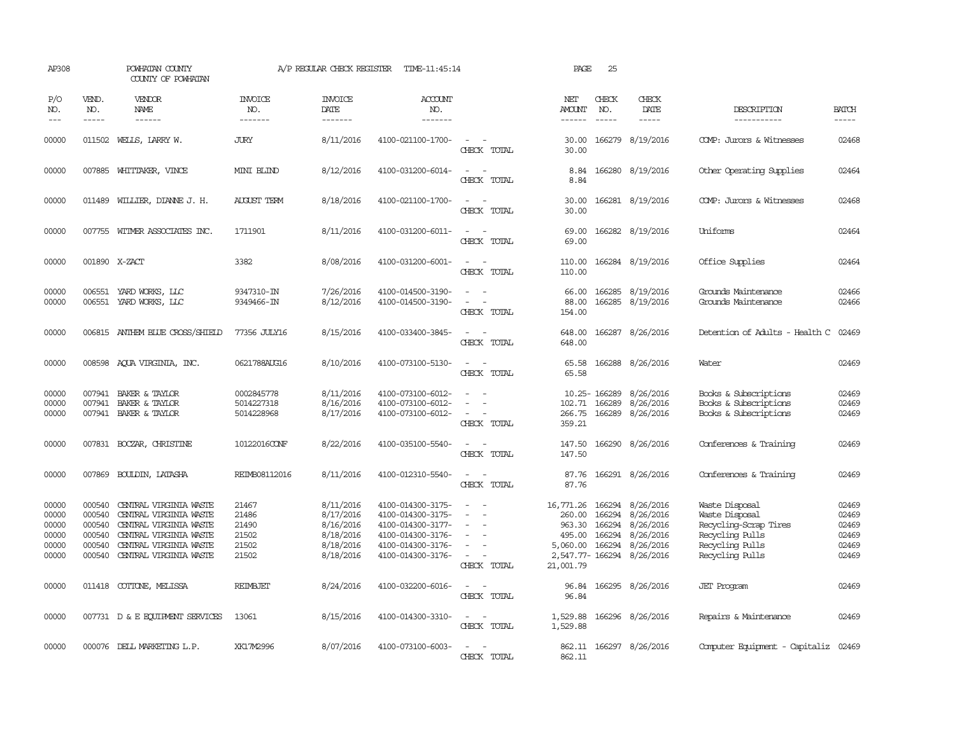| AP308                                              |                                                          | POWHATAN COUNTY<br>COUNTY OF POWHATAN                                                                                                                                                                                                                                                                                                                                                                                                                                                        |                                                    | A/P REGULAR CHECK REGISTER                                                 | TIME-11:45:14                                                                                                              |                                                                                                                             | PAGE                                                                                 | 25                                             |                                                                            |                                                                                                                    |                                                    |
|----------------------------------------------------|----------------------------------------------------------|----------------------------------------------------------------------------------------------------------------------------------------------------------------------------------------------------------------------------------------------------------------------------------------------------------------------------------------------------------------------------------------------------------------------------------------------------------------------------------------------|----------------------------------------------------|----------------------------------------------------------------------------|----------------------------------------------------------------------------------------------------------------------------|-----------------------------------------------------------------------------------------------------------------------------|--------------------------------------------------------------------------------------|------------------------------------------------|----------------------------------------------------------------------------|--------------------------------------------------------------------------------------------------------------------|----------------------------------------------------|
| P/O<br>NO.<br>$---$                                | VEND.<br>NO.<br>$\frac{1}{2}$                            | VENDOR<br>NAME<br>$\frac{1}{2} \left( \frac{1}{2} \right) \left( \frac{1}{2} \right) \left( \frac{1}{2} \right) \left( \frac{1}{2} \right) \left( \frac{1}{2} \right) \left( \frac{1}{2} \right) \left( \frac{1}{2} \right) \left( \frac{1}{2} \right) \left( \frac{1}{2} \right) \left( \frac{1}{2} \right) \left( \frac{1}{2} \right) \left( \frac{1}{2} \right) \left( \frac{1}{2} \right) \left( \frac{1}{2} \right) \left( \frac{1}{2} \right) \left( \frac{1}{2} \right) \left( \frac$ | <b>INVOICE</b><br>NO.<br>-------                   | <b>INVOICE</b><br>DATE<br>-------                                          | <b>ACCOUNT</b><br>NO.<br>-------                                                                                           |                                                                                                                             | NET<br>AMOUNT<br>------                                                              | CHECK<br>NO.<br>$\frac{1}{2}$                  | CHECK<br>DATE<br>$\frac{1}{2}$                                             | DESCRIPTION<br>-----------                                                                                         | <b>BATCH</b><br>$- - - - -$                        |
| 00000                                              | 011502                                                   | WEILS, LARRY W.                                                                                                                                                                                                                                                                                                                                                                                                                                                                              | JURY                                               | 8/11/2016                                                                  | 4100-021100-1700-                                                                                                          | $\sim$ $ \sim$<br>CHECK TOTAL                                                                                               | 30.00<br>30.00                                                                       |                                                | 166279 8/19/2016                                                           | COMP: Jurors & Witnesses                                                                                           | 02468                                              |
| 00000                                              |                                                          | 007885 WHITTAKER, VINCE                                                                                                                                                                                                                                                                                                                                                                                                                                                                      | MINI BLIND                                         | 8/12/2016                                                                  | 4100-031200-6014-                                                                                                          | $\equiv$<br>CHECK TOTAL                                                                                                     | 8.84<br>8.84                                                                         |                                                | 166280 8/19/2016                                                           | Other Operating Supplies                                                                                           | 02464                                              |
| 00000                                              |                                                          | 011489 WILLIER, DIANNE J. H.                                                                                                                                                                                                                                                                                                                                                                                                                                                                 | <b>AUGUST TERM</b>                                 | 8/18/2016                                                                  | 4100-021100-1700-                                                                                                          | $\frac{1}{2} \left( \frac{1}{2} \right) \left( \frac{1}{2} \right) = \frac{1}{2} \left( \frac{1}{2} \right)$<br>CHECK TOTAL | 30.00<br>30.00                                                                       |                                                | 166281 8/19/2016                                                           | COMP: Jurors & Witnesses                                                                                           | 02468                                              |
| 00000                                              |                                                          | 007755 WITMER ASSOCIATES INC.                                                                                                                                                                                                                                                                                                                                                                                                                                                                | 1711901                                            | 8/11/2016                                                                  | 4100-031200-6011-                                                                                                          | $\sim$<br>$\sim$<br>CHECK TOTAL                                                                                             | 69.00<br>69.00                                                                       |                                                | 166282 8/19/2016                                                           | Uniforms                                                                                                           | 02464                                              |
| 00000                                              |                                                          | 001890 X-ZACT                                                                                                                                                                                                                                                                                                                                                                                                                                                                                | 3382                                               | 8/08/2016                                                                  | 4100-031200-6001-                                                                                                          | $\sim$<br>CHECK TOTAL                                                                                                       | 110.00<br>110.00                                                                     |                                                | 166284 8/19/2016                                                           | Office Supplies                                                                                                    | 02464                                              |
| 00000<br>00000                                     | 006551                                                   | 006551 YARD WORKS, LLC<br>YARD WORKS, LLC                                                                                                                                                                                                                                                                                                                                                                                                                                                    | 9347310-IN<br>9349466-IN                           | 7/26/2016<br>8/12/2016                                                     | 4100-014500-3190-<br>4100-014500-3190-                                                                                     | $\equiv$<br>$\equiv$<br>CHECK TOTAL                                                                                         | 66.00<br>88.00<br>154.00                                                             | 166285                                         | 166285 8/19/2016<br>8/19/2016                                              | Grounds Maintenance<br>Grounds Maintenance                                                                         | 02466<br>02466                                     |
| 00000                                              |                                                          | 006815 ANTHEM BLUE CROSS/SHIELD                                                                                                                                                                                                                                                                                                                                                                                                                                                              | 77356 JULY16                                       | 8/15/2016                                                                  | 4100-033400-3845-                                                                                                          | $\sim$<br>CHECK TOTAL                                                                                                       | 648.00<br>648.00                                                                     | 166287                                         | 8/26/2016                                                                  | Detention of Adults - Health C                                                                                     | 02469                                              |
| 00000                                              |                                                          | 008598 AQUA VIRGINIA, INC.                                                                                                                                                                                                                                                                                                                                                                                                                                                                   | 0621788AUG16                                       | 8/10/2016                                                                  | 4100-073100-5130-                                                                                                          | $\sim$<br>$\overline{\phantom{a}}$<br>CHECK TOTAL                                                                           | 65.58<br>65.58                                                                       | 166288                                         | 8/26/2016                                                                  | Water                                                                                                              | 02469                                              |
| 00000<br>00000<br>00000                            |                                                          | 007941 BAKER & TAYLOR<br>007941 BAKER & TAYLOR<br>007941 BAKER & TAYLOR                                                                                                                                                                                                                                                                                                                                                                                                                      | 0002845778<br>5014227318<br>5014228968             | 8/11/2016<br>8/16/2016<br>8/17/2016                                        | 4100-073100-6012-<br>4100-073100-6012-<br>4100-073100-6012-                                                                | $\sim$<br>$\sim$<br>CHECK TOTAL                                                                                             | 102.71<br>266.75<br>359.21                                                           | 10.25-166289<br>166289                         | 8/26/2016<br>8/26/2016<br>166289 8/26/2016                                 | Books & Subscriptions<br>Books & Subscriptions<br>Books & Subscriptions                                            | 02469<br>02469<br>02469                            |
| 00000                                              |                                                          | 007831 BOCZAR, CHRISTINE                                                                                                                                                                                                                                                                                                                                                                                                                                                                     | 10122016CONF                                       | 8/22/2016                                                                  | 4100-035100-5540-                                                                                                          | $\sim$<br>CHECK TOTAL                                                                                                       | 147.50<br>147.50                                                                     | 166290                                         | 8/26/2016                                                                  | Conferences & Training                                                                                             | 02469                                              |
| 00000                                              | 007869                                                   | BOULDIN, LATASHA                                                                                                                                                                                                                                                                                                                                                                                                                                                                             | REIMB08112016                                      | 8/11/2016                                                                  | 4100-012310-5540-                                                                                                          | $\sim$<br>CHECK TOTAL                                                                                                       | 87.76<br>87.76                                                                       |                                                | 166291 8/26/2016                                                           | Conferences & Training                                                                                             | 02469                                              |
| 00000<br>00000<br>00000<br>00000<br>00000<br>00000 | 000540<br>000540<br>000540<br>000540<br>000540<br>000540 | CENTRAL VIRGINIA WASTE<br>CENTRAL VIRGINIA WASTE<br>CENTRAL VIRGINIA WASTE<br>CENTRAL VIRGINIA WASTE<br>CENTRAL VIRGINIA WASTE<br>CENTRAL VIRGINIA WASTE                                                                                                                                                                                                                                                                                                                                     | 21467<br>21486<br>21490<br>21502<br>21502<br>21502 | 8/11/2016<br>8/17/2016<br>8/16/2016<br>8/18/2016<br>8/18/2016<br>8/18/2016 | 4100-014300-3175-<br>4100-014300-3175-<br>4100-014300-3177-<br>4100-014300-3176-<br>4100-014300-3176-<br>4100-014300-3176- | $\equiv$<br>$\overline{\phantom{a}}$<br>$\sim$<br>$\sim$<br>$\sim$<br>$\sim$<br>CHECK TOTAL                                 | 16,771.26<br>260.00<br>963.30<br>495.00<br>5,060.00<br>2,547.77- 166294<br>21,001.79 | 166294<br>166294<br>166294<br>166294<br>166294 | 8/26/2016<br>8/26/2016<br>8/26/2016<br>8/26/2016<br>8/26/2016<br>8/26/2016 | Waste Disposal<br>Waste Disposal<br>Recycling-Scrap Tires<br>Recycling Pulls<br>Recycling Pulls<br>Recycling Pulls | 02469<br>02469<br>02469<br>02469<br>02469<br>02469 |
| 00000                                              |                                                          | 011418 COTTONE, MELISSA                                                                                                                                                                                                                                                                                                                                                                                                                                                                      | <b>REIMBJET</b>                                    | 8/24/2016                                                                  | 4100-032200-6016-                                                                                                          | $\sim$<br>CHECK TOTAL                                                                                                       | 96.84<br>96.84                                                                       |                                                | 166295 8/26/2016                                                           | <b>JET Program</b>                                                                                                 | 02469                                              |
| 00000                                              |                                                          | 007731 D & E EQUIPMENT SERVICES                                                                                                                                                                                                                                                                                                                                                                                                                                                              | 13061                                              | 8/15/2016                                                                  | 4100-014300-3310-                                                                                                          | $\overline{\phantom{a}}$<br>$\overline{\phantom{a}}$<br>CHECK TOTAL                                                         | 1,529.88<br>1,529.88                                                                 |                                                | 166296 8/26/2016                                                           | Repairs & Maintenance                                                                                              | 02469                                              |
| 00000                                              |                                                          | 000076 DELL MARKETING L.P.                                                                                                                                                                                                                                                                                                                                                                                                                                                                   | XK17M2996                                          | 8/07/2016                                                                  | 4100-073100-6003-                                                                                                          | $\equiv$<br>CHECK TOTAL                                                                                                     | 862.11                                                                               |                                                | 862.11 166297 8/26/2016                                                    | Computer Equipment - Capitaliz                                                                                     | 02469                                              |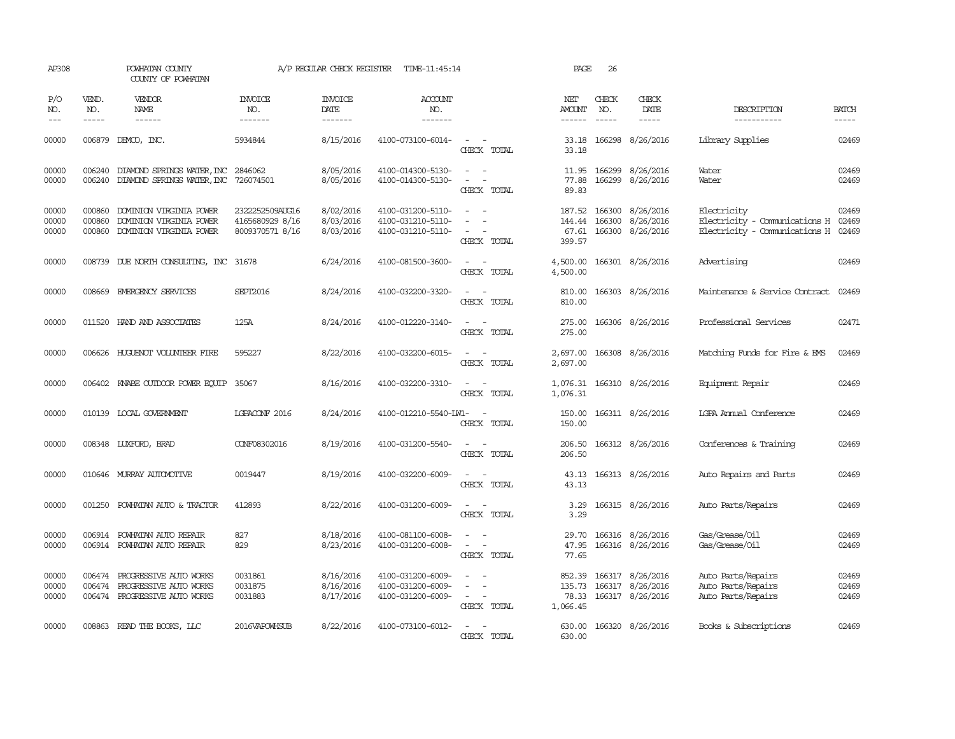| AP308                   |                            | POWHATAN COUNTY<br>COUNTY OF POWHATAN                                                           |                                                       | A/P REGULAR CHECK REGISTER          | TIME-11:45:14                                               |                                                                                                                             | PAGE                                  | 26                            |                                                   |                                                                               |                         |
|-------------------------|----------------------------|-------------------------------------------------------------------------------------------------|-------------------------------------------------------|-------------------------------------|-------------------------------------------------------------|-----------------------------------------------------------------------------------------------------------------------------|---------------------------------------|-------------------------------|---------------------------------------------------|-------------------------------------------------------------------------------|-------------------------|
| P/O<br>NO.<br>$---$     | VEND.<br>NO.               | <b>VENDOR</b><br><b>NAME</b><br>$- - - - - -$                                                   | <b>INVOICE</b><br>NO.<br>-------                      | <b>INVOICE</b><br>DATE<br>-------   | <b>ACCOUNT</b><br>NO.<br>-------                            |                                                                                                                             | NET<br><b>AMOUNT</b><br>$- - - - - -$ | CHECK<br>NO.<br>$\frac{1}{2}$ | CHECK<br>DATE<br>$- - - - -$                      | DESCRIPTION<br>-----------                                                    | <b>BATCH</b>            |
| 00000                   | 006879                     | DEMCO, INC.                                                                                     | 5934844                                               | 8/15/2016                           | 4100-073100-6014-                                           | CHECK TOTAL                                                                                                                 | 33.18<br>33.18                        | 166298                        | 8/26/2016                                         | Library Supplies                                                              | 02469                   |
| 00000<br>00000          | 006240                     | DIAMOND SPRINGS WATER, INC<br>006240 DIAMOND SPRINGS WATER, INC 726074501                       | 2846062                                               | 8/05/2016<br>8/05/2016              | 4100-014300-5130-<br>4100-014300-5130-                      | $\equiv$<br>$\sim$<br>$\equiv$<br>$\overline{\phantom{a}}$<br>CHECK TOTAL                                                   | 11.95<br>77.88<br>89.83               | 166299                        | 8/26/2016<br>166299 8/26/2016                     | Water<br>Water                                                                | 02469<br>02469          |
| 00000<br>00000<br>00000 | 000860<br>000860<br>000860 | DOMINION VIRGINIA POWER<br>DOMINION VIRGINIA POWER<br>DOMINION VIRGINIA POWER                   | 2322252509AUG16<br>4165680929 8/16<br>8009370571 8/16 | 8/02/2016<br>8/03/2016<br>8/03/2016 | 4100-031200-5110-<br>4100-031210-5110-<br>4100-031210-5110- | $\overline{\phantom{a}}$<br>CHECK TOTAL                                                                                     | 187.52<br>144.44<br>67.61<br>399.57   | 166300<br>166300<br>166300    | 8/26/2016<br>8/26/2016<br>8/26/2016               | Electricity<br>Electricity - Comunications H<br>Electricity - Comunications H | 02469<br>02469<br>02469 |
| 00000                   |                            | 008739 DUE NORTH CONSULTING, INC 31678                                                          |                                                       | 6/24/2016                           | 4100-081500-3600-                                           | CHECK TOTAL                                                                                                                 | 4,500.00<br>4,500.00                  |                               | 166301 8/26/2016                                  | Advertising                                                                   | 02469                   |
| 00000                   |                            | 008669 EMERGENCY SERVICES                                                                       | <b>SEPT2016</b>                                       | 8/24/2016                           | 4100-032200-3320-                                           | $\equiv$<br>$\overline{\phantom{a}}$<br>CHECK TOTAL                                                                         | 810.00<br>810.00                      |                               | 166303 8/26/2016                                  | Maintenance & Service Contract                                                | 02469                   |
| 00000                   |                            | 011520 HAND AND ASSOCIATES                                                                      | 125A                                                  | 8/24/2016                           | 4100-012220-3140-                                           | $\sim$ 100 $\mu$<br>$\sim$<br>CHECK TOTAL                                                                                   | 275.00<br>275.00                      |                               | 166306 8/26/2016                                  | Professional Services                                                         | 02471                   |
| 00000                   |                            | 006626 HUGUENOT VOLUNTEER FIRE                                                                  | 595227                                                | 8/22/2016                           | 4100-032200-6015-                                           | $\equiv$<br>$\sim$<br>CHECK TOTAL                                                                                           | 2,697.00<br>2,697.00                  |                               | 166308 8/26/2016                                  | Matching Funds for Fire & EMS                                                 | 02469                   |
| 00000                   |                            | 006402 KNABE OUTDOOR POWER EQUIP 35067                                                          |                                                       | 8/16/2016                           | 4100-032200-3310-                                           | $\equiv$<br>CHECK TOTAL                                                                                                     | 1,076.31                              |                               | 1,076.31 166310 8/26/2016                         | Equipment Repair                                                              | 02469                   |
| 00000                   |                            | 010139 LOCAL GOVERNMENT                                                                         | LGPACONF 2016                                         | 8/24/2016                           | 4100-012210-5540-LW1-                                       | $\sim$<br>CHECK TOTAL                                                                                                       | 150.00<br>150.00                      |                               | 166311 8/26/2016                                  | <b>LGPA Annual Conference</b>                                                 | 02469                   |
| 00000                   |                            | 008348 LUXFORD, BRAD                                                                            | CONF08302016                                          | 8/19/2016                           | 4100-031200-5540-                                           | $\sim$ $ \sim$<br>CHECK TOTAL                                                                                               | 206.50<br>206.50                      |                               | 166312 8/26/2016                                  | Conferences & Training                                                        | 02469                   |
| 00000                   |                            | 010646 MURRAY AUTOMOTTVE                                                                        | 0019447                                               | 8/19/2016                           | 4100-032200-6009-                                           | $ -$<br>CHECK TOTAL                                                                                                         | 43.13<br>43.13                        |                               | 166313 8/26/2016                                  | Auto Repairs and Parts                                                        | 02469                   |
| 00000                   |                            | 001250 POWHATAN AUTO & TRACTOR                                                                  | 412893                                                | 8/22/2016                           | 4100-031200-6009-                                           | $\frac{1}{2} \left( \frac{1}{2} \right) \left( \frac{1}{2} \right) = \frac{1}{2} \left( \frac{1}{2} \right)$<br>CHECK TOTAL | 3.29<br>3.29                          |                               | 166315 8/26/2016                                  | Auto Parts/Repairs                                                            | 02469                   |
| 00000<br>00000          |                            | 006914 POWHATAN AUTO REPAIR<br>006914 POWHATAN AUTO REPAIR                                      | 827<br>829                                            | 8/18/2016<br>8/23/2016              | 4100-081100-6008-<br>4100-031200-6008-                      | $\sim$<br>$\sim$<br>$\overline{\phantom{a}}$<br>CHECK TOTAL                                                                 | 29.70<br>47.95<br>77.65               |                               | 166316 8/26/2016<br>166316 8/26/2016              | Gas/Grease/Oil<br>Gas/Grease/Oil                                              | 02469<br>02469          |
| 00000<br>00000<br>00000 |                            | 006474 PROGRESSIVE AUTO WORKS<br>006474 PROGRESSIVE AUTO WORKS<br>006474 PROGRESSIVE AUTO WORKS | 0031861<br>0031875<br>0031883                         | 8/16/2016<br>8/16/2016<br>8/17/2016 | 4100-031200-6009-<br>4100-031200-6009-<br>4100-031200-6009- | $\sim$<br>$\overline{a}$<br>$\sim$ $ \sim$<br>CHECK TOTAL                                                                   | 852.39<br>135.73<br>78.33<br>1,066.45 | 166317                        | 166317 8/26/2016<br>8/26/2016<br>166317 8/26/2016 | Auto Parts/Repairs<br>Auto Parts/Repairs<br>Auto Parts/Repairs                | 02469<br>02469<br>02469 |
| 00000                   |                            | 008863 READ THE BOOKS, LLC                                                                      | 2016VAPOWHSUB                                         | 8/22/2016                           | 4100-073100-6012-                                           | CHECK TOTAL                                                                                                                 | 630.00                                |                               | 630.00 166320 8/26/2016                           | Books & Subscriptions                                                         | 02469                   |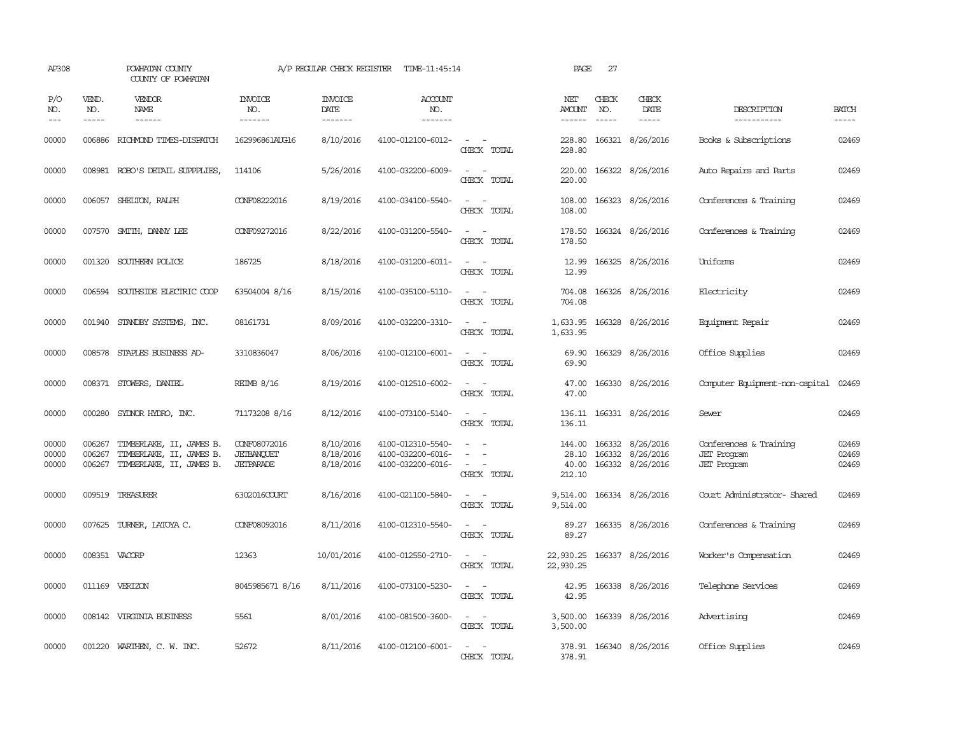| AP308                   |                               | POWHATAN COUNTY<br>COUNTY OF POWHATAN                                            |                                                | A/P REGULAR CHECK REGISTER                | TIME-11:45:14                                               |                                                                                                                                                 | PAGE                    | 27                            |                                                                             |                                                                    |                             |
|-------------------------|-------------------------------|----------------------------------------------------------------------------------|------------------------------------------------|-------------------------------------------|-------------------------------------------------------------|-------------------------------------------------------------------------------------------------------------------------------------------------|-------------------------|-------------------------------|-----------------------------------------------------------------------------|--------------------------------------------------------------------|-----------------------------|
| P/O<br>NO.<br>$---$     | VEND.<br>NO.<br>$\frac{1}{2}$ | <b>VENDOR</b><br>NAME<br>------                                                  | <b>INVOICE</b><br>NO.<br>-------               | <b>INVOICE</b><br>DATE<br>$- - - - - - -$ | <b>ACCOUNT</b><br>NO.<br>-------                            |                                                                                                                                                 | NET<br>AMOUNT<br>------ | CHECK<br>NO.<br>$\frac{1}{2}$ | CHECK<br>DATE<br>$- - - - -$                                                | DESCRIPTION<br>-----------                                         | <b>BATCH</b><br>$- - - - -$ |
| 00000                   |                               | 006886 RICHMOND TIMES-DISPATCH                                                   | 162996861AUG16                                 | 8/10/2016                                 | 4100-012100-6012-                                           | $\sim$ $ -$<br>CHECK TOTAL                                                                                                                      | 228.80                  |                               | 228.80 166321 8/26/2016                                                     | Books & Subscriptions                                              | 02469                       |
| 00000                   |                               | 008981 ROBO'S DETAIL SUPPPLIES,                                                  | 114106                                         | 5/26/2016                                 | 4100-032200-6009-                                           | $\frac{1}{2} \left( \frac{1}{2} \right) \left( \frac{1}{2} \right) \left( \frac{1}{2} \right) \left( \frac{1}{2} \right)$<br>CHECK TOTAL        | 220.00<br>220.00        |                               | 166322 8/26/2016                                                            | Auto Repairs and Parts                                             | 02469                       |
| 00000                   |                               | 006057 SHELTON, RALPH                                                            | CONF08222016                                   | 8/19/2016                                 | 4100-034100-5540-                                           | $\omega_{\rm{max}}$<br>CHECK TOTAL                                                                                                              | 108.00<br>108.00        |                               | 166323 8/26/2016                                                            | Conferences & Training                                             | 02469                       |
| 00000                   |                               | 007570 SMITH, DANNY LEE                                                          | CONF09272016                                   | 8/22/2016                                 | 4100-031200-5540-                                           | $\frac{1}{2} \left( \frac{1}{2} \right) \left( \frac{1}{2} \right) = \frac{1}{2} \left( \frac{1}{2} \right)$<br>CHECK TOTAL                     | 178.50                  |                               | 178.50 166324 8/26/2016                                                     | Conferences & Training                                             | 02469                       |
| 00000                   |                               | 001320 SOUTHERN POLICE                                                           | 186725                                         | 8/18/2016                                 | 4100-031200-6011-                                           | $\overline{\phantom{a}}$<br>$\sim$<br>CHECK TOTAL                                                                                               | 12.99<br>12.99          |                               | 166325 8/26/2016                                                            | Uniforms                                                           | 02469                       |
| 00000                   | 006594                        | SOUTHSIDE ELECTRIC COOP                                                          | 63504004 8/16                                  | 8/15/2016                                 | 4100-035100-5110-                                           | $\omega_{\rm{max}}$ and $\omega_{\rm{max}}$<br>CHECK TOTAL                                                                                      | 704.08<br>704.08        |                               | 166326 8/26/2016                                                            | Electricity                                                        | 02469                       |
| 00000                   |                               | 001940 STANDBY SYSTEMS, INC.                                                     | 08161731                                       | 8/09/2016                                 | 4100-032200-3310-                                           | $\sim$ $\sim$<br>CHECK TOTAL                                                                                                                    | 1,633.95                |                               | 1,633.95 166328 8/26/2016                                                   | Equipment Repair                                                   | 02469                       |
| 00000                   |                               | 008578 STAPLES BUSINESS AD-                                                      | 3310836047                                     | 8/06/2016                                 | 4100-012100-6001-                                           | $\sim$ 100 $\sim$<br>CHECK TOTAL                                                                                                                | 69.90<br>69.90          |                               | 166329 8/26/2016                                                            | Office Supplies                                                    | 02469                       |
| 00000                   |                               | 008371 STOWERS, DANIEL                                                           | <b>REIMB 8/16</b>                              | 8/19/2016                                 | 4100-012510-6002-                                           | $\frac{1}{2} \left( \frac{1}{2} \right) \left( \frac{1}{2} \right) = \frac{1}{2} \left( \frac{1}{2} \right)$<br>CHECK TOTAL                     | 47.00                   |                               | 47.00 166330 8/26/2016                                                      | Computer Equipment-non-capital                                     | 02469                       |
| 00000                   |                               | 000280 SYDNOR HYDRO, INC.                                                        | 71173208 8/16                                  | 8/12/2016                                 | 4100-073100-5140-                                           | $\sim$<br>CHECK TOTAL                                                                                                                           | 136.11                  |                               | 136.11 166331 8/26/2016                                                     | Sewer                                                              | 02469                       |
| 00000<br>00000<br>00000 | 006267<br>006267<br>006267    | TIMBERLAKE, II, JAMES B.<br>TIMBERLAKE, II, JAMES B.<br>TIMBERLAKE, II, JAMES B. | CONF08072016<br>JETBANOUET<br><b>JETPARADE</b> | 8/10/2016<br>8/18/2016<br>8/18/2016       | 4100-012310-5540-<br>4100-032200-6016-<br>4100-032200-6016- | $\sim$<br>$\sim$<br>$\frac{1}{2} \left( \frac{1}{2} \right) \left( \frac{1}{2} \right) = \frac{1}{2} \left( \frac{1}{2} \right)$<br>CHECK TOTAL | 212.10                  |                               | 144.00 166332 8/26/2016<br>28.10 166332 8/26/2016<br>40.00 166332 8/26/2016 | Conferences & Training<br><b>JET</b> Program<br><b>JET</b> Program | 02469<br>02469<br>02469     |
| 00000                   |                               | 009519 TREASURER                                                                 | 6302016COURT                                   | 8/16/2016                                 | 4100-021100-5840-                                           | $\frac{1}{2} \left( \frac{1}{2} \right) \left( \frac{1}{2} \right) \left( \frac{1}{2} \right) \left( \frac{1}{2} \right)$<br>CHECK TOTAL        | 9,514.00<br>9,514.00    |                               | 166334 8/26/2016                                                            | Court Administrator- Shared                                        | 02469                       |
| 00000                   |                               | 007625 TURNER, LATOYA C.                                                         | CONF08092016                                   | 8/11/2016                                 | 4100-012310-5540-                                           | $\overline{\phantom{a}}$<br>CHECK TOTAL                                                                                                         | 89.27<br>89.27          |                               | 166335 8/26/2016                                                            | Conferences & Training                                             | 02469                       |
| 00000                   |                               | 008351 VACORP                                                                    | 12363                                          | 10/01/2016                                | 4100-012550-2710-                                           | $\sim$ $ \sim$<br>CHECK TOTAL                                                                                                                   | 22,930.25<br>22,930.25  |                               | 166337 8/26/2016                                                            | Worker's Compensation                                              | 02469                       |
| 00000                   |                               | 011169 VERIZON                                                                   | 8045985671 8/16                                | 8/11/2016                                 | 4100-073100-5230-                                           | $\frac{1}{2} \left( \frac{1}{2} \right) \left( \frac{1}{2} \right) \left( \frac{1}{2} \right) \left( \frac{1}{2} \right)$<br>CHECK TOTAL        | 42.95                   |                               | 42.95 166338 8/26/2016                                                      | Telephone Services                                                 | 02469                       |
| 00000                   |                               | 008142 VIRGINIA BUSINESS                                                         | 5561                                           | 8/01/2016                                 | 4100-081500-3600-                                           | $\frac{1}{2} \left( \frac{1}{2} \right) \left( \frac{1}{2} \right) \left( \frac{1}{2} \right) \left( \frac{1}{2} \right)$<br>CHECK TOTAL        | 3,500.00                |                               | 3,500.00 166339 8/26/2016                                                   | Advertising                                                        | 02469                       |
| 00000                   |                               | 001220 WARTHEN, C. W. INC.                                                       | 52672                                          | 8/11/2016                                 | 4100-012100-6001-                                           | $\sim$ $ \sim$<br>CHECK TOTAL                                                                                                                   | 378.91                  |                               | 378.91 166340 8/26/2016                                                     | Office Supplies                                                    | 02469                       |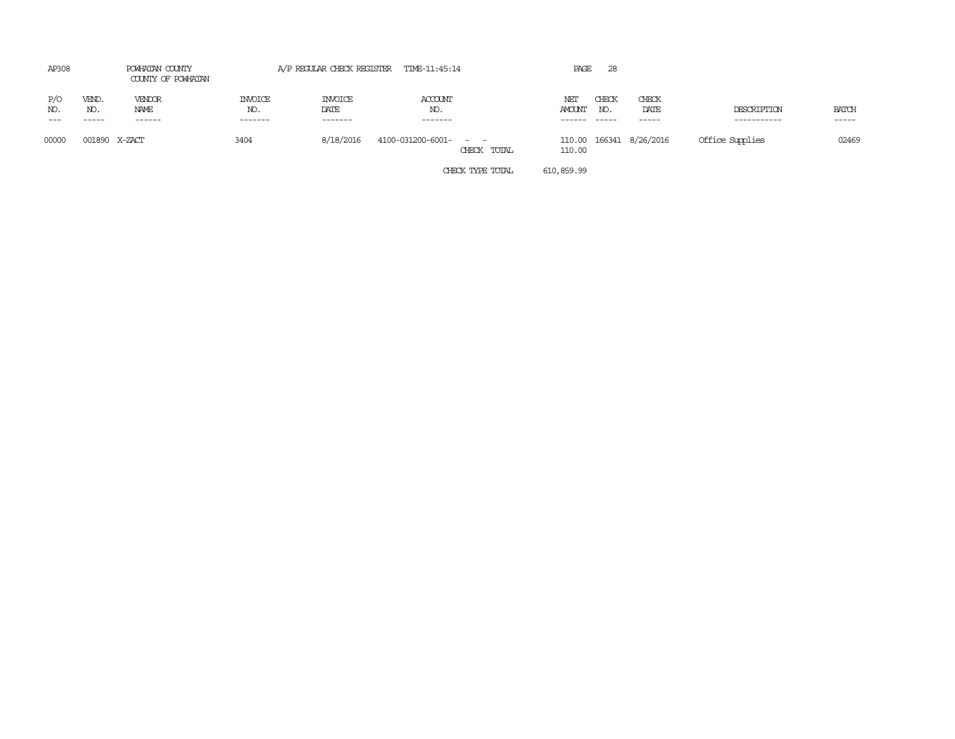| AP308                 |                       | POWHATAN COUNTY<br>COUNTY OF POWHATAN |                                  | A/P REGULAR CHECK REGISTER        | TIME-11:45:14             |             | PAGE                           | 28                       |                         |                            |              |
|-----------------------|-----------------------|---------------------------------------|----------------------------------|-----------------------------------|---------------------------|-------------|--------------------------------|--------------------------|-------------------------|----------------------------|--------------|
| P/O<br>NO.<br>$- - -$ | VEND.<br>NO.<br>----- | VENDOR<br>NAME<br>-------             | <b>INVOICE</b><br>NO.<br>------- | <b>INVOICE</b><br>DATE<br>------- | ACCOUNT<br>NO.<br>------- |             | NET<br><b>AMOUNT</b><br>------ | CHECK<br>NO.<br>$------$ | CHECK<br>DATE           | DESCRIPTION<br>----------- | <b>BATCH</b> |
| 00000                 |                       | 001890 X-ZACT                         | 3404                             | 8/18/2016                         | 4100-031200-6001- - -     | CHECK TOTAL | 110.00                         |                          | 110.00 166341 8/26/2016 | Office Supplies            | 02469        |

CHECK TYPE TOTAL 610,859.99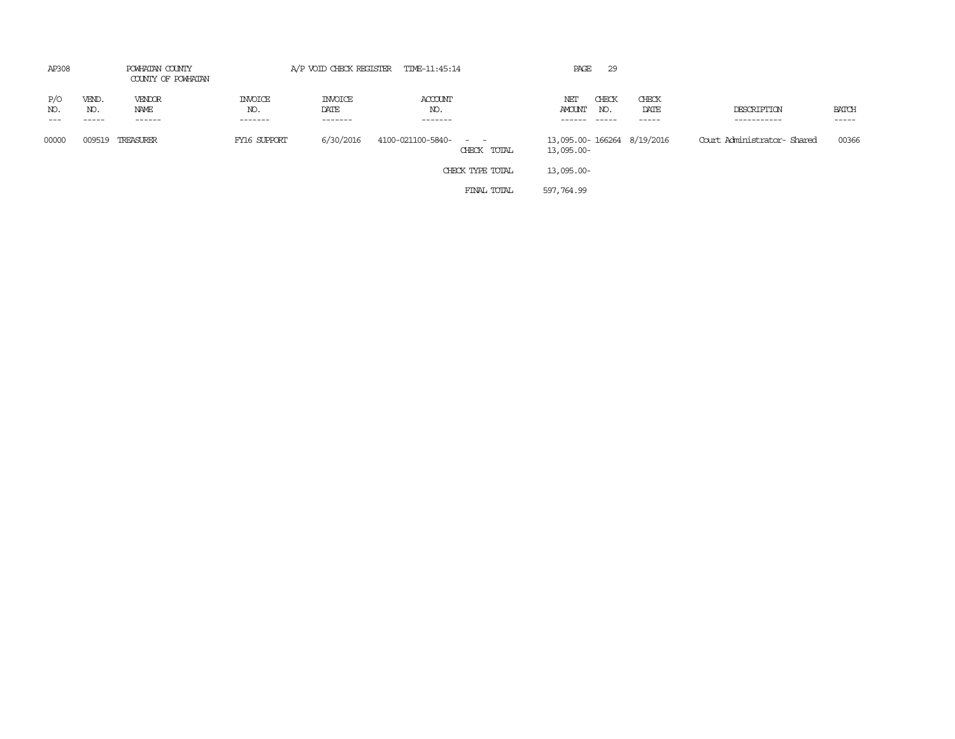| AP308      | POWHATAN COUNTY<br>COUNTY OF POWHATAN |                          | A/P VOID CHECK REGISTER TIME-11:45:14 |                            |                                      |            | PAGE<br>29                      |                            |                            |                       |
|------------|---------------------------------------|--------------------------|---------------------------------------|----------------------------|--------------------------------------|------------|---------------------------------|----------------------------|----------------------------|-----------------------|
| P/O<br>NO. | VEND.<br>NO.<br>-----                 | VENDOR<br>NAME<br>------ | <b>INVOICE</b><br>NO.<br>-------      | INVOICE<br>DATE<br>------- | ACCOUNT<br>NO.<br>-------            | NET        | CHECK<br>AMOUNT<br>NO.<br>_____ | CHECK<br>DATE<br>-----     | DESCRIPTION<br>----------- | <b>BATCH</b><br>----- |
| 00000      | 009519                                | TREASURER                | FY16 SUPPORT                          | 6/30/2016                  | 4100-021100-5840- - -<br>CHECK TOTAL | 13,095.00- |                                 | 13,095.00-166264 8/19/2016 | Court Administrator-Shared | 00366                 |
|            |                                       |                          |                                       |                            | CHECK TYPE TOTAL                     | 13,095.00- |                                 |                            |                            |                       |
|            |                                       |                          |                                       |                            | FINAL TOTAL                          | 597,764.99 |                                 |                            |                            |                       |
|            |                                       |                          |                                       |                            |                                      |            |                                 |                            |                            |                       |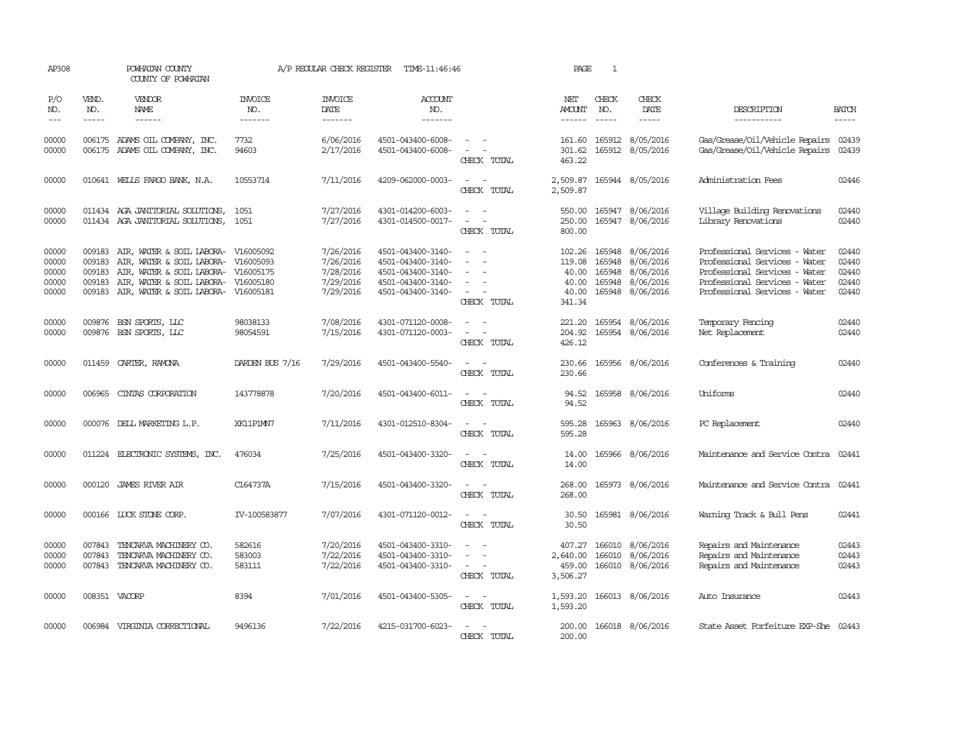| AP308                                     |                                      | POWHATAN COUNTY<br>COUNTY OF POWHATAN                                                                                                                                    |                                     | A/P REGULAR CHECK REGISTER                                    | TIME-11:46:46                                                                                         |                                                                                                                             | PAGE                                                  | $\mathbf{1}$                         |                                                                      |                                                                                                                                                                   |                                           |
|-------------------------------------------|--------------------------------------|--------------------------------------------------------------------------------------------------------------------------------------------------------------------------|-------------------------------------|---------------------------------------------------------------|-------------------------------------------------------------------------------------------------------|-----------------------------------------------------------------------------------------------------------------------------|-------------------------------------------------------|--------------------------------------|----------------------------------------------------------------------|-------------------------------------------------------------------------------------------------------------------------------------------------------------------|-------------------------------------------|
| P/O<br>NO.<br>$\frac{1}{2}$               | VEND.<br>NO.<br>$- - - - -$          | VENDOR<br>NAME<br>$- - - - - -$                                                                                                                                          | INVOICE<br>NO.<br>-------           | <b>INVOICE</b><br>DATE<br>-------                             | ACCOUNT<br>NO.<br>$- - - - - - -$                                                                     |                                                                                                                             | NET<br><b>AMOUNT</b><br>------                        | CHECK<br>NO.<br>$\frac{1}{2}$        | CHECK<br>DATE<br>$- - - - -$                                         | DESCRIPTION<br>-----------                                                                                                                                        | <b>BATCH</b><br>-----                     |
| 00000<br>00000                            | 006175                               | ADAMS OIL COMPANY, INC.<br>006175 ADAMS OIL COMPANY, INC.                                                                                                                | 7732<br>94603                       | 6/06/2016<br>2/17/2016                                        | 4501-043400-6008-<br>4501-043400-6008-                                                                | CHECK TOTAL                                                                                                                 | 161.60<br>301.62<br>463.22                            |                                      | 165912 8/05/2016<br>165912 8/05/2016                                 | Gas/Grease/Oil/Vehicle Repairs<br>Gas/Grease/Oil/Vehicle Repairs                                                                                                  | 02439<br>02439                            |
| 00000                                     |                                      | 010641 WELLS FARGO BANK, N.A.                                                                                                                                            | 10553714                            | 7/11/2016                                                     | 4209-062000-0003-                                                                                     | $\frac{1}{2} \left( \frac{1}{2} \right) \left( \frac{1}{2} \right) = \frac{1}{2} \left( \frac{1}{2} \right)$<br>CHECK TOTAL | 2,509.87<br>2,509.87                                  |                                      | 165944 8/05/2016                                                     | Administration Fees                                                                                                                                               | 02446                                     |
| 00000<br>00000                            |                                      | 011434 AGA JANITORIAL SOLUTIONS,<br>011434 AGA JANITORIAL SOLUTIONS,                                                                                                     | 1051<br>1051                        | 7/27/2016<br>7/27/2016                                        | 4301-014200-6003-<br>4301-014500-0017-                                                                | $\overline{\phantom{a}}$<br>CHECK TOTAL                                                                                     | 550.00<br>250.00<br>800.00                            |                                      | 165947 8/06/2016<br>165947 8/06/2016                                 | Village Building Renovations<br>Library Renovations                                                                                                               | 02440<br>02440                            |
| 00000<br>00000<br>00000<br>00000<br>00000 | 009183<br>009183<br>009183<br>009183 | AIR, WATER & SOIL LABORA-<br>AIR, WATER & SOIL LABORA- V16005093<br>AIR, WATER & SOIL LABORA-<br>AIR, WATER & SOIL LABORA-<br>009183 AIR, WATER & SOIL LABORA- V16005181 | V16005092<br>V16005175<br>V16005180 | 7/26/2016<br>7/26/2016<br>7/28/2016<br>7/29/2016<br>7/29/2016 | 4501-043400-3140-<br>4501-043400-3140-<br>4501-043400-3140-<br>4501-043400-3140-<br>4501-043400-3140- | $\sim$<br>$\sim$<br>CHECK TOTAL                                                                                             | 102.26<br>119.08<br>40.00<br>40.00<br>40.00<br>341.34 | 165948<br>165948<br>165948<br>165948 | 8/06/2016<br>8/06/2016<br>8/06/2016<br>8/06/2016<br>165948 8/06/2016 | Professional Services - Water<br>Professional Services - Water<br>Professional Services - Water<br>Professional Services - Water<br>Professional Services - Water | 02440<br>02440<br>02440<br>02440<br>02440 |
| 00000<br>00000                            | 009876<br>009876                     | BSN SPORTS, LLC<br>BSN SPORTS, LLC                                                                                                                                       | 98038133<br>98054591                | 7/08/2016<br>7/15/2016                                        | 4301-071120-0008-<br>4301-071120-0003-                                                                | $\sim$<br>$\overline{\phantom{a}}$<br>CHECK TOTAL                                                                           | 221.20<br>204.92<br>426.12                            |                                      | 165954 8/06/2016<br>165954 8/06/2016                                 | Temporary Fencing<br>Net Replacement                                                                                                                              | 02440<br>02440                            |
| 00000                                     |                                      | 011459 CARTER, RAMONA                                                                                                                                                    | DARDEN BUS 7/16                     | 7/29/2016                                                     | 4501-043400-5540-                                                                                     | $\sim$<br>CHECK TOTAL                                                                                                       | 230.66<br>230.66                                      |                                      | 165956 8/06/2016                                                     | Conferences & Training                                                                                                                                            | 02440                                     |
| 00000                                     | 006965                               | CINIAS CORPORATION                                                                                                                                                       | 143778878                           | 7/20/2016                                                     | 4501-043400-6011-                                                                                     | CHECK TOTAL                                                                                                                 | 94.52<br>94.52                                        |                                      | 165958 8/06/2016                                                     | Uniforms                                                                                                                                                          | 02440                                     |
| 00000                                     |                                      | 000076 DELL MARKETING L.P.                                                                                                                                               | XK11P1MN7                           | 7/11/2016                                                     | 4301-012510-8304-                                                                                     | $\overline{\phantom{a}}$<br>CHECK TOTAL                                                                                     | 595.28<br>595.28                                      |                                      | 165963 8/06/2016                                                     | PC Replacement                                                                                                                                                    | 02440                                     |
| 00000                                     |                                      | 011224 ELECTRONIC SYSTEMS, INC.                                                                                                                                          | 476034                              | 7/25/2016                                                     | 4501-043400-3320-                                                                                     | CHECK TOTAL                                                                                                                 | 14.00<br>14.00                                        |                                      | 165966 8/06/2016                                                     | Maintenance and Service Contra                                                                                                                                    | 02441                                     |
| 00000                                     | 000120                               | JAMES RIVER AIR                                                                                                                                                          | C164737A                            | 7/15/2016                                                     | 4501-043400-3320-                                                                                     | CHECK TOTAL                                                                                                                 | 268.00<br>268.00                                      |                                      | 165973 8/06/2016                                                     | Maintenance and Service Contra                                                                                                                                    | 02441                                     |
| 00000                                     |                                      | 000166 LUCK STONE CORP.                                                                                                                                                  | IV-100583877                        | 7/07/2016                                                     | 4301-071120-0012-                                                                                     | CHECK TOTAL                                                                                                                 | 30.50<br>30.50                                        |                                      | 165981 8/06/2016                                                     | Warning Track & Bull Pens                                                                                                                                         | 02441                                     |
| 00000<br>00000<br>00000                   | 007843<br>007843<br>007843           | TENCARVA MACHINERY CO.<br>TENCARVA MACHINERY CO.<br>TENCARVA MACHINERY CO.                                                                                               | 582616<br>583003<br>583111          | 7/20/2016<br>7/22/2016<br>7/22/2016                           | 4501-043400-3310-<br>4501-043400-3310-<br>4501-043400-3310-                                           | $\overline{\phantom{a}}$<br>CHECK TOTAL                                                                                     | 407.27<br>2,640.00<br>459.00<br>3,506.27              | 166010<br>166010                     | 8/06/2016<br>8/06/2016<br>166010 8/06/2016                           | Repairs and Maintenance<br>Repairs and Maintenance<br>Repairs and Maintenance                                                                                     | 02443<br>02443<br>02443                   |
| 00000                                     | 008351 VACORP                        |                                                                                                                                                                          | 8394                                | 7/01/2016                                                     | 4501-043400-5305-                                                                                     | $\sim$ 10 $\sim$<br>CHECK TOTAL                                                                                             | 1,593.20<br>1,593.20                                  |                                      | 166013 8/06/2016                                                     | Auto Insurance                                                                                                                                                    | 02443                                     |
| 00000                                     |                                      | 006984 VIRGINIA CORRECTIONAL                                                                                                                                             | 9496136                             | 7/22/2016                                                     | 4215-031700-6023-                                                                                     | CHECK TOTAL                                                                                                                 | 200.00<br>200.00                                      |                                      | 166018 8/06/2016                                                     | State Asset Forfeiture EXP-She 02443                                                                                                                              |                                           |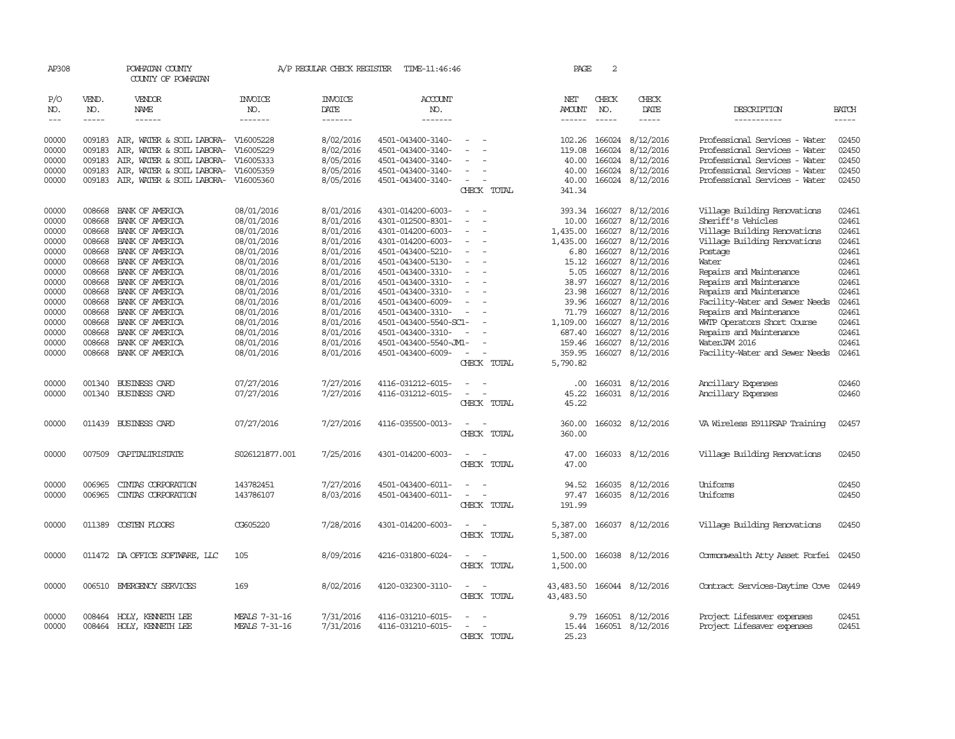| AP308                       |                             | POWHATAN COUNTY<br>COUNTY OF POWHATAN     |                                  | A/P REGULAR CHECK REGISTER               | TIME-11:46:46                              |                                 | PAGE                           | 2                           |                               |                                                 |                                                                                                                                                                                                                                                                                                                                                                                                                                                                         |
|-----------------------------|-----------------------------|-------------------------------------------|----------------------------------|------------------------------------------|--------------------------------------------|---------------------------------|--------------------------------|-----------------------------|-------------------------------|-------------------------------------------------|-------------------------------------------------------------------------------------------------------------------------------------------------------------------------------------------------------------------------------------------------------------------------------------------------------------------------------------------------------------------------------------------------------------------------------------------------------------------------|
| P/O<br>NO.<br>$\frac{1}{2}$ | VEND.<br>NO.<br>$- - - - -$ | VENDOR<br>NAME<br>------                  | <b>INVOICE</b><br>NO.<br>------- | <b>INVOICE</b><br><b>DATE</b><br>------- | <b>ACCOUNT</b><br>NO.<br>-------           |                                 | NET<br>AMOUNT<br>$- - - - - -$ | CHECK<br>NO.<br>$- - - - -$ | CHECK<br>DATE<br>-----        | DESCRIPTION<br>-----------                      | <b>BATCH</b><br>$\begin{tabular}{ccccc} \multicolumn{2}{c }{\multicolumn{2}{c }{\multicolumn{2}{c }{\multicolumn{2}{c}}{\hspace{-2.2cm}}}} \multicolumn{2}{c }{\multicolumn{2}{c }{\hspace{-2.2cm}}\hline} \multicolumn{2}{c }{\hspace{-2.2cm}}\hline \multicolumn{2}{c }{\hspace{-2.2cm}}\hline \multicolumn{2}{c }{\hspace{-2.2cm}}\hline \multicolumn{2}{c }{\hspace{-2.2cm}}\hline \multicolumn{2}{c }{\hspace{-2.2cm}}\hline \multicolumn{2}{c }{\hspace{-2.2cm}}$ |
| 00000                       | 009183                      | AIR, WATER & SOIL LABORA-                 | V16005228                        | 8/02/2016                                | 4501-043400-3140-                          |                                 | 102.26                         | 166024                      | 8/12/2016                     | Professional Services - Water                   | 02450                                                                                                                                                                                                                                                                                                                                                                                                                                                                   |
| 00000                       | 009183                      | AIR, WATER & SOIL LABORA-                 | V16005229                        | 8/02/2016                                | 4501-043400-3140-                          |                                 | 119.08                         | 166024                      | 8/12/2016                     | Professional Services - Water                   | 02450                                                                                                                                                                                                                                                                                                                                                                                                                                                                   |
| 00000                       | 009183                      | AIR, WATER & SOIL LABORA-                 | V16005333                        | 8/05/2016                                | 4501-043400-3140-                          |                                 | 40.00                          | 166024                      | 8/12/2016                     | Professional Services - Water                   | 02450                                                                                                                                                                                                                                                                                                                                                                                                                                                                   |
| 00000                       | 009183                      | AIR, WATER & SOIL LABORA-                 | V16005359                        | 8/05/2016                                | 4501-043400-3140-                          | $\equiv$                        | 40.00                          | 166024                      | 8/12/2016                     | Professional Services - Water                   | 02450                                                                                                                                                                                                                                                                                                                                                                                                                                                                   |
| 00000                       | 009183                      | AIR, WATER & SOIL LABORA-                 | V16005360                        | 8/05/2016                                | 4501-043400-3140-                          | $\sim$                          | 40.00                          | 166024                      | 8/12/2016                     | Professional Services - Water                   | 02450                                                                                                                                                                                                                                                                                                                                                                                                                                                                   |
|                             |                             |                                           |                                  |                                          |                                            | CHECK TOTAL                     | 341.34                         |                             |                               |                                                 |                                                                                                                                                                                                                                                                                                                                                                                                                                                                         |
| 00000                       | 008668                      | BANK OF AMERICA                           | 08/01/2016                       | 8/01/2016                                | 4301-014200-6003-                          |                                 | 393.34                         | 166027                      | 8/12/2016                     | Village Building Renovations                    | 02461                                                                                                                                                                                                                                                                                                                                                                                                                                                                   |
| 00000                       | 008668                      | BANK OF AMERICA                           | 08/01/2016                       | 8/01/2016                                | 4301-012500-8301-                          |                                 | 10.00                          | 166027                      | 8/12/2016                     | Sheriff's Vehicles                              | 02461                                                                                                                                                                                                                                                                                                                                                                                                                                                                   |
| 00000                       | 008668                      | BANK OF AMERICA                           | 08/01/2016                       | 8/01/2016                                | 4301-014200-6003-                          |                                 | 1,435.00                       | 166027                      | 8/12/2016                     | Village Building Renovations                    | 02461                                                                                                                                                                                                                                                                                                                                                                                                                                                                   |
| 00000                       | 008668                      | BANK OF AMERICA                           | 08/01/2016                       | 8/01/2016                                | 4301-014200-6003-                          | $\equiv$                        | 1,435.00                       | 166027                      | 8/12/2016                     | Village Building Renovations                    | 02461                                                                                                                                                                                                                                                                                                                                                                                                                                                                   |
| 00000                       | 008668                      | BANK OF AMERICA                           | 08/01/2016                       | 8/01/2016                                | 4501-043400-5210-                          |                                 | 6.80                           | 166027                      | 8/12/2016                     | Postage                                         | 02461                                                                                                                                                                                                                                                                                                                                                                                                                                                                   |
| 00000                       | 008668                      | BANK OF AMERICA                           | 08/01/2016                       | 8/01/2016                                | 4501-043400-5130-                          |                                 | 15.12                          | 166027                      | 8/12/2016                     | Water                                           | 02461                                                                                                                                                                                                                                                                                                                                                                                                                                                                   |
| 00000                       | 008668                      | BANK OF AMERICA                           | 08/01/2016                       | 8/01/2016                                | 4501-043400-3310-                          | $\sim$                          | 5.05                           | 166027                      | 8/12/2016                     | Repairs and Maintenance                         | 02461                                                                                                                                                                                                                                                                                                                                                                                                                                                                   |
| 00000                       | 008668                      | BANK OF AMERICA                           | 08/01/2016                       | 8/01/2016                                | 4501-043400-3310-                          |                                 | 38.97                          | 166027                      | 8/12/2016                     | Repairs and Maintenance                         | 02461                                                                                                                                                                                                                                                                                                                                                                                                                                                                   |
| 00000                       | 008668                      | BANK OF AMERICA                           | 08/01/2016                       | 8/01/2016                                | 4501-043400-3310-                          |                                 | 23.98                          | 166027                      | 8/12/2016                     | Repairs and Maintenance                         | 02461                                                                                                                                                                                                                                                                                                                                                                                                                                                                   |
| 00000                       | 008668                      | BANK OF AMERICA                           | 08/01/2016                       | 8/01/2016                                | 4501-043400-6009-                          | $\equiv$                        | 39.96                          | 166027                      | 8/12/2016                     | Facility-Water and Sewer Needs                  | 02461                                                                                                                                                                                                                                                                                                                                                                                                                                                                   |
| 00000                       | 008668                      | BANK OF AMERICA                           | 08/01/2016                       | 8/01/2016                                | 4501-043400-3310-                          | $\overline{\phantom{a}}$        | 71.79                          | 166027                      | 8/12/2016                     | Repairs and Maintenance                         | 02461                                                                                                                                                                                                                                                                                                                                                                                                                                                                   |
| 00000                       | 008668                      | BANK OF AMERICA                           | 08/01/2016                       | 8/01/2016                                | 4501-043400-5540-SC1-                      |                                 | 1,109.00                       | 166027                      | 8/12/2016                     | WITP Operators Short Course                     | 02461                                                                                                                                                                                                                                                                                                                                                                                                                                                                   |
| 00000                       | 008668<br>008668            | BANK OF AMERICA                           | 08/01/2016                       | 8/01/2016                                | 4501-043400-3310-                          |                                 | 687.40                         | 166027<br>166027            | 8/12/2016                     | Repairs and Maintenance                         | 02461<br>02461                                                                                                                                                                                                                                                                                                                                                                                                                                                          |
| 00000<br>00000              |                             | BANK OF AMERICA<br>008668 BANK OF AMERICA | 08/01/2016<br>08/01/2016         | 8/01/2016<br>8/01/2016                   | 4501-043400-5540-JML-<br>4501-043400-6009- |                                 | 159.46<br>359.95               |                             | 8/12/2016<br>166027 8/12/2016 | WaterJAM 2016<br>Facility-Water and Sewer Needs | 02461                                                                                                                                                                                                                                                                                                                                                                                                                                                                   |
|                             |                             |                                           |                                  |                                          |                                            | CHECK TOTAL                     | 5,790.82                       |                             |                               |                                                 |                                                                                                                                                                                                                                                                                                                                                                                                                                                                         |
| 00000                       | 001340                      | BUSINESS CARD                             | 07/27/2016                       | 7/27/2016                                | 4116-031212-6015-                          |                                 | .00.                           |                             | 166031 8/12/2016              | Ancillary Expenses                              | 02460                                                                                                                                                                                                                                                                                                                                                                                                                                                                   |
| 00000                       |                             | 001340 BUSINESS CARD                      | 07/27/2016                       | 7/27/2016                                | 4116-031212-6015-                          |                                 | 45.22                          |                             | 166031 8/12/2016              | Ancillary Expenses                              | 02460                                                                                                                                                                                                                                                                                                                                                                                                                                                                   |
|                             |                             |                                           |                                  |                                          |                                            | CHECK TOTAL                     | 45.22                          |                             |                               |                                                 |                                                                                                                                                                                                                                                                                                                                                                                                                                                                         |
| 00000                       |                             | 011439 BUSINESS CARD                      | 07/27/2016                       | 7/27/2016                                | 4116-035500-0013-                          | $\sim$<br>$\sim$<br>CHECK TOTAL | 360.00<br>360.00               |                             | 166032 8/12/2016              | VA Wireless E911PSAP Training                   | 02457                                                                                                                                                                                                                                                                                                                                                                                                                                                                   |
| 00000                       |                             | 007509 CAPITALIRISTATE                    | S026121877.001                   | 7/25/2016                                | 4301-014200-6003-                          | $\sim$<br>$\sim$                | 47.00                          |                             | 166033 8/12/2016              | Village Building Renovations                    | 02450                                                                                                                                                                                                                                                                                                                                                                                                                                                                   |
|                             |                             |                                           |                                  |                                          |                                            | CHECK TOTAL                     | 47.00                          |                             |                               |                                                 |                                                                                                                                                                                                                                                                                                                                                                                                                                                                         |
| 00000                       | 006965                      | CINIAS CORPORATION                        | 143782451                        | 7/27/2016                                | 4501-043400-6011-                          |                                 | 94.52                          |                             | 166035 8/12/2016              | Uniforms                                        | 02450                                                                                                                                                                                                                                                                                                                                                                                                                                                                   |
| 00000                       | 006965                      | CINIAS CORPORATION                        | 143786107                        | 8/03/2016                                | 4501-043400-6011-                          |                                 | 97.47                          |                             | 166035 8/12/2016              | Uniforms                                        | 02450                                                                                                                                                                                                                                                                                                                                                                                                                                                                   |
|                             |                             |                                           |                                  |                                          |                                            | CHECK TOTAL                     | 191.99                         |                             |                               |                                                 |                                                                                                                                                                                                                                                                                                                                                                                                                                                                         |
| 00000                       | 011389                      | COSTEN FLOORS                             | CG605220                         | 7/28/2016                                | 4301-014200-6003-                          | CHECK TOTAL                     | 5,387.00<br>5,387.00           |                             | 166037 8/12/2016              | Village Building Renovations                    | 02450                                                                                                                                                                                                                                                                                                                                                                                                                                                                   |
|                             |                             |                                           |                                  |                                          |                                            |                                 |                                |                             |                               |                                                 |                                                                                                                                                                                                                                                                                                                                                                                                                                                                         |
| 00000                       |                             | 011472 DA OFFICE SOFTWARE, LLC            | 105                              | 8/09/2016                                | 4216-031800-6024-                          |                                 | 1,500.00                       |                             | 166038 8/12/2016              | Commonwealth Atty Asset Forfei                  | 02450                                                                                                                                                                                                                                                                                                                                                                                                                                                                   |
|                             |                             |                                           |                                  |                                          |                                            | CHECK TOTAL                     | 1,500.00                       |                             |                               |                                                 |                                                                                                                                                                                                                                                                                                                                                                                                                                                                         |
| 00000                       | 006510                      | EMERGENCY SERVICES                        | 169                              | 8/02/2016                                | 4120-032300-3110-                          |                                 | 43,483.50                      |                             | 166044 8/12/2016              | Contract Services-Daytime Cove                  | 02449                                                                                                                                                                                                                                                                                                                                                                                                                                                                   |
|                             |                             |                                           |                                  |                                          |                                            | CHECK TOTAL                     | 43, 483.50                     |                             |                               |                                                 |                                                                                                                                                                                                                                                                                                                                                                                                                                                                         |
| 00000                       | 008464                      | HOLY, KENNETH LEE                         | MEALS 7-31-16                    | 7/31/2016                                | 4116-031210-6015-                          |                                 | 9.79                           |                             | 166051 8/12/2016              | Project Lifesaver expenses                      | 02451                                                                                                                                                                                                                                                                                                                                                                                                                                                                   |
| 00000                       |                             | 008464 HOLY, KENNETH LEE                  | MEALS 7-31-16                    | 7/31/2016                                | 4116-031210-6015-                          |                                 |                                |                             | 15.44 166051 8/12/2016        | Project Lifesaver expenses                      | 02451                                                                                                                                                                                                                                                                                                                                                                                                                                                                   |
|                             |                             |                                           |                                  |                                          |                                            | CHECK TOTAL                     | 25.23                          |                             |                               |                                                 |                                                                                                                                                                                                                                                                                                                                                                                                                                                                         |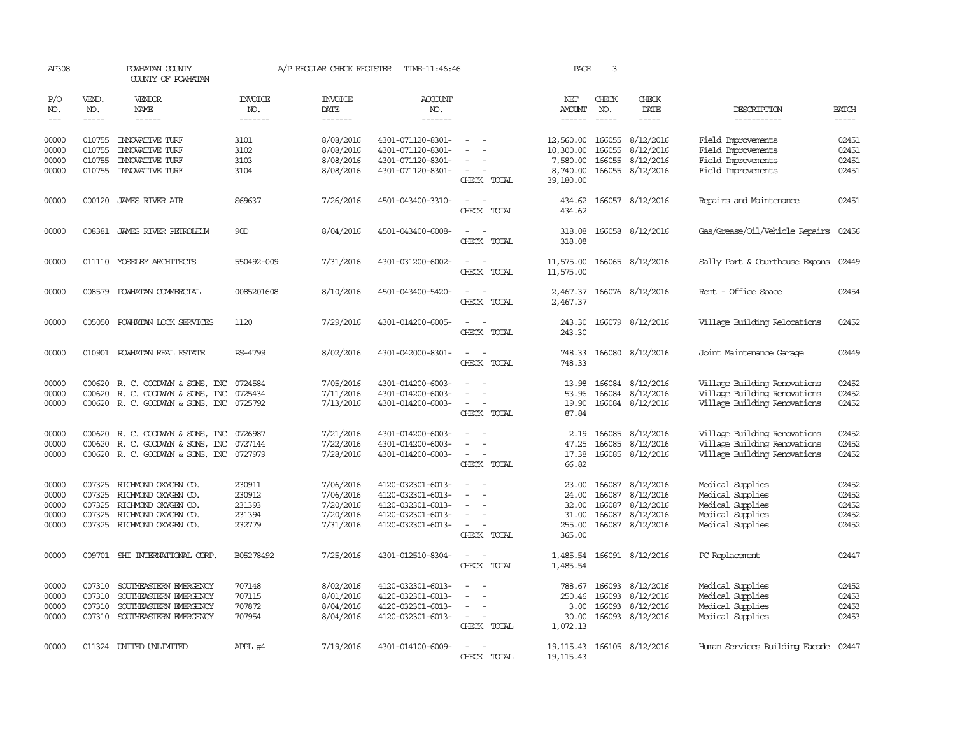| AP308          |                             | POWHATAN COUNTY<br>COUNTY OF POWHATAN            |                           | A/P REGULAR CHECK REGISTER | TIME-11:46:46                          |                                                                     | PAGE                           | 3                           |                         |                                          |                             |
|----------------|-----------------------------|--------------------------------------------------|---------------------------|----------------------------|----------------------------------------|---------------------------------------------------------------------|--------------------------------|-----------------------------|-------------------------|------------------------------------------|-----------------------------|
| P/O<br>NO.     | VEND.<br>NO.<br>$- - - - -$ | VENDOR<br>NAME<br>$- - - - - -$                  | INVOICE<br>NO.<br>------- | <b>INVOICE</b><br>DATE     | ACCOUNT<br>NO.<br>-------              |                                                                     | NET<br>AMOUNT<br>$- - - - - -$ | CHECK<br>NO.<br>$- - - - -$ | CHECK<br>DATE<br>-----  | DESCRIPTION                              | <b>BATCH</b><br>$- - - - -$ |
| $---$          |                             |                                                  |                           | -------                    |                                        |                                                                     |                                |                             |                         | -----------                              |                             |
| 00000<br>00000 | 010755<br>010755            | <b>INNOVATIVE TURF</b><br><b>INIOVATIVE TURF</b> | 3101<br>3102              | 8/08/2016<br>8/08/2016     | 4301-071120-8301-<br>4301-071120-8301- | $\overline{\phantom{a}}$                                            | 12,560,00<br>10,300.00         | 166055<br>166055            | 8/12/2016<br>8/12/2016  | Field Improvements<br>Field Improvements | 02451<br>02451              |
| 00000          | 010755                      | <b>INNOVATIVE TURF</b>                           | 3103                      | 8/08/2016                  | 4301-071120-8301-                      |                                                                     | 7,580.00                       | 166055                      | 8/12/2016               | Field Improvements                       | 02451                       |
| 00000          |                             | 010755 INNOVATIVE TURF                           | 3104                      | 8/08/2016                  | 4301-071120-8301-                      | CHECK TOTAL                                                         | 8,740.00<br>39,180.00          |                             | 166055 8/12/2016        | Field Improvements                       | 02451                       |
| 00000          |                             | 000120 JAMES RIVER AIR                           | S69637                    | 7/26/2016                  | 4501-043400-3310-                      | CHECK TOTAL                                                         | 434.62                         |                             | 434.62 166057 8/12/2016 | Repairs and Maintenance                  | 02451                       |
| 00000          |                             | 008381 JAMES RIVER PETROLEUM                     | 90 <sub>D</sub>           | 8/04/2016                  | 4501-043400-6008-                      | CHECK TOTAL                                                         | 318.08<br>318.08               |                             | 166058 8/12/2016        | Gas/Grease/Oil/Vehicle Repairs           | 02456                       |
| 00000          |                             | 011110 MOSELEY ARCHITECTS                        | 550492-009                | 7/31/2016                  | 4301-031200-6002-                      | CHECK TOTAL                                                         | 11,575.00<br>11,575.00         |                             | 166065 8/12/2016        | Sally Port & Courthouse Expans           | 02449                       |
| 00000          | 008579                      | POWHATAN COMMERCIAL                              | 0085201608                | 8/10/2016                  | 4501-043400-5420-                      | CHECK TOTAL                                                         | 2,467.37<br>2,467.37           |                             | 166076 8/12/2016        | Rent - Office Space                      | 02454                       |
| 00000          | 005050                      | POWHATAN LOCK SERVICES                           | 1120                      | 7/29/2016                  | 4301-014200-6005-                      | CHECK TOTAL                                                         | 243.30<br>243.30               |                             | 166079 8/12/2016        | Village Building Relocations             | 02452                       |
| 00000          |                             | 010901 POWHATAN REAL ESTATE                      | PS-4799                   | 8/02/2016                  | 4301-042000-8301-                      | $\overline{\phantom{a}}$<br>CHECK TOTAL                             | 748.33<br>748.33               |                             | 166080 8/12/2016        | Joint Maintenance Garage                 | 02449                       |
| 00000          |                             | 000620 R. C. GOODWYN & SONS, INC                 | 0724584                   | 7/05/2016                  | 4301-014200-6003-                      | $\overline{\phantom{a}}$                                            | 13.98                          | 166084                      | 8/12/2016               | Village Building Renovations             | 02452                       |
| 00000          | 000620                      | R. C. GOODWYN & SONS, INC                        | 0725434                   | 7/11/2016                  | 4301-014200-6003-                      |                                                                     | 53.96                          | 166084                      | 8/12/2016               | Village Building Renovations             | 02452                       |
| 00000          |                             | 000620 R.C. GOODWYN & SONS, INC 0725792          |                           | 7/13/2016                  | 4301-014200-6003-                      | CHECK TOTAL                                                         | 19.90<br>87.84                 |                             | 166084 8/12/2016        | Village Building Renovations             | 02452                       |
| 00000          | 000620                      | R. C. GOODWYN & SONS, INC                        | 0726987                   | 7/21/2016                  | 4301-014200-6003-                      |                                                                     | 2.19                           | 166085                      | 8/12/2016               | Village Building Renovations             | 02452                       |
| 00000          | 000620                      | R. C. GOODWYN & SONS, INC                        | 0727144                   | 7/22/2016                  | 4301-014200-6003-                      |                                                                     | 47.25                          | 166085                      | 8/12/2016               | Village Building Renovations             | 02452                       |
| 00000          |                             | 000620 R. C. GOODWYN & SONS, INC 0727979         |                           | 7/28/2016                  | 4301-014200-6003-                      | $\overline{\phantom{a}}$                                            | 17.38                          |                             | 166085 8/12/2016        | Village Building Renovations             | 02452                       |
|                |                             |                                                  |                           |                            |                                        | CHECK TOTAL                                                         | 66.82                          |                             |                         |                                          |                             |
| 00000          | 007325                      | RICHMOND OXYGEN CO.                              | 230911                    | 7/06/2016                  | 4120-032301-6013-                      |                                                                     | 23.00                          | 166087                      | 8/12/2016               | Medical Supplies                         | 02452                       |
| 00000          | 007325                      | RICHMOND OXYGEN CO.                              | 230912                    | 7/06/2016                  | 4120-032301-6013-                      |                                                                     | 24.00                          | 166087                      | 8/12/2016               | Medical Supplies                         | 02452                       |
| 00000          | 007325                      | RICHMOND OXYGEN CO.                              | 231393                    | 7/20/2016                  | 4120-032301-6013-                      |                                                                     | 32.00                          | 166087                      | 8/12/2016               | Medical Supplies                         | 02452                       |
| 00000          | 007325                      | RICHMOND OXYGEN CO.                              | 231394                    | 7/20/2016                  | 4120-032301-6013-                      | $\sim$                                                              | 31.00                          | 166087                      | 8/12/2016               | Medical Supplies                         | 02452                       |
| 00000          |                             | 007325 RICHMOND OXYGEN CO.                       | 232779                    | 7/31/2016                  | 4120-032301-6013-                      | CHECK TOTAL                                                         | 255.00<br>365.00               |                             | 166087 8/12/2016        | Medical Supplies                         | 02452                       |
| 00000          |                             | 009701 SHI INTERNATIONAL CORP.                   | B05278492                 | 7/25/2016                  | 4301-012510-8304-                      | $\overline{\phantom{a}}$<br>$\overline{\phantom{a}}$<br>CHECK TOTAL | 1,485.54<br>1,485.54           |                             | 166091 8/12/2016        | PC Replacement                           | 02447                       |
| 00000          | 007310                      | SOUTHEASTERN EMERGENCY                           | 707148                    | 8/02/2016                  | 4120-032301-6013-                      |                                                                     | 788.67                         | 166093                      | 8/12/2016               | Medical Supplies                         | 02452                       |
| 00000          | 007310                      | SOUTHEASTERN EMERGENCY                           | 707115                    | 8/01/2016                  | 4120-032301-6013-                      |                                                                     | 250.46                         | 166093                      | 8/12/2016               | Medical Supplies                         | 02453                       |
| 00000          | 007310                      | SOUTHEASTERN EMERGENCY                           | 707872                    | 8/04/2016                  | 4120-032301-6013-                      |                                                                     | 3.00                           | 166093                      | 8/12/2016               | Medical Supplies                         | 02453                       |
| 00000          |                             | 007310 SOUTHEASTERN EMERGENCY                    | 707954                    | 8/04/2016                  | 4120-032301-6013-                      | $\sim$<br>CHECK TOTAL                                               | 30.00<br>1,072.13              |                             | 166093 8/12/2016        | Medical Supplies                         | 02453                       |
| 00000          |                             | 011324 UNITED UNLIMITED                          | APPL #4                   | 7/19/2016                  | 4301-014100-6009-                      | CHECK TOTAL                                                         | 19,115.43<br>19, 115.43        |                             | 166105 8/12/2016        | Human Services Building Facade 02447     |                             |
|                |                             |                                                  |                           |                            |                                        |                                                                     |                                |                             |                         |                                          |                             |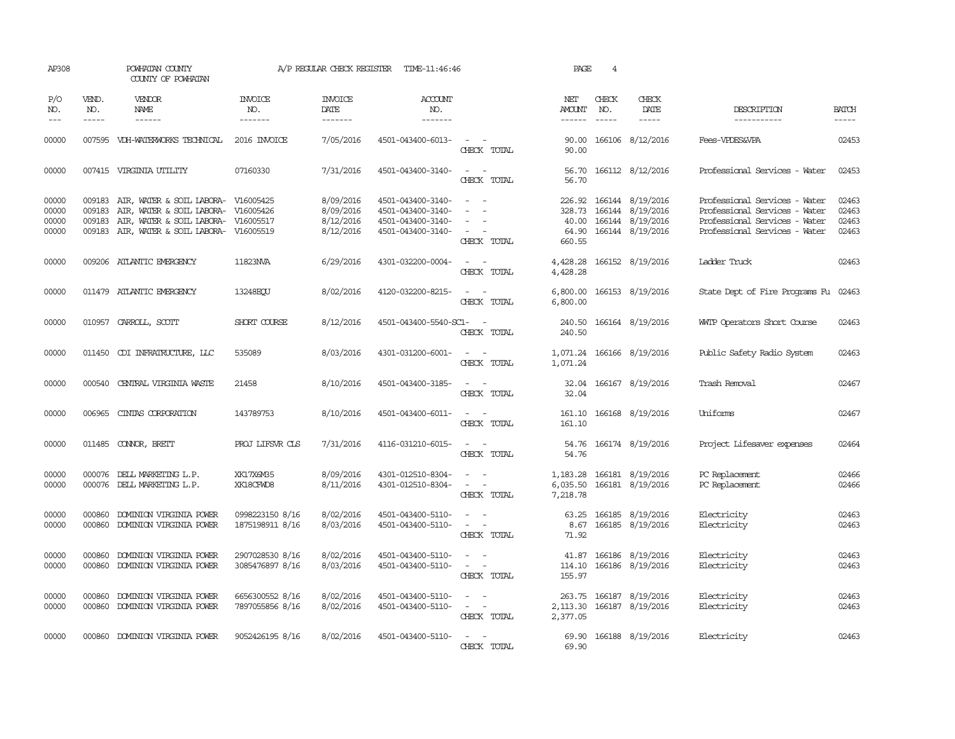| AP308                            |                             | POWHATAN COUNTY<br>COUNTY OF POWHATAN                                                                                                              |                                    | A/P REGULAR CHECK REGISTER                       | TIME-11:46:46                                                                    |                                                                                                                             | PAGE                               | $\overline{4}$ |                                                                                     |                                                                                                                                  |                                  |
|----------------------------------|-----------------------------|----------------------------------------------------------------------------------------------------------------------------------------------------|------------------------------------|--------------------------------------------------|----------------------------------------------------------------------------------|-----------------------------------------------------------------------------------------------------------------------------|------------------------------------|----------------|-------------------------------------------------------------------------------------|----------------------------------------------------------------------------------------------------------------------------------|----------------------------------|
| P/O<br>NO.<br>$---$              | VEND.<br>NO.<br>$- - - - -$ | <b>VENDOR</b><br>NAME<br>------                                                                                                                    | <b>INVOICE</b><br>NO.<br>-------   | <b>INVOICE</b><br>DATE<br>-------                | <b>ACCOUNT</b><br>NO.<br>-------                                                 |                                                                                                                             | NET<br>AMOUNT<br>------            | CHECK<br>NO.   | CHECK<br>DATE<br>-----                                                              | DESCRIPTION<br>-----------                                                                                                       | <b>BATCH</b><br>-----            |
| 00000                            |                             | 007595 VDH-WATERWORKS TECHNICAL                                                                                                                    | 2016 INVOICE                       | 7/05/2016                                        | 4501-043400-6013-                                                                | $\sim$ $\sim$<br>CHECK TOTAL                                                                                                | 90.00<br>90.00                     |                | 166106 8/12/2016                                                                    | Fees-VPDES&VPA                                                                                                                   | 02453                            |
| 00000                            |                             | 007415 VIRGINIA UTILITY                                                                                                                            | 07160330                           | 7/31/2016                                        | 4501-043400-3140-                                                                | $\overline{\phantom{a}}$<br>$\sim$<br>CHECK TOTAL                                                                           | 56.70                              |                | 56.70 166112 8/12/2016                                                              | Professional Services - Water                                                                                                    | 02453                            |
| 00000<br>00000<br>00000<br>00000 | 009183<br>009183            | 009183 AIR, WATER & SOIL LABORA- V16005425<br>AIR, WATER & SOIL LABORA-<br>AIR, WATER & SOIL LABORA-<br>009183 AIR, WATER & SOIL LABORA- V16005519 | V16005426<br>V16005517             | 8/09/2016<br>8/09/2016<br>8/12/2016<br>8/12/2016 | 4501-043400-3140-<br>4501-043400-3140-<br>4501-043400-3140-<br>4501-043400-3140- | $\sim$ $\sim$<br>$\sim$<br>$\sim$<br>CHECK TOTAL                                                                            | 328.73<br>40.00<br>64.90<br>660.55 |                | 226.92 166144 8/19/2016<br>166144 8/19/2016<br>166144 8/19/2016<br>166144 8/19/2016 | Professional Services - Water<br>Professional Services - Water<br>Professional Services - Water<br>Professional Services - Water | 02463<br>02463<br>02463<br>02463 |
| 00000                            |                             | 009206 ATLANTIC EMERGENCY                                                                                                                          | 11823NVA                           | 6/29/2016                                        | 4301-032200-0004-                                                                | $\sim$ $ \sim$<br>CHECK TOTAL                                                                                               | 4,428.28<br>4,428.28               |                | 166152 8/19/2016                                                                    | Ladder Truck                                                                                                                     | 02463                            |
| 00000                            |                             | 011479 ATLANTIC EMERGENCY                                                                                                                          | 13248ECU                           | 8/02/2016                                        | 4120-032200-8215-                                                                | $\sim$<br>CHECK TOTAL                                                                                                       | 6,800.00                           |                | 6,800.00 166153 8/19/2016                                                           | State Dept of Fire Programs Fu 02463                                                                                             |                                  |
| 00000                            |                             | 010957 CARROLL, SCOTT                                                                                                                              | SHORT COURSE                       | 8/12/2016                                        | 4501-043400-5540-SC1-                                                            | CHECK TOTAL                                                                                                                 | 240.50                             |                | 240.50 166164 8/19/2016                                                             | WMTP Operators Short Course                                                                                                      | 02463                            |
| 00000                            |                             | 011450 CDI INFRAIRUCTURE, LLC                                                                                                                      | 535089                             | 8/03/2016                                        | 4301-031200-6001-                                                                | $\sim$<br>CHECK TOTAL                                                                                                       | 1,071.24<br>1,071.24               |                | 166166 8/19/2016                                                                    | Public Safety Radio System                                                                                                       | 02463                            |
| 00000                            | 000540                      | CENTRAL VIRGINIA WASTE                                                                                                                             | 21458                              | 8/10/2016                                        | 4501-043400-3185-                                                                | $\sim$ $ \sim$<br>CHECK TOTAL                                                                                               | 32.04<br>32.04                     |                | 166167 8/19/2016                                                                    | Trash Removal                                                                                                                    | 02467                            |
| 00000                            | 006965                      | CINIAS CORPORATION                                                                                                                                 | 143789753                          | 8/10/2016                                        | 4501-043400-6011-                                                                | $\sim$<br>$\sim$<br>CHECK TOTAL                                                                                             | 161.10<br>161.10                   |                | 166168 8/19/2016                                                                    | Uniforms                                                                                                                         | 02467                            |
| 00000                            |                             | 011485 CONNOR, BRETT                                                                                                                               | PROJ LIFSVR CLS                    | 7/31/2016                                        | 4116-031210-6015-                                                                | $\frac{1}{2} \left( \frac{1}{2} \right) \left( \frac{1}{2} \right) = \frac{1}{2} \left( \frac{1}{2} \right)$<br>CHECK TOTAL | 54.76                              |                | 54.76 166174 8/19/2016                                                              | Project Lifesaver expenses                                                                                                       | 02464                            |
| 00000<br>00000                   |                             | 000076 DELL MARKETING L.P.<br>000076 DELL MARKETING L.P.                                                                                           | XK17X6M35<br>XK18CFWD8             | 8/09/2016<br>8/11/2016                           | 4301-012510-8304-<br>4301-012510-8304-                                           | $\sim$<br>$\sim$<br>$\sim$<br>$\sim$<br>CHECK TOTAL                                                                         | 1,183.28<br>6,035.50<br>7,218.78   |                | 166181 8/19/2016<br>166181 8/19/2016                                                | PC Replacement<br>PC Replacement                                                                                                 | 02466<br>02466                   |
| 00000<br>00000                   | 000860<br>000860            | DOMINION VIRGINIA POWER<br>DOMINION VIRGINIA POWER                                                                                                 | 0998223150 8/16<br>1875198911 8/16 | 8/02/2016<br>8/03/2016                           | 4501-043400-5110-<br>4501-043400-5110-                                           | $\overline{\phantom{a}}$<br>$\sim$<br>$\sim$<br>$\sim$ $-$<br>CHECK TOTAL                                                   | 8.67<br>71.92                      |                | 63.25 166185 8/19/2016<br>166185 8/19/2016                                          | Electricity<br>Electricity                                                                                                       | 02463<br>02463                   |
| 00000<br>00000                   | 000860<br>000860            | DOMINION VIRGINIA POWER<br>DOMINION VIRGINIA POWER                                                                                                 | 2907028530 8/16<br>3085476897 8/16 | 8/02/2016<br>8/03/2016                           | 4501-043400-5110-<br>4501-043400-5110-                                           | $\sim$<br>$\sim$<br>$\sim$<br>CHECK TOTAL                                                                                   | 41.87<br>155.97                    | 166186         | 8/19/2016<br>114.10 166186 8/19/2016                                                | Electricity<br>Electricity                                                                                                       | 02463<br>02463                   |
| 00000<br>00000                   | 000860<br>000860            | DOMINION VIRGINIA POWER<br>DOMINION VIRGINIA POWER                                                                                                 | 6656300552 8/16<br>7897055856 8/16 | 8/02/2016<br>8/02/2016                           | 4501-043400-5110-<br>4501-043400-5110-                                           | $\overline{\phantom{a}}$<br>$\omega_{\rm{max}}$<br>CHECK TOTAL                                                              | 2,377.05                           |                | 263.75 166187 8/19/2016<br>2, 113.30 166187 8/19/2016                               | Electricity<br>Electricity                                                                                                       | 02463<br>02463                   |
| 00000                            | 000860                      | DOMINION VIRGINIA POWER                                                                                                                            | 9052426195 8/16                    | 8/02/2016                                        | 4501-043400-5110-                                                                | $\overline{\phantom{a}}$<br>$\overline{\phantom{a}}$<br>CHECK TOTAL                                                         | 69.90<br>69.90                     |                | 166188 8/19/2016                                                                    | Electricity                                                                                                                      | 02463                            |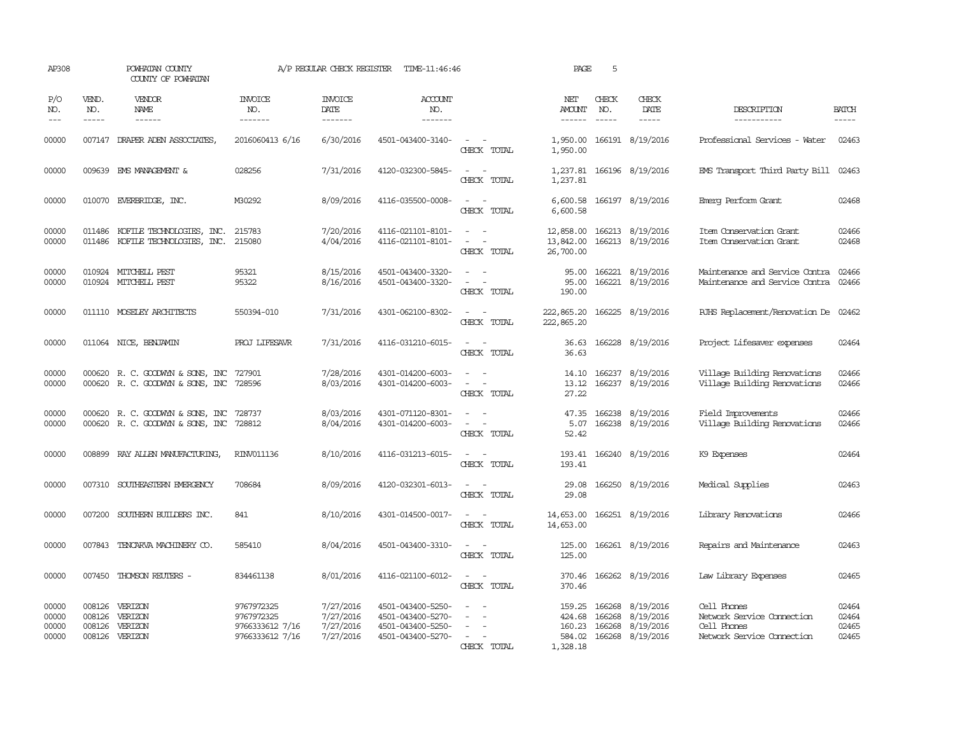| AP308                            |                             | POWHATAN COUNTY<br>COUNTY OF POWHATAN                                       |                                                                | A/P REGULAR CHECK REGISTER                       | TIME-11:46:46                                                                    |                                                     | PAGE                                             | 5                             |                                                         |                                                                                        |                                  |
|----------------------------------|-----------------------------|-----------------------------------------------------------------------------|----------------------------------------------------------------|--------------------------------------------------|----------------------------------------------------------------------------------|-----------------------------------------------------|--------------------------------------------------|-------------------------------|---------------------------------------------------------|----------------------------------------------------------------------------------------|----------------------------------|
| P/O<br>NO.<br>$---$              | VEND.<br>NO.<br>$- - - - -$ | VENDOR<br>NAME<br>$- - - - - -$                                             | <b>INVOICE</b><br>NO.<br>--------                              | <b>INVOICE</b><br>DATE<br>--------               | <b>ACCOUNT</b><br>NO.<br>-------                                                 |                                                     | NET<br>AMOUNT<br>------                          | CHECK<br>NO.<br>$\frac{1}{2}$ | CHECK<br>DATE<br>$- - - - -$                            | DESCRIPTION<br>-----------                                                             | <b>BATCH</b><br>-----            |
| 00000                            |                             | 007147 DRAPER ADEN ASSOCIATES,                                              | 2016060413 6/16                                                | 6/30/2016                                        | 4501-043400-3140-                                                                | $\sim$ $ \sim$<br>CHECK TOTAL                       | 1,950.00<br>1,950.00                             |                               | 166191 8/19/2016                                        | Professional Services - Water                                                          | 02463                            |
| 00000                            |                             | 009639 EMS MANAGEMENT &                                                     | 028256                                                         | 7/31/2016                                        | 4120-032300-5845-                                                                | $ -$<br>CHECK TOTAL                                 | 1,237.81                                         |                               | 1,237.81 166196 8/19/2016                               | EMS Transport Third Party Bill 02463                                                   |                                  |
| 00000                            |                             | 010070 EVERBRIDGE, INC.                                                     | M30292                                                         | 8/09/2016                                        | 4116-035500-0008-                                                                | $\sim$<br>$\sim$<br>CHECK TOTAL                     | 6,600.58                                         |                               | 6,600.58 166197 8/19/2016                               | Emerg Perform Grant                                                                    | 02468                            |
| 00000<br>00000                   | 011486                      | KOFILE TECHNOLOGIES, INC.<br>011486 KOFILE TECHNOLOGIES, INC.               | 215783<br>215080                                               | 7/20/2016<br>4/04/2016                           | 4116-021101-8101-<br>4116-021101-8101-                                           | $\sim$<br>CHECK TOTAL                               | 12,858.00<br>13,842.00<br>26,700.00              |                               | 166213 8/19/2016<br>166213 8/19/2016                    | Item Conservation Grant<br>Item Conservation Grant                                     | 02466<br>02468                   |
| 00000<br>00000                   |                             | 010924 MITCHELL PEST<br>010924 MITCHELL PEST                                | 95321<br>95322                                                 | 8/15/2016<br>8/16/2016                           | 4501-043400-3320-<br>4501-043400-3320-                                           | $\equiv$<br>$\equiv$<br>$\sim$<br>CHECK TOTAL       | 95.00<br>95.00<br>190.00                         |                               | 166221 8/19/2016<br>166221 8/19/2016                    | Maintenance and Service Contra<br>Maintenance and Service Contra                       | 02466<br>02466                   |
| 00000                            |                             | 011110 MOSELEY ARCHITECTS                                                   | 550394-010                                                     | 7/31/2016                                        | 4301-062100-8302-                                                                | $ -$<br>CHECK TOTAL                                 | 222,865.20<br>222,865.20                         |                               | 166225 8/19/2016                                        | RJHS Replacement/Renovation De 02462                                                   |                                  |
| 00000                            |                             | 011064 NICE, BENJAMIN                                                       | PROJ LIFESAVR                                                  | 7/31/2016                                        | 4116-031210-6015-                                                                | $\sim$ $\sim$<br>CHECK TOTAL                        | 36.63                                            |                               | 36.63 166228 8/19/2016                                  | Project Lifesaver expenses                                                             | 02464                            |
| 00000<br>00000                   |                             | 000620 R. C. GOODWYN & SONS, INC<br>000620 R. C. GOODWYN & SONS, INC 728596 | 727901                                                         | 7/28/2016<br>8/03/2016                           | 4301-014200-6003-<br>4301-014200-6003-                                           | $\equiv$<br>$\overline{\phantom{a}}$<br>CHECK TOTAL | 14.10<br>13.12<br>27.22                          |                               | 166237 8/19/2016<br>166237 8/19/2016                    | Village Building Renovations<br>Village Building Renovations                           | 02466<br>02466                   |
| 00000<br>00000                   | 000620                      | R. C. GOODWYN & SONS, INC<br>000620 R. C. GOODWYN & SONS, INC 728812        | 728737                                                         | 8/03/2016<br>8/04/2016                           | 4301-071120-8301-<br>4301-014200-6003-                                           | $\sim$<br>CHECK TOTAL                               | 47.35<br>5.07<br>52.42                           |                               | 166238 8/19/2016<br>166238 8/19/2016                    | Field Improvements<br>Village Building Renovations                                     | 02466<br>02466                   |
| 00000                            |                             | 008899 RAY ALLEN MANUFACTURING,                                             | RINV011136                                                     | 8/10/2016                                        | 4116-031213-6015-                                                                | $\equiv$<br>$\sim$<br>CHECK TOTAL                   | 193.41                                           |                               | 193.41 166240 8/19/2016                                 | K9 Expenses                                                                            | 02464                            |
| 00000                            |                             | 007310 SOUTHEASTERN EMERGENCY                                               | 708684                                                         | 8/09/2016                                        | 4120-032301-6013-                                                                | $\sim$ $ \sim$<br>CHECK TOTAL                       | 29.08<br>29.08                                   |                               | 166250 8/19/2016                                        | Medical Supplies                                                                       | 02463                            |
| 00000                            | 007200                      | SOUTHERN BUILDERS INC.                                                      | 841                                                            | 8/10/2016                                        | 4301-014500-0017-                                                                | $\sim$ 100 $\sim$<br>CHECK TOTAL                    | 14,653.00<br>14,653.00                           |                               | 166251 8/19/2016                                        | Library Renovations                                                                    | 02466                            |
| 00000                            |                             | 007843 TENCARVA MACHINERY CO.                                               | 585410                                                         | 8/04/2016                                        | 4501-043400-3310-                                                                | $\equiv$<br>CHECK TOTAL                             | 125.00<br>125.00                                 |                               | 166261 8/19/2016                                        | Repairs and Maintenance                                                                | 02463                            |
| 00000                            | 007450                      | THOMSON REUTERS -                                                           | 834461138                                                      | 8/01/2016                                        | 4116-021100-6012-                                                                | $\equiv$<br>$\sim$<br>CHECK TOTAL                   | 370.46<br>370.46                                 |                               | 166262 8/19/2016                                        | Law Library Expenses                                                                   | 02465                            |
| 00000<br>00000<br>00000<br>00000 | 008126<br>008126<br>008126  | VERIZON<br>VERIZON<br>VERIZON<br>008126 VERIZON                             | 9767972325<br>9767972325<br>9766333612 7/16<br>9766333612 7/16 | 7/27/2016<br>7/27/2016<br>7/27/2016<br>7/27/2016 | 4501-043400-5250-<br>4501-043400-5270-<br>4501-043400-5250-<br>4501-043400-5270- | $\overline{\phantom{a}}$<br>$\equiv$<br>CHECK TOTAL | 159.25<br>424.68<br>160.23<br>584.02<br>1,328.18 | 166268<br>166268<br>166268    | 8/19/2016<br>8/19/2016<br>8/19/2016<br>166268 8/19/2016 | Cell Phones<br>Network Service Connection<br>Cell Phones<br>Network Service Connection | 02464<br>02464<br>02465<br>02465 |